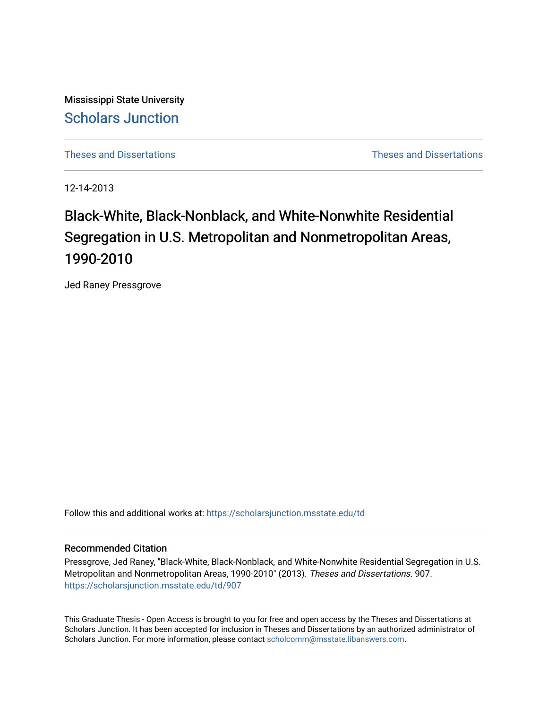Mississippi State University [Scholars Junction](https://scholarsjunction.msstate.edu/) 

[Theses and Dissertations](https://scholarsjunction.msstate.edu/td) [Theses and Dissertations](https://scholarsjunction.msstate.edu/theses-dissertations) 

12-14-2013

# Black-White, Black-Nonblack, and White-Nonwhite Residential Segregation in U.S. Metropolitan and Nonmetropolitan Areas, 1990-2010

Jed Raney Pressgrove

Follow this and additional works at: [https://scholarsjunction.msstate.edu/td](https://scholarsjunction.msstate.edu/td?utm_source=scholarsjunction.msstate.edu%2Ftd%2F907&utm_medium=PDF&utm_campaign=PDFCoverPages) 

### Recommended Citation

Pressgrove, Jed Raney, "Black-White, Black-Nonblack, and White-Nonwhite Residential Segregation in U.S. Metropolitan and Nonmetropolitan Areas, 1990-2010" (2013). Theses and Dissertations. 907. [https://scholarsjunction.msstate.edu/td/907](https://scholarsjunction.msstate.edu/td/907?utm_source=scholarsjunction.msstate.edu%2Ftd%2F907&utm_medium=PDF&utm_campaign=PDFCoverPages) 

This Graduate Thesis - Open Access is brought to you for free and open access by the Theses and Dissertations at Scholars Junction. It has been accepted for inclusion in Theses and Dissertations by an authorized administrator of Scholars Junction. For more information, please contact [scholcomm@msstate.libanswers.com.](mailto:scholcomm@msstate.libanswers.com)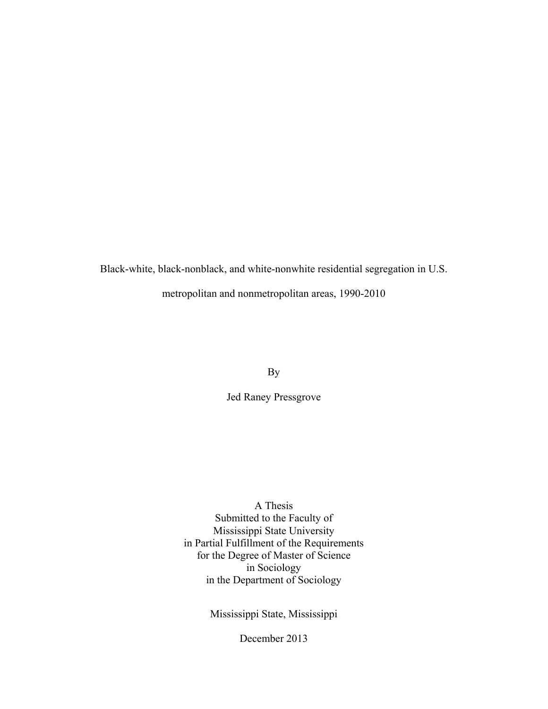Black-white, black-nonblack, and white-nonwhite residential segregation in U.S. metropolitan and nonmetropolitan areas, 1990-2010

By

Jed Raney Pressgrove

A Thesis Submitted to the Faculty of Mississippi State University in Partial Fulfillment of the Requirements for the Degree of Master of Science in Sociology in the Department of Sociology

Mississippi State, Mississippi

December 2013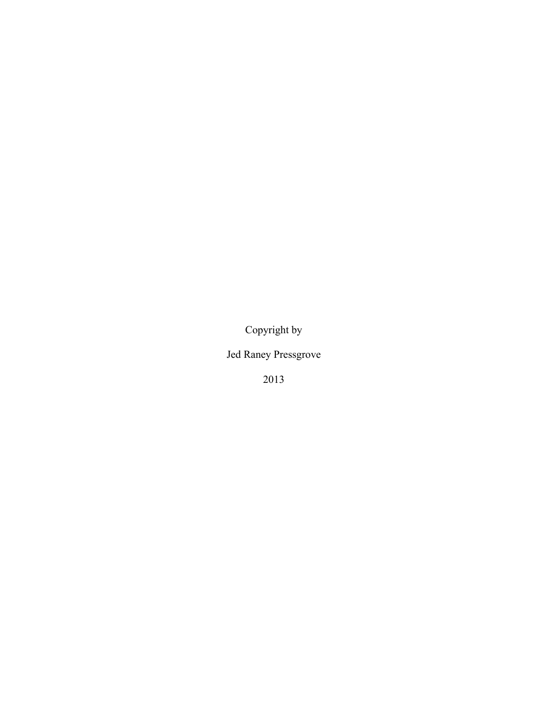Copyright by

Jed Raney Pressgrove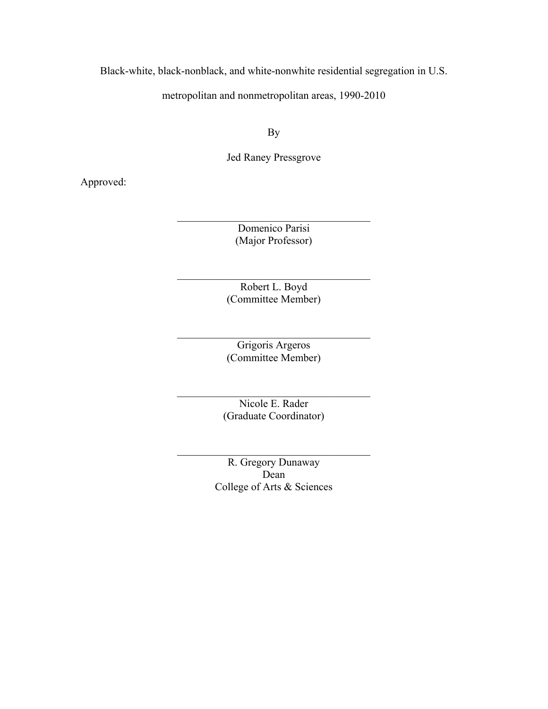Black-white, black-nonblack, and white-nonwhite residential segregation in U.S.

metropolitan and nonmetropolitan areas, 1990-2010

By

Jed Raney Pressgrove

Approved:

Domenico Parisi (Major Professor)

 $\_$ 

Robert L. Boyd (Committee Member)

 $\_$ 

Grigoris Argeros (Committee Member)

 $\_$ 

Nicole E. Rader (Graduate Coordinator)

 $\_$ 

R. Gregory Dunaway Dean College of Arts & Sciences

 $\_$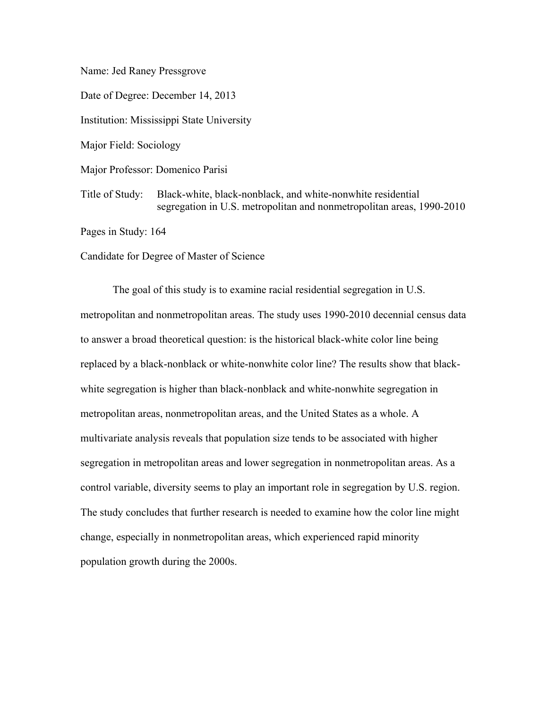Name: Jed Raney Pressgrove

Date of Degree: December 14, 2013

Institution: Mississippi State University

Major Field: Sociology

Major Professor: Domenico Parisi

Title of Study: Black-white, black-nonblack, and white-nonwhite residential segregation in U.S. metropolitan and nonmetropolitan areas, 1990-2010

Pages in Study: 164

Candidate for Degree of Master of Science

The goal of this study is to examine racial residential segregation in U.S. metropolitan and nonmetropolitan areas. The study uses 1990-2010 decennial census data to answer a broad theoretical question: is the historical black-white color line being replaced by a black-nonblack or white-nonwhite color line? The results show that blackwhite segregation is higher than black-nonblack and white-nonwhite segregation in metropolitan areas, nonmetropolitan areas, and the United States as a whole. A multivariate analysis reveals that population size tends to be associated with higher segregation in metropolitan areas and lower segregation in nonmetropolitan areas. As a control variable, diversity seems to play an important role in segregation by U.S. region. The study concludes that further research is needed to examine how the color line might change, especially in nonmetropolitan areas, which experienced rapid minority population growth during the 2000s.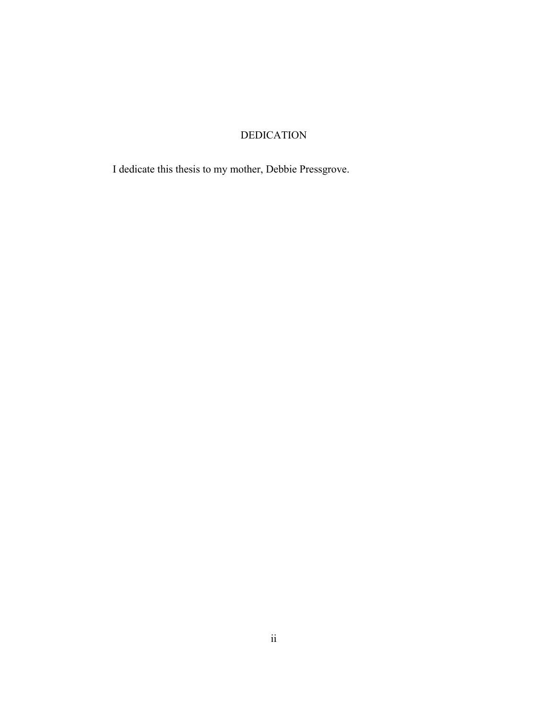# DEDICATION

I dedicate this thesis to my mother, Debbie Pressgrove.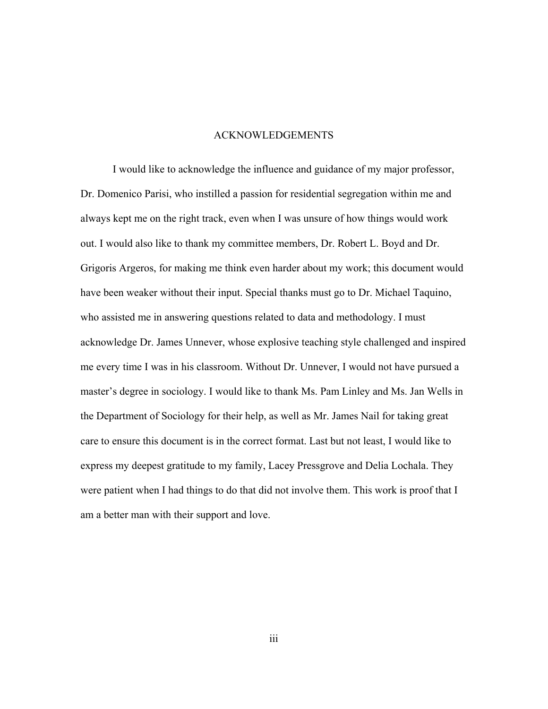### ACKNOWLEDGEMENTS

I would like to acknowledge the influence and guidance of my major professor, Dr. Domenico Parisi, who instilled a passion for residential segregation within me and always kept me on the right track, even when I was unsure of how things would work out. I would also like to thank my committee members, Dr. Robert L. Boyd and Dr. Grigoris Argeros, for making me think even harder about my work; this document would have been weaker without their input. Special thanks must go to Dr. Michael Taquino, who assisted me in answering questions related to data and methodology. I must acknowledge Dr. James Unnever, whose explosive teaching style challenged and inspired me every time I was in his classroom. Without Dr. Unnever, I would not have pursued a master's degree in sociology. I would like to thank Ms. Pam Linley and Ms. Jan Wells in the Department of Sociology for their help, as well as Mr. James Nail for taking great care to ensure this document is in the correct format. Last but not least, I would like to express my deepest gratitude to my family, Lacey Pressgrove and Delia Lochala. They were patient when I had things to do that did not involve them. This work is proof that I am a better man with their support and love.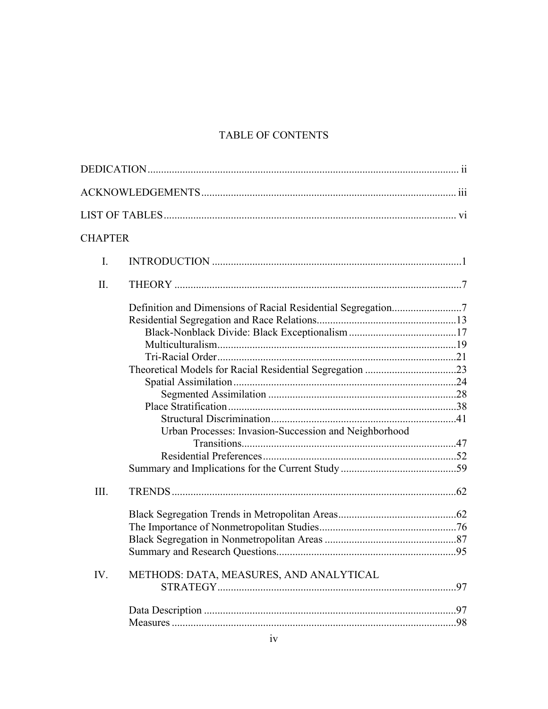# TABLE OF CONTENTS

| <b>CHAPTER</b> |                                                       |  |
|----------------|-------------------------------------------------------|--|
| I.             |                                                       |  |
| II.            |                                                       |  |
|                |                                                       |  |
|                |                                                       |  |
|                |                                                       |  |
|                |                                                       |  |
|                |                                                       |  |
|                |                                                       |  |
|                |                                                       |  |
|                |                                                       |  |
|                |                                                       |  |
|                | Urban Processes: Invasion-Succession and Neighborhood |  |
|                |                                                       |  |
|                |                                                       |  |
|                |                                                       |  |
| III.           |                                                       |  |
|                |                                                       |  |
|                |                                                       |  |
|                |                                                       |  |
|                |                                                       |  |
| IV.            | METHODS: DATA, MEASURES, AND ANALYTICAL               |  |
|                |                                                       |  |
|                |                                                       |  |
|                |                                                       |  |
|                |                                                       |  |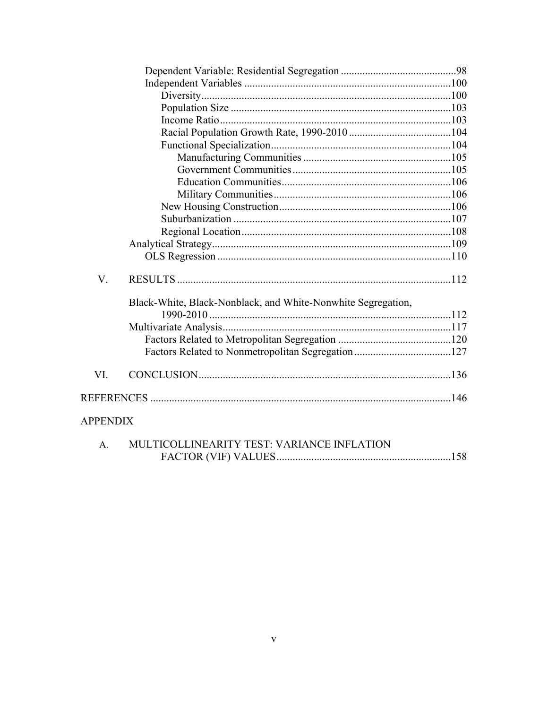| $V_{\cdot}$     |                                                              |  |
|-----------------|--------------------------------------------------------------|--|
|                 | Black-White, Black-Nonblack, and White-Nonwhite Segregation, |  |
|                 |                                                              |  |
|                 |                                                              |  |
|                 |                                                              |  |
|                 |                                                              |  |
| VI.             |                                                              |  |
|                 |                                                              |  |
| <b>APPENDIX</b> |                                                              |  |
| A.              | MULTICOLLINEARITY TEST: VARIANCE INFLATION                   |  |
|                 |                                                              |  |

| MULTICOLLINEANTTI TEST. VANIANCE INFEATION |  |
|--------------------------------------------|--|
|                                            |  |
|                                            |  |
|                                            |  |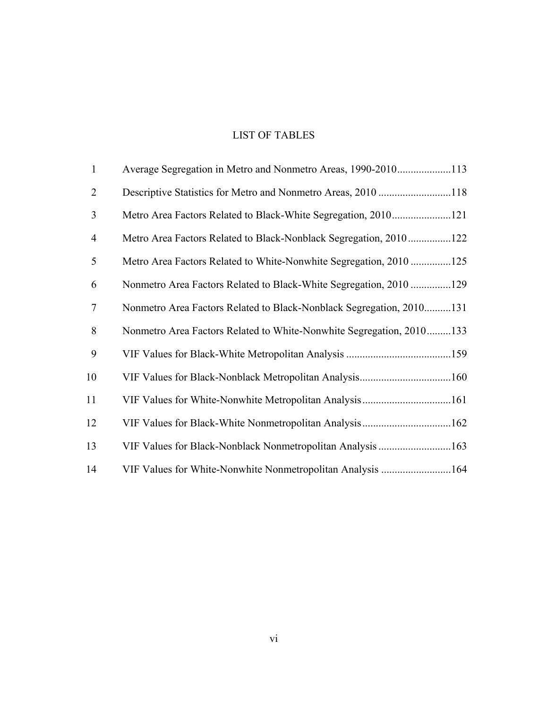# LIST OF TABLES

| $\mathbf{1}$   | Average Segregation in Metro and Nonmetro Areas, 1990-2010113        |  |
|----------------|----------------------------------------------------------------------|--|
| $\overline{2}$ |                                                                      |  |
| $\mathfrak{Z}$ | Metro Area Factors Related to Black-White Segregation, 2010121       |  |
| $\overline{4}$ | Metro Area Factors Related to Black-Nonblack Segregation, 2010122    |  |
| 5              | Metro Area Factors Related to White-Nonwhite Segregation, 2010 125   |  |
| 6              | Nonmetro Area Factors Related to Black-White Segregation, 2010 129   |  |
| $\tau$         | Nonmetro Area Factors Related to Black-Nonblack Segregation, 2010131 |  |
| 8              | Nonmetro Area Factors Related to White-Nonwhite Segregation, 2010133 |  |
| 9              |                                                                      |  |
| 10             | VIF Values for Black-Nonblack Metropolitan Analysis160               |  |
| 11             | VIF Values for White-Nonwhite Metropolitan Analysis161               |  |
| 12             |                                                                      |  |
| 13             | VIF Values for Black-Nonblack Nonmetropolitan Analysis 163           |  |
| 14             | VIF Values for White-Nonwhite Nonmetropolitan Analysis 164           |  |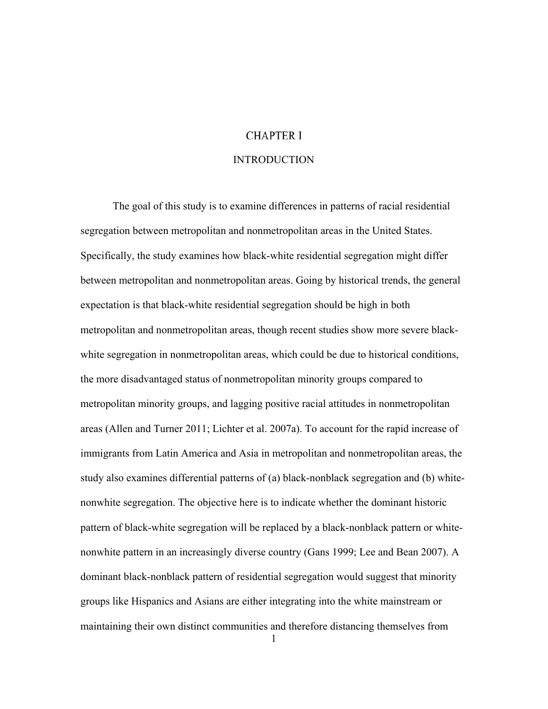# **CHAPTER I**

# INTRODUCTION

The goal of this study is to examine differences in patterns of racial residential segregation between metropolitan and nonmetropolitan areas in the United States. Specifically, the study examines how black-white residential segregation might differ between metropolitan and nonmetropolitan areas. Going by historical trends, the general expectation is that black-white residential segregation should be high in both metropolitan and nonmetropolitan areas, though recent studies show more severe blackwhite segregation in nonmetropolitan areas, which could be due to historical conditions, the more disadvantaged status of nonmetropolitan minority groups compared to metropolitan minority groups, and lagging positive racial attitudes in nonmetropolitan areas (Allen and Turner 2011; Lichter et al. 2007a). To account for the rapid increase of immigrants from Latin America and Asia in metropolitan and nonmetropolitan areas, the study also examines differential patterns of (a) black-nonblack segregation and (b) whitenonwhite segregation. The objective here is to indicate whether the dominant historic pattern of black-white segregation will be replaced by a black-nonblack pattern or whitenonwhite pattern in an increasingly diverse country (Gans 1999; Lee and Bean 2007). A dominant black-nonblack pattern of residential segregation would suggest that minority groups like Hispanics and Asians are either integrating into the white mainstream or maintaining their own distinct communities and therefore distancing themselves from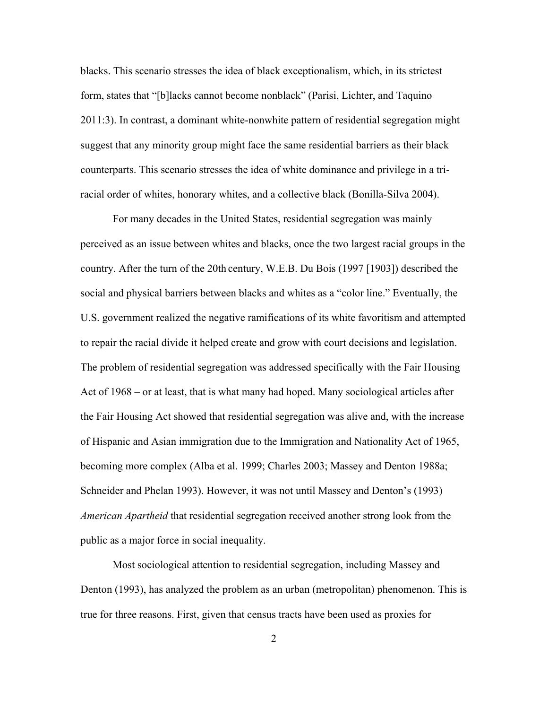blacks. This scenario stresses the idea of black exceptionalism, which, in its strictest form, states that "[b]lacks cannot become nonblack" (Parisi, Lichter, and Taquino 2011:3). In contrast, a dominant white-nonwhite pattern of residential segregation might suggest that any minority group might face the same residential barriers as their black counterparts. This scenario stresses the idea of white dominance and privilege in a triracial order of whites, honorary whites, and a collective black (Bonilla-Silva 2004).

For many decades in the United States, residential segregation was mainly perceived as an issue between whites and blacks, once the two largest racial groups in the country. After the turn of the 20th century, W.E.B. Du Bois (1997 [1903]) described the social and physical barriers between blacks and whites as a "color line." Eventually, the U.S. government realized the negative ramifications of its white favoritism and attempted to repair the racial divide it helped create and grow with court decisions and legislation. The problem of residential segregation was addressed specifically with the Fair Housing Act of 1968 – or at least, that is what many had hoped. Many sociological articles after the Fair Housing Act showed that residential segregation was alive and, with the increase of Hispanic and Asian immigration due to the Immigration and Nationality Act of 1965, becoming more complex (Alba et al. 1999; Charles 2003; Massey and Denton 1988a; Schneider and Phelan 1993). However, it was not until Massey and Denton's (1993) *American Apartheid* that residential segregation received another strong look from the public as a major force in social inequality.

Most sociological attention to residential segregation, including Massey and Denton (1993), has analyzed the problem as an urban (metropolitan) phenomenon. This is true for three reasons. First, given that census tracts have been used as proxies for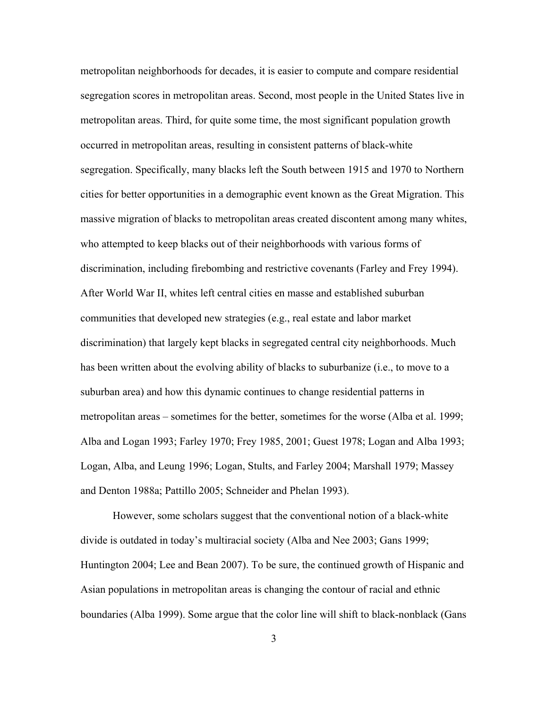metropolitan neighborhoods for decades, it is easier to compute and compare residential segregation scores in metropolitan areas. Second, most people in the United States live in metropolitan areas. Third, for quite some time, the most significant population growth occurred in metropolitan areas, resulting in consistent patterns of black-white segregation. Specifically, many blacks left the South between 1915 and 1970 to Northern cities for better opportunities in a demographic event known as the Great Migration. This massive migration of blacks to metropolitan areas created discontent among many whites, who attempted to keep blacks out of their neighborhoods with various forms of discrimination, including firebombing and restrictive covenants (Farley and Frey 1994). After World War II, whites left central cities en masse and established suburban communities that developed new strategies (e.g., real estate and labor market discrimination) that largely kept blacks in segregated central city neighborhoods. Much has been written about the evolving ability of blacks to suburbanize (i.e., to move to a suburban area) and how this dynamic continues to change residential patterns in metropolitan areas – sometimes for the better, sometimes for the worse (Alba et al. 1999; Alba and Logan 1993; Farley 1970; Frey 1985, 2001; Guest 1978; Logan and Alba 1993; Logan, Alba, and Leung 1996; Logan, Stults, and Farley 2004; Marshall 1979; Massey and Denton 1988a; Pattillo 2005; Schneider and Phelan 1993).

However, some scholars suggest that the conventional notion of a black-white divide is outdated in today's multiracial society (Alba and Nee 2003; Gans 1999; Huntington 2004; Lee and Bean 2007). To be sure, the continued growth of Hispanic and Asian populations in metropolitan areas is changing the contour of racial and ethnic boundaries (Alba 1999). Some argue that the color line will shift to black-nonblack (Gans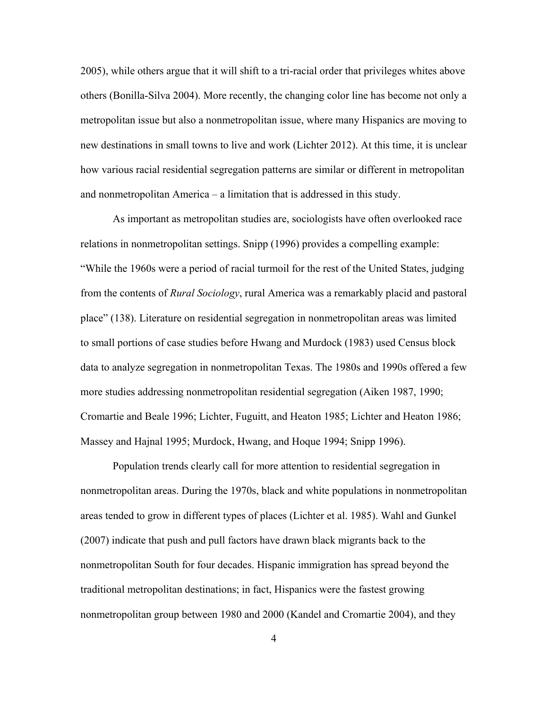2005), while others argue that it will shift to a tri-racial order that privileges whites above others (Bonilla-Silva 2004). More recently, the changing color line has become not only a metropolitan issue but also a nonmetropolitan issue, where many Hispanics are moving to new destinations in small towns to live and work (Lichter 2012). At this time, it is unclear how various racial residential segregation patterns are similar or different in metropolitan and nonmetropolitan America – a limitation that is addressed in this study.

As important as metropolitan studies are, sociologists have often overlooked race relations in nonmetropolitan settings. Snipp (1996) provides a compelling example: "While the 1960s were a period of racial turmoil for the rest of the United States, judging from the contents of *Rural Sociology*, rural America was a remarkably placid and pastoral place" (138). Literature on residential segregation in nonmetropolitan areas was limited to small portions of case studies before Hwang and Murdock (1983) used Census block data to analyze segregation in nonmetropolitan Texas. The 1980s and 1990s offered a few more studies addressing nonmetropolitan residential segregation (Aiken 1987, 1990; Cromartie and Beale 1996; Lichter, Fuguitt, and Heaton 1985; Lichter and Heaton 1986; Massey and Hajnal 1995; Murdock, Hwang, and Hoque 1994; Snipp 1996).

Population trends clearly call for more attention to residential segregation in nonmetropolitan areas. During the 1970s, black and white populations in nonmetropolitan areas tended to grow in different types of places (Lichter et al. 1985). Wahl and Gunkel (2007) indicate that push and pull factors have drawn black migrants back to the nonmetropolitan South for four decades. Hispanic immigration has spread beyond the traditional metropolitan destinations; in fact, Hispanics were the fastest growing nonmetropolitan group between 1980 and 2000 (Kandel and Cromartie 2004), and they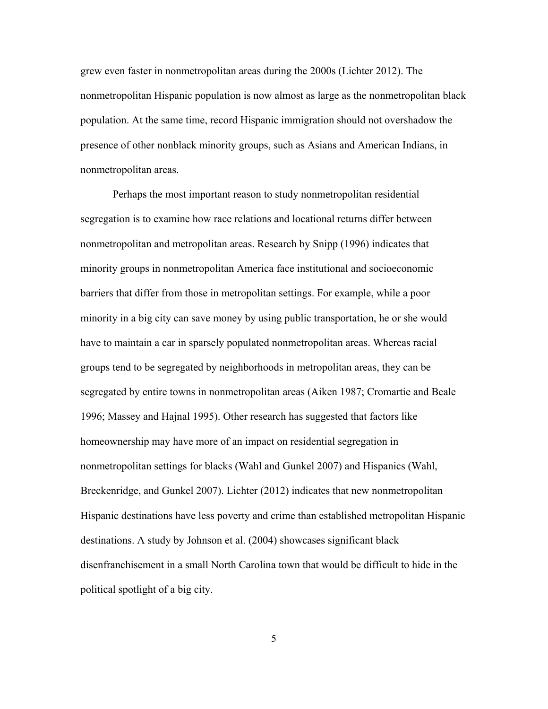grew even faster in nonmetropolitan areas during the 2000s (Lichter 2012). The nonmetropolitan Hispanic population is now almost as large as the nonmetropolitan black population. At the same time, record Hispanic immigration should not overshadow the presence of other nonblack minority groups, such as Asians and American Indians, in nonmetropolitan areas.

Perhaps the most important reason to study nonmetropolitan residential segregation is to examine how race relations and locational returns differ between nonmetropolitan and metropolitan areas. Research by Snipp (1996) indicates that minority groups in nonmetropolitan America face institutional and socioeconomic barriers that differ from those in metropolitan settings. For example, while a poor minority in a big city can save money by using public transportation, he or she would have to maintain a car in sparsely populated nonmetropolitan areas. Whereas racial groups tend to be segregated by neighborhoods in metropolitan areas, they can be segregated by entire towns in nonmetropolitan areas (Aiken 1987; Cromartie and Beale 1996; Massey and Hajnal 1995). Other research has suggested that factors like homeownership may have more of an impact on residential segregation in nonmetropolitan settings for blacks (Wahl and Gunkel 2007) and Hispanics (Wahl, Breckenridge, and Gunkel 2007). Lichter (2012) indicates that new nonmetropolitan Hispanic destinations have less poverty and crime than established metropolitan Hispanic destinations. A study by Johnson et al. (2004) showcases significant black disenfranchisement in a small North Carolina town that would be difficult to hide in the political spotlight of a big city.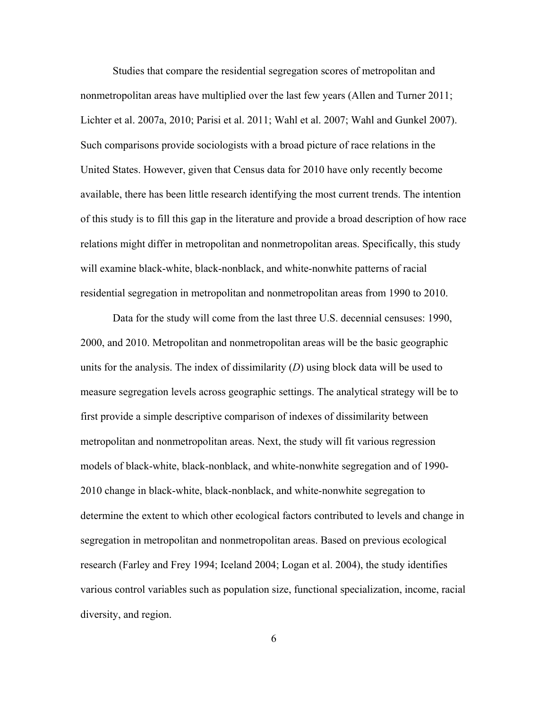Studies that compare the residential segregation scores of metropolitan and nonmetropolitan areas have multiplied over the last few years (Allen and Turner 2011; Lichter et al. 2007a, 2010; Parisi et al. 2011; Wahl et al. 2007; Wahl and Gunkel 2007). Such comparisons provide sociologists with a broad picture of race relations in the United States. However, given that Census data for 2010 have only recently become available, there has been little research identifying the most current trends. The intention of this study is to fill this gap in the literature and provide a broad description of how race relations might differ in metropolitan and nonmetropolitan areas. Specifically, this study will examine black-white, black-nonblack, and white-nonwhite patterns of racial residential segregation in metropolitan and nonmetropolitan areas from 1990 to 2010.

Data for the study will come from the last three U.S. decennial censuses: 1990, 2000, and 2010. Metropolitan and nonmetropolitan areas will be the basic geographic units for the analysis. The index of dissimilarity (*D*) using block data will be used to measure segregation levels across geographic settings. The analytical strategy will be to first provide a simple descriptive comparison of indexes of dissimilarity between metropolitan and nonmetropolitan areas. Next, the study will fit various regression models of black-white, black-nonblack, and white-nonwhite segregation and of 1990- 2010 change in black-white, black-nonblack, and white-nonwhite segregation to determine the extent to which other ecological factors contributed to levels and change in segregation in metropolitan and nonmetropolitan areas. Based on previous ecological research (Farley and Frey 1994; Iceland 2004; Logan et al. 2004), the study identifies various control variables such as population size, functional specialization, income, racial diversity, and region.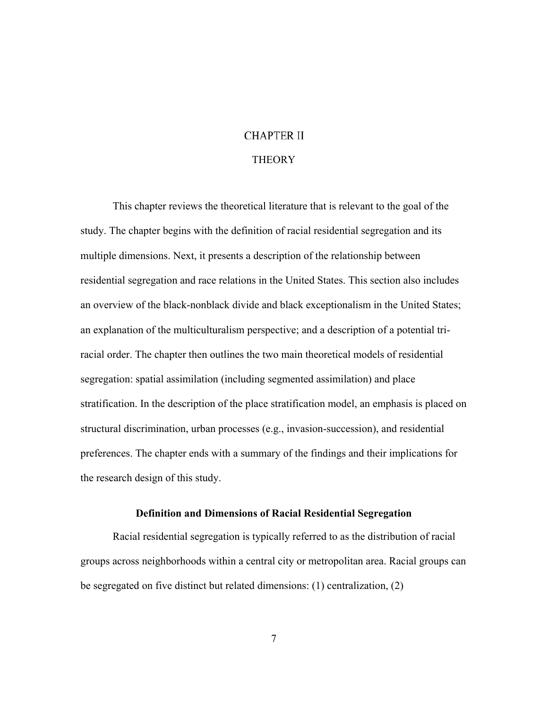# **CHAPTER II**

# **THEORY**

This chapter reviews the theoretical literature that is relevant to the goal of the study. The chapter begins with the definition of racial residential segregation and its multiple dimensions. Next, it presents a description of the relationship between residential segregation and race relations in the United States. This section also includes an overview of the black-nonblack divide and black exceptionalism in the United States; an explanation of the multiculturalism perspective; and a description of a potential triracial order. The chapter then outlines the two main theoretical models of residential segregation: spatial assimilation (including segmented assimilation) and place stratification. In the description of the place stratification model, an emphasis is placed on structural discrimination, urban processes (e.g., invasion-succession), and residential preferences. The chapter ends with a summary of the findings and their implications for the research design of this study.

# **Definition and Dimensions of Racial Residential Segregation**

Racial residential segregation is typically referred to as the distribution of racial groups across neighborhoods within a central city or metropolitan area. Racial groups can be segregated on five distinct but related dimensions: (1) centralization, (2)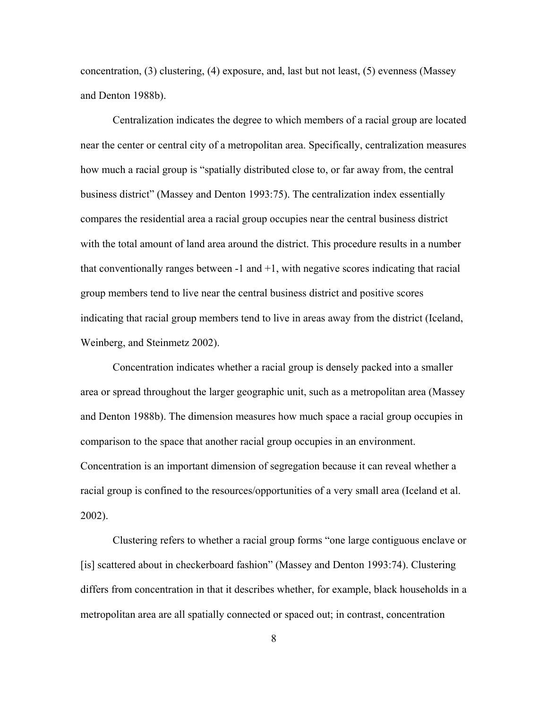concentration, (3) clustering, (4) exposure, and, last but not least, (5) evenness (Massey and Denton 1988b).

Centralization indicates the degree to which members of a racial group are located near the center or central city of a metropolitan area. Specifically, centralization measures how much a racial group is "spatially distributed close to, or far away from, the central business district" (Massey and Denton 1993:75). The centralization index essentially compares the residential area a racial group occupies near the central business district with the total amount of land area around the district. This procedure results in a number that conventionally ranges between  $-1$  and  $+1$ , with negative scores indicating that racial group members tend to live near the central business district and positive scores indicating that racial group members tend to live in areas away from the district (Iceland, Weinberg, and Steinmetz 2002).

Concentration indicates whether a racial group is densely packed into a smaller area or spread throughout the larger geographic unit, such as a metropolitan area (Massey and Denton 1988b). The dimension measures how much space a racial group occupies in comparison to the space that another racial group occupies in an environment. Concentration is an important dimension of segregation because it can reveal whether a racial group is confined to the resources/opportunities of a very small area (Iceland et al. 2002).

Clustering refers to whether a racial group forms "one large contiguous enclave or [is] scattered about in checkerboard fashion" (Massey and Denton 1993:74). Clustering differs from concentration in that it describes whether, for example, black households in a metropolitan area are all spatially connected or spaced out; in contrast, concentration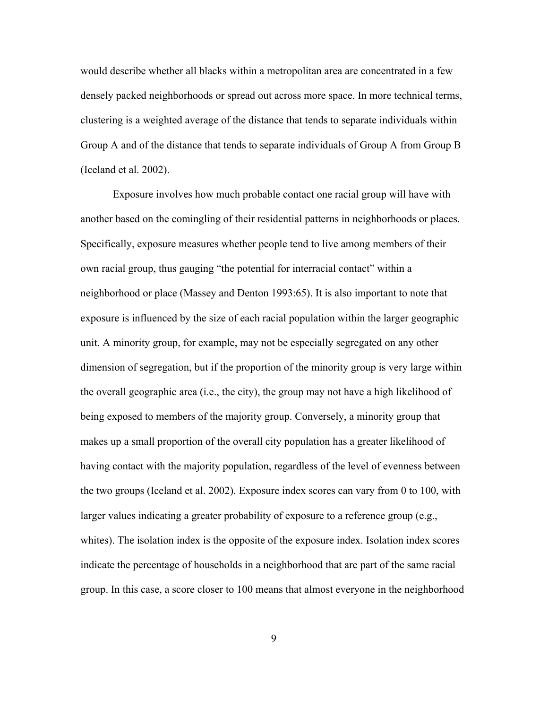would describe whether all blacks within a metropolitan area are concentrated in a few densely packed neighborhoods or spread out across more space. In more technical terms, clustering is a weighted average of the distance that tends to separate individuals within Group A and of the distance that tends to separate individuals of Group A from Group B (Iceland et al. 2002).

Exposure involves how much probable contact one racial group will have with another based on the comingling of their residential patterns in neighborhoods or places. Specifically, exposure measures whether people tend to live among members of their own racial group, thus gauging "the potential for interracial contact" within a neighborhood or place (Massey and Denton 1993:65). It is also important to note that exposure is influenced by the size of each racial population within the larger geographic unit. A minority group, for example, may not be especially segregated on any other dimension of segregation, but if the proportion of the minority group is very large within the overall geographic area (i.e., the city), the group may not have a high likelihood of being exposed to members of the majority group. Conversely, a minority group that makes up a small proportion of the overall city population has a greater likelihood of having contact with the majority population, regardless of the level of evenness between the two groups (Iceland et al. 2002). Exposure index scores can vary from 0 to 100, with larger values indicating a greater probability of exposure to a reference group (e.g., whites). The isolation index is the opposite of the exposure index. Isolation index scores indicate the percentage of households in a neighborhood that are part of the same racial group. In this case, a score closer to 100 means that almost everyone in the neighborhood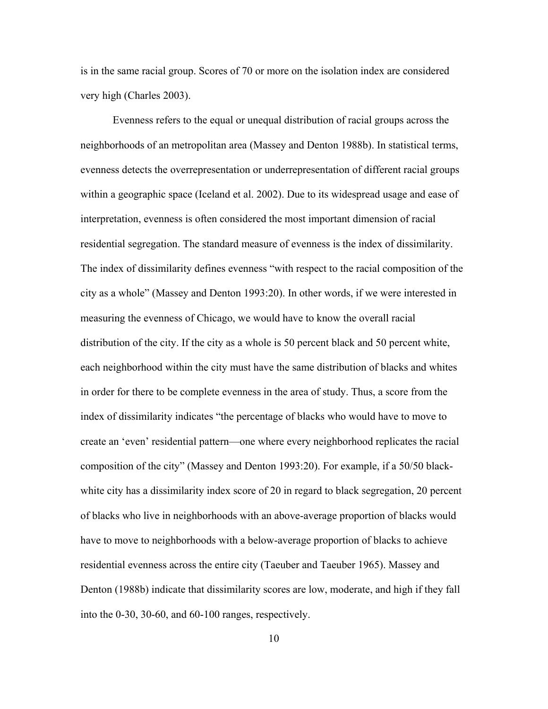is in the same racial group. Scores of 70 or more on the isolation index are considered very high (Charles 2003).

Evenness refers to the equal or unequal distribution of racial groups across the neighborhoods of an metropolitan area (Massey and Denton 1988b). In statistical terms, evenness detects the overrepresentation or underrepresentation of different racial groups within a geographic space (Iceland et al. 2002). Due to its widespread usage and ease of interpretation, evenness is often considered the most important dimension of racial residential segregation. The standard measure of evenness is the index of dissimilarity. The index of dissimilarity defines evenness "with respect to the racial composition of the city as a whole" (Massey and Denton 1993:20). In other words, if we were interested in measuring the evenness of Chicago, we would have to know the overall racial distribution of the city. If the city as a whole is 50 percent black and 50 percent white, each neighborhood within the city must have the same distribution of blacks and whites in order for there to be complete evenness in the area of study. Thus, a score from the index of dissimilarity indicates "the percentage of blacks who would have to move to create an 'even' residential pattern—one where every neighborhood replicates the racial composition of the city" (Massey and Denton 1993:20). For example, if a 50/50 blackwhite city has a dissimilarity index score of 20 in regard to black segregation, 20 percent of blacks who live in neighborhoods with an above-average proportion of blacks would have to move to neighborhoods with a below-average proportion of blacks to achieve residential evenness across the entire city (Taeuber and Taeuber 1965). Massey and Denton (1988b) indicate that dissimilarity scores are low, moderate, and high if they fall into the 0-30, 30-60, and 60-100 ranges, respectively.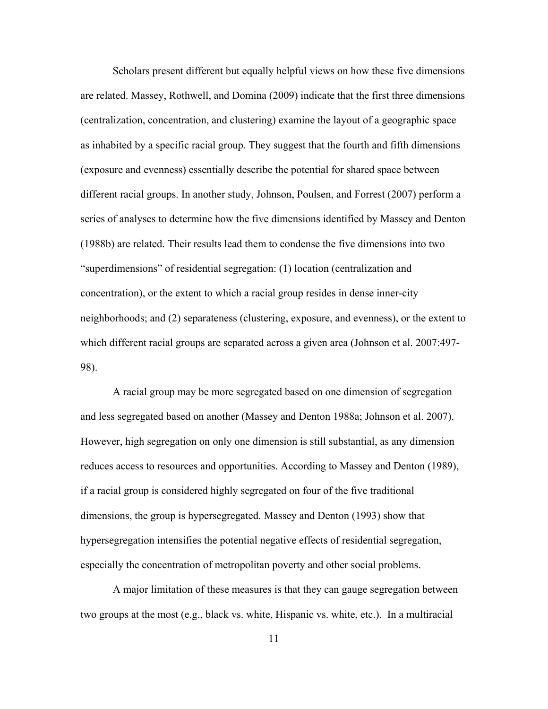Scholars present different but equally helpful views on how these five dimensions are related. Massey, Rothwell, and Domina (2009) indicate that the first three dimensions (centralization, concentration, and clustering) examine the layout of a geographic space as inhabited by a specific racial group. They suggest that the fourth and fifth dimensions (exposure and evenness) essentially describe the potential for shared space between different racial groups. In another study, Johnson, Poulsen, and Forrest (2007) perform a series of analyses to determine how the five dimensions identified by Massey and Denton (1988b) are related. Their results lead them to condense the five dimensions into two "superdimensions" of residential segregation: (1) location (centralization and concentration), or the extent to which a racial group resides in dense inner-city neighborhoods; and (2) separateness (clustering, exposure, and evenness), or the extent to which different racial groups are separated across a given area (Johnson et al. 2007:497- 98).

A racial group may be more segregated based on one dimension of segregation and less segregated based on another (Massey and Denton 1988a; Johnson et al. 2007). However, high segregation on only one dimension is still substantial, as any dimension reduces access to resources and opportunities. According to Massey and Denton (1989), if a racial group is considered highly segregated on four of the five traditional dimensions, the group is hypersegregated. Massey and Denton (1993) show that hypersegregation intensifies the potential negative effects of residential segregation, especially the concentration of metropolitan poverty and other social problems.

A major limitation of these measures is that they can gauge segregation between two groups at the most (e.g., black vs. white, Hispanic vs. white, etc.). In a multiracial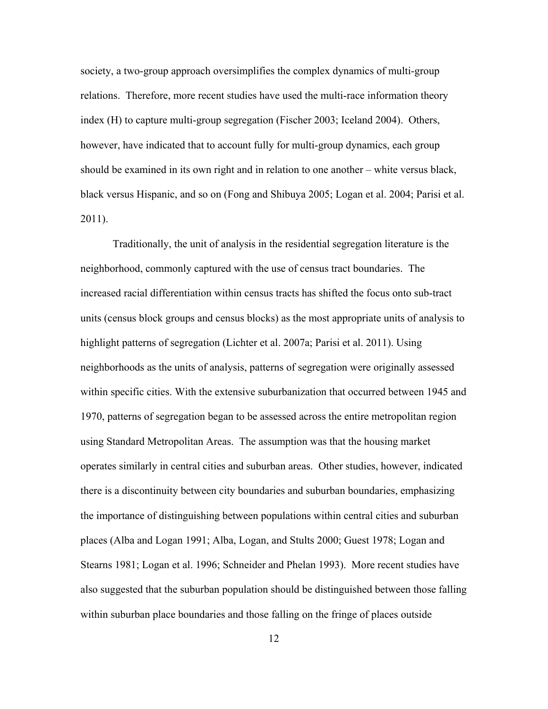society, a two-group approach oversimplifies the complex dynamics of multi-group relations. Therefore, more recent studies have used the multi-race information theory index (H) to capture multi-group segregation (Fischer 2003; Iceland 2004). Others, however, have indicated that to account fully for multi-group dynamics, each group should be examined in its own right and in relation to one another – white versus black, black versus Hispanic, and so on (Fong and Shibuya 2005; Logan et al. 2004; Parisi et al. 2011).

Traditionally, the unit of analysis in the residential segregation literature is the neighborhood, commonly captured with the use of census tract boundaries. The increased racial differentiation within census tracts has shifted the focus onto sub-tract units (census block groups and census blocks) as the most appropriate units of analysis to highlight patterns of segregation (Lichter et al. 2007a; Parisi et al. 2011). Using neighborhoods as the units of analysis, patterns of segregation were originally assessed within specific cities. With the extensive suburbanization that occurred between 1945 and 1970, patterns of segregation began to be assessed across the entire metropolitan region using Standard Metropolitan Areas. The assumption was that the housing market operates similarly in central cities and suburban areas. Other studies, however, indicated there is a discontinuity between city boundaries and suburban boundaries, emphasizing the importance of distinguishing between populations within central cities and suburban places (Alba and Logan 1991; Alba, Logan, and Stults 2000; Guest 1978; Logan and Stearns 1981; Logan et al. 1996; Schneider and Phelan 1993). More recent studies have also suggested that the suburban population should be distinguished between those falling within suburban place boundaries and those falling on the fringe of places outside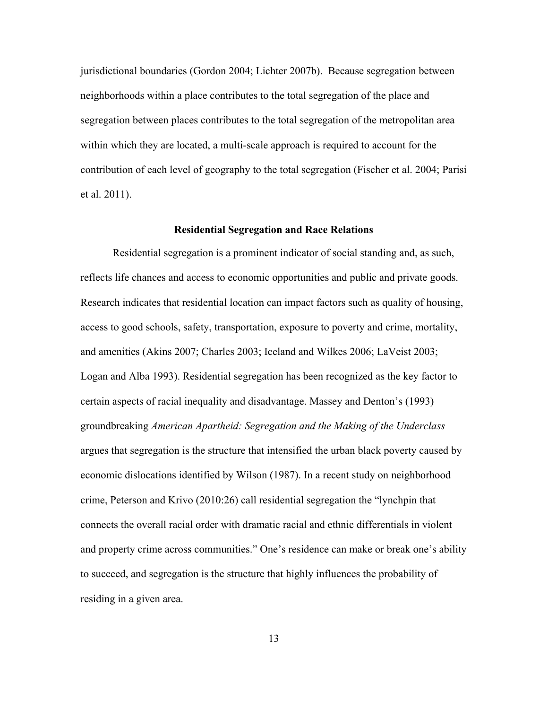jurisdictional boundaries (Gordon 2004; Lichter 2007b). Because segregation between neighborhoods within a place contributes to the total segregation of the place and segregation between places contributes to the total segregation of the metropolitan area within which they are located, a multi-scale approach is required to account for the contribution of each level of geography to the total segregation (Fischer et al. 2004; Parisi et al. 2011).

### **Residential Segregation and Race Relations**

Residential segregation is a prominent indicator of social standing and, as such, reflects life chances and access to economic opportunities and public and private goods. Research indicates that residential location can impact factors such as quality of housing, access to good schools, safety, transportation, exposure to poverty and crime, mortality, and amenities (Akins 2007; Charles 2003; Iceland and Wilkes 2006; LaVeist 2003; Logan and Alba 1993). Residential segregation has been recognized as the key factor to certain aspects of racial inequality and disadvantage. Massey and Denton's (1993) groundbreaking *American Apartheid: Segregation and the Making of the Underclass*  argues that segregation is the structure that intensified the urban black poverty caused by economic dislocations identified by Wilson (1987). In a recent study on neighborhood crime, Peterson and Krivo (2010:26) call residential segregation the "lynchpin that connects the overall racial order with dramatic racial and ethnic differentials in violent and property crime across communities." One's residence can make or break one's ability to succeed, and segregation is the structure that highly influences the probability of residing in a given area.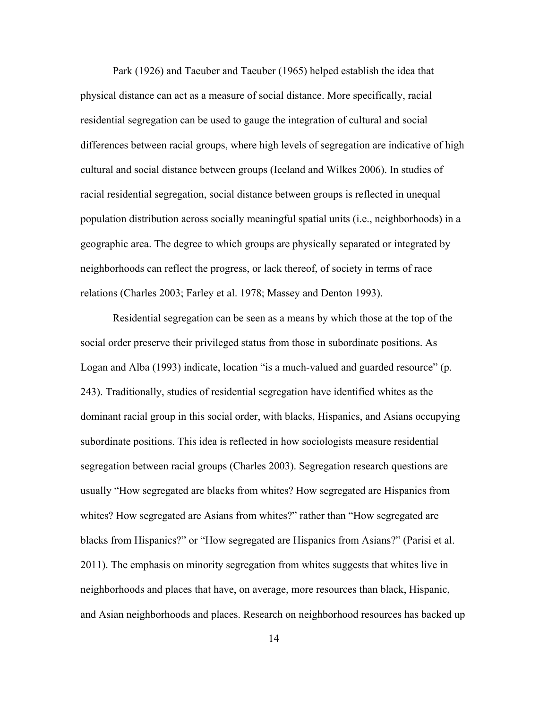Park (1926) and Taeuber and Taeuber (1965) helped establish the idea that physical distance can act as a measure of social distance. More specifically, racial residential segregation can be used to gauge the integration of cultural and social differences between racial groups, where high levels of segregation are indicative of high cultural and social distance between groups (Iceland and Wilkes 2006). In studies of racial residential segregation, social distance between groups is reflected in unequal population distribution across socially meaningful spatial units (i.e., neighborhoods) in a geographic area. The degree to which groups are physically separated or integrated by neighborhoods can reflect the progress, or lack thereof, of society in terms of race relations (Charles 2003; Farley et al. 1978; Massey and Denton 1993).

Residential segregation can be seen as a means by which those at the top of the social order preserve their privileged status from those in subordinate positions. As Logan and Alba (1993) indicate, location "is a much-valued and guarded resource" (p. 243). Traditionally, studies of residential segregation have identified whites as the dominant racial group in this social order, with blacks, Hispanics, and Asians occupying subordinate positions. This idea is reflected in how sociologists measure residential segregation between racial groups (Charles 2003). Segregation research questions are usually "How segregated are blacks from whites? How segregated are Hispanics from whites? How segregated are Asians from whites?" rather than "How segregated are blacks from Hispanics?" or "How segregated are Hispanics from Asians?" (Parisi et al. 2011). The emphasis on minority segregation from whites suggests that whites live in neighborhoods and places that have, on average, more resources than black, Hispanic, and Asian neighborhoods and places. Research on neighborhood resources has backed up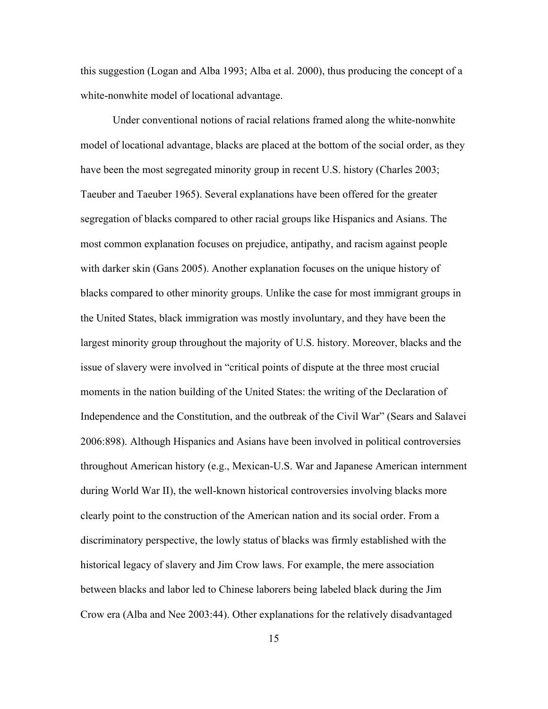this suggestion (Logan and Alba 1993; Alba et al. 2000), thus producing the concept of a white-nonwhite model of locational advantage.

Under conventional notions of racial relations framed along the white-nonwhite model of locational advantage, blacks are placed at the bottom of the social order, as they have been the most segregated minority group in recent U.S. history (Charles 2003; Taeuber and Taeuber 1965). Several explanations have been offered for the greater segregation of blacks compared to other racial groups like Hispanics and Asians. The most common explanation focuses on prejudice, antipathy, and racism against people with darker skin (Gans 2005). Another explanation focuses on the unique history of blacks compared to other minority groups. Unlike the case for most immigrant groups in the United States, black immigration was mostly involuntary, and they have been the largest minority group throughout the majority of U.S. history. Moreover, blacks and the issue of slavery were involved in "critical points of dispute at the three most crucial moments in the nation building of the United States: the writing of the Declaration of Independence and the Constitution, and the outbreak of the Civil War" (Sears and Salavei 2006:898). Although Hispanics and Asians have been involved in political controversies throughout American history (e.g., Mexican-U.S. War and Japanese American internment during World War II), the well-known historical controversies involving blacks more clearly point to the construction of the American nation and its social order. From a discriminatory perspective, the lowly status of blacks was firmly established with the historical legacy of slavery and Jim Crow laws. For example, the mere association between blacks and labor led to Chinese laborers being labeled black during the Jim Crow era (Alba and Nee 2003:44). Other explanations for the relatively disadvantaged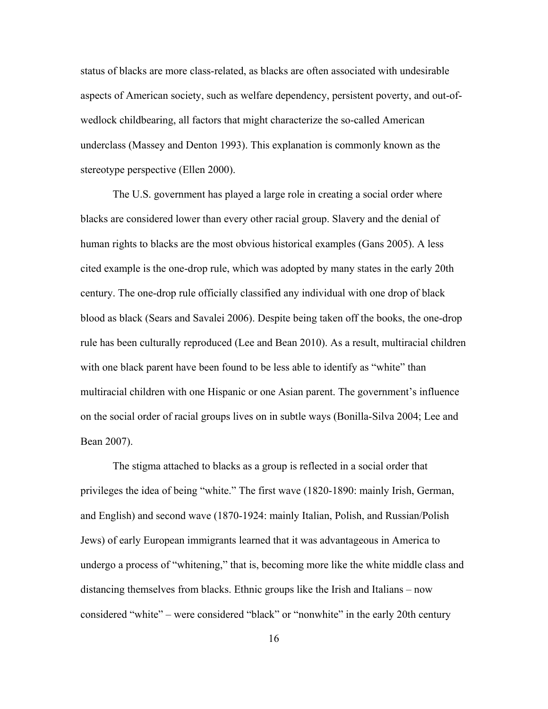status of blacks are more class-related, as blacks are often associated with undesirable aspects of American society, such as welfare dependency, persistent poverty, and out-ofwedlock childbearing, all factors that might characterize the so-called American underclass (Massey and Denton 1993). This explanation is commonly known as the stereotype perspective (Ellen 2000).

The U.S. government has played a large role in creating a social order where blacks are considered lower than every other racial group. Slavery and the denial of human rights to blacks are the most obvious historical examples (Gans 2005). A less cited example is the one-drop rule, which was adopted by many states in the early 20th century. The one-drop rule officially classified any individual with one drop of black blood as black (Sears and Savalei 2006). Despite being taken off the books, the one-drop rule has been culturally reproduced (Lee and Bean 2010). As a result, multiracial children with one black parent have been found to be less able to identify as "white" than multiracial children with one Hispanic or one Asian parent. The government's influence on the social order of racial groups lives on in subtle ways (Bonilla-Silva 2004; Lee and Bean 2007).

The stigma attached to blacks as a group is reflected in a social order that privileges the idea of being "white." The first wave (1820-1890: mainly Irish, German, and English) and second wave (1870-1924: mainly Italian, Polish, and Russian/Polish Jews) of early European immigrants learned that it was advantageous in America to undergo a process of "whitening," that is, becoming more like the white middle class and distancing themselves from blacks. Ethnic groups like the Irish and Italians – now considered "white" – were considered "black" or "nonwhite" in the early 20th century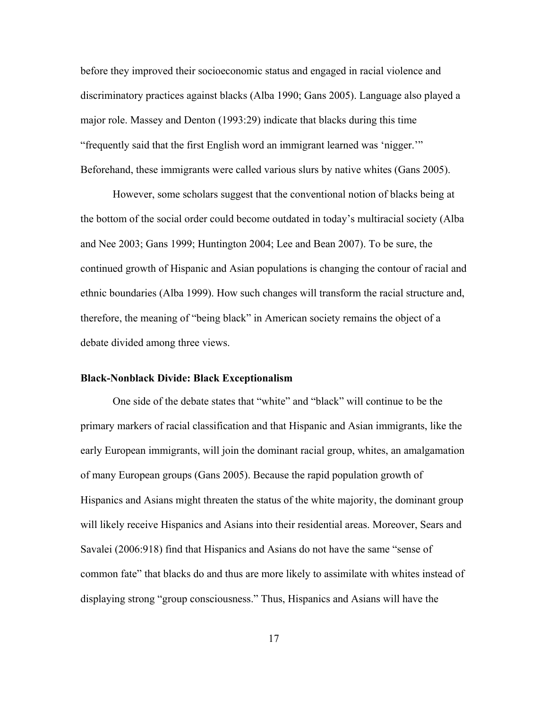before they improved their socioeconomic status and engaged in racial violence and discriminatory practices against blacks (Alba 1990; Gans 2005). Language also played a major role. Massey and Denton (1993:29) indicate that blacks during this time "frequently said that the first English word an immigrant learned was 'nigger.'" Beforehand, these immigrants were called various slurs by native whites (Gans 2005).

However, some scholars suggest that the conventional notion of blacks being at the bottom of the social order could become outdated in today's multiracial society (Alba and Nee 2003; Gans 1999; Huntington 2004; Lee and Bean 2007). To be sure, the continued growth of Hispanic and Asian populations is changing the contour of racial and ethnic boundaries (Alba 1999). How such changes will transform the racial structure and, therefore, the meaning of "being black" in American society remains the object of a debate divided among three views.

#### **Black-Nonblack Divide: Black Exceptionalism**

One side of the debate states that "white" and "black" will continue to be the primary markers of racial classification and that Hispanic and Asian immigrants, like the early European immigrants, will join the dominant racial group, whites, an amalgamation of many European groups (Gans 2005). Because the rapid population growth of Hispanics and Asians might threaten the status of the white majority, the dominant group will likely receive Hispanics and Asians into their residential areas. Moreover, Sears and Savalei (2006:918) find that Hispanics and Asians do not have the same "sense of common fate" that blacks do and thus are more likely to assimilate with whites instead of displaying strong "group consciousness." Thus, Hispanics and Asians will have the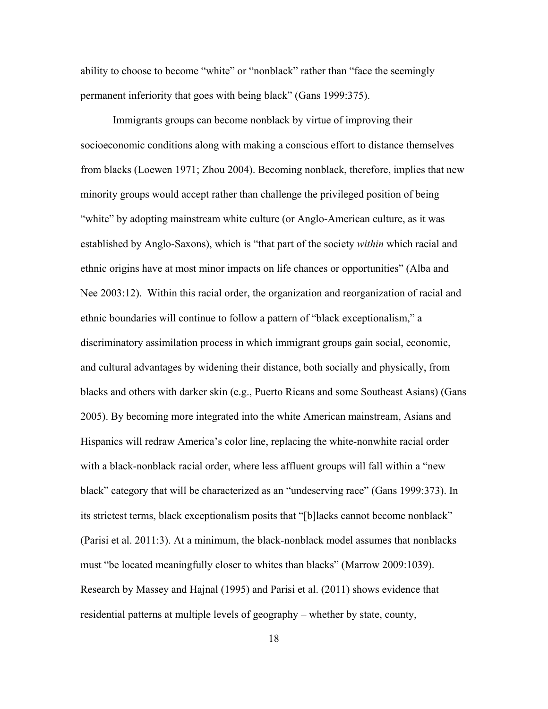ability to choose to become "white" or "nonblack" rather than "face the seemingly permanent inferiority that goes with being black" (Gans 1999:375).

Immigrants groups can become nonblack by virtue of improving their socioeconomic conditions along with making a conscious effort to distance themselves from blacks (Loewen 1971; Zhou 2004). Becoming nonblack, therefore, implies that new minority groups would accept rather than challenge the privileged position of being "white" by adopting mainstream white culture (or Anglo-American culture, as it was established by Anglo-Saxons), which is "that part of the society *within* which racial and ethnic origins have at most minor impacts on life chances or opportunities" (Alba and Nee 2003:12). Within this racial order, the organization and reorganization of racial and ethnic boundaries will continue to follow a pattern of "black exceptionalism," a discriminatory assimilation process in which immigrant groups gain social, economic, and cultural advantages by widening their distance, both socially and physically, from blacks and others with darker skin (e.g., Puerto Ricans and some Southeast Asians) (Gans 2005). By becoming more integrated into the white American mainstream, Asians and Hispanics will redraw America's color line, replacing the white-nonwhite racial order with a black-nonblack racial order, where less affluent groups will fall within a "new black" category that will be characterized as an "undeserving race" (Gans 1999:373). In its strictest terms, black exceptionalism posits that "[b]lacks cannot become nonblack" (Parisi et al. 2011:3). At a minimum, the black-nonblack model assumes that nonblacks must "be located meaningfully closer to whites than blacks" (Marrow 2009:1039). Research by Massey and Hajnal (1995) and Parisi et al. (2011) shows evidence that residential patterns at multiple levels of geography – whether by state, county,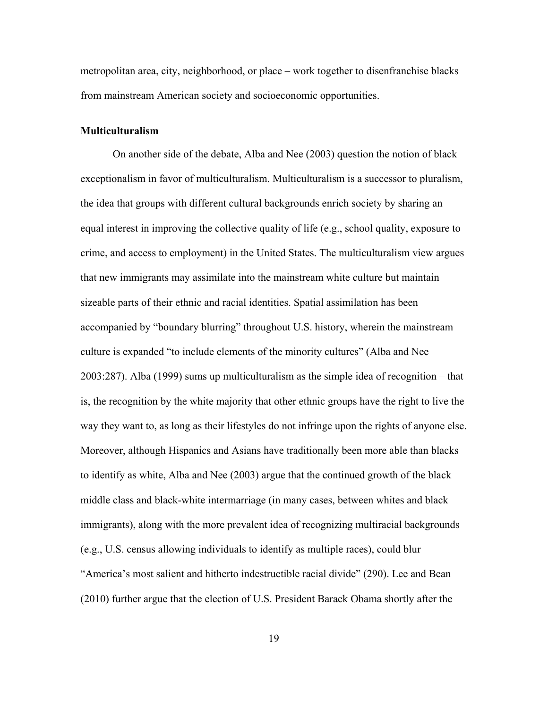metropolitan area, city, neighborhood, or place – work together to disenfranchise blacks from mainstream American society and socioeconomic opportunities.

## **Multiculturalism**

On another side of the debate, Alba and Nee (2003) question the notion of black exceptionalism in favor of multiculturalism. Multiculturalism is a successor to pluralism, the idea that groups with different cultural backgrounds enrich society by sharing an equal interest in improving the collective quality of life (e.g., school quality, exposure to crime, and access to employment) in the United States. The multiculturalism view argues that new immigrants may assimilate into the mainstream white culture but maintain sizeable parts of their ethnic and racial identities. Spatial assimilation has been accompanied by "boundary blurring" throughout U.S. history, wherein the mainstream culture is expanded "to include elements of the minority cultures" (Alba and Nee 2003:287). Alba (1999) sums up multiculturalism as the simple idea of recognition – that is, the recognition by the white majority that other ethnic groups have the right to live the way they want to, as long as their lifestyles do not infringe upon the rights of anyone else. Moreover, although Hispanics and Asians have traditionally been more able than blacks to identify as white, Alba and Nee (2003) argue that the continued growth of the black middle class and black-white intermarriage (in many cases, between whites and black immigrants), along with the more prevalent idea of recognizing multiracial backgrounds (e.g., U.S. census allowing individuals to identify as multiple races), could blur "America's most salient and hitherto indestructible racial divide" (290). Lee and Bean (2010) further argue that the election of U.S. President Barack Obama shortly after the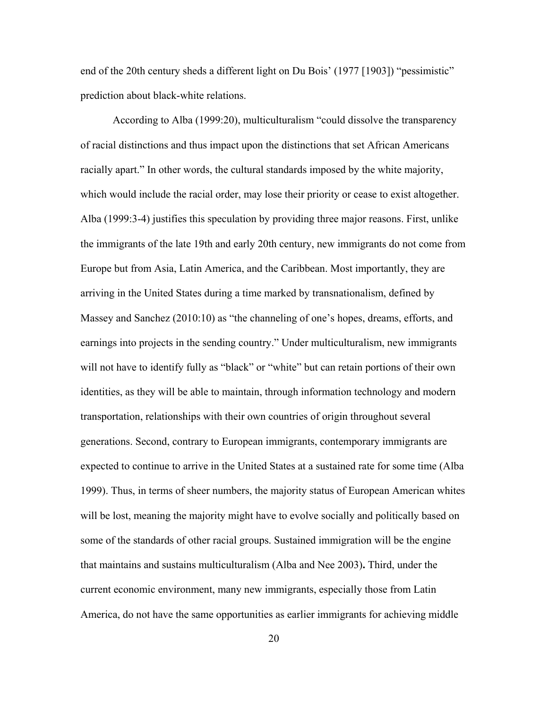end of the 20th century sheds a different light on Du Bois' (1977 [1903]) "pessimistic" prediction about black-white relations.

According to Alba (1999:20), multiculturalism "could dissolve the transparency of racial distinctions and thus impact upon the distinctions that set African Americans racially apart." In other words, the cultural standards imposed by the white majority, which would include the racial order, may lose their priority or cease to exist altogether. Alba (1999:3-4) justifies this speculation by providing three major reasons. First, unlike the immigrants of the late 19th and early 20th century, new immigrants do not come from Europe but from Asia, Latin America, and the Caribbean. Most importantly, they are arriving in the United States during a time marked by transnationalism, defined by Massey and Sanchez (2010:10) as "the channeling of one's hopes, dreams, efforts, and earnings into projects in the sending country." Under multiculturalism, new immigrants will not have to identify fully as "black" or "white" but can retain portions of their own identities, as they will be able to maintain, through information technology and modern transportation, relationships with their own countries of origin throughout several generations. Second, contrary to European immigrants, contemporary immigrants are expected to continue to arrive in the United States at a sustained rate for some time (Alba 1999). Thus, in terms of sheer numbers, the majority status of European American whites will be lost, meaning the majority might have to evolve socially and politically based on some of the standards of other racial groups. Sustained immigration will be the engine that maintains and sustains multiculturalism (Alba and Nee 2003)**.** Third, under the current economic environment, many new immigrants, especially those from Latin America, do not have the same opportunities as earlier immigrants for achieving middle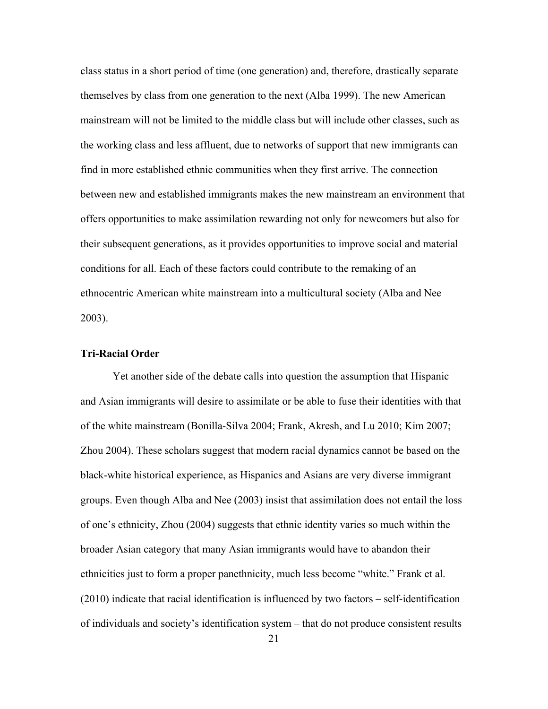class status in a short period of time (one generation) and, therefore, drastically separate themselves by class from one generation to the next (Alba 1999). The new American mainstream will not be limited to the middle class but will include other classes, such as the working class and less affluent, due to networks of support that new immigrants can find in more established ethnic communities when they first arrive. The connection between new and established immigrants makes the new mainstream an environment that offers opportunities to make assimilation rewarding not only for newcomers but also for their subsequent generations, as it provides opportunities to improve social and material conditions for all. Each of these factors could contribute to the remaking of an ethnocentric American white mainstream into a multicultural society (Alba and Nee 2003).

## **Tri-Racial Order**

Yet another side of the debate calls into question the assumption that Hispanic and Asian immigrants will desire to assimilate or be able to fuse their identities with that of the white mainstream (Bonilla-Silva 2004; Frank, Akresh, and Lu 2010; Kim 2007; Zhou 2004). These scholars suggest that modern racial dynamics cannot be based on the black-white historical experience, as Hispanics and Asians are very diverse immigrant groups. Even though Alba and Nee (2003) insist that assimilation does not entail the loss of one's ethnicity, Zhou (2004) suggests that ethnic identity varies so much within the broader Asian category that many Asian immigrants would have to abandon their ethnicities just to form a proper panethnicity, much less become "white." Frank et al. (2010) indicate that racial identification is influenced by two factors – self-identification of individuals and society's identification system – that do not produce consistent results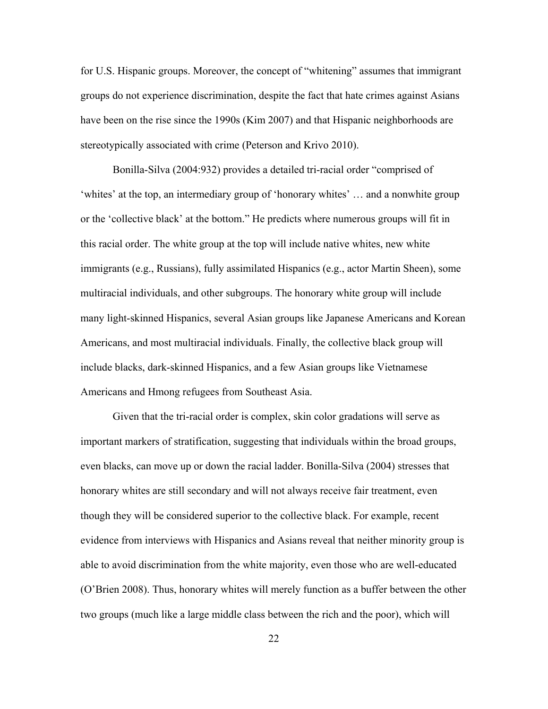for U.S. Hispanic groups. Moreover, the concept of "whitening" assumes that immigrant groups do not experience discrimination, despite the fact that hate crimes against Asians have been on the rise since the 1990s (Kim 2007) and that Hispanic neighborhoods are stereotypically associated with crime (Peterson and Krivo 2010).

Bonilla-Silva (2004:932) provides a detailed tri-racial order "comprised of 'whites' at the top, an intermediary group of 'honorary whites' … and a nonwhite group or the 'collective black' at the bottom." He predicts where numerous groups will fit in this racial order. The white group at the top will include native whites, new white immigrants (e.g., Russians), fully assimilated Hispanics (e.g., actor Martin Sheen), some multiracial individuals, and other subgroups. The honorary white group will include many light-skinned Hispanics, several Asian groups like Japanese Americans and Korean Americans, and most multiracial individuals. Finally, the collective black group will include blacks, dark-skinned Hispanics, and a few Asian groups like Vietnamese Americans and Hmong refugees from Southeast Asia.

Given that the tri-racial order is complex, skin color gradations will serve as important markers of stratification, suggesting that individuals within the broad groups, even blacks, can move up or down the racial ladder. Bonilla-Silva (2004) stresses that honorary whites are still secondary and will not always receive fair treatment, even though they will be considered superior to the collective black. For example, recent evidence from interviews with Hispanics and Asians reveal that neither minority group is able to avoid discrimination from the white majority, even those who are well-educated (O'Brien 2008). Thus, honorary whites will merely function as a buffer between the other two groups (much like a large middle class between the rich and the poor), which will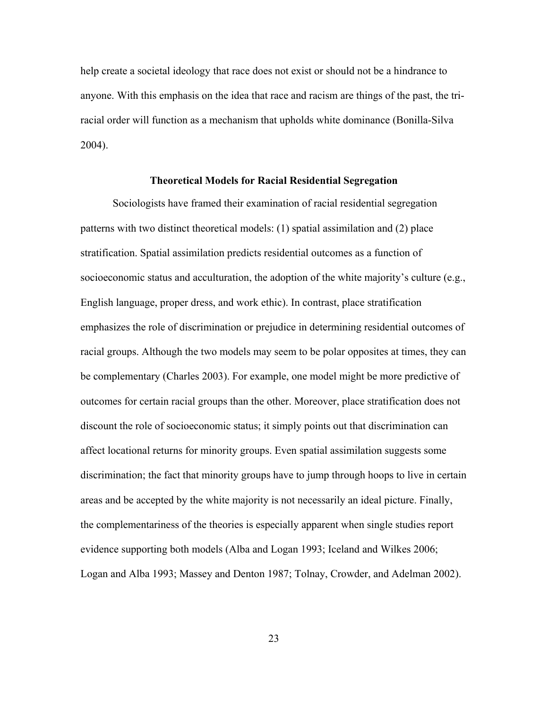help create a societal ideology that race does not exist or should not be a hindrance to anyone. With this emphasis on the idea that race and racism are things of the past, the triracial order will function as a mechanism that upholds white dominance (Bonilla-Silva 2004).

#### **Theoretical Models for Racial Residential Segregation**

Sociologists have framed their examination of racial residential segregation patterns with two distinct theoretical models: (1) spatial assimilation and (2) place stratification. Spatial assimilation predicts residential outcomes as a function of socioeconomic status and acculturation, the adoption of the white majority's culture (e.g., English language, proper dress, and work ethic). In contrast, place stratification emphasizes the role of discrimination or prejudice in determining residential outcomes of racial groups. Although the two models may seem to be polar opposites at times, they can be complementary (Charles 2003). For example, one model might be more predictive of outcomes for certain racial groups than the other. Moreover, place stratification does not discount the role of socioeconomic status; it simply points out that discrimination can affect locational returns for minority groups. Even spatial assimilation suggests some discrimination; the fact that minority groups have to jump through hoops to live in certain areas and be accepted by the white majority is not necessarily an ideal picture. Finally, the complementariness of the theories is especially apparent when single studies report evidence supporting both models (Alba and Logan 1993; Iceland and Wilkes 2006; Logan and Alba 1993; Massey and Denton 1987; Tolnay, Crowder, and Adelman 2002).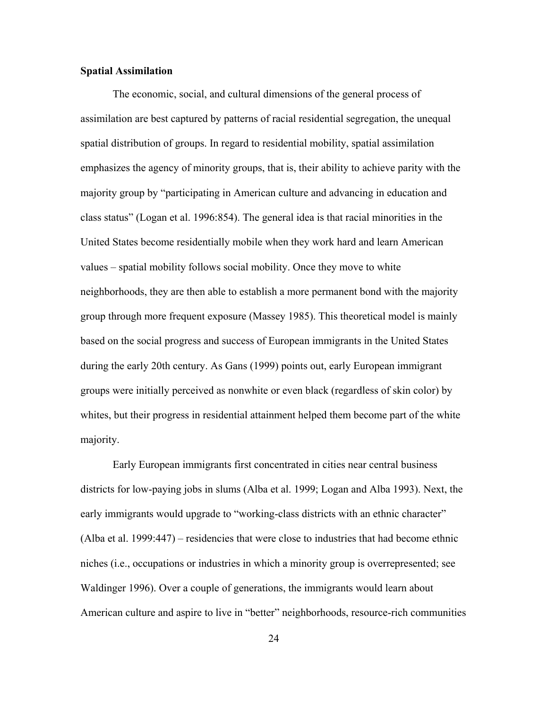# **Spatial Assimilation**

The economic, social, and cultural dimensions of the general process of assimilation are best captured by patterns of racial residential segregation, the unequal spatial distribution of groups. In regard to residential mobility, spatial assimilation emphasizes the agency of minority groups, that is, their ability to achieve parity with the majority group by "participating in American culture and advancing in education and class status" (Logan et al. 1996:854). The general idea is that racial minorities in the United States become residentially mobile when they work hard and learn American values – spatial mobility follows social mobility. Once they move to white neighborhoods, they are then able to establish a more permanent bond with the majority group through more frequent exposure (Massey 1985). This theoretical model is mainly based on the social progress and success of European immigrants in the United States during the early 20th century. As Gans (1999) points out, early European immigrant groups were initially perceived as nonwhite or even black (regardless of skin color) by whites, but their progress in residential attainment helped them become part of the white majority.

Early European immigrants first concentrated in cities near central business districts for low-paying jobs in slums (Alba et al. 1999; Logan and Alba 1993). Next, the early immigrants would upgrade to "working-class districts with an ethnic character" (Alba et al. 1999:447) – residencies that were close to industries that had become ethnic niches (i.e., occupations or industries in which a minority group is overrepresented; see Waldinger 1996). Over a couple of generations, the immigrants would learn about American culture and aspire to live in "better" neighborhoods, resource-rich communities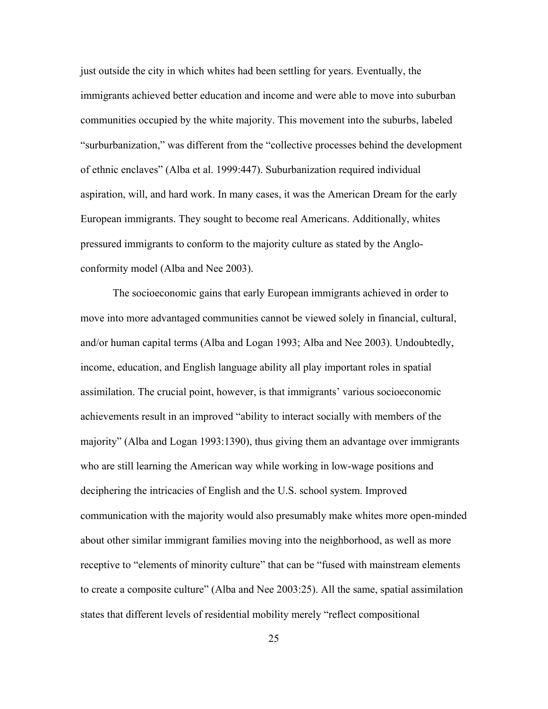just outside the city in which whites had been settling for years. Eventually, the immigrants achieved better education and income and were able to move into suburban communities occupied by the white majority. This movement into the suburbs, labeled "surburbanization," was different from the "collective processes behind the development of ethnic enclaves" (Alba et al. 1999:447). Suburbanization required individual aspiration, will, and hard work. In many cases, it was the American Dream for the early European immigrants. They sought to become real Americans. Additionally, whites pressured immigrants to conform to the majority culture as stated by the Angloconformity model (Alba and Nee 2003).

The socioeconomic gains that early European immigrants achieved in order to move into more advantaged communities cannot be viewed solely in financial, cultural, and/or human capital terms (Alba and Logan 1993; Alba and Nee 2003). Undoubtedly, income, education, and English language ability all play important roles in spatial assimilation. The crucial point, however, is that immigrants' various socioeconomic achievements result in an improved "ability to interact socially with members of the majority" (Alba and Logan 1993:1390), thus giving them an advantage over immigrants who are still learning the American way while working in low-wage positions and deciphering the intricacies of English and the U.S. school system. Improved communication with the majority would also presumably make whites more open-minded about other similar immigrant families moving into the neighborhood, as well as more receptive to "elements of minority culture" that can be "fused with mainstream elements to create a composite culture" (Alba and Nee 2003:25). All the same, spatial assimilation states that different levels of residential mobility merely "reflect compositional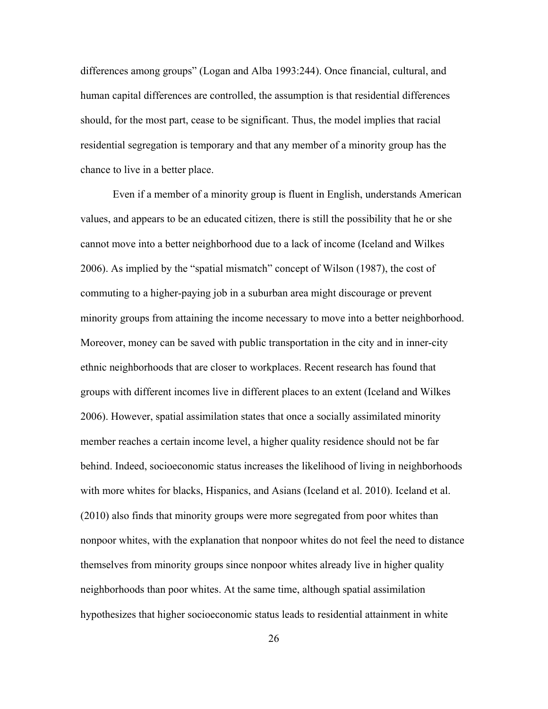differences among groups" (Logan and Alba 1993:244). Once financial, cultural, and human capital differences are controlled, the assumption is that residential differences should, for the most part, cease to be significant. Thus, the model implies that racial residential segregation is temporary and that any member of a minority group has the chance to live in a better place.

Even if a member of a minority group is fluent in English, understands American values, and appears to be an educated citizen, there is still the possibility that he or she cannot move into a better neighborhood due to a lack of income (Iceland and Wilkes 2006). As implied by the "spatial mismatch" concept of Wilson (1987), the cost of commuting to a higher-paying job in a suburban area might discourage or prevent minority groups from attaining the income necessary to move into a better neighborhood. Moreover, money can be saved with public transportation in the city and in inner-city ethnic neighborhoods that are closer to workplaces. Recent research has found that groups with different incomes live in different places to an extent (Iceland and Wilkes 2006). However, spatial assimilation states that once a socially assimilated minority member reaches a certain income level, a higher quality residence should not be far behind. Indeed, socioeconomic status increases the likelihood of living in neighborhoods with more whites for blacks, Hispanics, and Asians (Iceland et al. 2010). Iceland et al. (2010) also finds that minority groups were more segregated from poor whites than nonpoor whites, with the explanation that nonpoor whites do not feel the need to distance themselves from minority groups since nonpoor whites already live in higher quality neighborhoods than poor whites. At the same time, although spatial assimilation hypothesizes that higher socioeconomic status leads to residential attainment in white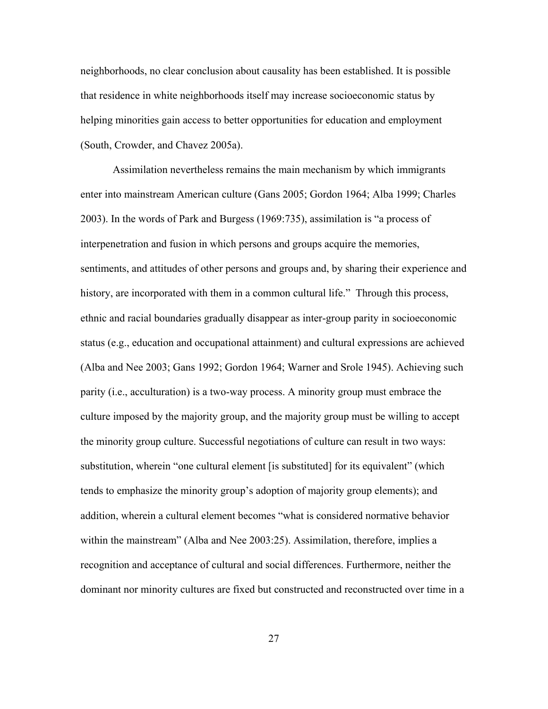neighborhoods, no clear conclusion about causality has been established. It is possible that residence in white neighborhoods itself may increase socioeconomic status by helping minorities gain access to better opportunities for education and employment (South, Crowder, and Chavez 2005a).

Assimilation nevertheless remains the main mechanism by which immigrants enter into mainstream American culture (Gans 2005; Gordon 1964; Alba 1999; Charles 2003). In the words of Park and Burgess (1969:735), assimilation is "a process of interpenetration and fusion in which persons and groups acquire the memories, sentiments, and attitudes of other persons and groups and, by sharing their experience and history, are incorporated with them in a common cultural life." Through this process, ethnic and racial boundaries gradually disappear as inter-group parity in socioeconomic status (e.g., education and occupational attainment) and cultural expressions are achieved (Alba and Nee 2003; Gans 1992; Gordon 1964; Warner and Srole 1945). Achieving such parity (i.e., acculturation) is a two-way process. A minority group must embrace the culture imposed by the majority group, and the majority group must be willing to accept the minority group culture. Successful negotiations of culture can result in two ways: substitution, wherein "one cultural element [is substituted] for its equivalent" (which tends to emphasize the minority group's adoption of majority group elements); and addition, wherein a cultural element becomes "what is considered normative behavior within the mainstream" (Alba and Nee 2003:25). Assimilation, therefore, implies a recognition and acceptance of cultural and social differences. Furthermore, neither the dominant nor minority cultures are fixed but constructed and reconstructed over time in a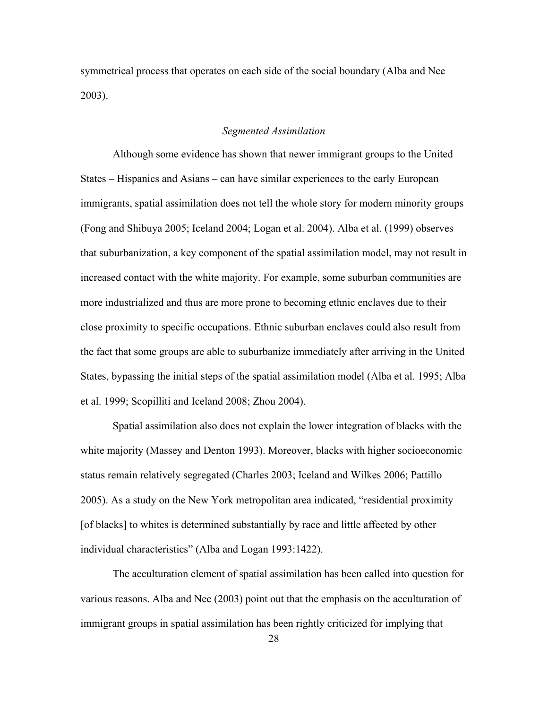symmetrical process that operates on each side of the social boundary (Alba and Nee 2003).

#### *Segmented Assimilation*

Although some evidence has shown that newer immigrant groups to the United States – Hispanics and Asians – can have similar experiences to the early European immigrants, spatial assimilation does not tell the whole story for modern minority groups (Fong and Shibuya 2005; Iceland 2004; Logan et al. 2004). Alba et al. (1999) observes that suburbanization, a key component of the spatial assimilation model, may not result in increased contact with the white majority. For example, some suburban communities are more industrialized and thus are more prone to becoming ethnic enclaves due to their close proximity to specific occupations. Ethnic suburban enclaves could also result from the fact that some groups are able to suburbanize immediately after arriving in the United States, bypassing the initial steps of the spatial assimilation model (Alba et al. 1995; Alba et al. 1999; Scopilliti and Iceland 2008; Zhou 2004).

Spatial assimilation also does not explain the lower integration of blacks with the white majority (Massey and Denton 1993). Moreover, blacks with higher socioeconomic status remain relatively segregated (Charles 2003; Iceland and Wilkes 2006; Pattillo 2005). As a study on the New York metropolitan area indicated, "residential proximity [of blacks] to whites is determined substantially by race and little affected by other individual characteristics" (Alba and Logan 1993:1422).

The acculturation element of spatial assimilation has been called into question for various reasons. Alba and Nee (2003) point out that the emphasis on the acculturation of immigrant groups in spatial assimilation has been rightly criticized for implying that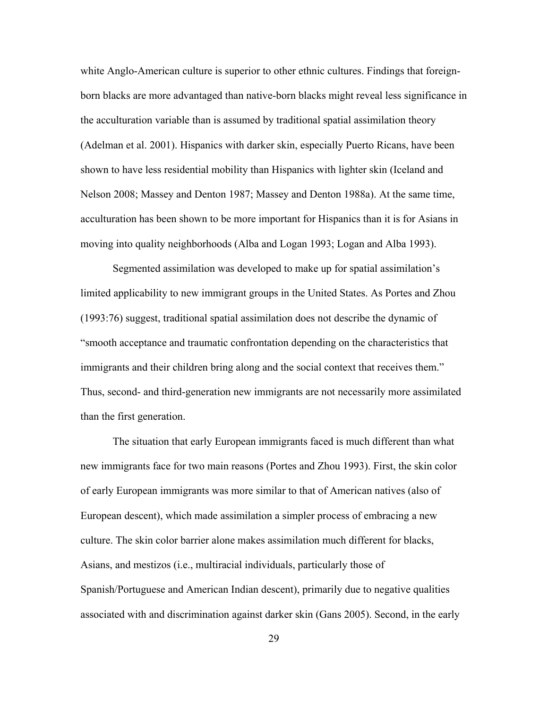white Anglo-American culture is superior to other ethnic cultures. Findings that foreignborn blacks are more advantaged than native-born blacks might reveal less significance in the acculturation variable than is assumed by traditional spatial assimilation theory (Adelman et al. 2001). Hispanics with darker skin, especially Puerto Ricans, have been shown to have less residential mobility than Hispanics with lighter skin (Iceland and Nelson 2008; Massey and Denton 1987; Massey and Denton 1988a). At the same time, acculturation has been shown to be more important for Hispanics than it is for Asians in moving into quality neighborhoods (Alba and Logan 1993; Logan and Alba 1993).

Segmented assimilation was developed to make up for spatial assimilation's limited applicability to new immigrant groups in the United States. As Portes and Zhou (1993:76) suggest, traditional spatial assimilation does not describe the dynamic of "smooth acceptance and traumatic confrontation depending on the characteristics that immigrants and their children bring along and the social context that receives them." Thus, second- and third-generation new immigrants are not necessarily more assimilated than the first generation.

The situation that early European immigrants faced is much different than what new immigrants face for two main reasons (Portes and Zhou 1993). First, the skin color of early European immigrants was more similar to that of American natives (also of European descent), which made assimilation a simpler process of embracing a new culture. The skin color barrier alone makes assimilation much different for blacks, Asians, and mestizos (i.e., multiracial individuals, particularly those of Spanish/Portuguese and American Indian descent), primarily due to negative qualities associated with and discrimination against darker skin (Gans 2005). Second, in the early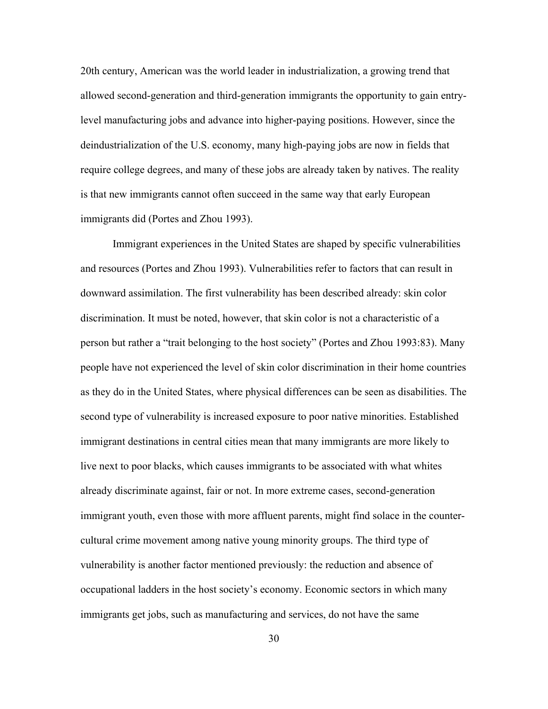20th century, American was the world leader in industrialization, a growing trend that allowed second-generation and third-generation immigrants the opportunity to gain entrylevel manufacturing jobs and advance into higher-paying positions. However, since the deindustrialization of the U.S. economy, many high-paying jobs are now in fields that require college degrees, and many of these jobs are already taken by natives. The reality is that new immigrants cannot often succeed in the same way that early European immigrants did (Portes and Zhou 1993).

Immigrant experiences in the United States are shaped by specific vulnerabilities and resources (Portes and Zhou 1993). Vulnerabilities refer to factors that can result in downward assimilation. The first vulnerability has been described already: skin color discrimination. It must be noted, however, that skin color is not a characteristic of a person but rather a "trait belonging to the host society" (Portes and Zhou 1993:83). Many people have not experienced the level of skin color discrimination in their home countries as they do in the United States, where physical differences can be seen as disabilities. The second type of vulnerability is increased exposure to poor native minorities. Established immigrant destinations in central cities mean that many immigrants are more likely to live next to poor blacks, which causes immigrants to be associated with what whites already discriminate against, fair or not. In more extreme cases, second-generation immigrant youth, even those with more affluent parents, might find solace in the countercultural crime movement among native young minority groups. The third type of vulnerability is another factor mentioned previously: the reduction and absence of occupational ladders in the host society's economy. Economic sectors in which many immigrants get jobs, such as manufacturing and services, do not have the same

30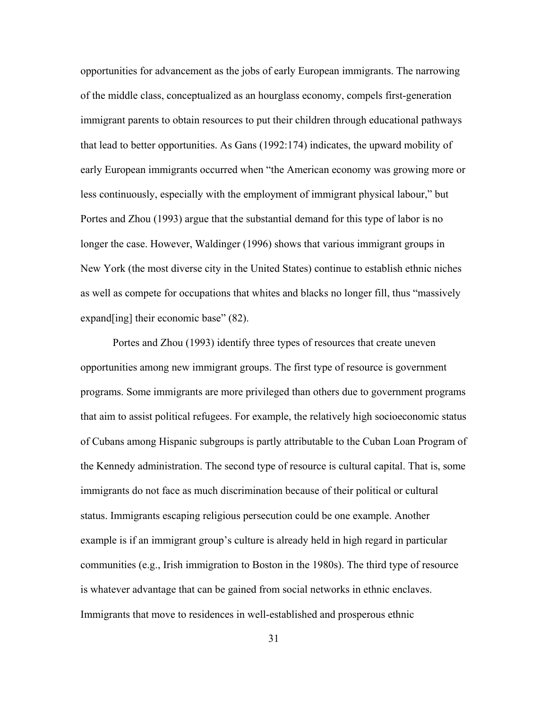opportunities for advancement as the jobs of early European immigrants. The narrowing of the middle class, conceptualized as an hourglass economy, compels first-generation immigrant parents to obtain resources to put their children through educational pathways that lead to better opportunities. As Gans (1992:174) indicates, the upward mobility of early European immigrants occurred when "the American economy was growing more or less continuously, especially with the employment of immigrant physical labour," but Portes and Zhou (1993) argue that the substantial demand for this type of labor is no longer the case. However, Waldinger (1996) shows that various immigrant groups in New York (the most diverse city in the United States) continue to establish ethnic niches as well as compete for occupations that whites and blacks no longer fill, thus "massively expand [ing] their economic base" (82).

Portes and Zhou (1993) identify three types of resources that create uneven opportunities among new immigrant groups. The first type of resource is government programs. Some immigrants are more privileged than others due to government programs that aim to assist political refugees. For example, the relatively high socioeconomic status of Cubans among Hispanic subgroups is partly attributable to the Cuban Loan Program of the Kennedy administration. The second type of resource is cultural capital. That is, some immigrants do not face as much discrimination because of their political or cultural status. Immigrants escaping religious persecution could be one example. Another example is if an immigrant group's culture is already held in high regard in particular communities (e.g., Irish immigration to Boston in the 1980s). The third type of resource is whatever advantage that can be gained from social networks in ethnic enclaves. Immigrants that move to residences in well-established and prosperous ethnic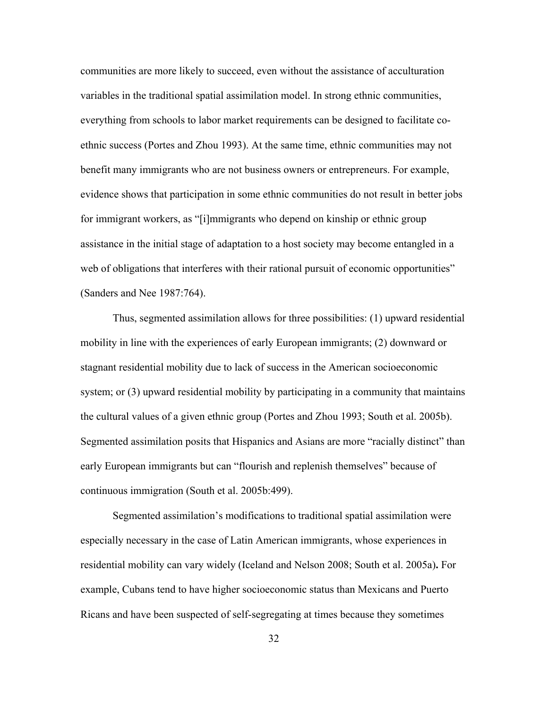communities are more likely to succeed, even without the assistance of acculturation variables in the traditional spatial assimilation model. In strong ethnic communities, everything from schools to labor market requirements can be designed to facilitate coethnic success (Portes and Zhou 1993). At the same time, ethnic communities may not benefit many immigrants who are not business owners or entrepreneurs. For example, evidence shows that participation in some ethnic communities do not result in better jobs for immigrant workers, as "[i]mmigrants who depend on kinship or ethnic group assistance in the initial stage of adaptation to a host society may become entangled in a web of obligations that interferes with their rational pursuit of economic opportunities" (Sanders and Nee 1987:764).

Thus, segmented assimilation allows for three possibilities: (1) upward residential mobility in line with the experiences of early European immigrants; (2) downward or stagnant residential mobility due to lack of success in the American socioeconomic system; or (3) upward residential mobility by participating in a community that maintains the cultural values of a given ethnic group (Portes and Zhou 1993; South et al. 2005b). Segmented assimilation posits that Hispanics and Asians are more "racially distinct" than early European immigrants but can "flourish and replenish themselves" because of continuous immigration (South et al. 2005b:499).

Segmented assimilation's modifications to traditional spatial assimilation were especially necessary in the case of Latin American immigrants, whose experiences in residential mobility can vary widely (Iceland and Nelson 2008; South et al. 2005a)**.** For example, Cubans tend to have higher socioeconomic status than Mexicans and Puerto Ricans and have been suspected of self-segregating at times because they sometimes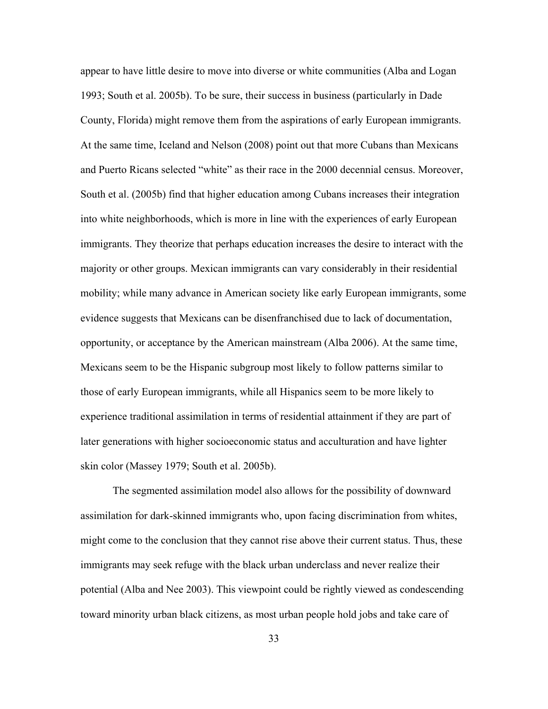appear to have little desire to move into diverse or white communities (Alba and Logan 1993; South et al. 2005b). To be sure, their success in business (particularly in Dade County, Florida) might remove them from the aspirations of early European immigrants. At the same time, Iceland and Nelson (2008) point out that more Cubans than Mexicans and Puerto Ricans selected "white" as their race in the 2000 decennial census. Moreover, South et al. (2005b) find that higher education among Cubans increases their integration into white neighborhoods, which is more in line with the experiences of early European immigrants. They theorize that perhaps education increases the desire to interact with the majority or other groups. Mexican immigrants can vary considerably in their residential mobility; while many advance in American society like early European immigrants, some evidence suggests that Mexicans can be disenfranchised due to lack of documentation, opportunity, or acceptance by the American mainstream (Alba 2006). At the same time, Mexicans seem to be the Hispanic subgroup most likely to follow patterns similar to those of early European immigrants, while all Hispanics seem to be more likely to experience traditional assimilation in terms of residential attainment if they are part of later generations with higher socioeconomic status and acculturation and have lighter skin color (Massey 1979; South et al. 2005b).

The segmented assimilation model also allows for the possibility of downward assimilation for dark-skinned immigrants who, upon facing discrimination from whites, might come to the conclusion that they cannot rise above their current status. Thus, these immigrants may seek refuge with the black urban underclass and never realize their potential (Alba and Nee 2003). This viewpoint could be rightly viewed as condescending toward minority urban black citizens, as most urban people hold jobs and take care of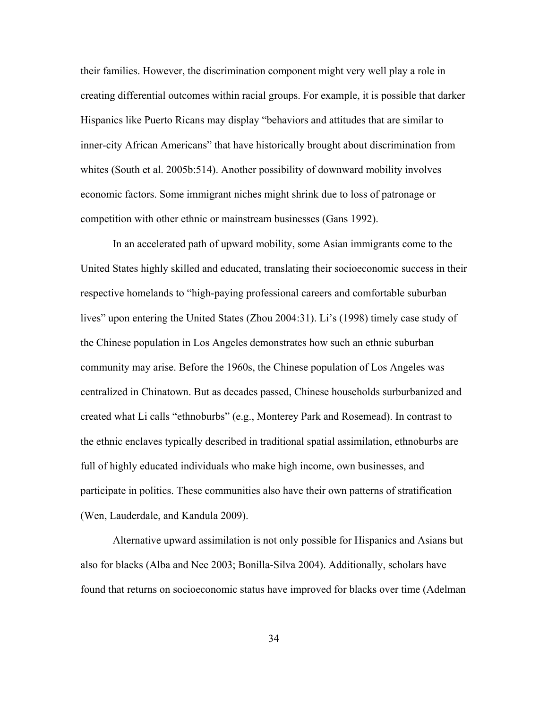their families. However, the discrimination component might very well play a role in creating differential outcomes within racial groups. For example, it is possible that darker Hispanics like Puerto Ricans may display "behaviors and attitudes that are similar to inner-city African Americans" that have historically brought about discrimination from whites (South et al. 2005b:514). Another possibility of downward mobility involves economic factors. Some immigrant niches might shrink due to loss of patronage or competition with other ethnic or mainstream businesses (Gans 1992).

In an accelerated path of upward mobility, some Asian immigrants come to the United States highly skilled and educated, translating their socioeconomic success in their respective homelands to "high-paying professional careers and comfortable suburban lives" upon entering the United States (Zhou 2004:31). Li's (1998) timely case study of the Chinese population in Los Angeles demonstrates how such an ethnic suburban community may arise. Before the 1960s, the Chinese population of Los Angeles was centralized in Chinatown. But as decades passed, Chinese households surburbanized and created what Li calls "ethnoburbs" (e.g., Monterey Park and Rosemead). In contrast to the ethnic enclaves typically described in traditional spatial assimilation, ethnoburbs are full of highly educated individuals who make high income, own businesses, and participate in politics. These communities also have their own patterns of stratification (Wen, Lauderdale, and Kandula 2009).

Alternative upward assimilation is not only possible for Hispanics and Asians but also for blacks (Alba and Nee 2003; Bonilla-Silva 2004). Additionally, scholars have found that returns on socioeconomic status have improved for blacks over time (Adelman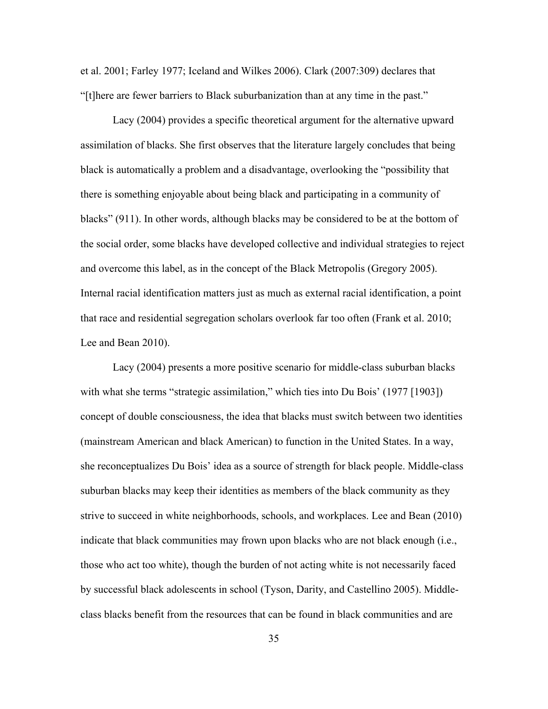et al. 2001; Farley 1977; Iceland and Wilkes 2006). Clark (2007:309) declares that "[t]here are fewer barriers to Black suburbanization than at any time in the past."

Lacy (2004) provides a specific theoretical argument for the alternative upward assimilation of blacks. She first observes that the literature largely concludes that being black is automatically a problem and a disadvantage, overlooking the "possibility that there is something enjoyable about being black and participating in a community of blacks" (911). In other words, although blacks may be considered to be at the bottom of the social order, some blacks have developed collective and individual strategies to reject and overcome this label, as in the concept of the Black Metropolis (Gregory 2005). Internal racial identification matters just as much as external racial identification, a point that race and residential segregation scholars overlook far too often (Frank et al. 2010; Lee and Bean 2010).

Lacy (2004) presents a more positive scenario for middle-class suburban blacks with what she terms "strategic assimilation," which ties into Du Bois' (1977 [1903]) concept of double consciousness, the idea that blacks must switch between two identities (mainstream American and black American) to function in the United States. In a way, she reconceptualizes Du Bois' idea as a source of strength for black people. Middle-class suburban blacks may keep their identities as members of the black community as they strive to succeed in white neighborhoods, schools, and workplaces. Lee and Bean (2010) indicate that black communities may frown upon blacks who are not black enough (i.e., those who act too white), though the burden of not acting white is not necessarily faced by successful black adolescents in school (Tyson, Darity, and Castellino 2005). Middleclass blacks benefit from the resources that can be found in black communities and are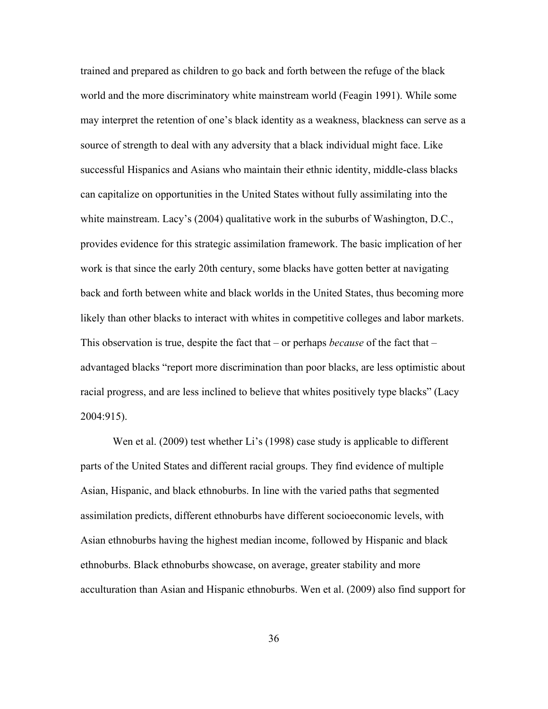trained and prepared as children to go back and forth between the refuge of the black world and the more discriminatory white mainstream world (Feagin 1991). While some may interpret the retention of one's black identity as a weakness, blackness can serve as a source of strength to deal with any adversity that a black individual might face. Like successful Hispanics and Asians who maintain their ethnic identity, middle-class blacks can capitalize on opportunities in the United States without fully assimilating into the white mainstream. Lacy's (2004) qualitative work in the suburbs of Washington, D.C., provides evidence for this strategic assimilation framework. The basic implication of her work is that since the early 20th century, some blacks have gotten better at navigating back and forth between white and black worlds in the United States, thus becoming more likely than other blacks to interact with whites in competitive colleges and labor markets. This observation is true, despite the fact that – or perhaps *because* of the fact that – advantaged blacks "report more discrimination than poor blacks, are less optimistic about racial progress, and are less inclined to believe that whites positively type blacks" (Lacy 2004:915).

Wen et al. (2009) test whether Li's (1998) case study is applicable to different parts of the United States and different racial groups. They find evidence of multiple Asian, Hispanic, and black ethnoburbs. In line with the varied paths that segmented assimilation predicts, different ethnoburbs have different socioeconomic levels, with Asian ethnoburbs having the highest median income, followed by Hispanic and black ethnoburbs. Black ethnoburbs showcase, on average, greater stability and more acculturation than Asian and Hispanic ethnoburbs. Wen et al. (2009) also find support for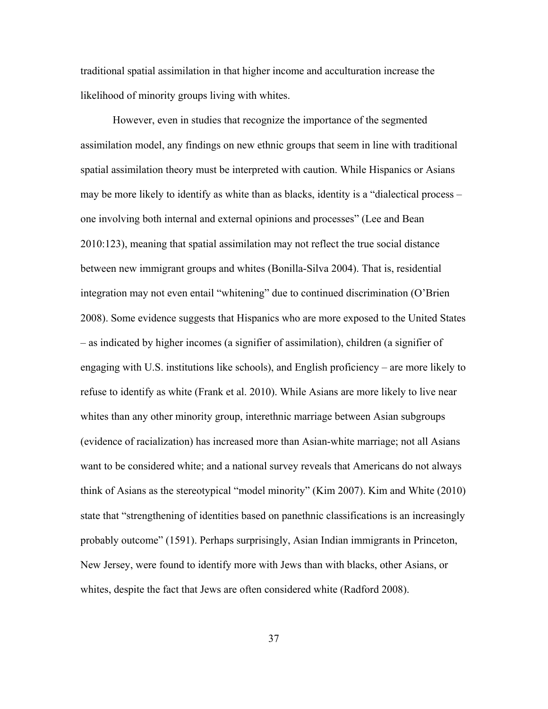traditional spatial assimilation in that higher income and acculturation increase the likelihood of minority groups living with whites.

However, even in studies that recognize the importance of the segmented assimilation model, any findings on new ethnic groups that seem in line with traditional spatial assimilation theory must be interpreted with caution. While Hispanics or Asians may be more likely to identify as white than as blacks, identity is a "dialectical process – one involving both internal and external opinions and processes" (Lee and Bean 2010:123), meaning that spatial assimilation may not reflect the true social distance between new immigrant groups and whites (Bonilla-Silva 2004). That is, residential integration may not even entail "whitening" due to continued discrimination (O'Brien 2008). Some evidence suggests that Hispanics who are more exposed to the United States – as indicated by higher incomes (a signifier of assimilation), children (a signifier of engaging with U.S. institutions like schools), and English proficiency – are more likely to refuse to identify as white (Frank et al. 2010). While Asians are more likely to live near whites than any other minority group, interethnic marriage between Asian subgroups (evidence of racialization) has increased more than Asian-white marriage; not all Asians want to be considered white; and a national survey reveals that Americans do not always think of Asians as the stereotypical "model minority" (Kim 2007). Kim and White (2010) state that "strengthening of identities based on panethnic classifications is an increasingly probably outcome" (1591). Perhaps surprisingly, Asian Indian immigrants in Princeton, New Jersey, were found to identify more with Jews than with blacks, other Asians, or whites, despite the fact that Jews are often considered white (Radford 2008).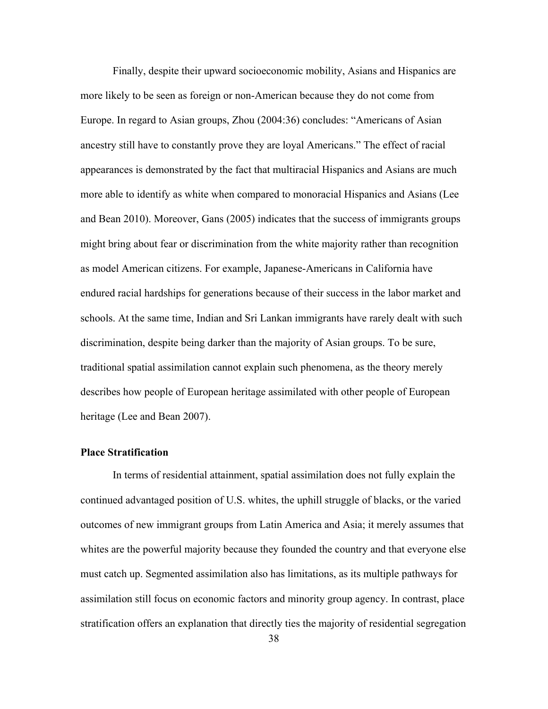Finally, despite their upward socioeconomic mobility, Asians and Hispanics are more likely to be seen as foreign or non-American because they do not come from Europe. In regard to Asian groups, Zhou (2004:36) concludes: "Americans of Asian ancestry still have to constantly prove they are loyal Americans." The effect of racial appearances is demonstrated by the fact that multiracial Hispanics and Asians are much more able to identify as white when compared to monoracial Hispanics and Asians (Lee and Bean 2010). Moreover, Gans (2005) indicates that the success of immigrants groups might bring about fear or discrimination from the white majority rather than recognition as model American citizens. For example, Japanese-Americans in California have endured racial hardships for generations because of their success in the labor market and schools. At the same time, Indian and Sri Lankan immigrants have rarely dealt with such discrimination, despite being darker than the majority of Asian groups. To be sure, traditional spatial assimilation cannot explain such phenomena, as the theory merely describes how people of European heritage assimilated with other people of European heritage (Lee and Bean 2007).

# **Place Stratification**

In terms of residential attainment, spatial assimilation does not fully explain the continued advantaged position of U.S. whites, the uphill struggle of blacks, or the varied outcomes of new immigrant groups from Latin America and Asia; it merely assumes that whites are the powerful majority because they founded the country and that everyone else must catch up. Segmented assimilation also has limitations, as its multiple pathways for assimilation still focus on economic factors and minority group agency. In contrast, place stratification offers an explanation that directly ties the majority of residential segregation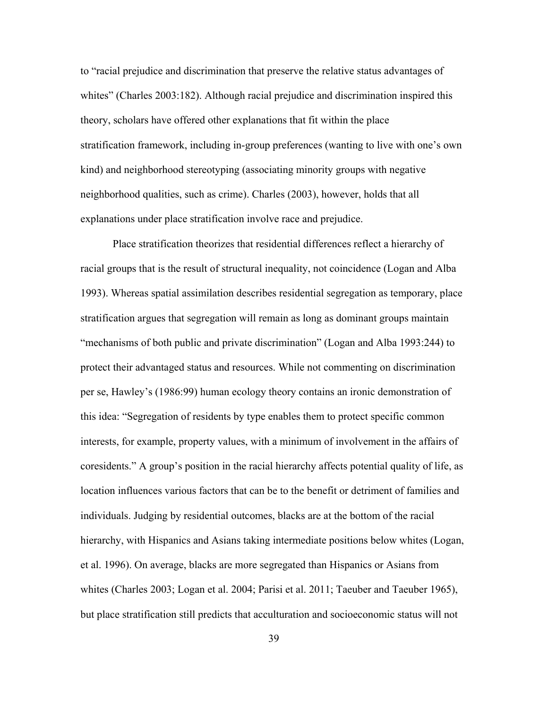to "racial prejudice and discrimination that preserve the relative status advantages of whites" (Charles 2003:182). Although racial prejudice and discrimination inspired this theory, scholars have offered other explanations that fit within the place stratification framework, including in-group preferences (wanting to live with one's own kind) and neighborhood stereotyping (associating minority groups with negative neighborhood qualities, such as crime). Charles (2003), however, holds that all explanations under place stratification involve race and prejudice.

Place stratification theorizes that residential differences reflect a hierarchy of racial groups that is the result of structural inequality, not coincidence (Logan and Alba 1993). Whereas spatial assimilation describes residential segregation as temporary, place stratification argues that segregation will remain as long as dominant groups maintain "mechanisms of both public and private discrimination" (Logan and Alba 1993:244) to protect their advantaged status and resources. While not commenting on discrimination per se, Hawley's (1986:99) human ecology theory contains an ironic demonstration of this idea: "Segregation of residents by type enables them to protect specific common interests, for example, property values, with a minimum of involvement in the affairs of coresidents." A group's position in the racial hierarchy affects potential quality of life, as location influences various factors that can be to the benefit or detriment of families and individuals. Judging by residential outcomes, blacks are at the bottom of the racial hierarchy, with Hispanics and Asians taking intermediate positions below whites (Logan, et al. 1996). On average, blacks are more segregated than Hispanics or Asians from whites (Charles 2003; Logan et al. 2004; Parisi et al. 2011; Taeuber and Taeuber 1965), but place stratification still predicts that acculturation and socioeconomic status will not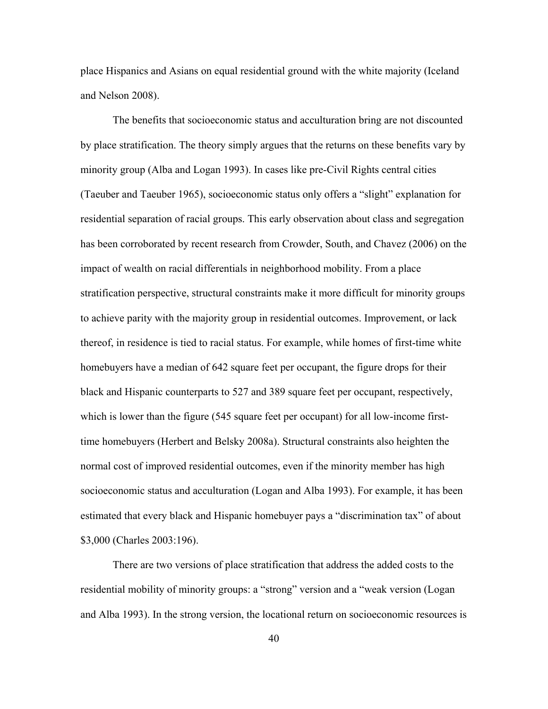place Hispanics and Asians on equal residential ground with the white majority (Iceland and Nelson 2008).

The benefits that socioeconomic status and acculturation bring are not discounted by place stratification. The theory simply argues that the returns on these benefits vary by minority group (Alba and Logan 1993). In cases like pre-Civil Rights central cities (Taeuber and Taeuber 1965), socioeconomic status only offers a "slight" explanation for residential separation of racial groups. This early observation about class and segregation has been corroborated by recent research from Crowder, South, and Chavez (2006) on the impact of wealth on racial differentials in neighborhood mobility. From a place stratification perspective, structural constraints make it more difficult for minority groups to achieve parity with the majority group in residential outcomes. Improvement, or lack thereof, in residence is tied to racial status. For example, while homes of first-time white homebuyers have a median of 642 square feet per occupant, the figure drops for their black and Hispanic counterparts to 527 and 389 square feet per occupant, respectively, which is lower than the figure (545 square feet per occupant) for all low-income firsttime homebuyers (Herbert and Belsky 2008a). Structural constraints also heighten the normal cost of improved residential outcomes, even if the minority member has high socioeconomic status and acculturation (Logan and Alba 1993). For example, it has been estimated that every black and Hispanic homebuyer pays a "discrimination tax" of about \$3,000 (Charles 2003:196).

There are two versions of place stratification that address the added costs to the residential mobility of minority groups: a "strong" version and a "weak version (Logan and Alba 1993). In the strong version, the locational return on socioeconomic resources is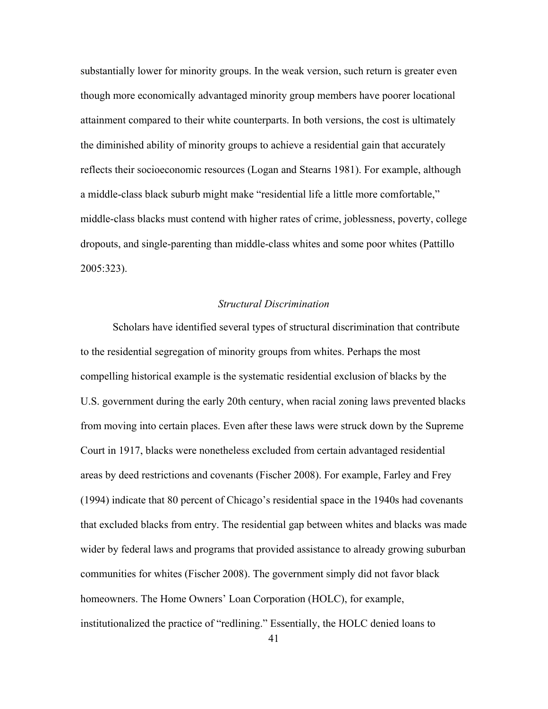substantially lower for minority groups. In the weak version, such return is greater even though more economically advantaged minority group members have poorer locational attainment compared to their white counterparts. In both versions, the cost is ultimately the diminished ability of minority groups to achieve a residential gain that accurately reflects their socioeconomic resources (Logan and Stearns 1981). For example, although a middle-class black suburb might make "residential life a little more comfortable," middle-class blacks must contend with higher rates of crime, joblessness, poverty, college dropouts, and single-parenting than middle-class whites and some poor whites (Pattillo 2005:323).

### *Structural Discrimination*

Scholars have identified several types of structural discrimination that contribute to the residential segregation of minority groups from whites. Perhaps the most compelling historical example is the systematic residential exclusion of blacks by the U.S. government during the early 20th century, when racial zoning laws prevented blacks from moving into certain places. Even after these laws were struck down by the Supreme Court in 1917, blacks were nonetheless excluded from certain advantaged residential areas by deed restrictions and covenants (Fischer 2008). For example, Farley and Frey (1994) indicate that 80 percent of Chicago's residential space in the 1940s had covenants that excluded blacks from entry. The residential gap between whites and blacks was made wider by federal laws and programs that provided assistance to already growing suburban communities for whites (Fischer 2008). The government simply did not favor black homeowners. The Home Owners' Loan Corporation (HOLC), for example, institutionalized the practice of "redlining." Essentially, the HOLC denied loans to

41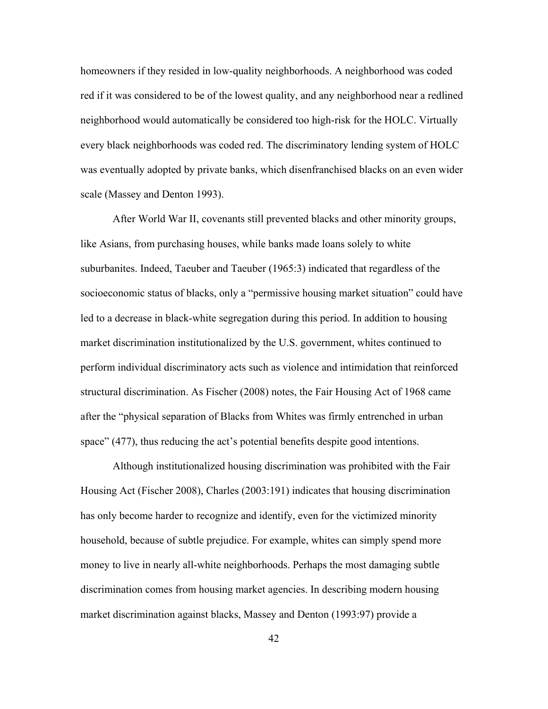homeowners if they resided in low-quality neighborhoods. A neighborhood was coded red if it was considered to be of the lowest quality, and any neighborhood near a redlined neighborhood would automatically be considered too high-risk for the HOLC. Virtually every black neighborhoods was coded red. The discriminatory lending system of HOLC was eventually adopted by private banks, which disenfranchised blacks on an even wider scale (Massey and Denton 1993).

After World War II, covenants still prevented blacks and other minority groups, like Asians, from purchasing houses, while banks made loans solely to white suburbanites. Indeed, Taeuber and Taeuber (1965:3) indicated that regardless of the socioeconomic status of blacks, only a "permissive housing market situation" could have led to a decrease in black-white segregation during this period. In addition to housing market discrimination institutionalized by the U.S. government, whites continued to perform individual discriminatory acts such as violence and intimidation that reinforced structural discrimination. As Fischer (2008) notes, the Fair Housing Act of 1968 came after the "physical separation of Blacks from Whites was firmly entrenched in urban space" (477), thus reducing the act's potential benefits despite good intentions.

Although institutionalized housing discrimination was prohibited with the Fair Housing Act (Fischer 2008), Charles (2003:191) indicates that housing discrimination has only become harder to recognize and identify, even for the victimized minority household, because of subtle prejudice. For example, whites can simply spend more money to live in nearly all-white neighborhoods. Perhaps the most damaging subtle discrimination comes from housing market agencies. In describing modern housing market discrimination against blacks, Massey and Denton (1993:97) provide a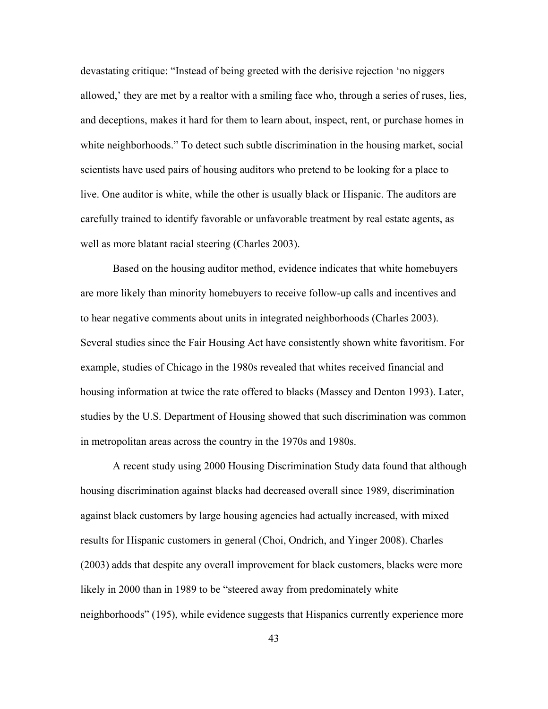devastating critique: "Instead of being greeted with the derisive rejection 'no niggers allowed,' they are met by a realtor with a smiling face who, through a series of ruses, lies, and deceptions, makes it hard for them to learn about, inspect, rent, or purchase homes in white neighborhoods." To detect such subtle discrimination in the housing market, social scientists have used pairs of housing auditors who pretend to be looking for a place to live. One auditor is white, while the other is usually black or Hispanic. The auditors are carefully trained to identify favorable or unfavorable treatment by real estate agents, as well as more blatant racial steering (Charles 2003).

Based on the housing auditor method, evidence indicates that white homebuyers are more likely than minority homebuyers to receive follow-up calls and incentives and to hear negative comments about units in integrated neighborhoods (Charles 2003). Several studies since the Fair Housing Act have consistently shown white favoritism. For example, studies of Chicago in the 1980s revealed that whites received financial and housing information at twice the rate offered to blacks (Massey and Denton 1993). Later, studies by the U.S. Department of Housing showed that such discrimination was common in metropolitan areas across the country in the 1970s and 1980s.

A recent study using 2000 Housing Discrimination Study data found that although housing discrimination against blacks had decreased overall since 1989, discrimination against black customers by large housing agencies had actually increased, with mixed results for Hispanic customers in general (Choi, Ondrich, and Yinger 2008). Charles (2003) adds that despite any overall improvement for black customers, blacks were more likely in 2000 than in 1989 to be "steered away from predominately white neighborhoods" (195), while evidence suggests that Hispanics currently experience more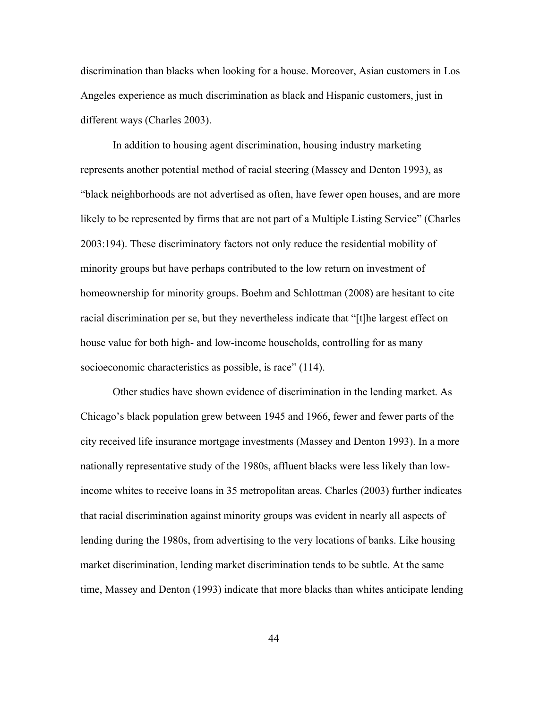discrimination than blacks when looking for a house. Moreover, Asian customers in Los Angeles experience as much discrimination as black and Hispanic customers, just in different ways (Charles 2003).

In addition to housing agent discrimination, housing industry marketing represents another potential method of racial steering (Massey and Denton 1993), as "black neighborhoods are not advertised as often, have fewer open houses, and are more likely to be represented by firms that are not part of a Multiple Listing Service" (Charles 2003:194). These discriminatory factors not only reduce the residential mobility of minority groups but have perhaps contributed to the low return on investment of homeownership for minority groups. Boehm and Schlottman (2008) are hesitant to cite racial discrimination per se, but they nevertheless indicate that "[t]he largest effect on house value for both high- and low-income households, controlling for as many socioeconomic characteristics as possible, is race" (114).

Other studies have shown evidence of discrimination in the lending market. As Chicago's black population grew between 1945 and 1966, fewer and fewer parts of the city received life insurance mortgage investments (Massey and Denton 1993). In a more nationally representative study of the 1980s, affluent blacks were less likely than lowincome whites to receive loans in 35 metropolitan areas. Charles (2003) further indicates that racial discrimination against minority groups was evident in nearly all aspects of lending during the 1980s, from advertising to the very locations of banks. Like housing market discrimination, lending market discrimination tends to be subtle. At the same time, Massey and Denton (1993) indicate that more blacks than whites anticipate lending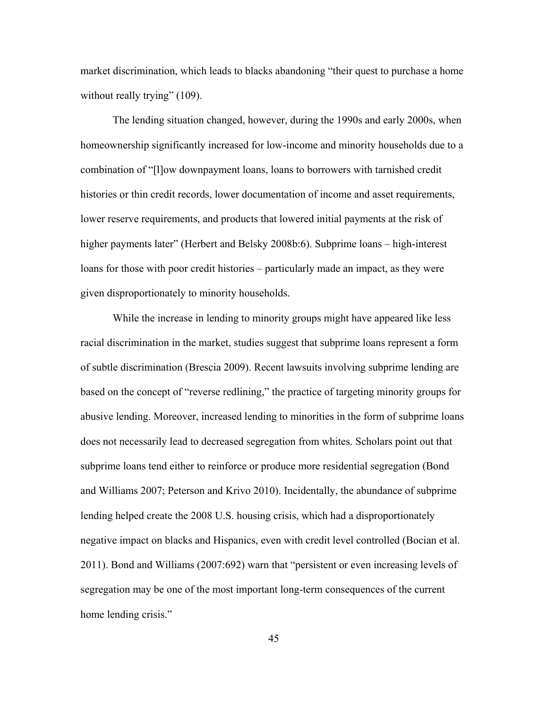market discrimination, which leads to blacks abandoning "their quest to purchase a home without really trying" (109).

The lending situation changed, however, during the 1990s and early 2000s, when homeownership significantly increased for low-income and minority households due to a combination of "[l]ow downpayment loans, loans to borrowers with tarnished credit histories or thin credit records, lower documentation of income and asset requirements, lower reserve requirements, and products that lowered initial payments at the risk of higher payments later" (Herbert and Belsky 2008b:6). Subprime loans – high-interest loans for those with poor credit histories – particularly made an impact, as they were given disproportionately to minority households.

While the increase in lending to minority groups might have appeared like less racial discrimination in the market, studies suggest that subprime loans represent a form of subtle discrimination (Brescia 2009). Recent lawsuits involving subprime lending are based on the concept of "reverse redlining," the practice of targeting minority groups for abusive lending. Moreover, increased lending to minorities in the form of subprime loans does not necessarily lead to decreased segregation from whites. Scholars point out that subprime loans tend either to reinforce or produce more residential segregation (Bond and Williams 2007; Peterson and Krivo 2010). Incidentally, the abundance of subprime lending helped create the 2008 U.S. housing crisis, which had a disproportionately negative impact on blacks and Hispanics, even with credit level controlled (Bocian et al. 2011). Bond and Williams (2007:692) warn that "persistent or even increasing levels of segregation may be one of the most important long-term consequences of the current home lending crisis."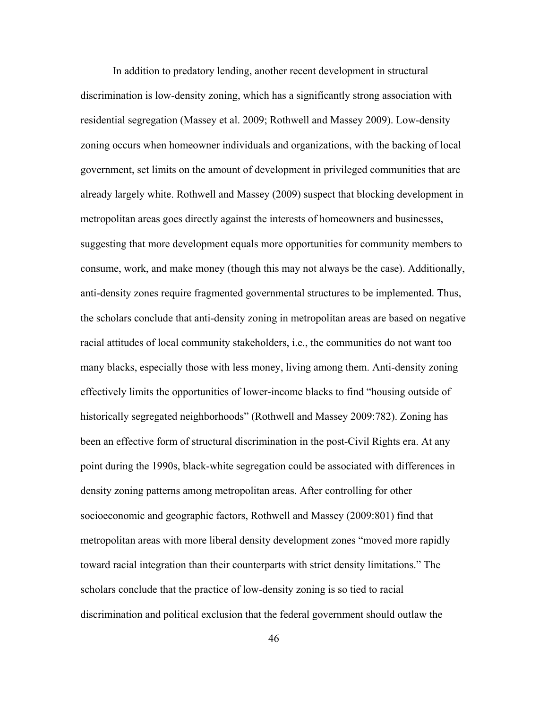In addition to predatory lending, another recent development in structural discrimination is low-density zoning, which has a significantly strong association with residential segregation (Massey et al. 2009; Rothwell and Massey 2009). Low-density zoning occurs when homeowner individuals and organizations, with the backing of local government, set limits on the amount of development in privileged communities that are already largely white. Rothwell and Massey (2009) suspect that blocking development in metropolitan areas goes directly against the interests of homeowners and businesses, suggesting that more development equals more opportunities for community members to consume, work, and make money (though this may not always be the case). Additionally, anti-density zones require fragmented governmental structures to be implemented. Thus, the scholars conclude that anti-density zoning in metropolitan areas are based on negative racial attitudes of local community stakeholders, i.e., the communities do not want too many blacks, especially those with less money, living among them. Anti-density zoning effectively limits the opportunities of lower-income blacks to find "housing outside of historically segregated neighborhoods" (Rothwell and Massey 2009:782). Zoning has been an effective form of structural discrimination in the post-Civil Rights era. At any point during the 1990s, black-white segregation could be associated with differences in density zoning patterns among metropolitan areas. After controlling for other socioeconomic and geographic factors, Rothwell and Massey (2009:801) find that metropolitan areas with more liberal density development zones "moved more rapidly toward racial integration than their counterparts with strict density limitations." The scholars conclude that the practice of low-density zoning is so tied to racial discrimination and political exclusion that the federal government should outlaw the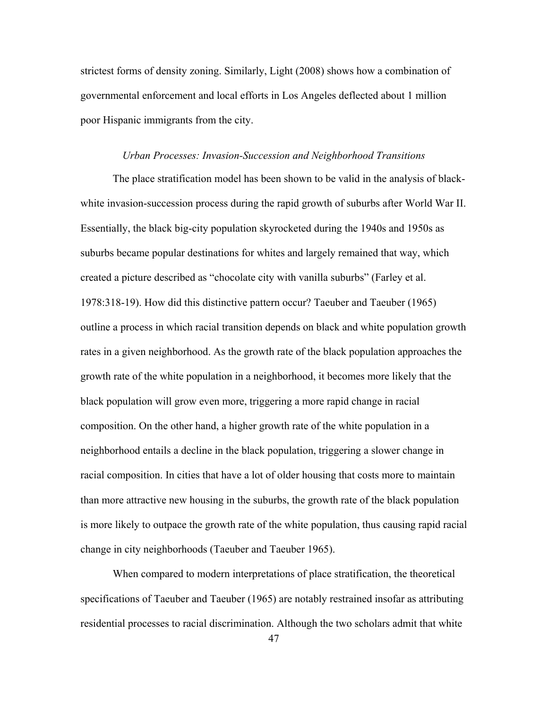strictest forms of density zoning. Similarly, Light (2008) shows how a combination of governmental enforcement and local efforts in Los Angeles deflected about 1 million poor Hispanic immigrants from the city.

#### *Urban Processes: Invasion-Succession and Neighborhood Transitions*

The place stratification model has been shown to be valid in the analysis of blackwhite invasion-succession process during the rapid growth of suburbs after World War II. Essentially, the black big-city population skyrocketed during the 1940s and 1950s as suburbs became popular destinations for whites and largely remained that way, which created a picture described as "chocolate city with vanilla suburbs" (Farley et al. 1978:318-19). How did this distinctive pattern occur? Taeuber and Taeuber (1965) outline a process in which racial transition depends on black and white population growth rates in a given neighborhood. As the growth rate of the black population approaches the growth rate of the white population in a neighborhood, it becomes more likely that the black population will grow even more, triggering a more rapid change in racial composition. On the other hand, a higher growth rate of the white population in a neighborhood entails a decline in the black population, triggering a slower change in racial composition. In cities that have a lot of older housing that costs more to maintain than more attractive new housing in the suburbs, the growth rate of the black population is more likely to outpace the growth rate of the white population, thus causing rapid racial change in city neighborhoods (Taeuber and Taeuber 1965).

When compared to modern interpretations of place stratification, the theoretical specifications of Taeuber and Taeuber (1965) are notably restrained insofar as attributing residential processes to racial discrimination. Although the two scholars admit that white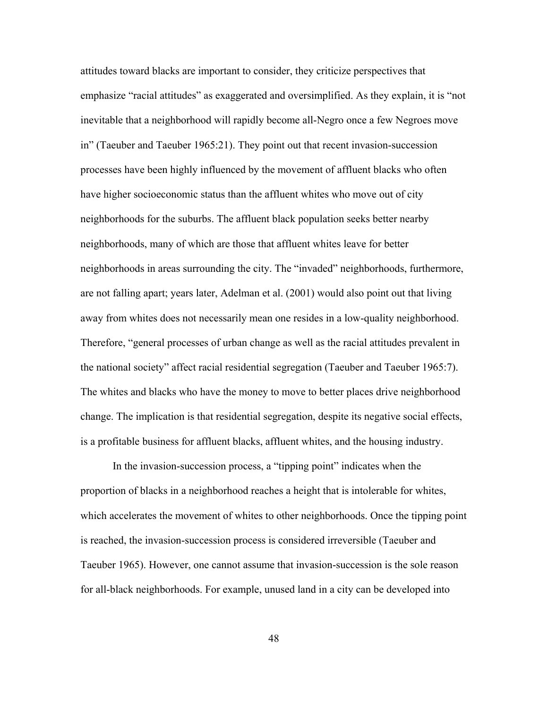attitudes toward blacks are important to consider, they criticize perspectives that emphasize "racial attitudes" as exaggerated and oversimplified. As they explain, it is "not inevitable that a neighborhood will rapidly become all-Negro once a few Negroes move in" (Taeuber and Taeuber 1965:21). They point out that recent invasion-succession processes have been highly influenced by the movement of affluent blacks who often have higher socioeconomic status than the affluent whites who move out of city neighborhoods for the suburbs. The affluent black population seeks better nearby neighborhoods, many of which are those that affluent whites leave for better neighborhoods in areas surrounding the city. The "invaded" neighborhoods, furthermore, are not falling apart; years later, Adelman et al. (2001) would also point out that living away from whites does not necessarily mean one resides in a low-quality neighborhood. Therefore, "general processes of urban change as well as the racial attitudes prevalent in the national society" affect racial residential segregation (Taeuber and Taeuber 1965:7). The whites and blacks who have the money to move to better places drive neighborhood change. The implication is that residential segregation, despite its negative social effects, is a profitable business for affluent blacks, affluent whites, and the housing industry.

In the invasion-succession process, a "tipping point" indicates when the proportion of blacks in a neighborhood reaches a height that is intolerable for whites, which accelerates the movement of whites to other neighborhoods. Once the tipping point is reached, the invasion-succession process is considered irreversible (Taeuber and Taeuber 1965). However, one cannot assume that invasion-succession is the sole reason for all-black neighborhoods. For example, unused land in a city can be developed into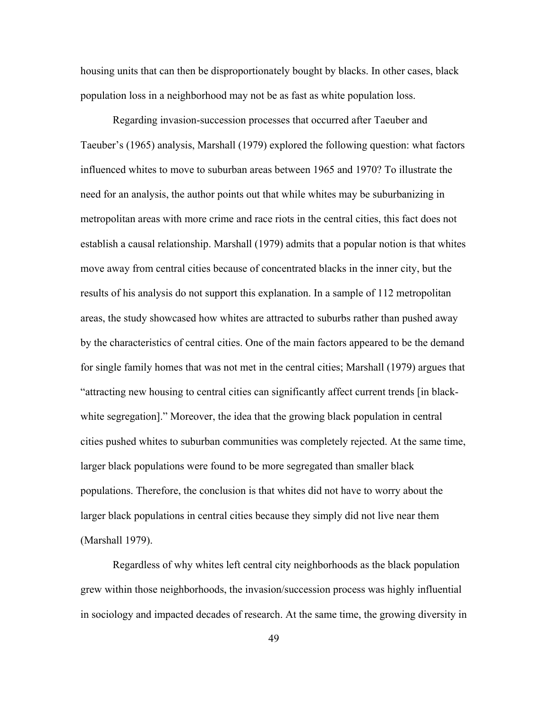housing units that can then be disproportionately bought by blacks. In other cases, black population loss in a neighborhood may not be as fast as white population loss.

Regarding invasion-succession processes that occurred after Taeuber and Taeuber's (1965) analysis, Marshall (1979) explored the following question: what factors influenced whites to move to suburban areas between 1965 and 1970? To illustrate the need for an analysis, the author points out that while whites may be suburbanizing in metropolitan areas with more crime and race riots in the central cities, this fact does not establish a causal relationship. Marshall (1979) admits that a popular notion is that whites move away from central cities because of concentrated blacks in the inner city, but the results of his analysis do not support this explanation. In a sample of 112 metropolitan areas, the study showcased how whites are attracted to suburbs rather than pushed away by the characteristics of central cities. One of the main factors appeared to be the demand for single family homes that was not met in the central cities; Marshall (1979) argues that "attracting new housing to central cities can significantly affect current trends [in blackwhite segregation]." Moreover, the idea that the growing black population in central cities pushed whites to suburban communities was completely rejected. At the same time, larger black populations were found to be more segregated than smaller black populations. Therefore, the conclusion is that whites did not have to worry about the larger black populations in central cities because they simply did not live near them (Marshall 1979).

Regardless of why whites left central city neighborhoods as the black population grew within those neighborhoods, the invasion/succession process was highly influential in sociology and impacted decades of research. At the same time, the growing diversity in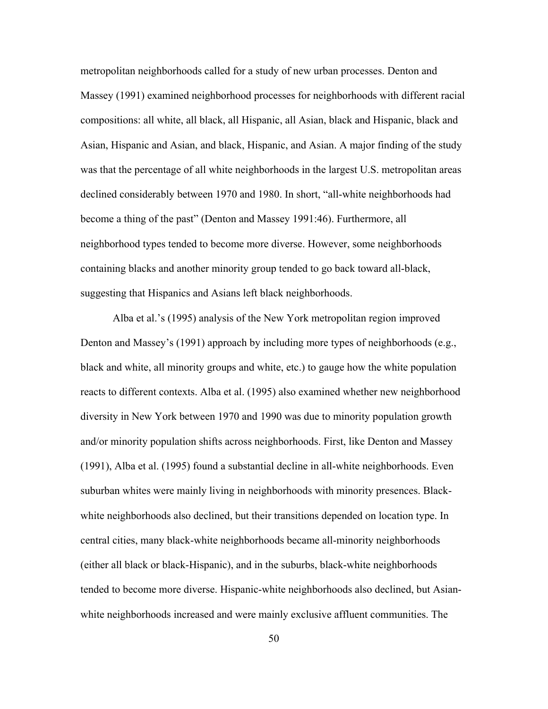metropolitan neighborhoods called for a study of new urban processes. Denton and Massey (1991) examined neighborhood processes for neighborhoods with different racial compositions: all white, all black, all Hispanic, all Asian, black and Hispanic, black and Asian, Hispanic and Asian, and black, Hispanic, and Asian. A major finding of the study was that the percentage of all white neighborhoods in the largest U.S. metropolitan areas declined considerably between 1970 and 1980. In short, "all-white neighborhoods had become a thing of the past" (Denton and Massey 1991:46). Furthermore, all neighborhood types tended to become more diverse. However, some neighborhoods containing blacks and another minority group tended to go back toward all-black, suggesting that Hispanics and Asians left black neighborhoods.

Alba et al.'s (1995) analysis of the New York metropolitan region improved Denton and Massey's (1991) approach by including more types of neighborhoods (e.g., black and white, all minority groups and white, etc.) to gauge how the white population reacts to different contexts. Alba et al. (1995) also examined whether new neighborhood diversity in New York between 1970 and 1990 was due to minority population growth and/or minority population shifts across neighborhoods. First, like Denton and Massey (1991), Alba et al. (1995) found a substantial decline in all-white neighborhoods. Even suburban whites were mainly living in neighborhoods with minority presences. Blackwhite neighborhoods also declined, but their transitions depended on location type. In central cities, many black-white neighborhoods became all-minority neighborhoods (either all black or black-Hispanic), and in the suburbs, black-white neighborhoods tended to become more diverse. Hispanic-white neighborhoods also declined, but Asianwhite neighborhoods increased and were mainly exclusive affluent communities. The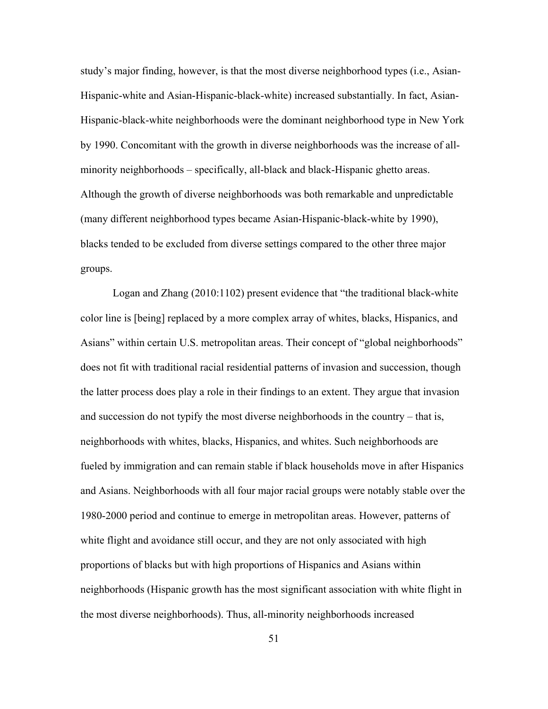study's major finding, however, is that the most diverse neighborhood types (i.e., Asian-Hispanic-white and Asian-Hispanic-black-white) increased substantially. In fact, Asian-Hispanic-black-white neighborhoods were the dominant neighborhood type in New York by 1990. Concomitant with the growth in diverse neighborhoods was the increase of allminority neighborhoods – specifically, all-black and black-Hispanic ghetto areas. Although the growth of diverse neighborhoods was both remarkable and unpredictable (many different neighborhood types became Asian-Hispanic-black-white by 1990), blacks tended to be excluded from diverse settings compared to the other three major groups.

Logan and Zhang (2010:1102) present evidence that "the traditional black-white color line is [being] replaced by a more complex array of whites, blacks, Hispanics, and Asians" within certain U.S. metropolitan areas. Their concept of "global neighborhoods" does not fit with traditional racial residential patterns of invasion and succession, though the latter process does play a role in their findings to an extent. They argue that invasion and succession do not typify the most diverse neighborhoods in the country – that is, neighborhoods with whites, blacks, Hispanics, and whites. Such neighborhoods are fueled by immigration and can remain stable if black households move in after Hispanics and Asians. Neighborhoods with all four major racial groups were notably stable over the 1980-2000 period and continue to emerge in metropolitan areas. However, patterns of white flight and avoidance still occur, and they are not only associated with high proportions of blacks but with high proportions of Hispanics and Asians within neighborhoods (Hispanic growth has the most significant association with white flight in the most diverse neighborhoods). Thus, all-minority neighborhoods increased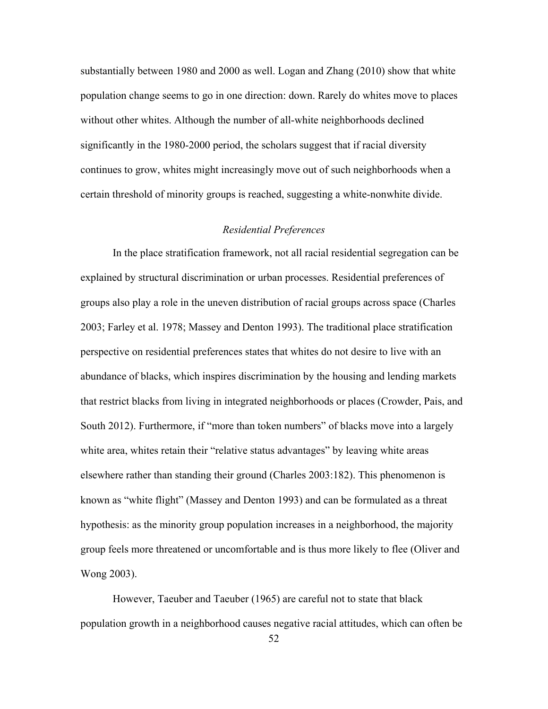substantially between 1980 and 2000 as well. Logan and Zhang (2010) show that white population change seems to go in one direction: down. Rarely do whites move to places without other whites. Although the number of all-white neighborhoods declined significantly in the 1980-2000 period, the scholars suggest that if racial diversity continues to grow, whites might increasingly move out of such neighborhoods when a certain threshold of minority groups is reached, suggesting a white-nonwhite divide.

### *Residential Preferences*

In the place stratification framework, not all racial residential segregation can be explained by structural discrimination or urban processes. Residential preferences of groups also play a role in the uneven distribution of racial groups across space (Charles 2003; Farley et al. 1978; Massey and Denton 1993). The traditional place stratification perspective on residential preferences states that whites do not desire to live with an abundance of blacks, which inspires discrimination by the housing and lending markets that restrict blacks from living in integrated neighborhoods or places (Crowder, Pais, and South 2012). Furthermore, if "more than token numbers" of blacks move into a largely white area, whites retain their "relative status advantages" by leaving white areas elsewhere rather than standing their ground (Charles 2003:182). This phenomenon is known as "white flight" (Massey and Denton 1993) and can be formulated as a threat hypothesis: as the minority group population increases in a neighborhood, the majority group feels more threatened or uncomfortable and is thus more likely to flee (Oliver and Wong 2003).

However, Taeuber and Taeuber (1965) are careful not to state that black population growth in a neighborhood causes negative racial attitudes, which can often be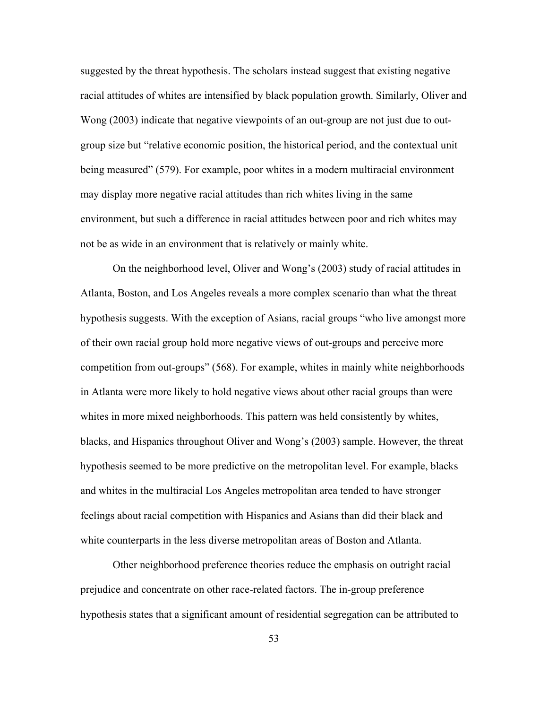suggested by the threat hypothesis. The scholars instead suggest that existing negative racial attitudes of whites are intensified by black population growth. Similarly, Oliver and Wong (2003) indicate that negative viewpoints of an out-group are not just due to outgroup size but "relative economic position, the historical period, and the contextual unit being measured" (579). For example, poor whites in a modern multiracial environment may display more negative racial attitudes than rich whites living in the same environment, but such a difference in racial attitudes between poor and rich whites may not be as wide in an environment that is relatively or mainly white.

On the neighborhood level, Oliver and Wong's (2003) study of racial attitudes in Atlanta, Boston, and Los Angeles reveals a more complex scenario than what the threat hypothesis suggests. With the exception of Asians, racial groups "who live amongst more of their own racial group hold more negative views of out-groups and perceive more competition from out-groups" (568). For example, whites in mainly white neighborhoods in Atlanta were more likely to hold negative views about other racial groups than were whites in more mixed neighborhoods. This pattern was held consistently by whites, blacks, and Hispanics throughout Oliver and Wong's (2003) sample. However, the threat hypothesis seemed to be more predictive on the metropolitan level. For example, blacks and whites in the multiracial Los Angeles metropolitan area tended to have stronger feelings about racial competition with Hispanics and Asians than did their black and white counterparts in the less diverse metropolitan areas of Boston and Atlanta.

Other neighborhood preference theories reduce the emphasis on outright racial prejudice and concentrate on other race-related factors. The in-group preference hypothesis states that a significant amount of residential segregation can be attributed to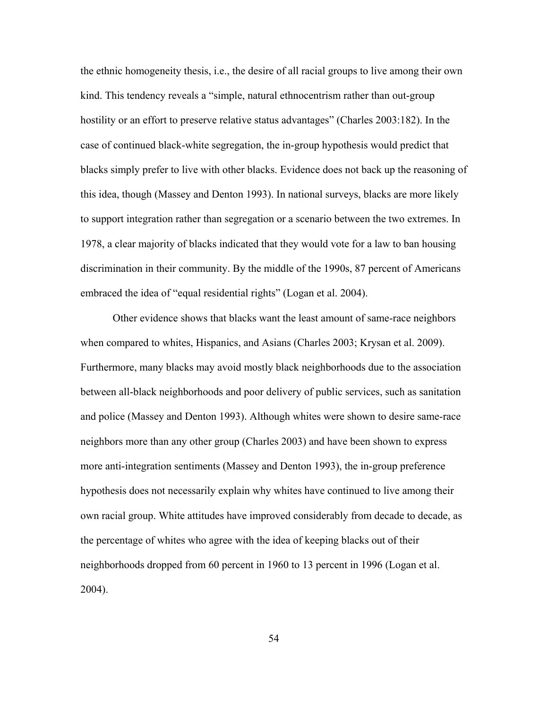the ethnic homogeneity thesis, i.e., the desire of all racial groups to live among their own kind. This tendency reveals a "simple, natural ethnocentrism rather than out-group hostility or an effort to preserve relative status advantages" (Charles 2003:182). In the case of continued black-white segregation, the in-group hypothesis would predict that blacks simply prefer to live with other blacks. Evidence does not back up the reasoning of this idea, though (Massey and Denton 1993). In national surveys, blacks are more likely to support integration rather than segregation or a scenario between the two extremes. In 1978, a clear majority of blacks indicated that they would vote for a law to ban housing discrimination in their community. By the middle of the 1990s, 87 percent of Americans embraced the idea of "equal residential rights" (Logan et al. 2004).

Other evidence shows that blacks want the least amount of same-race neighbors when compared to whites, Hispanics, and Asians (Charles 2003; Krysan et al. 2009). Furthermore, many blacks may avoid mostly black neighborhoods due to the association between all-black neighborhoods and poor delivery of public services, such as sanitation and police (Massey and Denton 1993). Although whites were shown to desire same-race neighbors more than any other group (Charles 2003) and have been shown to express more anti-integration sentiments (Massey and Denton 1993), the in-group preference hypothesis does not necessarily explain why whites have continued to live among their own racial group. White attitudes have improved considerably from decade to decade, as the percentage of whites who agree with the idea of keeping blacks out of their neighborhoods dropped from 60 percent in 1960 to 13 percent in 1996 (Logan et al. 2004).

54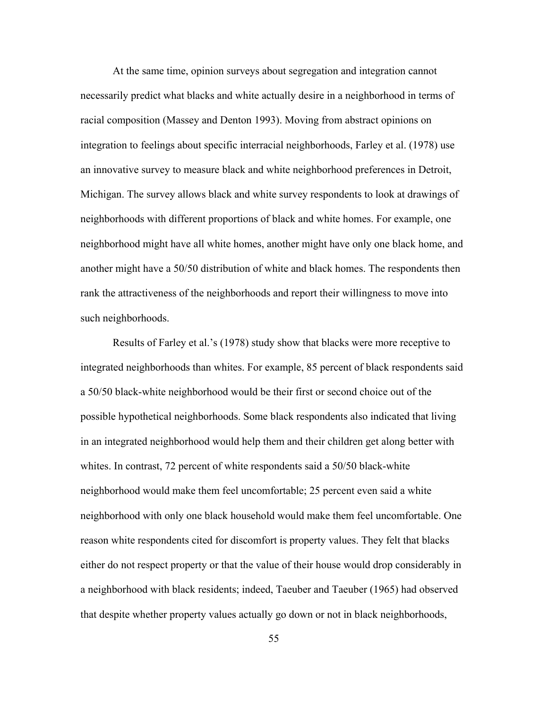At the same time, opinion surveys about segregation and integration cannot necessarily predict what blacks and white actually desire in a neighborhood in terms of racial composition (Massey and Denton 1993). Moving from abstract opinions on integration to feelings about specific interracial neighborhoods, Farley et al. (1978) use an innovative survey to measure black and white neighborhood preferences in Detroit, Michigan. The survey allows black and white survey respondents to look at drawings of neighborhoods with different proportions of black and white homes. For example, one neighborhood might have all white homes, another might have only one black home, and another might have a 50/50 distribution of white and black homes. The respondents then rank the attractiveness of the neighborhoods and report their willingness to move into such neighborhoods.

Results of Farley et al.'s (1978) study show that blacks were more receptive to integrated neighborhoods than whites. For example, 85 percent of black respondents said a 50/50 black-white neighborhood would be their first or second choice out of the possible hypothetical neighborhoods. Some black respondents also indicated that living in an integrated neighborhood would help them and their children get along better with whites. In contrast, 72 percent of white respondents said a 50/50 black-white neighborhood would make them feel uncomfortable; 25 percent even said a white neighborhood with only one black household would make them feel uncomfortable. One reason white respondents cited for discomfort is property values. They felt that blacks either do not respect property or that the value of their house would drop considerably in a neighborhood with black residents; indeed, Taeuber and Taeuber (1965) had observed that despite whether property values actually go down or not in black neighborhoods,

55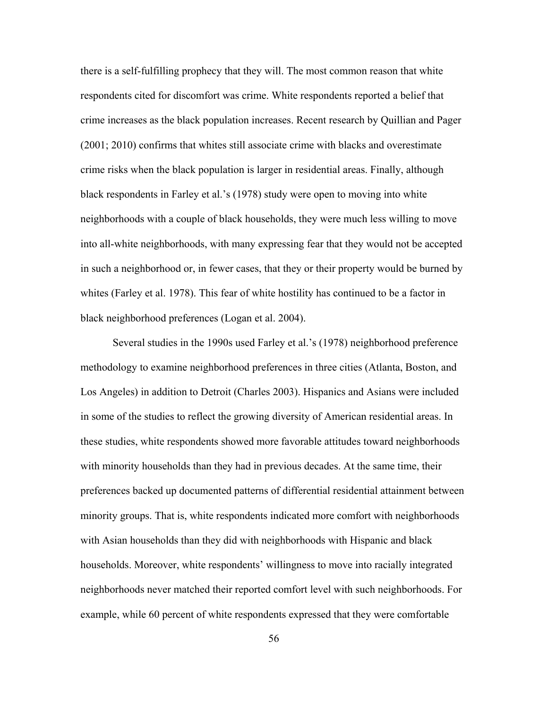there is a self-fulfilling prophecy that they will. The most common reason that white respondents cited for discomfort was crime. White respondents reported a belief that crime increases as the black population increases. Recent research by Quillian and Pager (2001; 2010) confirms that whites still associate crime with blacks and overestimate crime risks when the black population is larger in residential areas. Finally, although black respondents in Farley et al.'s (1978) study were open to moving into white neighborhoods with a couple of black households, they were much less willing to move into all-white neighborhoods, with many expressing fear that they would not be accepted in such a neighborhood or, in fewer cases, that they or their property would be burned by whites (Farley et al. 1978). This fear of white hostility has continued to be a factor in black neighborhood preferences (Logan et al. 2004).

Several studies in the 1990s used Farley et al.'s (1978) neighborhood preference methodology to examine neighborhood preferences in three cities (Atlanta, Boston, and Los Angeles) in addition to Detroit (Charles 2003). Hispanics and Asians were included in some of the studies to reflect the growing diversity of American residential areas. In these studies, white respondents showed more favorable attitudes toward neighborhoods with minority households than they had in previous decades. At the same time, their preferences backed up documented patterns of differential residential attainment between minority groups. That is, white respondents indicated more comfort with neighborhoods with Asian households than they did with neighborhoods with Hispanic and black households. Moreover, white respondents' willingness to move into racially integrated neighborhoods never matched their reported comfort level with such neighborhoods. For example, while 60 percent of white respondents expressed that they were comfortable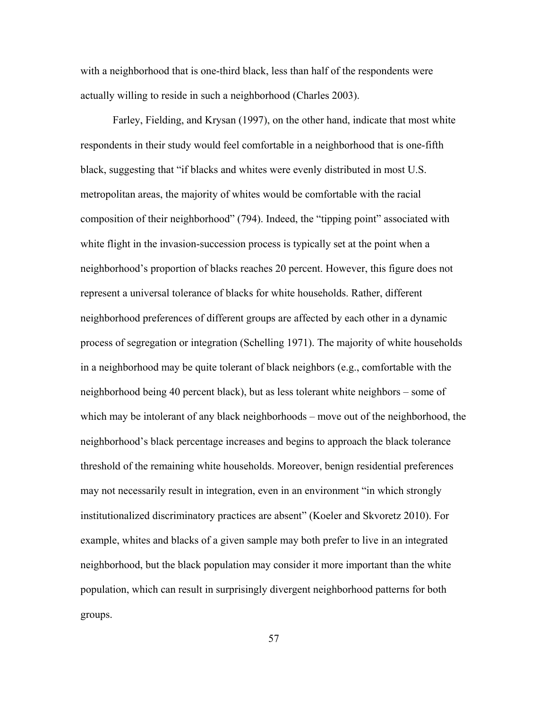with a neighborhood that is one-third black, less than half of the respondents were actually willing to reside in such a neighborhood (Charles 2003).

Farley, Fielding, and Krysan (1997), on the other hand, indicate that most white respondents in their study would feel comfortable in a neighborhood that is one-fifth black, suggesting that "if blacks and whites were evenly distributed in most U.S. metropolitan areas, the majority of whites would be comfortable with the racial composition of their neighborhood" (794). Indeed, the "tipping point" associated with white flight in the invasion-succession process is typically set at the point when a neighborhood's proportion of blacks reaches 20 percent. However, this figure does not represent a universal tolerance of blacks for white households. Rather, different neighborhood preferences of different groups are affected by each other in a dynamic process of segregation or integration (Schelling 1971). The majority of white households in a neighborhood may be quite tolerant of black neighbors (e.g., comfortable with the neighborhood being 40 percent black), but as less tolerant white neighbors – some of which may be intolerant of any black neighborhoods – move out of the neighborhood, the neighborhood's black percentage increases and begins to approach the black tolerance threshold of the remaining white households. Moreover, benign residential preferences may not necessarily result in integration, even in an environment "in which strongly institutionalized discriminatory practices are absent" (Koeler and Skvoretz 2010). For example, whites and blacks of a given sample may both prefer to live in an integrated neighborhood, but the black population may consider it more important than the white population, which can result in surprisingly divergent neighborhood patterns for both groups.

57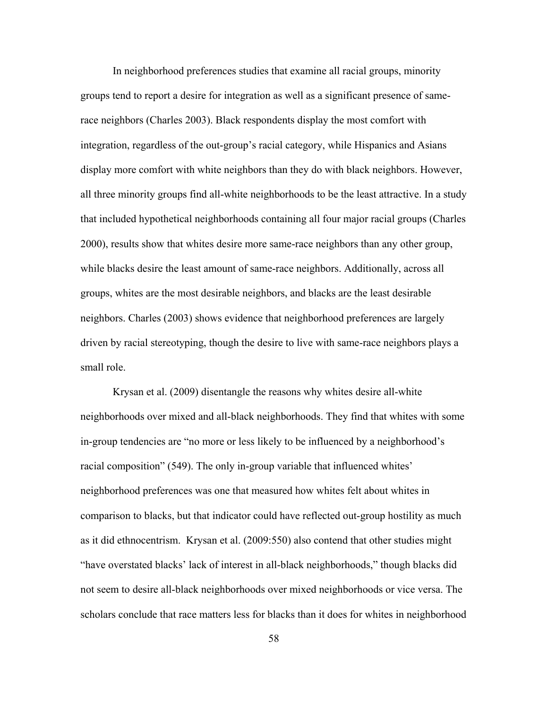In neighborhood preferences studies that examine all racial groups, minority groups tend to report a desire for integration as well as a significant presence of samerace neighbors (Charles 2003). Black respondents display the most comfort with integration, regardless of the out-group's racial category, while Hispanics and Asians display more comfort with white neighbors than they do with black neighbors. However, all three minority groups find all-white neighborhoods to be the least attractive. In a study that included hypothetical neighborhoods containing all four major racial groups (Charles 2000), results show that whites desire more same-race neighbors than any other group, while blacks desire the least amount of same-race neighbors. Additionally, across all groups, whites are the most desirable neighbors, and blacks are the least desirable neighbors. Charles (2003) shows evidence that neighborhood preferences are largely driven by racial stereotyping, though the desire to live with same-race neighbors plays a small role.

Krysan et al. (2009) disentangle the reasons why whites desire all-white neighborhoods over mixed and all-black neighborhoods. They find that whites with some in-group tendencies are "no more or less likely to be influenced by a neighborhood's racial composition" (549). The only in-group variable that influenced whites' neighborhood preferences was one that measured how whites felt about whites in comparison to blacks, but that indicator could have reflected out-group hostility as much as it did ethnocentrism. Krysan et al. (2009:550) also contend that other studies might "have overstated blacks' lack of interest in all-black neighborhoods," though blacks did not seem to desire all-black neighborhoods over mixed neighborhoods or vice versa. The scholars conclude that race matters less for blacks than it does for whites in neighborhood

58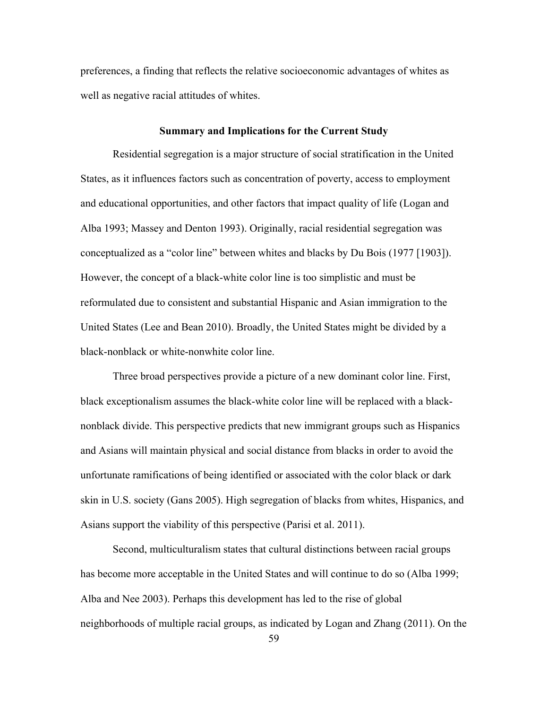preferences, a finding that reflects the relative socioeconomic advantages of whites as well as negative racial attitudes of whites.

#### **Summary and Implications for the Current Study**

Residential segregation is a major structure of social stratification in the United States, as it influences factors such as concentration of poverty, access to employment and educational opportunities, and other factors that impact quality of life (Logan and Alba 1993; Massey and Denton 1993). Originally, racial residential segregation was conceptualized as a "color line" between whites and blacks by Du Bois (1977 [1903]). However, the concept of a black-white color line is too simplistic and must be reformulated due to consistent and substantial Hispanic and Asian immigration to the United States (Lee and Bean 2010). Broadly, the United States might be divided by a black-nonblack or white-nonwhite color line.

Three broad perspectives provide a picture of a new dominant color line. First, black exceptionalism assumes the black-white color line will be replaced with a blacknonblack divide. This perspective predicts that new immigrant groups such as Hispanics and Asians will maintain physical and social distance from blacks in order to avoid the unfortunate ramifications of being identified or associated with the color black or dark skin in U.S. society (Gans 2005). High segregation of blacks from whites, Hispanics, and Asians support the viability of this perspective (Parisi et al. 2011).

Second, multiculturalism states that cultural distinctions between racial groups has become more acceptable in the United States and will continue to do so (Alba 1999; Alba and Nee 2003). Perhaps this development has led to the rise of global neighborhoods of multiple racial groups, as indicated by Logan and Zhang (2011). On the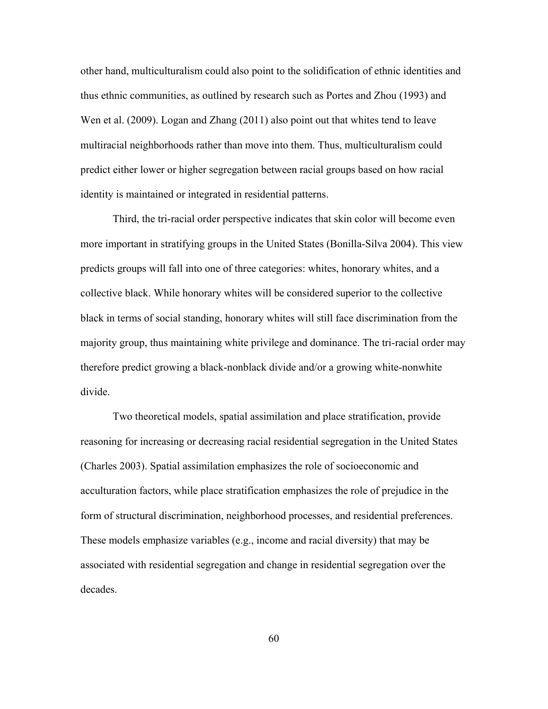other hand, multiculturalism could also point to the solidification of ethnic identities and thus ethnic communities, as outlined by research such as Portes and Zhou (1993) and Wen et al. (2009). Logan and Zhang (2011) also point out that whites tend to leave multiracial neighborhoods rather than move into them. Thus, multiculturalism could predict either lower or higher segregation between racial groups based on how racial identity is maintained or integrated in residential patterns.

Third, the tri-racial order perspective indicates that skin color will become even more important in stratifying groups in the United States (Bonilla-Silva 2004). This view predicts groups will fall into one of three categories: whites, honorary whites, and a collective black. While honorary whites will be considered superior to the collective black in terms of social standing, honorary whites will still face discrimination from the majority group, thus maintaining white privilege and dominance. The tri-racial order may therefore predict growing a black-nonblack divide and/or a growing white-nonwhite divide.

Two theoretical models, spatial assimilation and place stratification, provide reasoning for increasing or decreasing racial residential segregation in the United States (Charles 2003). Spatial assimilation emphasizes the role of socioeconomic and acculturation factors, while place stratification emphasizes the role of prejudice in the form of structural discrimination, neighborhood processes, and residential preferences. These models emphasize variables (e.g., income and racial diversity) that may be associated with residential segregation and change in residential segregation over the decades.

60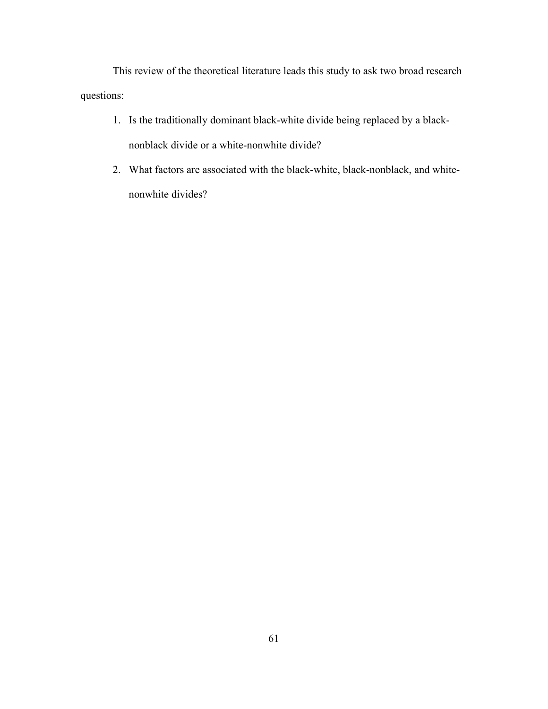This review of the theoretical literature leads this study to ask two broad research questions:

- 1. Is the traditionally dominant black-white divide being replaced by a blacknonblack divide or a white-nonwhite divide?
- 2. What factors are associated with the black-white, black-nonblack, and whitenonwhite divides?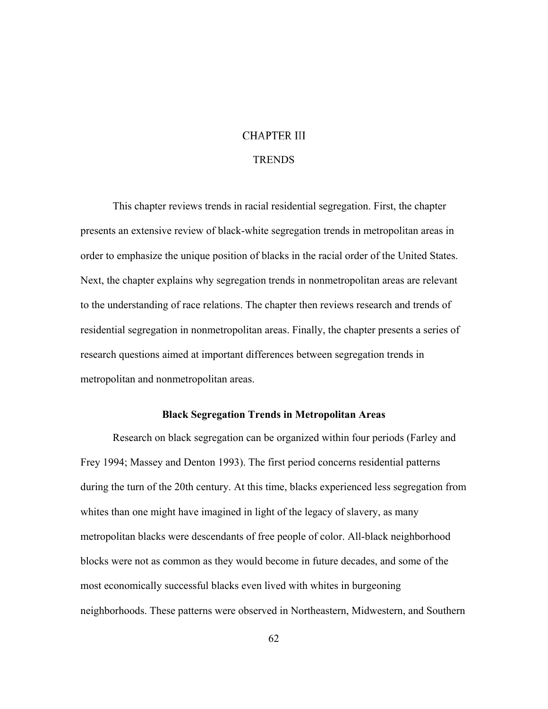# **CHAPTER III**

### TRENDS

This chapter reviews trends in racial residential segregation. First, the chapter presents an extensive review of black-white segregation trends in metropolitan areas in order to emphasize the unique position of blacks in the racial order of the United States. Next, the chapter explains why segregation trends in nonmetropolitan areas are relevant to the understanding of race relations. The chapter then reviews research and trends of residential segregation in nonmetropolitan areas. Finally, the chapter presents a series of research questions aimed at important differences between segregation trends in metropolitan and nonmetropolitan areas.

# **Black Segregation Trends in Metropolitan Areas**

Research on black segregation can be organized within four periods (Farley and Frey 1994; Massey and Denton 1993). The first period concerns residential patterns during the turn of the 20th century. At this time, blacks experienced less segregation from whites than one might have imagined in light of the legacy of slavery, as many metropolitan blacks were descendants of free people of color. All-black neighborhood blocks were not as common as they would become in future decades, and some of the most economically successful blacks even lived with whites in burgeoning neighborhoods. These patterns were observed in Northeastern, Midwestern, and Southern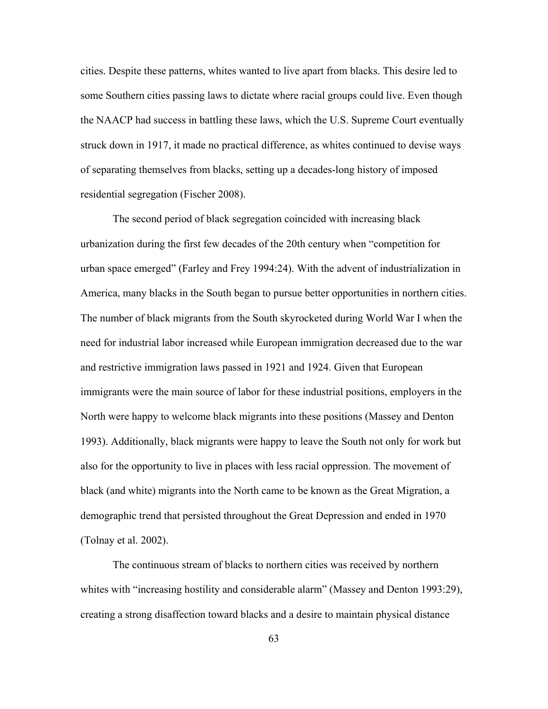cities. Despite these patterns, whites wanted to live apart from blacks. This desire led to some Southern cities passing laws to dictate where racial groups could live. Even though the NAACP had success in battling these laws, which the U.S. Supreme Court eventually struck down in 1917, it made no practical difference, as whites continued to devise ways of separating themselves from blacks, setting up a decades-long history of imposed residential segregation (Fischer 2008).

The second period of black segregation coincided with increasing black urbanization during the first few decades of the 20th century when "competition for urban space emerged" (Farley and Frey 1994:24). With the advent of industrialization in America, many blacks in the South began to pursue better opportunities in northern cities. The number of black migrants from the South skyrocketed during World War I when the need for industrial labor increased while European immigration decreased due to the war and restrictive immigration laws passed in 1921 and 1924. Given that European immigrants were the main source of labor for these industrial positions, employers in the North were happy to welcome black migrants into these positions (Massey and Denton 1993). Additionally, black migrants were happy to leave the South not only for work but also for the opportunity to live in places with less racial oppression. The movement of black (and white) migrants into the North came to be known as the Great Migration, a demographic trend that persisted throughout the Great Depression and ended in 1970 (Tolnay et al. 2002).

The continuous stream of blacks to northern cities was received by northern whites with "increasing hostility and considerable alarm" (Massey and Denton 1993:29), creating a strong disaffection toward blacks and a desire to maintain physical distance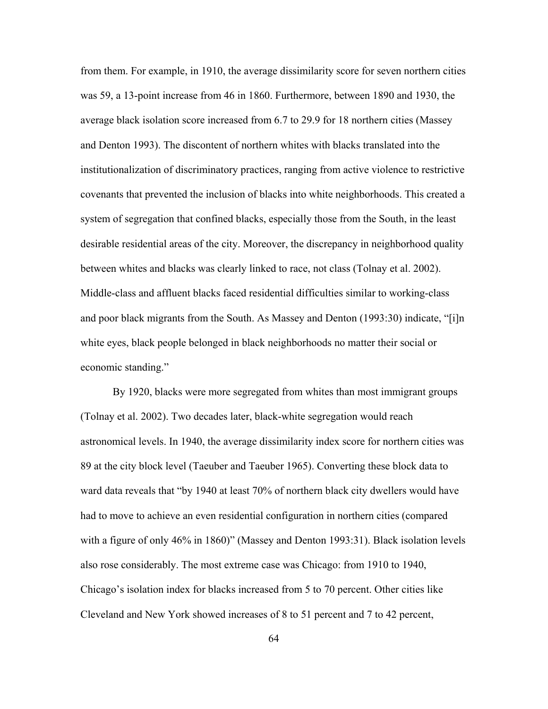from them. For example, in 1910, the average dissimilarity score for seven northern cities was 59, a 13-point increase from 46 in 1860. Furthermore, between 1890 and 1930, the average black isolation score increased from 6.7 to 29.9 for 18 northern cities (Massey and Denton 1993). The discontent of northern whites with blacks translated into the institutionalization of discriminatory practices, ranging from active violence to restrictive covenants that prevented the inclusion of blacks into white neighborhoods. This created a system of segregation that confined blacks, especially those from the South, in the least desirable residential areas of the city. Moreover, the discrepancy in neighborhood quality between whites and blacks was clearly linked to race, not class (Tolnay et al. 2002). Middle-class and affluent blacks faced residential difficulties similar to working-class and poor black migrants from the South. As Massey and Denton (1993:30) indicate, "[i]n white eyes, black people belonged in black neighborhoods no matter their social or economic standing."

By 1920, blacks were more segregated from whites than most immigrant groups (Tolnay et al. 2002). Two decades later, black-white segregation would reach astronomical levels. In 1940, the average dissimilarity index score for northern cities was 89 at the city block level (Taeuber and Taeuber 1965). Converting these block data to ward data reveals that "by 1940 at least 70% of northern black city dwellers would have had to move to achieve an even residential configuration in northern cities (compared with a figure of only 46% in 1860)" (Massey and Denton 1993:31). Black isolation levels also rose considerably. The most extreme case was Chicago: from 1910 to 1940, Chicago's isolation index for blacks increased from 5 to 70 percent. Other cities like Cleveland and New York showed increases of 8 to 51 percent and 7 to 42 percent,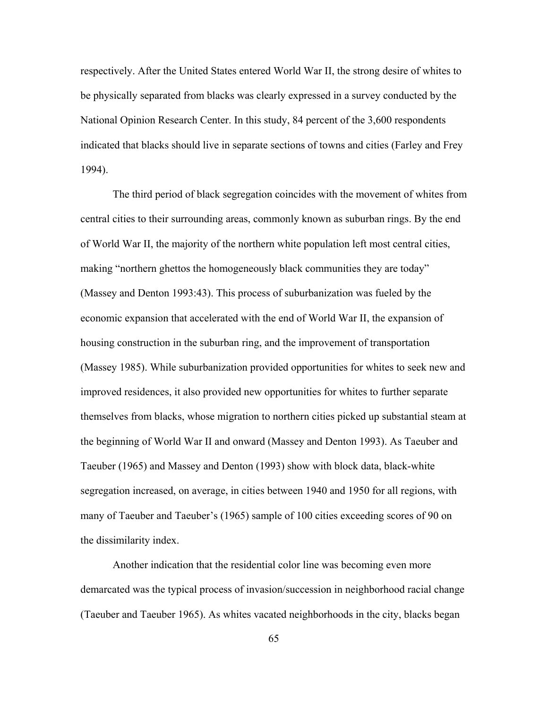respectively. After the United States entered World War II, the strong desire of whites to be physically separated from blacks was clearly expressed in a survey conducted by the National Opinion Research Center. In this study, 84 percent of the 3,600 respondents indicated that blacks should live in separate sections of towns and cities (Farley and Frey 1994).

The third period of black segregation coincides with the movement of whites from central cities to their surrounding areas, commonly known as suburban rings. By the end of World War II, the majority of the northern white population left most central cities, making "northern ghettos the homogeneously black communities they are today" (Massey and Denton 1993:43). This process of suburbanization was fueled by the economic expansion that accelerated with the end of World War II, the expansion of housing construction in the suburban ring, and the improvement of transportation (Massey 1985). While suburbanization provided opportunities for whites to seek new and improved residences, it also provided new opportunities for whites to further separate themselves from blacks, whose migration to northern cities picked up substantial steam at the beginning of World War II and onward (Massey and Denton 1993). As Taeuber and Taeuber (1965) and Massey and Denton (1993) show with block data, black-white segregation increased, on average, in cities between 1940 and 1950 for all regions, with many of Taeuber and Taeuber's (1965) sample of 100 cities exceeding scores of 90 on the dissimilarity index.

Another indication that the residential color line was becoming even more demarcated was the typical process of invasion/succession in neighborhood racial change (Taeuber and Taeuber 1965). As whites vacated neighborhoods in the city, blacks began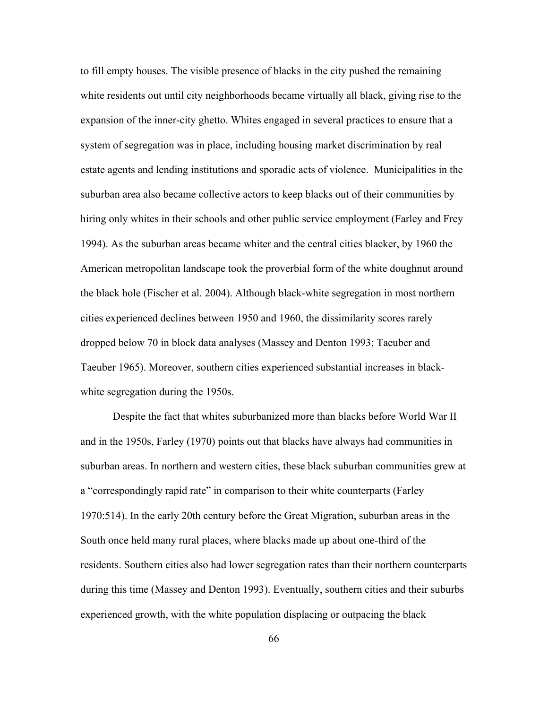to fill empty houses. The visible presence of blacks in the city pushed the remaining white residents out until city neighborhoods became virtually all black, giving rise to the expansion of the inner-city ghetto. Whites engaged in several practices to ensure that a system of segregation was in place, including housing market discrimination by real estate agents and lending institutions and sporadic acts of violence. Municipalities in the suburban area also became collective actors to keep blacks out of their communities by hiring only whites in their schools and other public service employment (Farley and Frey 1994). As the suburban areas became whiter and the central cities blacker, by 1960 the American metropolitan landscape took the proverbial form of the white doughnut around the black hole (Fischer et al. 2004). Although black-white segregation in most northern cities experienced declines between 1950 and 1960, the dissimilarity scores rarely dropped below 70 in block data analyses (Massey and Denton 1993; Taeuber and Taeuber 1965). Moreover, southern cities experienced substantial increases in blackwhite segregation during the 1950s.

Despite the fact that whites suburbanized more than blacks before World War II and in the 1950s, Farley (1970) points out that blacks have always had communities in suburban areas. In northern and western cities, these black suburban communities grew at a "correspondingly rapid rate" in comparison to their white counterparts (Farley 1970:514). In the early 20th century before the Great Migration, suburban areas in the South once held many rural places, where blacks made up about one-third of the residents. Southern cities also had lower segregation rates than their northern counterparts during this time (Massey and Denton 1993). Eventually, southern cities and their suburbs experienced growth, with the white population displacing or outpacing the black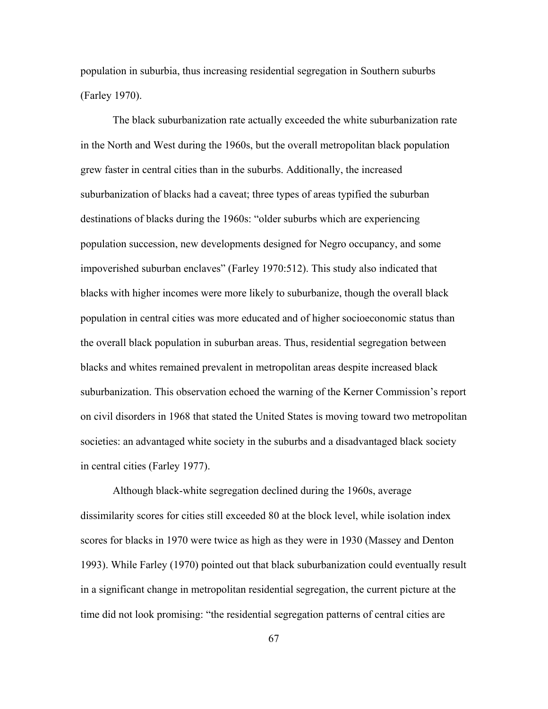population in suburbia, thus increasing residential segregation in Southern suburbs (Farley 1970).

The black suburbanization rate actually exceeded the white suburbanization rate in the North and West during the 1960s, but the overall metropolitan black population grew faster in central cities than in the suburbs. Additionally, the increased suburbanization of blacks had a caveat; three types of areas typified the suburban destinations of blacks during the 1960s: "older suburbs which are experiencing population succession, new developments designed for Negro occupancy, and some impoverished suburban enclaves" (Farley 1970:512). This study also indicated that blacks with higher incomes were more likely to suburbanize, though the overall black population in central cities was more educated and of higher socioeconomic status than the overall black population in suburban areas. Thus, residential segregation between blacks and whites remained prevalent in metropolitan areas despite increased black suburbanization. This observation echoed the warning of the Kerner Commission's report on civil disorders in 1968 that stated the United States is moving toward two metropolitan societies: an advantaged white society in the suburbs and a disadvantaged black society in central cities (Farley 1977).

Although black-white segregation declined during the 1960s, average dissimilarity scores for cities still exceeded 80 at the block level, while isolation index scores for blacks in 1970 were twice as high as they were in 1930 (Massey and Denton 1993). While Farley (1970) pointed out that black suburbanization could eventually result in a significant change in metropolitan residential segregation, the current picture at the time did not look promising: "the residential segregation patterns of central cities are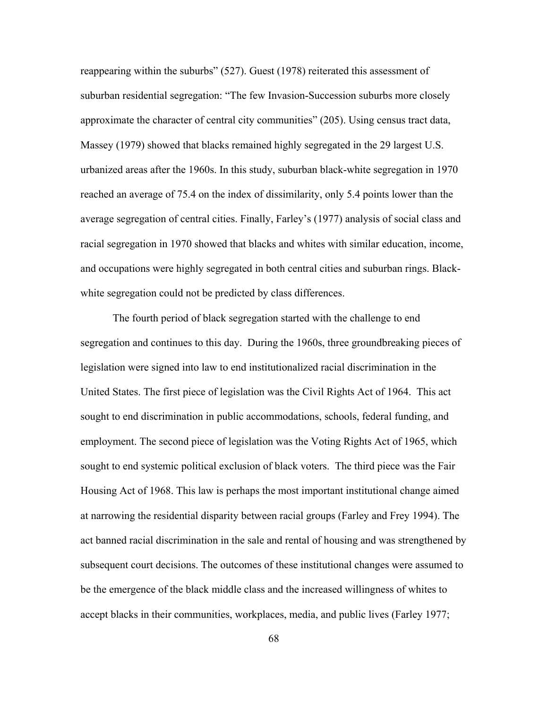reappearing within the suburbs" (527). Guest (1978) reiterated this assessment of suburban residential segregation: "The few Invasion-Succession suburbs more closely approximate the character of central city communities" (205). Using census tract data, Massey (1979) showed that blacks remained highly segregated in the 29 largest U.S. urbanized areas after the 1960s. In this study, suburban black-white segregation in 1970 reached an average of 75.4 on the index of dissimilarity, only 5.4 points lower than the average segregation of central cities. Finally, Farley's (1977) analysis of social class and racial segregation in 1970 showed that blacks and whites with similar education, income, and occupations were highly segregated in both central cities and suburban rings. Blackwhite segregation could not be predicted by class differences.

The fourth period of black segregation started with the challenge to end segregation and continues to this day. During the 1960s, three groundbreaking pieces of legislation were signed into law to end institutionalized racial discrimination in the United States. The first piece of legislation was the Civil Rights Act of 1964. This act sought to end discrimination in public accommodations, schools, federal funding, and employment. The second piece of legislation was the Voting Rights Act of 1965, which sought to end systemic political exclusion of black voters. The third piece was the Fair Housing Act of 1968. This law is perhaps the most important institutional change aimed at narrowing the residential disparity between racial groups (Farley and Frey 1994). The act banned racial discrimination in the sale and rental of housing and was strengthened by subsequent court decisions. The outcomes of these institutional changes were assumed to be the emergence of the black middle class and the increased willingness of whites to accept blacks in their communities, workplaces, media, and public lives (Farley 1977;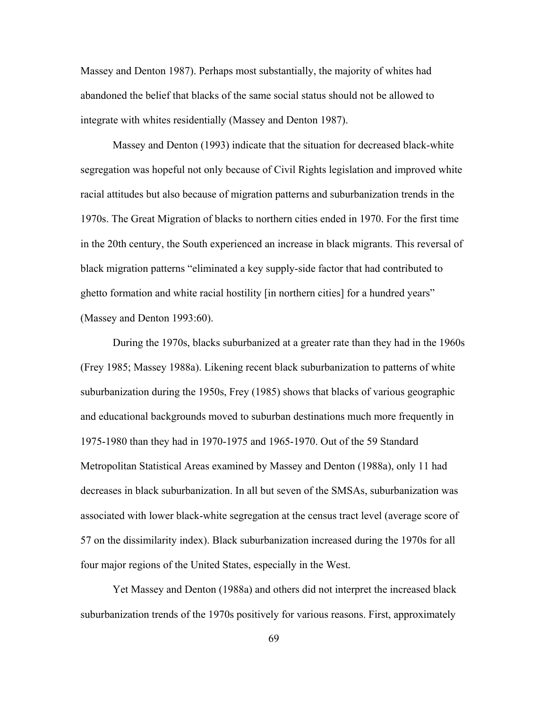Massey and Denton 1987). Perhaps most substantially, the majority of whites had abandoned the belief that blacks of the same social status should not be allowed to integrate with whites residentially (Massey and Denton 1987).

Massey and Denton (1993) indicate that the situation for decreased black-white segregation was hopeful not only because of Civil Rights legislation and improved white racial attitudes but also because of migration patterns and suburbanization trends in the 1970s. The Great Migration of blacks to northern cities ended in 1970. For the first time in the 20th century, the South experienced an increase in black migrants. This reversal of black migration patterns "eliminated a key supply-side factor that had contributed to ghetto formation and white racial hostility [in northern cities] for a hundred years" (Massey and Denton 1993:60).

During the 1970s, blacks suburbanized at a greater rate than they had in the 1960s (Frey 1985; Massey 1988a). Likening recent black suburbanization to patterns of white suburbanization during the 1950s, Frey (1985) shows that blacks of various geographic and educational backgrounds moved to suburban destinations much more frequently in 1975-1980 than they had in 1970-1975 and 1965-1970. Out of the 59 Standard Metropolitan Statistical Areas examined by Massey and Denton (1988a), only 11 had decreases in black suburbanization. In all but seven of the SMSAs, suburbanization was associated with lower black-white segregation at the census tract level (average score of 57 on the dissimilarity index). Black suburbanization increased during the 1970s for all four major regions of the United States, especially in the West.

Yet Massey and Denton (1988a) and others did not interpret the increased black suburbanization trends of the 1970s positively for various reasons. First, approximately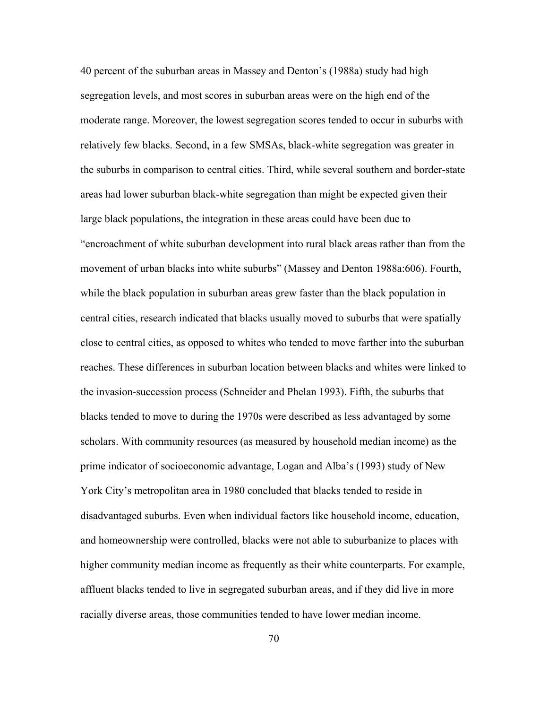40 percent of the suburban areas in Massey and Denton's (1988a) study had high segregation levels, and most scores in suburban areas were on the high end of the moderate range. Moreover, the lowest segregation scores tended to occur in suburbs with relatively few blacks. Second, in a few SMSAs, black-white segregation was greater in the suburbs in comparison to central cities. Third, while several southern and border-state areas had lower suburban black-white segregation than might be expected given their large black populations, the integration in these areas could have been due to "encroachment of white suburban development into rural black areas rather than from the movement of urban blacks into white suburbs" (Massey and Denton 1988a:606). Fourth, while the black population in suburban areas grew faster than the black population in central cities, research indicated that blacks usually moved to suburbs that were spatially close to central cities, as opposed to whites who tended to move farther into the suburban reaches. These differences in suburban location between blacks and whites were linked to the invasion-succession process (Schneider and Phelan 1993). Fifth, the suburbs that blacks tended to move to during the 1970s were described as less advantaged by some scholars. With community resources (as measured by household median income) as the prime indicator of socioeconomic advantage, Logan and Alba's (1993) study of New York City's metropolitan area in 1980 concluded that blacks tended to reside in disadvantaged suburbs. Even when individual factors like household income, education, and homeownership were controlled, blacks were not able to suburbanize to places with higher community median income as frequently as their white counterparts. For example, affluent blacks tended to live in segregated suburban areas, and if they did live in more racially diverse areas, those communities tended to have lower median income.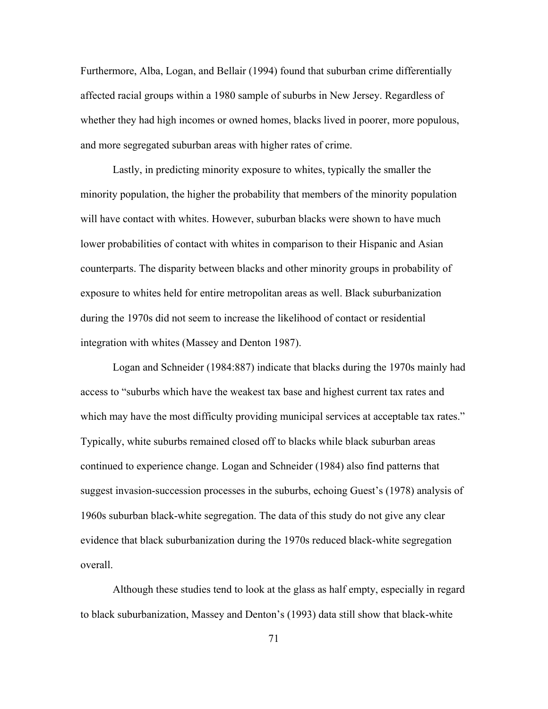Furthermore, Alba, Logan, and Bellair (1994) found that suburban crime differentially affected racial groups within a 1980 sample of suburbs in New Jersey. Regardless of whether they had high incomes or owned homes, blacks lived in poorer, more populous, and more segregated suburban areas with higher rates of crime.

Lastly, in predicting minority exposure to whites, typically the smaller the minority population, the higher the probability that members of the minority population will have contact with whites. However, suburban blacks were shown to have much lower probabilities of contact with whites in comparison to their Hispanic and Asian counterparts. The disparity between blacks and other minority groups in probability of exposure to whites held for entire metropolitan areas as well. Black suburbanization during the 1970s did not seem to increase the likelihood of contact or residential integration with whites (Massey and Denton 1987).

Logan and Schneider (1984:887) indicate that blacks during the 1970s mainly had access to "suburbs which have the weakest tax base and highest current tax rates and which may have the most difficulty providing municipal services at acceptable tax rates." Typically, white suburbs remained closed off to blacks while black suburban areas continued to experience change. Logan and Schneider (1984) also find patterns that suggest invasion-succession processes in the suburbs, echoing Guest's (1978) analysis of 1960s suburban black-white segregation. The data of this study do not give any clear evidence that black suburbanization during the 1970s reduced black-white segregation overall.

Although these studies tend to look at the glass as half empty, especially in regard to black suburbanization, Massey and Denton's (1993) data still show that black-white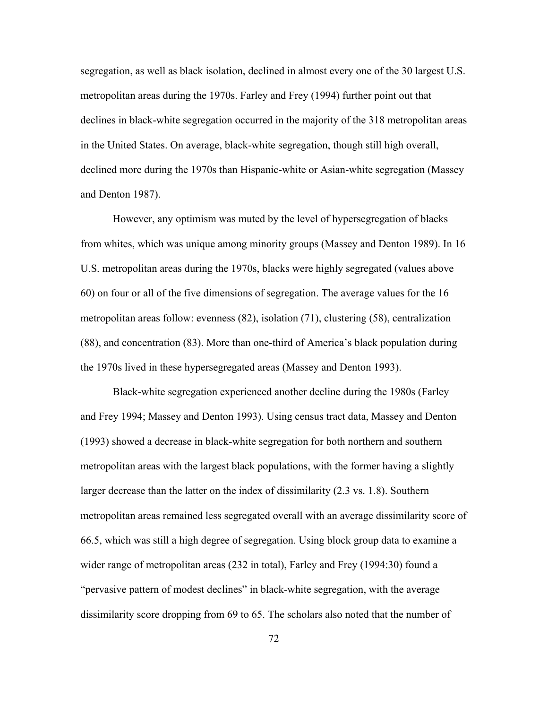segregation, as well as black isolation, declined in almost every one of the 30 largest U.S. metropolitan areas during the 1970s. Farley and Frey (1994) further point out that declines in black-white segregation occurred in the majority of the 318 metropolitan areas in the United States. On average, black-white segregation, though still high overall, declined more during the 1970s than Hispanic-white or Asian-white segregation (Massey and Denton 1987).

However, any optimism was muted by the level of hypersegregation of blacks from whites, which was unique among minority groups (Massey and Denton 1989). In 16 U.S. metropolitan areas during the 1970s, blacks were highly segregated (values above 60) on four or all of the five dimensions of segregation. The average values for the 16 metropolitan areas follow: evenness (82), isolation (71), clustering (58), centralization (88), and concentration (83). More than one-third of America's black population during the 1970s lived in these hypersegregated areas (Massey and Denton 1993).

Black-white segregation experienced another decline during the 1980s (Farley and Frey 1994; Massey and Denton 1993). Using census tract data, Massey and Denton (1993) showed a decrease in black-white segregation for both northern and southern metropolitan areas with the largest black populations, with the former having a slightly larger decrease than the latter on the index of dissimilarity (2.3 vs. 1.8). Southern metropolitan areas remained less segregated overall with an average dissimilarity score of 66.5, which was still a high degree of segregation. Using block group data to examine a wider range of metropolitan areas (232 in total), Farley and Frey (1994:30) found a "pervasive pattern of modest declines" in black-white segregation, with the average dissimilarity score dropping from 69 to 65. The scholars also noted that the number of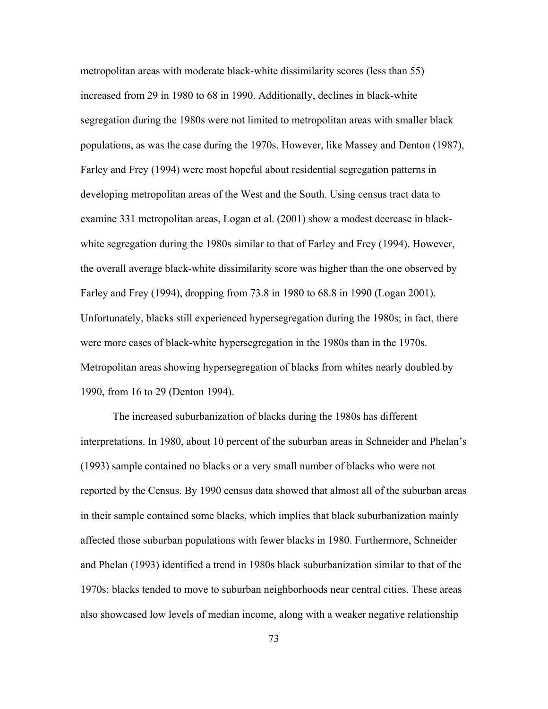metropolitan areas with moderate black-white dissimilarity scores (less than 55) increased from 29 in 1980 to 68 in 1990. Additionally, declines in black-white segregation during the 1980s were not limited to metropolitan areas with smaller black populations, as was the case during the 1970s. However, like Massey and Denton (1987), Farley and Frey (1994) were most hopeful about residential segregation patterns in developing metropolitan areas of the West and the South. Using census tract data to examine 331 metropolitan areas, Logan et al. (2001) show a modest decrease in blackwhite segregation during the 1980s similar to that of Farley and Frey (1994). However, the overall average black-white dissimilarity score was higher than the one observed by Farley and Frey (1994), dropping from 73.8 in 1980 to 68.8 in 1990 (Logan 2001). Unfortunately, blacks still experienced hypersegregation during the 1980s; in fact, there were more cases of black-white hypersegregation in the 1980s than in the 1970s. Metropolitan areas showing hypersegregation of blacks from whites nearly doubled by 1990, from 16 to 29 (Denton 1994).

The increased suburbanization of blacks during the 1980s has different interpretations. In 1980, about 10 percent of the suburban areas in Schneider and Phelan's (1993) sample contained no blacks or a very small number of blacks who were not reported by the Census. By 1990 census data showed that almost all of the suburban areas in their sample contained some blacks, which implies that black suburbanization mainly affected those suburban populations with fewer blacks in 1980. Furthermore, Schneider and Phelan (1993) identified a trend in 1980s black suburbanization similar to that of the 1970s: blacks tended to move to suburban neighborhoods near central cities. These areas also showcased low levels of median income, along with a weaker negative relationship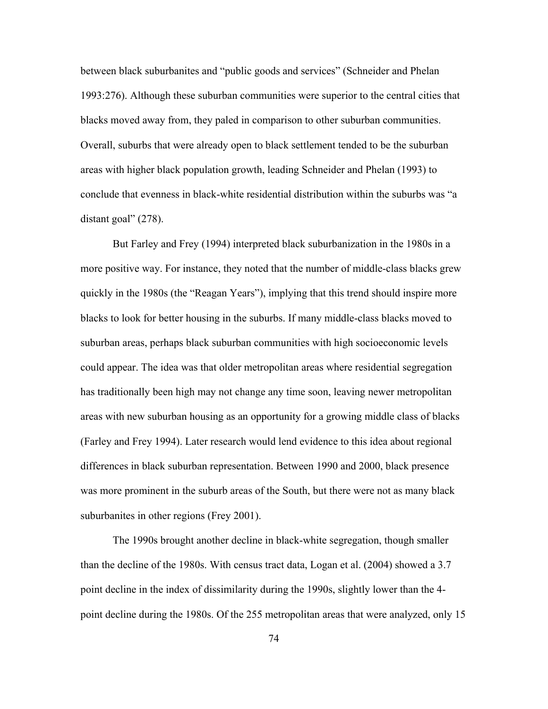between black suburbanites and "public goods and services" (Schneider and Phelan 1993:276). Although these suburban communities were superior to the central cities that blacks moved away from, they paled in comparison to other suburban communities. Overall, suburbs that were already open to black settlement tended to be the suburban areas with higher black population growth, leading Schneider and Phelan (1993) to conclude that evenness in black-white residential distribution within the suburbs was "a distant goal" (278).

But Farley and Frey (1994) interpreted black suburbanization in the 1980s in a more positive way. For instance, they noted that the number of middle-class blacks grew quickly in the 1980s (the "Reagan Years"), implying that this trend should inspire more blacks to look for better housing in the suburbs. If many middle-class blacks moved to suburban areas, perhaps black suburban communities with high socioeconomic levels could appear. The idea was that older metropolitan areas where residential segregation has traditionally been high may not change any time soon, leaving newer metropolitan areas with new suburban housing as an opportunity for a growing middle class of blacks (Farley and Frey 1994). Later research would lend evidence to this idea about regional differences in black suburban representation. Between 1990 and 2000, black presence was more prominent in the suburb areas of the South, but there were not as many black suburbanites in other regions (Frey 2001).

The 1990s brought another decline in black-white segregation, though smaller than the decline of the 1980s. With census tract data, Logan et al. (2004) showed a 3.7 point decline in the index of dissimilarity during the 1990s, slightly lower than the 4 point decline during the 1980s. Of the 255 metropolitan areas that were analyzed, only 15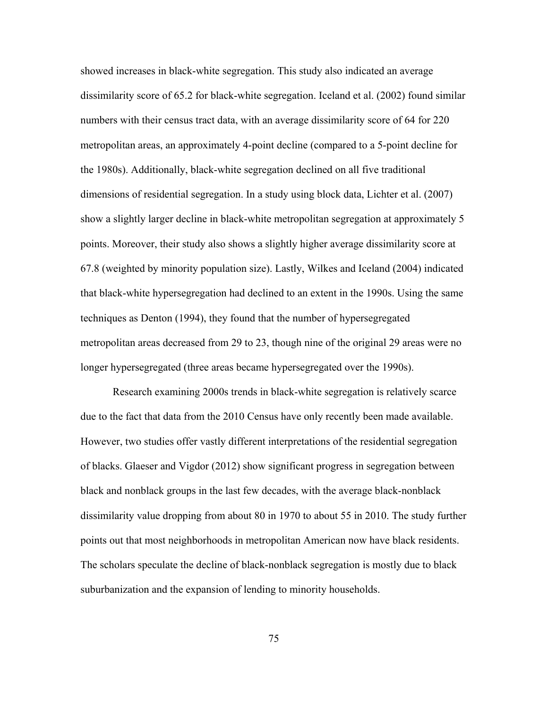showed increases in black-white segregation. This study also indicated an average dissimilarity score of 65.2 for black-white segregation. Iceland et al. (2002) found similar numbers with their census tract data, with an average dissimilarity score of 64 for 220 metropolitan areas, an approximately 4-point decline (compared to a 5-point decline for the 1980s). Additionally, black-white segregation declined on all five traditional dimensions of residential segregation. In a study using block data, Lichter et al. (2007) show a slightly larger decline in black-white metropolitan segregation at approximately 5 points. Moreover, their study also shows a slightly higher average dissimilarity score at 67.8 (weighted by minority population size). Lastly, Wilkes and Iceland (2004) indicated that black-white hypersegregation had declined to an extent in the 1990s. Using the same techniques as Denton (1994), they found that the number of hypersegregated metropolitan areas decreased from 29 to 23, though nine of the original 29 areas were no longer hypersegregated (three areas became hypersegregated over the 1990s).

Research examining 2000s trends in black-white segregation is relatively scarce due to the fact that data from the 2010 Census have only recently been made available. However, two studies offer vastly different interpretations of the residential segregation of blacks. Glaeser and Vigdor (2012) show significant progress in segregation between black and nonblack groups in the last few decades, with the average black-nonblack dissimilarity value dropping from about 80 in 1970 to about 55 in 2010. The study further points out that most neighborhoods in metropolitan American now have black residents. The scholars speculate the decline of black-nonblack segregation is mostly due to black suburbanization and the expansion of lending to minority households.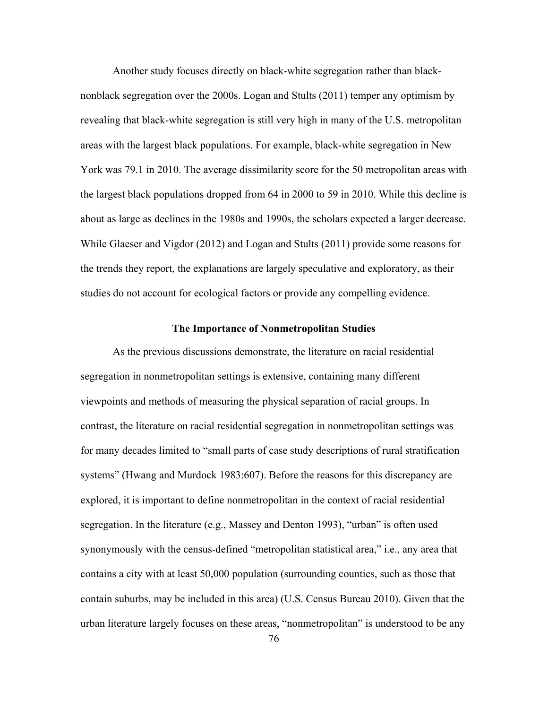Another study focuses directly on black-white segregation rather than blacknonblack segregation over the 2000s. Logan and Stults (2011) temper any optimism by revealing that black-white segregation is still very high in many of the U.S. metropolitan areas with the largest black populations. For example, black-white segregation in New York was 79.1 in 2010. The average dissimilarity score for the 50 metropolitan areas with the largest black populations dropped from 64 in 2000 to 59 in 2010. While this decline is about as large as declines in the 1980s and 1990s, the scholars expected a larger decrease. While Glaeser and Vigdor (2012) and Logan and Stults (2011) provide some reasons for the trends they report, the explanations are largely speculative and exploratory, as their studies do not account for ecological factors or provide any compelling evidence.

#### **The Importance of Nonmetropolitan Studies**

As the previous discussions demonstrate, the literature on racial residential segregation in nonmetropolitan settings is extensive, containing many different viewpoints and methods of measuring the physical separation of racial groups. In contrast, the literature on racial residential segregation in nonmetropolitan settings was for many decades limited to "small parts of case study descriptions of rural stratification systems" (Hwang and Murdock 1983:607). Before the reasons for this discrepancy are explored, it is important to define nonmetropolitan in the context of racial residential segregation. In the literature (e.g., Massey and Denton 1993), "urban" is often used synonymously with the census-defined "metropolitan statistical area," i.e., any area that contains a city with at least 50,000 population (surrounding counties, such as those that contain suburbs, may be included in this area) (U.S. Census Bureau 2010). Given that the urban literature largely focuses on these areas, "nonmetropolitan" is understood to be any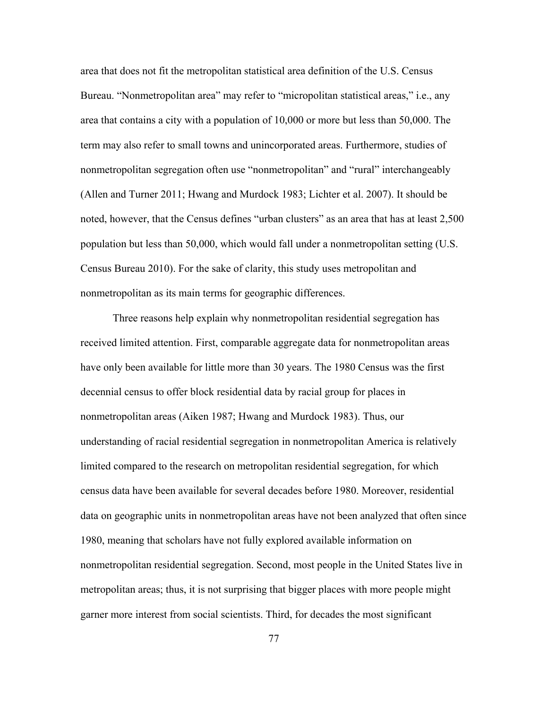area that does not fit the metropolitan statistical area definition of the U.S. Census Bureau. "Nonmetropolitan area" may refer to "micropolitan statistical areas," *i.e.*, any area that contains a city with a population of 10,000 or more but less than 50,000. The term may also refer to small towns and unincorporated areas. Furthermore, studies of nonmetropolitan segregation often use "nonmetropolitan" and "rural" interchangeably (Allen and Turner 2011; Hwang and Murdock 1983; Lichter et al. 2007). It should be noted, however, that the Census defines "urban clusters" as an area that has at least 2,500 population but less than 50,000, which would fall under a nonmetropolitan setting (U.S. Census Bureau 2010). For the sake of clarity, this study uses metropolitan and nonmetropolitan as its main terms for geographic differences.

Three reasons help explain why nonmetropolitan residential segregation has received limited attention. First, comparable aggregate data for nonmetropolitan areas have only been available for little more than 30 years. The 1980 Census was the first decennial census to offer block residential data by racial group for places in nonmetropolitan areas (Aiken 1987; Hwang and Murdock 1983). Thus, our understanding of racial residential segregation in nonmetropolitan America is relatively limited compared to the research on metropolitan residential segregation, for which census data have been available for several decades before 1980. Moreover, residential data on geographic units in nonmetropolitan areas have not been analyzed that often since 1980, meaning that scholars have not fully explored available information on nonmetropolitan residential segregation. Second, most people in the United States live in metropolitan areas; thus, it is not surprising that bigger places with more people might garner more interest from social scientists. Third, for decades the most significant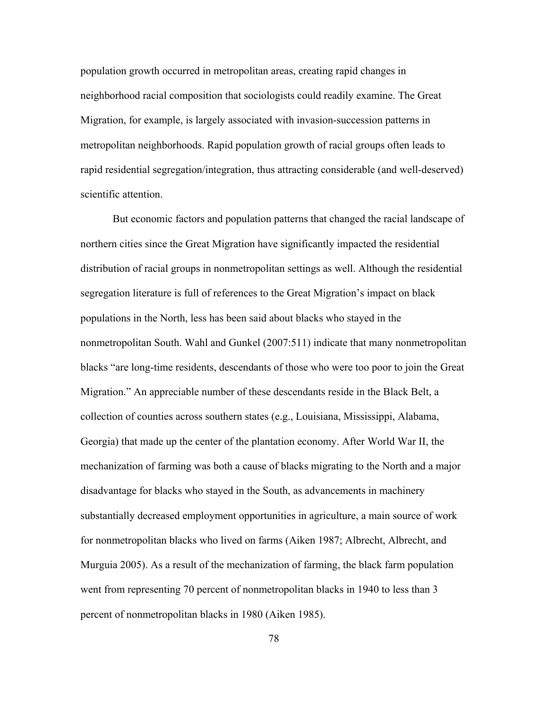population growth occurred in metropolitan areas, creating rapid changes in neighborhood racial composition that sociologists could readily examine. The Great Migration, for example, is largely associated with invasion-succession patterns in metropolitan neighborhoods. Rapid population growth of racial groups often leads to rapid residential segregation/integration, thus attracting considerable (and well-deserved) scientific attention.

But economic factors and population patterns that changed the racial landscape of northern cities since the Great Migration have significantly impacted the residential distribution of racial groups in nonmetropolitan settings as well. Although the residential segregation literature is full of references to the Great Migration's impact on black populations in the North, less has been said about blacks who stayed in the nonmetropolitan South. Wahl and Gunkel (2007:511) indicate that many nonmetropolitan blacks "are long-time residents, descendants of those who were too poor to join the Great Migration." An appreciable number of these descendants reside in the Black Belt, a collection of counties across southern states (e.g., Louisiana, Mississippi, Alabama, Georgia) that made up the center of the plantation economy. After World War II, the mechanization of farming was both a cause of blacks migrating to the North and a major disadvantage for blacks who stayed in the South, as advancements in machinery substantially decreased employment opportunities in agriculture, a main source of work for nonmetropolitan blacks who lived on farms (Aiken 1987; Albrecht, Albrecht, and Murguia 2005). As a result of the mechanization of farming, the black farm population went from representing 70 percent of nonmetropolitan blacks in 1940 to less than 3 percent of nonmetropolitan blacks in 1980 (Aiken 1985).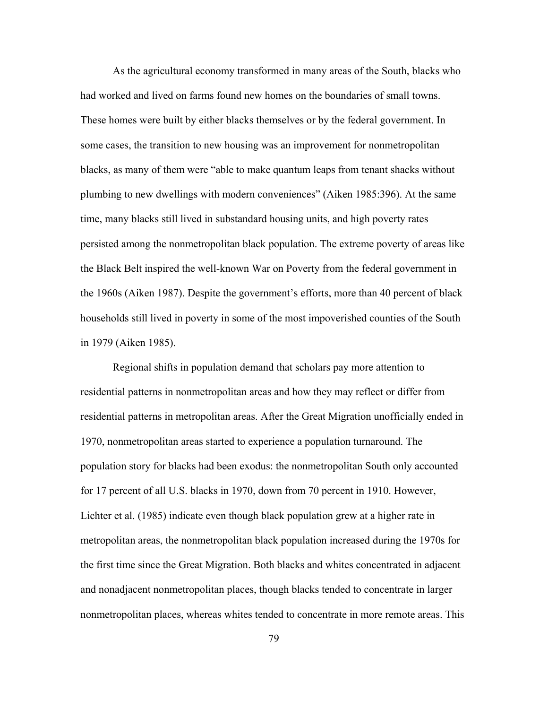As the agricultural economy transformed in many areas of the South, blacks who had worked and lived on farms found new homes on the boundaries of small towns. These homes were built by either blacks themselves or by the federal government. In some cases, the transition to new housing was an improvement for nonmetropolitan blacks, as many of them were "able to make quantum leaps from tenant shacks without plumbing to new dwellings with modern conveniences" (Aiken 1985:396). At the same time, many blacks still lived in substandard housing units, and high poverty rates persisted among the nonmetropolitan black population. The extreme poverty of areas like the Black Belt inspired the well-known War on Poverty from the federal government in the 1960s (Aiken 1987). Despite the government's efforts, more than 40 percent of black households still lived in poverty in some of the most impoverished counties of the South in 1979 (Aiken 1985).

Regional shifts in population demand that scholars pay more attention to residential patterns in nonmetropolitan areas and how they may reflect or differ from residential patterns in metropolitan areas. After the Great Migration unofficially ended in 1970, nonmetropolitan areas started to experience a population turnaround. The population story for blacks had been exodus: the nonmetropolitan South only accounted for 17 percent of all U.S. blacks in 1970, down from 70 percent in 1910. However, Lichter et al. (1985) indicate even though black population grew at a higher rate in metropolitan areas, the nonmetropolitan black population increased during the 1970s for the first time since the Great Migration. Both blacks and whites concentrated in adjacent and nonadjacent nonmetropolitan places, though blacks tended to concentrate in larger nonmetropolitan places, whereas whites tended to concentrate in more remote areas. This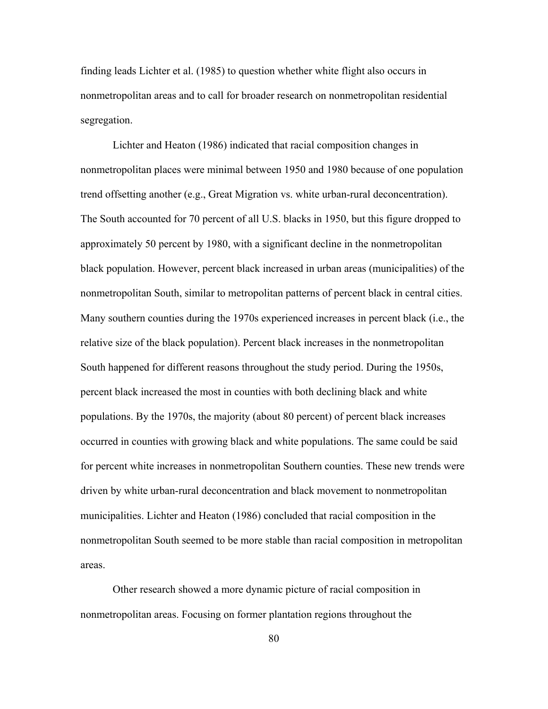finding leads Lichter et al. (1985) to question whether white flight also occurs in nonmetropolitan areas and to call for broader research on nonmetropolitan residential segregation.

Lichter and Heaton (1986) indicated that racial composition changes in nonmetropolitan places were minimal between 1950 and 1980 because of one population trend offsetting another (e.g., Great Migration vs. white urban-rural deconcentration). The South accounted for 70 percent of all U.S. blacks in 1950, but this figure dropped to approximately 50 percent by 1980, with a significant decline in the nonmetropolitan black population. However, percent black increased in urban areas (municipalities) of the nonmetropolitan South, similar to metropolitan patterns of percent black in central cities. Many southern counties during the 1970s experienced increases in percent black (i.e., the relative size of the black population). Percent black increases in the nonmetropolitan South happened for different reasons throughout the study period. During the 1950s, percent black increased the most in counties with both declining black and white populations. By the 1970s, the majority (about 80 percent) of percent black increases occurred in counties with growing black and white populations. The same could be said for percent white increases in nonmetropolitan Southern counties. These new trends were driven by white urban-rural deconcentration and black movement to nonmetropolitan municipalities. Lichter and Heaton (1986) concluded that racial composition in the nonmetropolitan South seemed to be more stable than racial composition in metropolitan areas.

Other research showed a more dynamic picture of racial composition in nonmetropolitan areas. Focusing on former plantation regions throughout the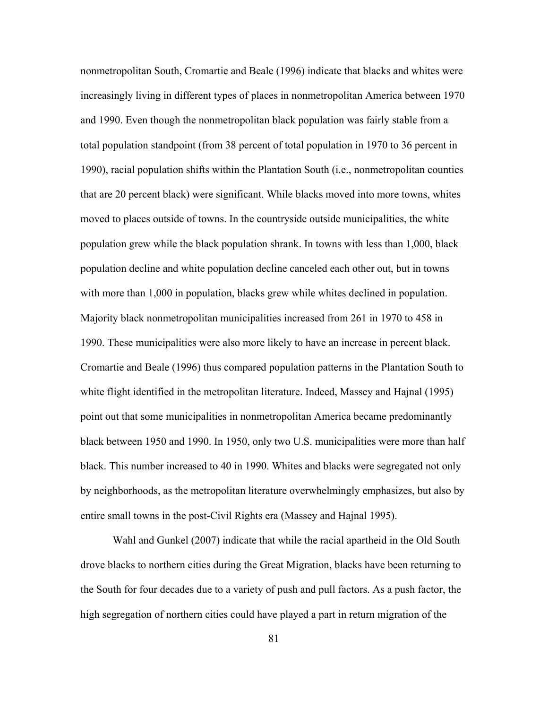nonmetropolitan South, Cromartie and Beale (1996) indicate that blacks and whites were increasingly living in different types of places in nonmetropolitan America between 1970 and 1990. Even though the nonmetropolitan black population was fairly stable from a total population standpoint (from 38 percent of total population in 1970 to 36 percent in 1990), racial population shifts within the Plantation South (i.e., nonmetropolitan counties that are 20 percent black) were significant. While blacks moved into more towns, whites moved to places outside of towns. In the countryside outside municipalities, the white population grew while the black population shrank. In towns with less than 1,000, black population decline and white population decline canceled each other out, but in towns with more than 1,000 in population, blacks grew while whites declined in population. Majority black nonmetropolitan municipalities increased from 261 in 1970 to 458 in 1990. These municipalities were also more likely to have an increase in percent black. Cromartie and Beale (1996) thus compared population patterns in the Plantation South to white flight identified in the metropolitan literature. Indeed, Massey and Hajnal (1995) point out that some municipalities in nonmetropolitan America became predominantly black between 1950 and 1990. In 1950, only two U.S. municipalities were more than half black. This number increased to 40 in 1990. Whites and blacks were segregated not only by neighborhoods, as the metropolitan literature overwhelmingly emphasizes, but also by entire small towns in the post-Civil Rights era (Massey and Hajnal 1995).

Wahl and Gunkel (2007) indicate that while the racial apartheid in the Old South drove blacks to northern cities during the Great Migration, blacks have been returning to the South for four decades due to a variety of push and pull factors. As a push factor, the high segregation of northern cities could have played a part in return migration of the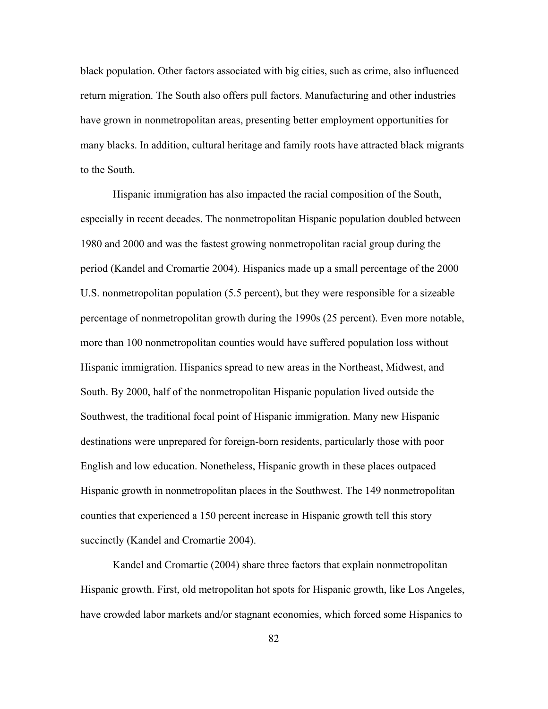black population. Other factors associated with big cities, such as crime, also influenced return migration. The South also offers pull factors. Manufacturing and other industries have grown in nonmetropolitan areas, presenting better employment opportunities for many blacks. In addition, cultural heritage and family roots have attracted black migrants to the South.

Hispanic immigration has also impacted the racial composition of the South, especially in recent decades. The nonmetropolitan Hispanic population doubled between 1980 and 2000 and was the fastest growing nonmetropolitan racial group during the period (Kandel and Cromartie 2004). Hispanics made up a small percentage of the 2000 U.S. nonmetropolitan population (5.5 percent), but they were responsible for a sizeable percentage of nonmetropolitan growth during the 1990s (25 percent). Even more notable, more than 100 nonmetropolitan counties would have suffered population loss without Hispanic immigration. Hispanics spread to new areas in the Northeast, Midwest, and South. By 2000, half of the nonmetropolitan Hispanic population lived outside the Southwest, the traditional focal point of Hispanic immigration. Many new Hispanic destinations were unprepared for foreign-born residents, particularly those with poor English and low education. Nonetheless, Hispanic growth in these places outpaced Hispanic growth in nonmetropolitan places in the Southwest. The 149 nonmetropolitan counties that experienced a 150 percent increase in Hispanic growth tell this story succinctly (Kandel and Cromartie 2004).

Kandel and Cromartie (2004) share three factors that explain nonmetropolitan Hispanic growth. First, old metropolitan hot spots for Hispanic growth, like Los Angeles, have crowded labor markets and/or stagnant economies, which forced some Hispanics to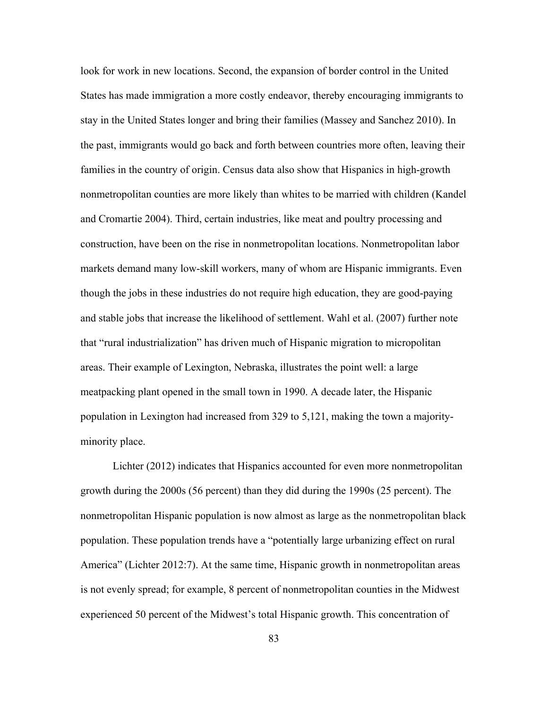look for work in new locations. Second, the expansion of border control in the United States has made immigration a more costly endeavor, thereby encouraging immigrants to stay in the United States longer and bring their families (Massey and Sanchez 2010). In the past, immigrants would go back and forth between countries more often, leaving their families in the country of origin. Census data also show that Hispanics in high-growth nonmetropolitan counties are more likely than whites to be married with children (Kandel and Cromartie 2004). Third, certain industries, like meat and poultry processing and construction, have been on the rise in nonmetropolitan locations. Nonmetropolitan labor markets demand many low-skill workers, many of whom are Hispanic immigrants. Even though the jobs in these industries do not require high education, they are good-paying and stable jobs that increase the likelihood of settlement. Wahl et al. (2007) further note that "rural industrialization" has driven much of Hispanic migration to micropolitan areas. Their example of Lexington, Nebraska, illustrates the point well: a large meatpacking plant opened in the small town in 1990. A decade later, the Hispanic population in Lexington had increased from 329 to 5,121, making the town a majorityminority place.

Lichter (2012) indicates that Hispanics accounted for even more nonmetropolitan growth during the 2000s (56 percent) than they did during the 1990s (25 percent). The nonmetropolitan Hispanic population is now almost as large as the nonmetropolitan black population. These population trends have a "potentially large urbanizing effect on rural America" (Lichter 2012:7). At the same time, Hispanic growth in nonmetropolitan areas is not evenly spread; for example, 8 percent of nonmetropolitan counties in the Midwest experienced 50 percent of the Midwest's total Hispanic growth. This concentration of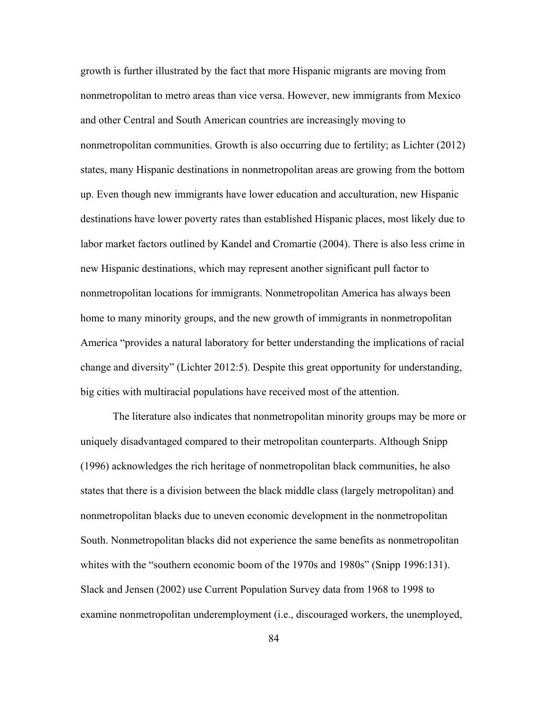growth is further illustrated by the fact that more Hispanic migrants are moving from nonmetropolitan to metro areas than vice versa. However, new immigrants from Mexico and other Central and South American countries are increasingly moving to nonmetropolitan communities. Growth is also occurring due to fertility; as Lichter (2012) states, many Hispanic destinations in nonmetropolitan areas are growing from the bottom up. Even though new immigrants have lower education and acculturation, new Hispanic destinations have lower poverty rates than established Hispanic places, most likely due to labor market factors outlined by Kandel and Cromartie (2004). There is also less crime in new Hispanic destinations, which may represent another significant pull factor to nonmetropolitan locations for immigrants. Nonmetropolitan America has always been home to many minority groups, and the new growth of immigrants in nonmetropolitan America "provides a natural laboratory for better understanding the implications of racial change and diversity" (Lichter 2012:5). Despite this great opportunity for understanding, big cities with multiracial populations have received most of the attention.

The literature also indicates that nonmetropolitan minority groups may be more or uniquely disadvantaged compared to their metropolitan counterparts. Although Snipp (1996) acknowledges the rich heritage of nonmetropolitan black communities, he also states that there is a division between the black middle class (largely metropolitan) and nonmetropolitan blacks due to uneven economic development in the nonmetropolitan South. Nonmetropolitan blacks did not experience the same benefits as nonmetropolitan whites with the "southern economic boom of the 1970s and 1980s" (Snipp 1996:131). Slack and Jensen (2002) use Current Population Survey data from 1968 to 1998 to examine nonmetropolitan underemployment (i.e., discouraged workers, the unemployed,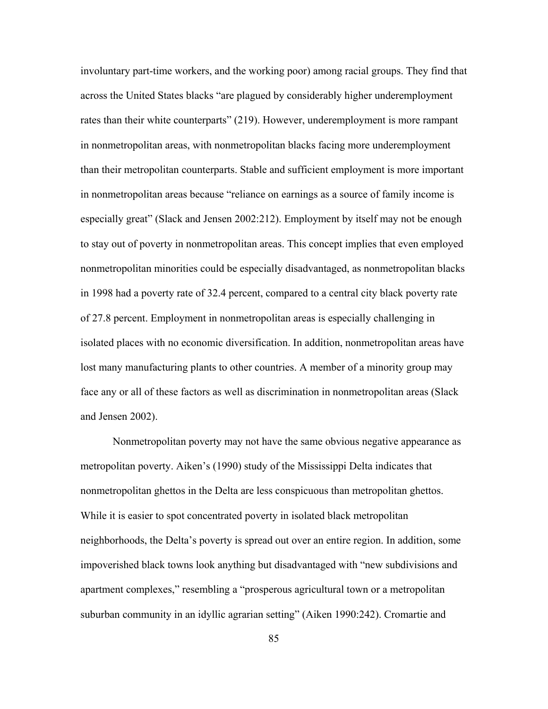involuntary part-time workers, and the working poor) among racial groups. They find that across the United States blacks "are plagued by considerably higher underemployment rates than their white counterparts" (219). However, underemployment is more rampant in nonmetropolitan areas, with nonmetropolitan blacks facing more underemployment than their metropolitan counterparts. Stable and sufficient employment is more important in nonmetropolitan areas because "reliance on earnings as a source of family income is especially great" (Slack and Jensen 2002:212). Employment by itself may not be enough to stay out of poverty in nonmetropolitan areas. This concept implies that even employed nonmetropolitan minorities could be especially disadvantaged, as nonmetropolitan blacks in 1998 had a poverty rate of 32.4 percent, compared to a central city black poverty rate of 27.8 percent. Employment in nonmetropolitan areas is especially challenging in isolated places with no economic diversification. In addition, nonmetropolitan areas have lost many manufacturing plants to other countries. A member of a minority group may face any or all of these factors as well as discrimination in nonmetropolitan areas (Slack and Jensen 2002).

Nonmetropolitan poverty may not have the same obvious negative appearance as metropolitan poverty. Aiken's (1990) study of the Mississippi Delta indicates that nonmetropolitan ghettos in the Delta are less conspicuous than metropolitan ghettos. While it is easier to spot concentrated poverty in isolated black metropolitan neighborhoods, the Delta's poverty is spread out over an entire region. In addition, some impoverished black towns look anything but disadvantaged with "new subdivisions and apartment complexes," resembling a "prosperous agricultural town or a metropolitan suburban community in an idyllic agrarian setting" (Aiken 1990:242). Cromartie and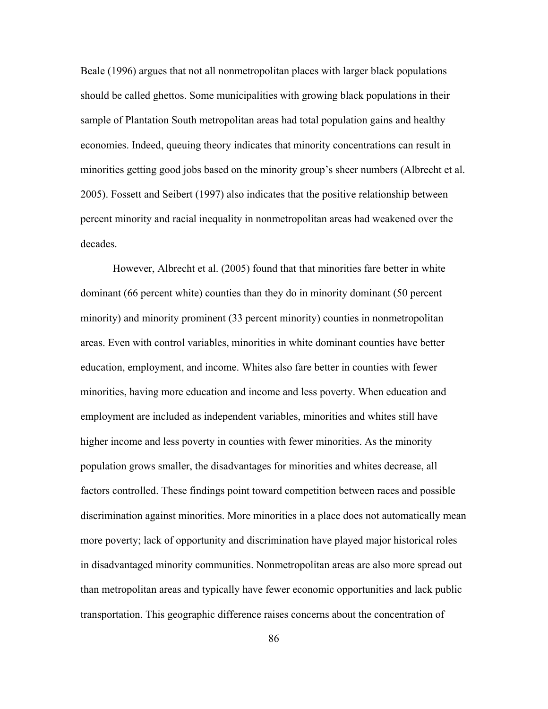Beale (1996) argues that not all nonmetropolitan places with larger black populations should be called ghettos. Some municipalities with growing black populations in their sample of Plantation South metropolitan areas had total population gains and healthy economies. Indeed, queuing theory indicates that minority concentrations can result in minorities getting good jobs based on the minority group's sheer numbers (Albrecht et al. 2005). Fossett and Seibert (1997) also indicates that the positive relationship between percent minority and racial inequality in nonmetropolitan areas had weakened over the decades.

However, Albrecht et al. (2005) found that that minorities fare better in white dominant (66 percent white) counties than they do in minority dominant (50 percent minority) and minority prominent (33 percent minority) counties in nonmetropolitan areas. Even with control variables, minorities in white dominant counties have better education, employment, and income. Whites also fare better in counties with fewer minorities, having more education and income and less poverty. When education and employment are included as independent variables, minorities and whites still have higher income and less poverty in counties with fewer minorities. As the minority population grows smaller, the disadvantages for minorities and whites decrease, all factors controlled. These findings point toward competition between races and possible discrimination against minorities. More minorities in a place does not automatically mean more poverty; lack of opportunity and discrimination have played major historical roles in disadvantaged minority communities. Nonmetropolitan areas are also more spread out than metropolitan areas and typically have fewer economic opportunities and lack public transportation. This geographic difference raises concerns about the concentration of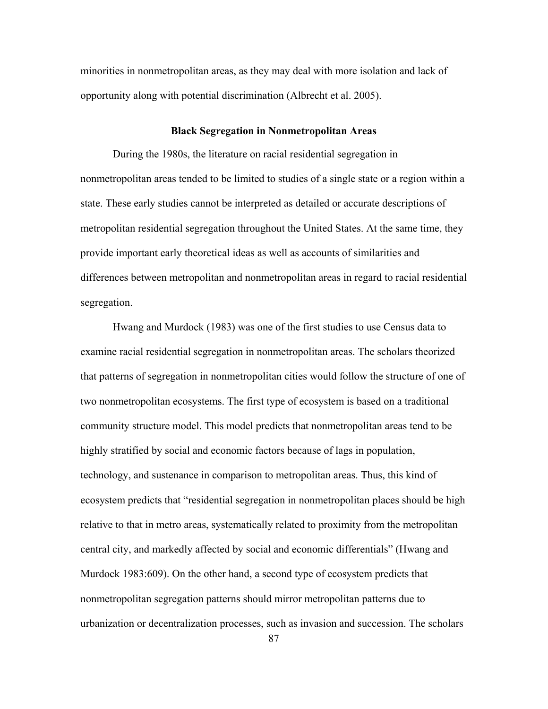minorities in nonmetropolitan areas, as they may deal with more isolation and lack of opportunity along with potential discrimination (Albrecht et al. 2005).

### **Black Segregation in Nonmetropolitan Areas**

During the 1980s, the literature on racial residential segregation in nonmetropolitan areas tended to be limited to studies of a single state or a region within a state. These early studies cannot be interpreted as detailed or accurate descriptions of metropolitan residential segregation throughout the United States. At the same time, they provide important early theoretical ideas as well as accounts of similarities and differences between metropolitan and nonmetropolitan areas in regard to racial residential segregation.

Hwang and Murdock (1983) was one of the first studies to use Census data to examine racial residential segregation in nonmetropolitan areas. The scholars theorized that patterns of segregation in nonmetropolitan cities would follow the structure of one of two nonmetropolitan ecosystems. The first type of ecosystem is based on a traditional community structure model. This model predicts that nonmetropolitan areas tend to be highly stratified by social and economic factors because of lags in population, technology, and sustenance in comparison to metropolitan areas. Thus, this kind of ecosystem predicts that "residential segregation in nonmetropolitan places should be high relative to that in metro areas, systematically related to proximity from the metropolitan central city, and markedly affected by social and economic differentials" (Hwang and Murdock 1983:609). On the other hand, a second type of ecosystem predicts that nonmetropolitan segregation patterns should mirror metropolitan patterns due to urbanization or decentralization processes, such as invasion and succession. The scholars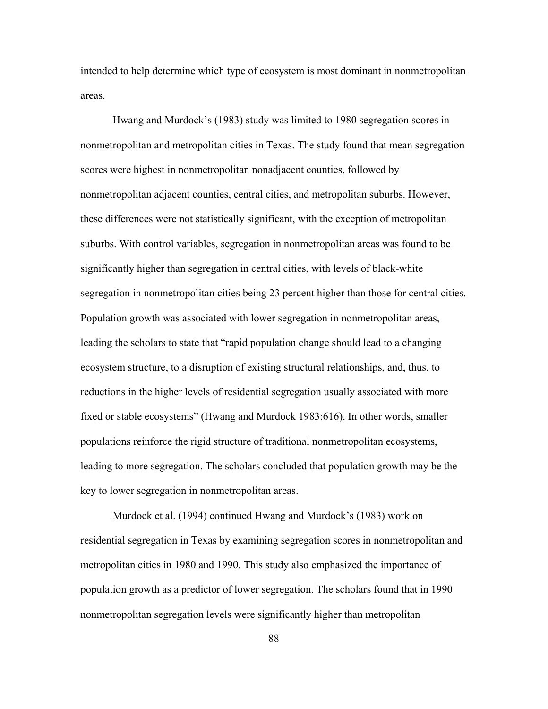intended to help determine which type of ecosystem is most dominant in nonmetropolitan areas.

Hwang and Murdock's (1983) study was limited to 1980 segregation scores in nonmetropolitan and metropolitan cities in Texas. The study found that mean segregation scores were highest in nonmetropolitan nonadjacent counties, followed by nonmetropolitan adjacent counties, central cities, and metropolitan suburbs. However, these differences were not statistically significant, with the exception of metropolitan suburbs. With control variables, segregation in nonmetropolitan areas was found to be significantly higher than segregation in central cities, with levels of black-white segregation in nonmetropolitan cities being 23 percent higher than those for central cities. Population growth was associated with lower segregation in nonmetropolitan areas, leading the scholars to state that "rapid population change should lead to a changing ecosystem structure, to a disruption of existing structural relationships, and, thus, to reductions in the higher levels of residential segregation usually associated with more fixed or stable ecosystems" (Hwang and Murdock 1983:616). In other words, smaller populations reinforce the rigid structure of traditional nonmetropolitan ecosystems, leading to more segregation. The scholars concluded that population growth may be the key to lower segregation in nonmetropolitan areas.

Murdock et al. (1994) continued Hwang and Murdock's (1983) work on residential segregation in Texas by examining segregation scores in nonmetropolitan and metropolitan cities in 1980 and 1990. This study also emphasized the importance of population growth as a predictor of lower segregation. The scholars found that in 1990 nonmetropolitan segregation levels were significantly higher than metropolitan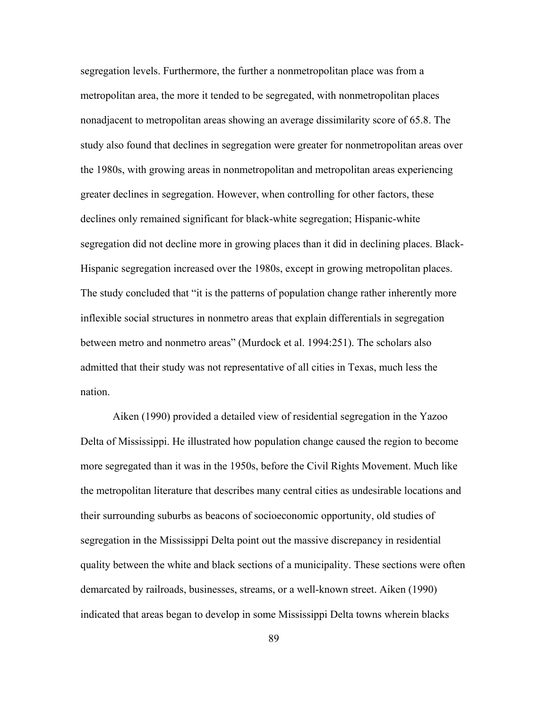segregation levels. Furthermore, the further a nonmetropolitan place was from a metropolitan area, the more it tended to be segregated, with nonmetropolitan places nonadjacent to metropolitan areas showing an average dissimilarity score of 65.8. The study also found that declines in segregation were greater for nonmetropolitan areas over the 1980s, with growing areas in nonmetropolitan and metropolitan areas experiencing greater declines in segregation. However, when controlling for other factors, these declines only remained significant for black-white segregation; Hispanic-white segregation did not decline more in growing places than it did in declining places. Black-Hispanic segregation increased over the 1980s, except in growing metropolitan places. The study concluded that "it is the patterns of population change rather inherently more inflexible social structures in nonmetro areas that explain differentials in segregation between metro and nonmetro areas" (Murdock et al. 1994:251). The scholars also admitted that their study was not representative of all cities in Texas, much less the nation.

Aiken (1990) provided a detailed view of residential segregation in the Yazoo Delta of Mississippi. He illustrated how population change caused the region to become more segregated than it was in the 1950s, before the Civil Rights Movement. Much like the metropolitan literature that describes many central cities as undesirable locations and their surrounding suburbs as beacons of socioeconomic opportunity, old studies of segregation in the Mississippi Delta point out the massive discrepancy in residential quality between the white and black sections of a municipality. These sections were often demarcated by railroads, businesses, streams, or a well-known street. Aiken (1990) indicated that areas began to develop in some Mississippi Delta towns wherein blacks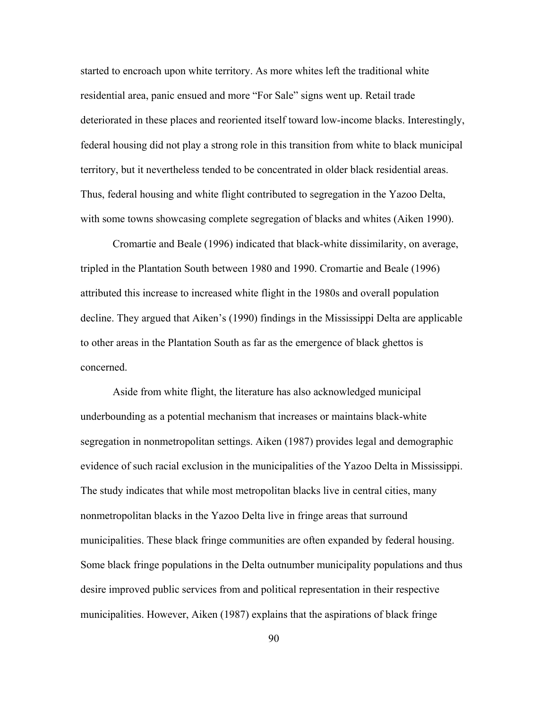started to encroach upon white territory. As more whites left the traditional white residential area, panic ensued and more "For Sale" signs went up. Retail trade deteriorated in these places and reoriented itself toward low-income blacks. Interestingly, federal housing did not play a strong role in this transition from white to black municipal territory, but it nevertheless tended to be concentrated in older black residential areas. Thus, federal housing and white flight contributed to segregation in the Yazoo Delta, with some towns showcasing complete segregation of blacks and whites (Aiken 1990).

Cromartie and Beale (1996) indicated that black-white dissimilarity, on average, tripled in the Plantation South between 1980 and 1990. Cromartie and Beale (1996) attributed this increase to increased white flight in the 1980s and overall population decline. They argued that Aiken's (1990) findings in the Mississippi Delta are applicable to other areas in the Plantation South as far as the emergence of black ghettos is concerned.

Aside from white flight, the literature has also acknowledged municipal underbounding as a potential mechanism that increases or maintains black-white segregation in nonmetropolitan settings. Aiken (1987) provides legal and demographic evidence of such racial exclusion in the municipalities of the Yazoo Delta in Mississippi. The study indicates that while most metropolitan blacks live in central cities, many nonmetropolitan blacks in the Yazoo Delta live in fringe areas that surround municipalities. These black fringe communities are often expanded by federal housing. Some black fringe populations in the Delta outnumber municipality populations and thus desire improved public services from and political representation in their respective municipalities. However, Aiken (1987) explains that the aspirations of black fringe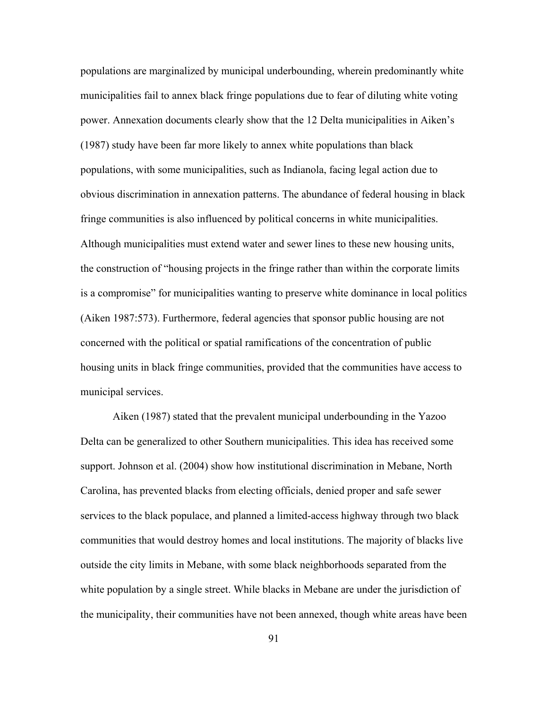populations are marginalized by municipal underbounding, wherein predominantly white municipalities fail to annex black fringe populations due to fear of diluting white voting power. Annexation documents clearly show that the 12 Delta municipalities in Aiken's (1987) study have been far more likely to annex white populations than black populations, with some municipalities, such as Indianola, facing legal action due to obvious discrimination in annexation patterns. The abundance of federal housing in black fringe communities is also influenced by political concerns in white municipalities. Although municipalities must extend water and sewer lines to these new housing units, the construction of "housing projects in the fringe rather than within the corporate limits is a compromise" for municipalities wanting to preserve white dominance in local politics (Aiken 1987:573). Furthermore, federal agencies that sponsor public housing are not concerned with the political or spatial ramifications of the concentration of public housing units in black fringe communities, provided that the communities have access to municipal services.

Aiken (1987) stated that the prevalent municipal underbounding in the Yazoo Delta can be generalized to other Southern municipalities. This idea has received some support. Johnson et al. (2004) show how institutional discrimination in Mebane, North Carolina, has prevented blacks from electing officials, denied proper and safe sewer services to the black populace, and planned a limited-access highway through two black communities that would destroy homes and local institutions. The majority of blacks live outside the city limits in Mebane, with some black neighborhoods separated from the white population by a single street. While blacks in Mebane are under the jurisdiction of the municipality, their communities have not been annexed, though white areas have been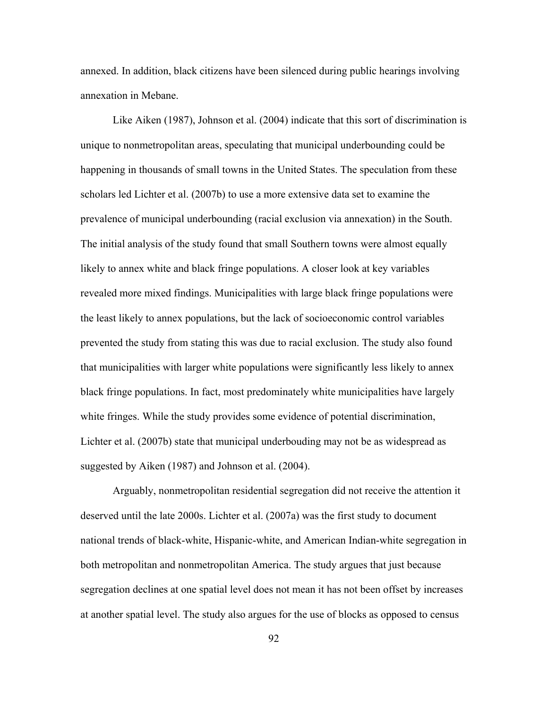annexed. In addition, black citizens have been silenced during public hearings involving annexation in Mebane.

Like Aiken (1987), Johnson et al. (2004) indicate that this sort of discrimination is unique to nonmetropolitan areas, speculating that municipal underbounding could be happening in thousands of small towns in the United States. The speculation from these scholars led Lichter et al. (2007b) to use a more extensive data set to examine the prevalence of municipal underbounding (racial exclusion via annexation) in the South. The initial analysis of the study found that small Southern towns were almost equally likely to annex white and black fringe populations. A closer look at key variables revealed more mixed findings. Municipalities with large black fringe populations were the least likely to annex populations, but the lack of socioeconomic control variables prevented the study from stating this was due to racial exclusion. The study also found that municipalities with larger white populations were significantly less likely to annex black fringe populations. In fact, most predominately white municipalities have largely white fringes. While the study provides some evidence of potential discrimination, Lichter et al. (2007b) state that municipal underbouding may not be as widespread as suggested by Aiken (1987) and Johnson et al. (2004).

Arguably, nonmetropolitan residential segregation did not receive the attention it deserved until the late 2000s. Lichter et al. (2007a) was the first study to document national trends of black-white, Hispanic-white, and American Indian-white segregation in both metropolitan and nonmetropolitan America. The study argues that just because segregation declines at one spatial level does not mean it has not been offset by increases at another spatial level. The study also argues for the use of blocks as opposed to census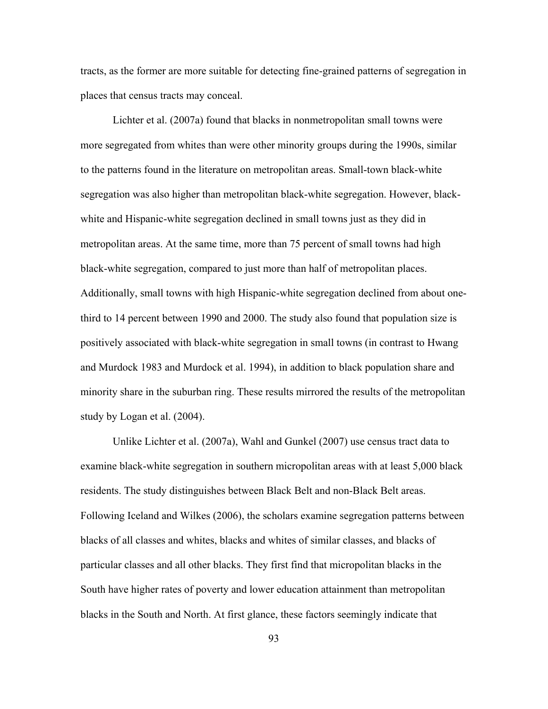tracts, as the former are more suitable for detecting fine-grained patterns of segregation in places that census tracts may conceal.

Lichter et al. (2007a) found that blacks in nonmetropolitan small towns were more segregated from whites than were other minority groups during the 1990s, similar to the patterns found in the literature on metropolitan areas. Small-town black-white segregation was also higher than metropolitan black-white segregation. However, blackwhite and Hispanic-white segregation declined in small towns just as they did in metropolitan areas. At the same time, more than 75 percent of small towns had high black-white segregation, compared to just more than half of metropolitan places. Additionally, small towns with high Hispanic-white segregation declined from about onethird to 14 percent between 1990 and 2000. The study also found that population size is positively associated with black-white segregation in small towns (in contrast to Hwang and Murdock 1983 and Murdock et al. 1994), in addition to black population share and minority share in the suburban ring. These results mirrored the results of the metropolitan study by Logan et al. (2004).

Unlike Lichter et al. (2007a), Wahl and Gunkel (2007) use census tract data to examine black-white segregation in southern micropolitan areas with at least 5,000 black residents. The study distinguishes between Black Belt and non-Black Belt areas. Following Iceland and Wilkes (2006), the scholars examine segregation patterns between blacks of all classes and whites, blacks and whites of similar classes, and blacks of particular classes and all other blacks. They first find that micropolitan blacks in the South have higher rates of poverty and lower education attainment than metropolitan blacks in the South and North. At first glance, these factors seemingly indicate that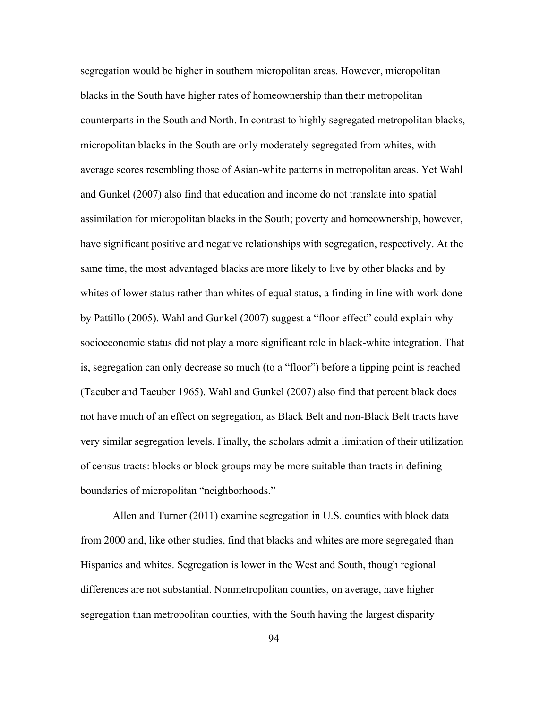segregation would be higher in southern micropolitan areas. However, micropolitan blacks in the South have higher rates of homeownership than their metropolitan counterparts in the South and North. In contrast to highly segregated metropolitan blacks, micropolitan blacks in the South are only moderately segregated from whites, with average scores resembling those of Asian-white patterns in metropolitan areas. Yet Wahl and Gunkel (2007) also find that education and income do not translate into spatial assimilation for micropolitan blacks in the South; poverty and homeownership, however, have significant positive and negative relationships with segregation, respectively. At the same time, the most advantaged blacks are more likely to live by other blacks and by whites of lower status rather than whites of equal status, a finding in line with work done by Pattillo (2005). Wahl and Gunkel (2007) suggest a "floor effect" could explain why socioeconomic status did not play a more significant role in black-white integration. That is, segregation can only decrease so much (to a "floor") before a tipping point is reached (Taeuber and Taeuber 1965). Wahl and Gunkel (2007) also find that percent black does not have much of an effect on segregation, as Black Belt and non-Black Belt tracts have very similar segregation levels. Finally, the scholars admit a limitation of their utilization of census tracts: blocks or block groups may be more suitable than tracts in defining boundaries of micropolitan "neighborhoods."

Allen and Turner (2011) examine segregation in U.S. counties with block data from 2000 and, like other studies, find that blacks and whites are more segregated than Hispanics and whites. Segregation is lower in the West and South, though regional differences are not substantial. Nonmetropolitan counties, on average, have higher segregation than metropolitan counties, with the South having the largest disparity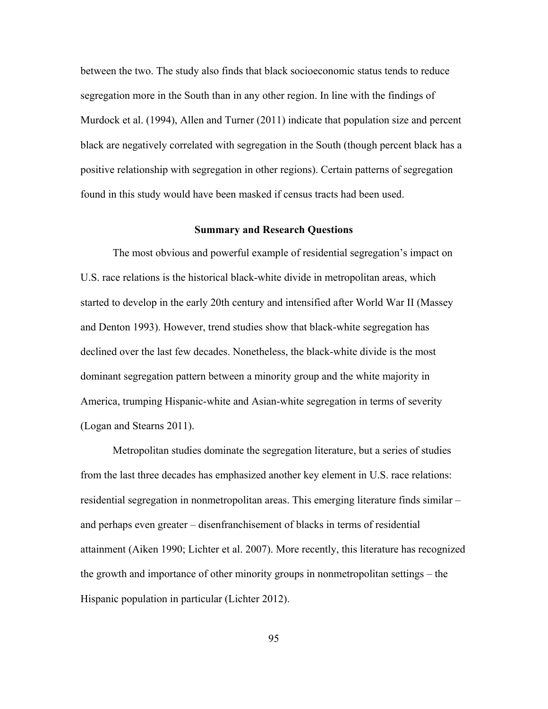between the two. The study also finds that black socioeconomic status tends to reduce segregation more in the South than in any other region. In line with the findings of Murdock et al. (1994), Allen and Turner (2011) indicate that population size and percent black are negatively correlated with segregation in the South (though percent black has a positive relationship with segregation in other regions). Certain patterns of segregation found in this study would have been masked if census tracts had been used.

### **Summary and Research Questions**

The most obvious and powerful example of residential segregation's impact on U.S. race relations is the historical black-white divide in metropolitan areas, which started to develop in the early 20th century and intensified after World War II (Massey and Denton 1993). However, trend studies show that black-white segregation has declined over the last few decades. Nonetheless, the black-white divide is the most dominant segregation pattern between a minority group and the white majority in America, trumping Hispanic-white and Asian-white segregation in terms of severity (Logan and Stearns 2011).

Metropolitan studies dominate the segregation literature, but a series of studies from the last three decades has emphasized another key element in U.S. race relations: residential segregation in nonmetropolitan areas. This emerging literature finds similar – and perhaps even greater – disenfranchisement of blacks in terms of residential attainment (Aiken 1990; Lichter et al. 2007). More recently, this literature has recognized the growth and importance of other minority groups in nonmetropolitan settings – the Hispanic population in particular (Lichter 2012).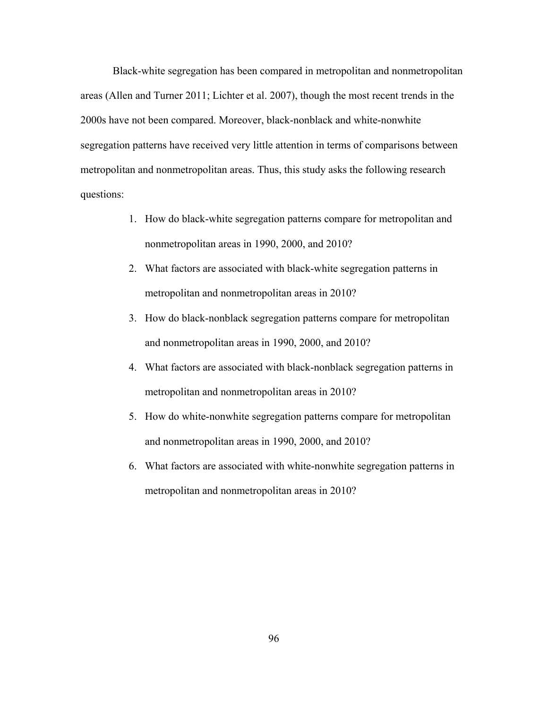Black-white segregation has been compared in metropolitan and nonmetropolitan areas (Allen and Turner 2011; Lichter et al. 2007), though the most recent trends in the 2000s have not been compared. Moreover, black-nonblack and white-nonwhite segregation patterns have received very little attention in terms of comparisons between metropolitan and nonmetropolitan areas. Thus, this study asks the following research questions:

- 1. How do black-white segregation patterns compare for metropolitan and nonmetropolitan areas in 1990, 2000, and 2010?
- 2. What factors are associated with black-white segregation patterns in metropolitan and nonmetropolitan areas in 2010?
- 3. How do black-nonblack segregation patterns compare for metropolitan and nonmetropolitan areas in 1990, 2000, and 2010?
- 4. What factors are associated with black-nonblack segregation patterns in metropolitan and nonmetropolitan areas in 2010?
- 5. How do white-nonwhite segregation patterns compare for metropolitan and nonmetropolitan areas in 1990, 2000, and 2010?
- 6. What factors are associated with white-nonwhite segregation patterns in metropolitan and nonmetropolitan areas in 2010?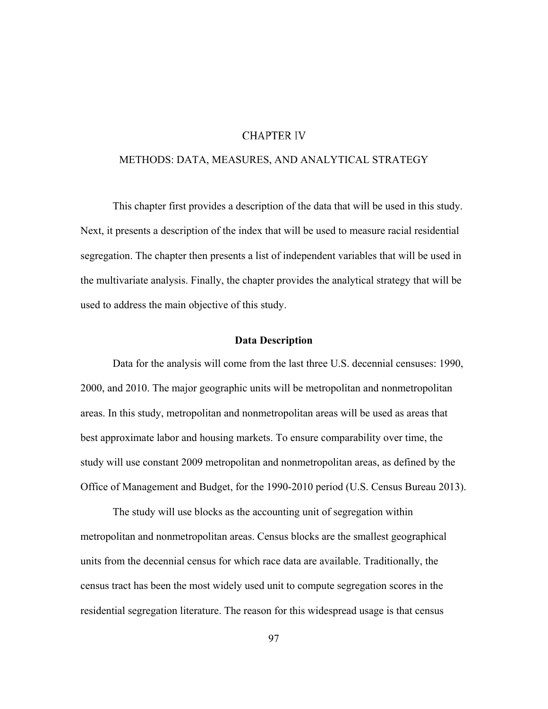# **CHAPTER IV**

## METHODS: DATA, MEASURES, AND ANALYTICAL STRATEGY

This chapter first provides a description of the data that will be used in this study. Next, it presents a description of the index that will be used to measure racial residential segregation. The chapter then presents a list of independent variables that will be used in the multivariate analysis. Finally, the chapter provides the analytical strategy that will be used to address the main objective of this study.

### **Data Description**

Data for the analysis will come from the last three U.S. decennial censuses: 1990, 2000, and 2010. The major geographic units will be metropolitan and nonmetropolitan areas. In this study, metropolitan and nonmetropolitan areas will be used as areas that best approximate labor and housing markets. To ensure comparability over time, the study will use constant 2009 metropolitan and nonmetropolitan areas, as defined by the Office of Management and Budget, for the 1990-2010 period (U.S. Census Bureau 2013).

The study will use blocks as the accounting unit of segregation within metropolitan and nonmetropolitan areas. Census blocks are the smallest geographical units from the decennial census for which race data are available. Traditionally, the census tract has been the most widely used unit to compute segregation scores in the residential segregation literature. The reason for this widespread usage is that census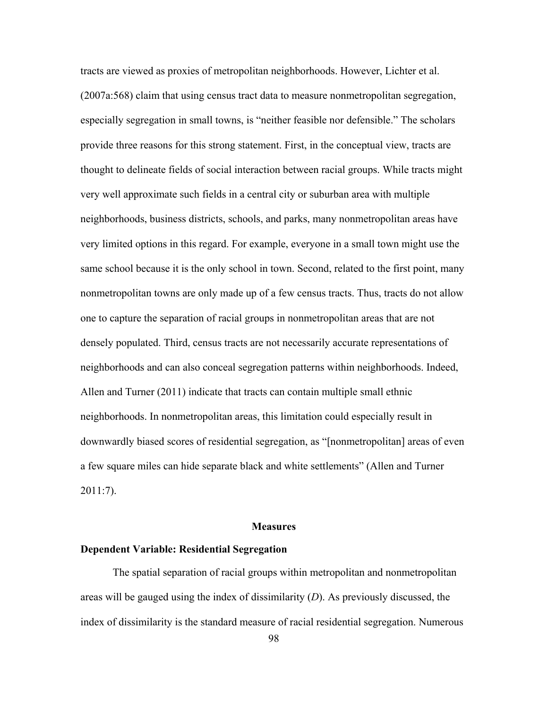tracts are viewed as proxies of metropolitan neighborhoods. However, Lichter et al. (2007a:568) claim that using census tract data to measure nonmetropolitan segregation, especially segregation in small towns, is "neither feasible nor defensible." The scholars provide three reasons for this strong statement. First, in the conceptual view, tracts are thought to delineate fields of social interaction between racial groups. While tracts might very well approximate such fields in a central city or suburban area with multiple neighborhoods, business districts, schools, and parks, many nonmetropolitan areas have very limited options in this regard. For example, everyone in a small town might use the same school because it is the only school in town. Second, related to the first point, many nonmetropolitan towns are only made up of a few census tracts. Thus, tracts do not allow one to capture the separation of racial groups in nonmetropolitan areas that are not densely populated. Third, census tracts are not necessarily accurate representations of neighborhoods and can also conceal segregation patterns within neighborhoods. Indeed, Allen and Turner (2011) indicate that tracts can contain multiple small ethnic neighborhoods. In nonmetropolitan areas, this limitation could especially result in downwardly biased scores of residential segregation, as "[nonmetropolitan] areas of even a few square miles can hide separate black and white settlements" (Allen and Turner 2011:7).

### **Measures**

### **Dependent Variable: Residential Segregation**

The spatial separation of racial groups within metropolitan and nonmetropolitan areas will be gauged using the index of dissimilarity (*D*). As previously discussed, the index of dissimilarity is the standard measure of racial residential segregation. Numerous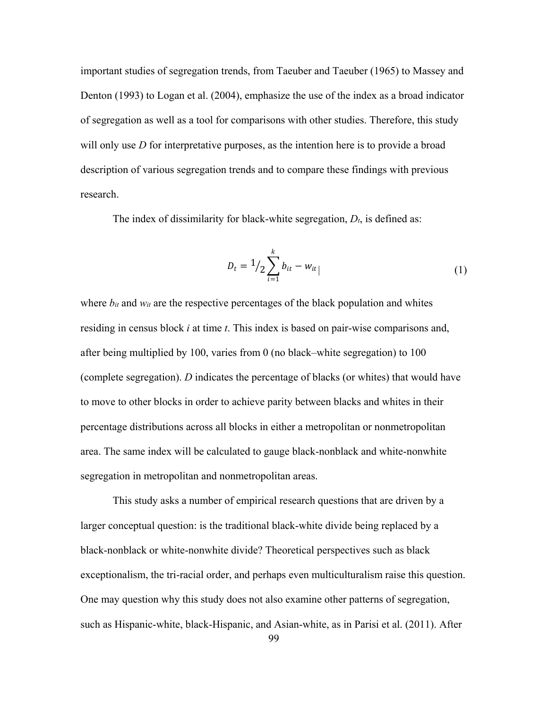important studies of segregation trends, from Taeuber and Taeuber (1965) to Massey and Denton (1993) to Logan et al. (2004), emphasize the use of the index as a broad indicator of segregation as well as a tool for comparisons with other studies. Therefore, this study will only use *D* for interpretative purposes, as the intention here is to provide a broad description of various segregation trends and to compare these findings with previous research.

The index of dissimilarity for black-white segregation, *Dt*, is defined as:

$$
D_t = \frac{1}{2} \sum_{i=1}^k b_{it} - w_{it}
$$
 (1)

where  $b_{it}$  and  $w_{it}$  are the respective percentages of the black population and whites residing in census block *i* at time *t*. This index is based on pair-wise comparisons and, after being multiplied by 100, varies from 0 (no black–white segregation) to 100 (complete segregation). *D* indicates the percentage of blacks (or whites) that would have to move to other blocks in order to achieve parity between blacks and whites in their percentage distributions across all blocks in either a metropolitan or nonmetropolitan area. The same index will be calculated to gauge black-nonblack and white-nonwhite segregation in metropolitan and nonmetropolitan areas.

This study asks a number of empirical research questions that are driven by a larger conceptual question: is the traditional black-white divide being replaced by a black-nonblack or white-nonwhite divide? Theoretical perspectives such as black exceptionalism, the tri-racial order, and perhaps even multiculturalism raise this question. One may question why this study does not also examine other patterns of segregation, such as Hispanic-white, black-Hispanic, and Asian-white, as in Parisi et al. (2011). After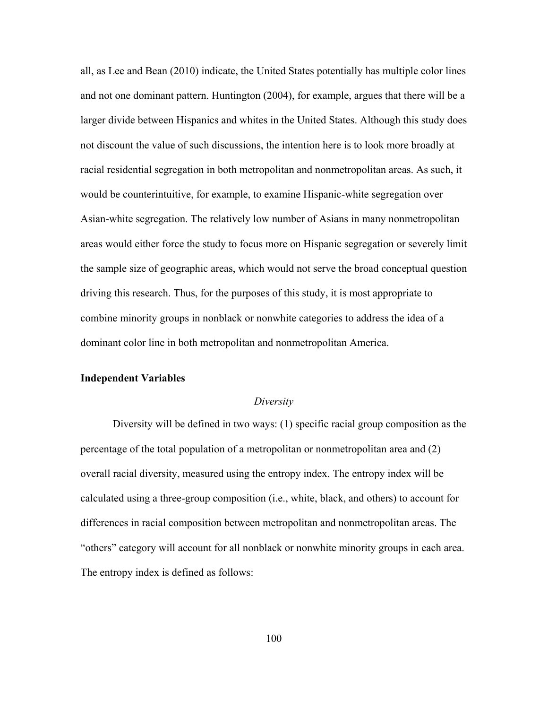all, as Lee and Bean (2010) indicate, the United States potentially has multiple color lines and not one dominant pattern. Huntington (2004), for example, argues that there will be a larger divide between Hispanics and whites in the United States. Although this study does not discount the value of such discussions, the intention here is to look more broadly at racial residential segregation in both metropolitan and nonmetropolitan areas. As such, it would be counterintuitive, for example, to examine Hispanic-white segregation over Asian-white segregation. The relatively low number of Asians in many nonmetropolitan areas would either force the study to focus more on Hispanic segregation or severely limit the sample size of geographic areas, which would not serve the broad conceptual question driving this research. Thus, for the purposes of this study, it is most appropriate to combine minority groups in nonblack or nonwhite categories to address the idea of a dominant color line in both metropolitan and nonmetropolitan America.

#### **Independent Variables**

#### *Diversity*

Diversity will be defined in two ways: (1) specific racial group composition as the percentage of the total population of a metropolitan or nonmetropolitan area and (2) overall racial diversity, measured using the entropy index. The entropy index will be calculated using a three-group composition (i.e., white, black, and others) to account for differences in racial composition between metropolitan and nonmetropolitan areas. The "others" category will account for all nonblack or nonwhite minority groups in each area. The entropy index is defined as follows: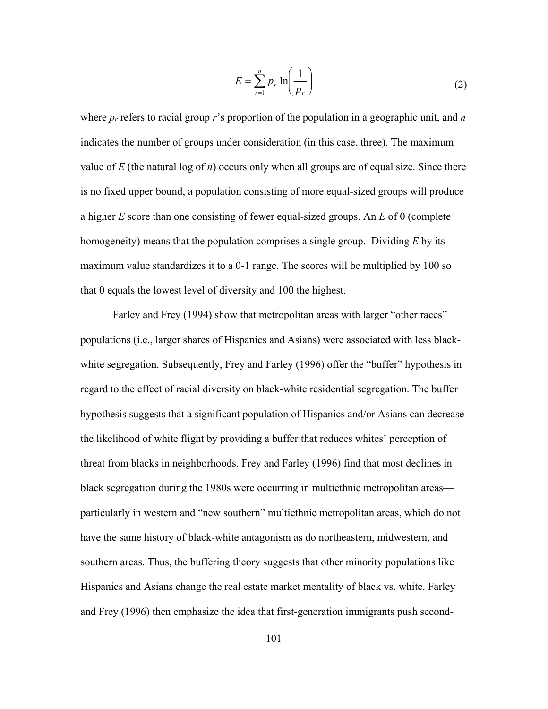$$
E = \sum_{r=1}^{n} p_r \ln\left(\frac{1}{p_r}\right) \tag{2}
$$

where *pr* refers to racial group *r*'s proportion of the population in a geographic unit, and *n* indicates the number of groups under consideration (in this case, three). The maximum value of *E* (the natural log of *n*) occurs only when all groups are of equal size. Since there is no fixed upper bound, a population consisting of more equal-sized groups will produce a higher *E* score than one consisting of fewer equal-sized groups. An *E* of 0 (complete homogeneity) means that the population comprises a single group. Dividing *E* by its maximum value standardizes it to a 0-1 range. The scores will be multiplied by 100 so that 0 equals the lowest level of diversity and 100 the highest.

Farley and Frey (1994) show that metropolitan areas with larger "other races" populations (i.e., larger shares of Hispanics and Asians) were associated with less blackwhite segregation. Subsequently, Frey and Farley (1996) offer the "buffer" hypothesis in regard to the effect of racial diversity on black-white residential segregation. The buffer hypothesis suggests that a significant population of Hispanics and/or Asians can decrease the likelihood of white flight by providing a buffer that reduces whites' perception of threat from blacks in neighborhoods. Frey and Farley (1996) find that most declines in black segregation during the 1980s were occurring in multiethnic metropolitan areas particularly in western and "new southern" multiethnic metropolitan areas, which do not have the same history of black-white antagonism as do northeastern, midwestern, and southern areas. Thus, the buffering theory suggests that other minority populations like Hispanics and Asians change the real estate market mentality of black vs. white. Farley and Frey (1996) then emphasize the idea that first-generation immigrants push second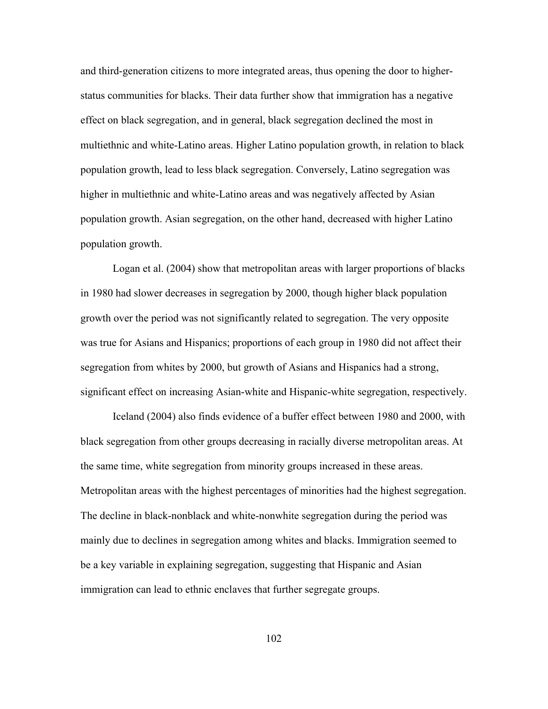and third-generation citizens to more integrated areas, thus opening the door to higherstatus communities for blacks. Their data further show that immigration has a negative effect on black segregation, and in general, black segregation declined the most in multiethnic and white-Latino areas. Higher Latino population growth, in relation to black population growth, lead to less black segregation. Conversely, Latino segregation was higher in multiethnic and white-Latino areas and was negatively affected by Asian population growth. Asian segregation, on the other hand, decreased with higher Latino population growth.

Logan et al. (2004) show that metropolitan areas with larger proportions of blacks in 1980 had slower decreases in segregation by 2000, though higher black population growth over the period was not significantly related to segregation. The very opposite was true for Asians and Hispanics; proportions of each group in 1980 did not affect their segregation from whites by 2000, but growth of Asians and Hispanics had a strong, significant effect on increasing Asian-white and Hispanic-white segregation, respectively.

Iceland (2004) also finds evidence of a buffer effect between 1980 and 2000, with black segregation from other groups decreasing in racially diverse metropolitan areas. At the same time, white segregation from minority groups increased in these areas. Metropolitan areas with the highest percentages of minorities had the highest segregation. The decline in black-nonblack and white-nonwhite segregation during the period was mainly due to declines in segregation among whites and blacks. Immigration seemed to be a key variable in explaining segregation, suggesting that Hispanic and Asian immigration can lead to ethnic enclaves that further segregate groups.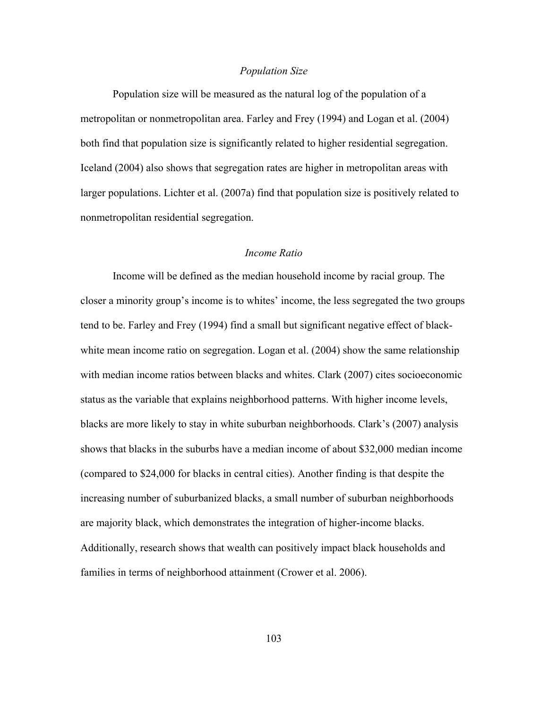## *Population Size*

Population size will be measured as the natural log of the population of a metropolitan or nonmetropolitan area. Farley and Frey (1994) and Logan et al. (2004) both find that population size is significantly related to higher residential segregation. Iceland (2004) also shows that segregation rates are higher in metropolitan areas with larger populations. Lichter et al. (2007a) find that population size is positively related to nonmetropolitan residential segregation.

# *Income Ratio*

Income will be defined as the median household income by racial group. The closer a minority group's income is to whites' income, the less segregated the two groups tend to be. Farley and Frey (1994) find a small but significant negative effect of blackwhite mean income ratio on segregation. Logan et al. (2004) show the same relationship with median income ratios between blacks and whites. Clark (2007) cites socioeconomic status as the variable that explains neighborhood patterns. With higher income levels, blacks are more likely to stay in white suburban neighborhoods. Clark's (2007) analysis shows that blacks in the suburbs have a median income of about \$32,000 median income (compared to \$24,000 for blacks in central cities). Another finding is that despite the increasing number of suburbanized blacks, a small number of suburban neighborhoods are majority black, which demonstrates the integration of higher-income blacks. Additionally, research shows that wealth can positively impact black households and families in terms of neighborhood attainment (Crower et al. 2006).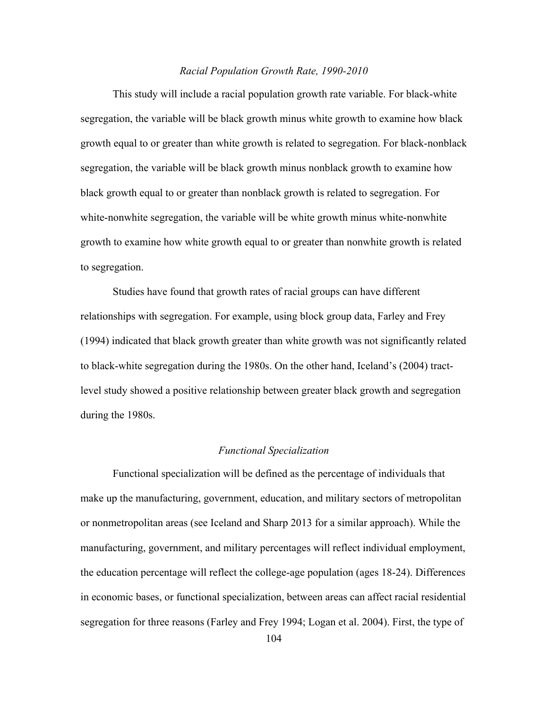# *Racial Population Growth Rate, 1990-2010*

This study will include a racial population growth rate variable. For black-white segregation, the variable will be black growth minus white growth to examine how black growth equal to or greater than white growth is related to segregation. For black-nonblack segregation, the variable will be black growth minus nonblack growth to examine how black growth equal to or greater than nonblack growth is related to segregation. For white-nonwhite segregation, the variable will be white growth minus white-nonwhite growth to examine how white growth equal to or greater than nonwhite growth is related to segregation.

Studies have found that growth rates of racial groups can have different relationships with segregation. For example, using block group data, Farley and Frey (1994) indicated that black growth greater than white growth was not significantly related to black-white segregation during the 1980s. On the other hand, Iceland's (2004) tractlevel study showed a positive relationship between greater black growth and segregation during the 1980s.

#### *Functional Specialization*

Functional specialization will be defined as the percentage of individuals that make up the manufacturing, government, education, and military sectors of metropolitan or nonmetropolitan areas (see Iceland and Sharp 2013 for a similar approach). While the manufacturing, government, and military percentages will reflect individual employment, the education percentage will reflect the college-age population (ages 18-24). Differences in economic bases, or functional specialization, between areas can affect racial residential segregation for three reasons (Farley and Frey 1994; Logan et al. 2004). First, the type of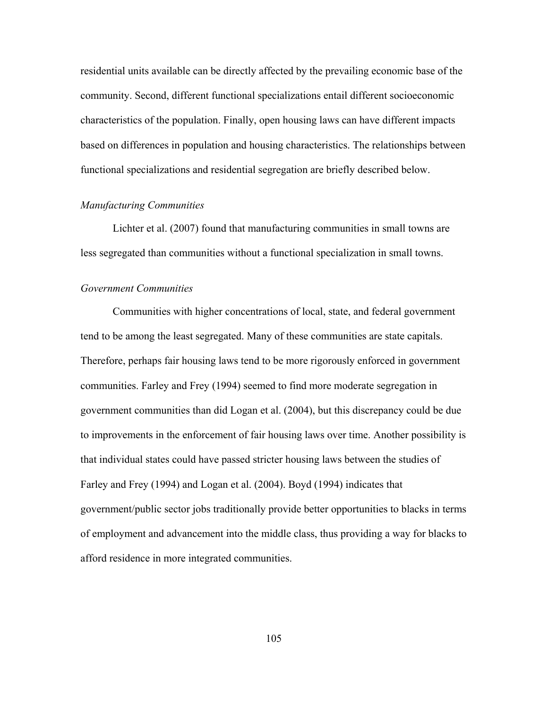residential units available can be directly affected by the prevailing economic base of the community. Second, different functional specializations entail different socioeconomic characteristics of the population. Finally, open housing laws can have different impacts based on differences in population and housing characteristics. The relationships between functional specializations and residential segregation are briefly described below.

### *Manufacturing Communities*

Lichter et al. (2007) found that manufacturing communities in small towns are less segregated than communities without a functional specialization in small towns.

## *Government Communities*

Communities with higher concentrations of local, state, and federal government tend to be among the least segregated. Many of these communities are state capitals. Therefore, perhaps fair housing laws tend to be more rigorously enforced in government communities. Farley and Frey (1994) seemed to find more moderate segregation in government communities than did Logan et al. (2004), but this discrepancy could be due to improvements in the enforcement of fair housing laws over time. Another possibility is that individual states could have passed stricter housing laws between the studies of Farley and Frey (1994) and Logan et al. (2004). Boyd (1994) indicates that government/public sector jobs traditionally provide better opportunities to blacks in terms of employment and advancement into the middle class, thus providing a way for blacks to afford residence in more integrated communities.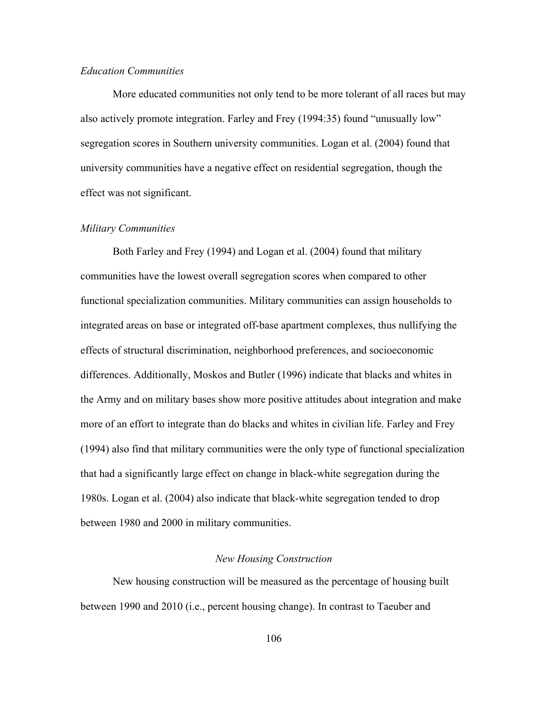## *Education Communities*

More educated communities not only tend to be more tolerant of all races but may also actively promote integration. Farley and Frey (1994:35) found "unusually low" segregation scores in Southern university communities. Logan et al. (2004) found that university communities have a negative effect on residential segregation, though the effect was not significant.

### *Military Communities*

Both Farley and Frey (1994) and Logan et al. (2004) found that military communities have the lowest overall segregation scores when compared to other functional specialization communities. Military communities can assign households to integrated areas on base or integrated off-base apartment complexes, thus nullifying the effects of structural discrimination, neighborhood preferences, and socioeconomic differences. Additionally, Moskos and Butler (1996) indicate that blacks and whites in the Army and on military bases show more positive attitudes about integration and make more of an effort to integrate than do blacks and whites in civilian life. Farley and Frey (1994) also find that military communities were the only type of functional specialization that had a significantly large effect on change in black-white segregation during the 1980s. Logan et al. (2004) also indicate that black-white segregation tended to drop between 1980 and 2000 in military communities.

# *New Housing Construction*

New housing construction will be measured as the percentage of housing built between 1990 and 2010 (i.e., percent housing change). In contrast to Taeuber and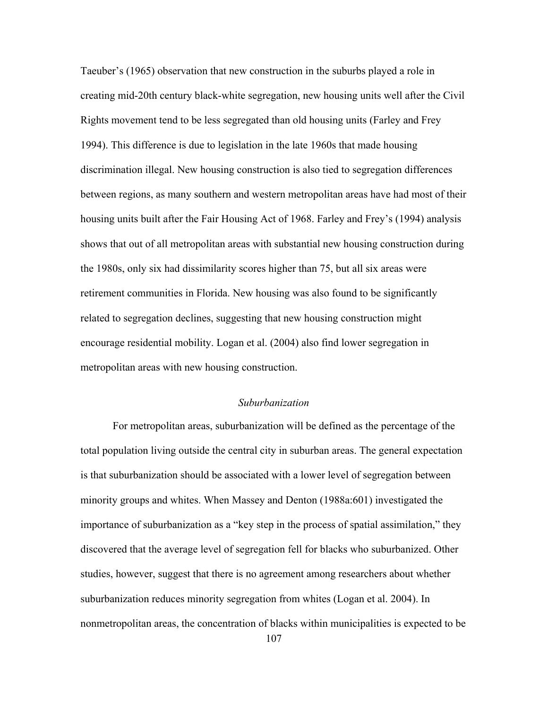Taeuber's (1965) observation that new construction in the suburbs played a role in creating mid-20th century black-white segregation, new housing units well after the Civil Rights movement tend to be less segregated than old housing units (Farley and Frey 1994). This difference is due to legislation in the late 1960s that made housing discrimination illegal. New housing construction is also tied to segregation differences between regions, as many southern and western metropolitan areas have had most of their housing units built after the Fair Housing Act of 1968. Farley and Frey's (1994) analysis shows that out of all metropolitan areas with substantial new housing construction during the 1980s, only six had dissimilarity scores higher than 75, but all six areas were retirement communities in Florida. New housing was also found to be significantly related to segregation declines, suggesting that new housing construction might encourage residential mobility. Logan et al. (2004) also find lower segregation in metropolitan areas with new housing construction.

### *Suburbanization*

107 For metropolitan areas, suburbanization will be defined as the percentage of the total population living outside the central city in suburban areas. The general expectation is that suburbanization should be associated with a lower level of segregation between minority groups and whites. When Massey and Denton (1988a:601) investigated the importance of suburbanization as a "key step in the process of spatial assimilation," they discovered that the average level of segregation fell for blacks who suburbanized. Other studies, however, suggest that there is no agreement among researchers about whether suburbanization reduces minority segregation from whites (Logan et al. 2004). In nonmetropolitan areas, the concentration of blacks within municipalities is expected to be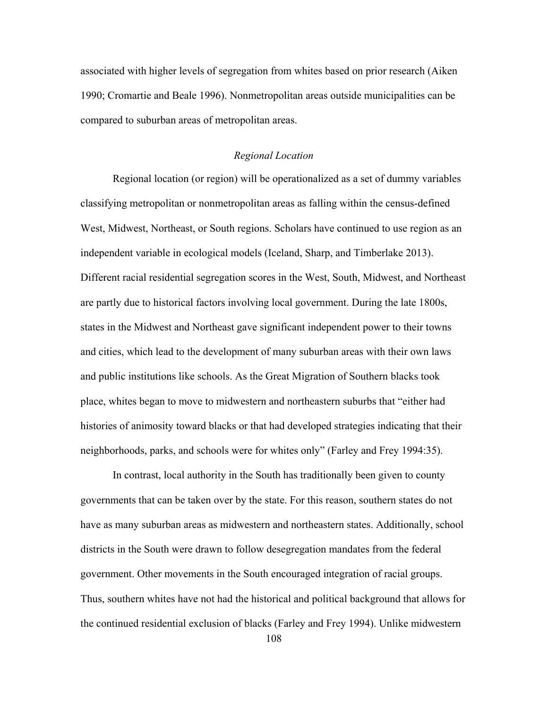associated with higher levels of segregation from whites based on prior research (Aiken 1990; Cromartie and Beale 1996). Nonmetropolitan areas outside municipalities can be compared to suburban areas of metropolitan areas.

## *Regional Location*

Regional location (or region) will be operationalized as a set of dummy variables classifying metropolitan or nonmetropolitan areas as falling within the census-defined West, Midwest, Northeast, or South regions. Scholars have continued to use region as an independent variable in ecological models (Iceland, Sharp, and Timberlake 2013). Different racial residential segregation scores in the West, South, Midwest, and Northeast are partly due to historical factors involving local government. During the late 1800s, states in the Midwest and Northeast gave significant independent power to their towns and cities, which lead to the development of many suburban areas with their own laws and public institutions like schools. As the Great Migration of Southern blacks took place, whites began to move to midwestern and northeastern suburbs that "either had histories of animosity toward blacks or that had developed strategies indicating that their neighborhoods, parks, and schools were for whites only" (Farley and Frey 1994:35).

In contrast, local authority in the South has traditionally been given to county governments that can be taken over by the state. For this reason, southern states do not have as many suburban areas as midwestern and northeastern states. Additionally, school districts in the South were drawn to follow desegregation mandates from the federal government. Other movements in the South encouraged integration of racial groups. Thus, southern whites have not had the historical and political background that allows for the continued residential exclusion of blacks (Farley and Frey 1994). Unlike midwestern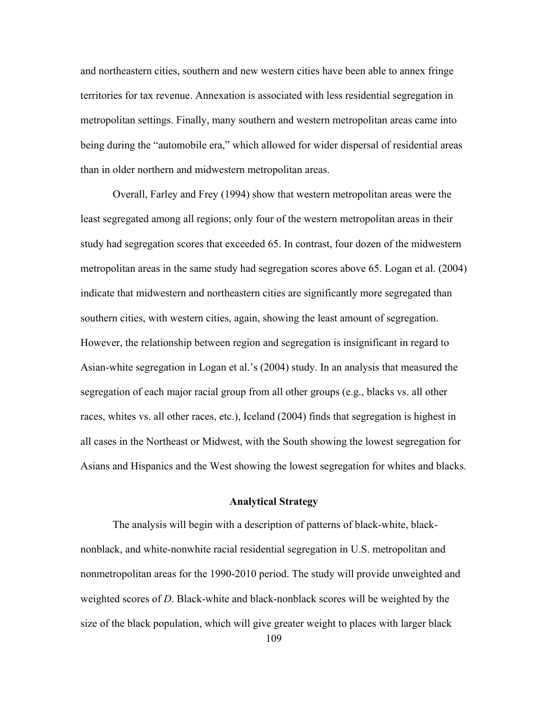and northeastern cities, southern and new western cities have been able to annex fringe territories for tax revenue. Annexation is associated with less residential segregation in metropolitan settings. Finally, many southern and western metropolitan areas came into being during the "automobile era," which allowed for wider dispersal of residential areas than in older northern and midwestern metropolitan areas.

Overall, Farley and Frey (1994) show that western metropolitan areas were the least segregated among all regions; only four of the western metropolitan areas in their study had segregation scores that exceeded 65. In contrast, four dozen of the midwestern metropolitan areas in the same study had segregation scores above 65. Logan et al. (2004) indicate that midwestern and northeastern cities are significantly more segregated than southern cities, with western cities, again, showing the least amount of segregation. However, the relationship between region and segregation is insignificant in regard to Asian-white segregation in Logan et al.'s (2004) study. In an analysis that measured the segregation of each major racial group from all other groups (e.g., blacks vs. all other races, whites vs. all other races, etc.), Iceland (2004) finds that segregation is highest in all cases in the Northeast or Midwest, with the South showing the lowest segregation for Asians and Hispanics and the West showing the lowest segregation for whites and blacks.

# **Analytical Strategy**

The analysis will begin with a description of patterns of black-white, blacknonblack, and white-nonwhite racial residential segregation in U.S. metropolitan and nonmetropolitan areas for the 1990-2010 period. The study will provide unweighted and weighted scores of *D*. Black-white and black-nonblack scores will be weighted by the size of the black population, which will give greater weight to places with larger black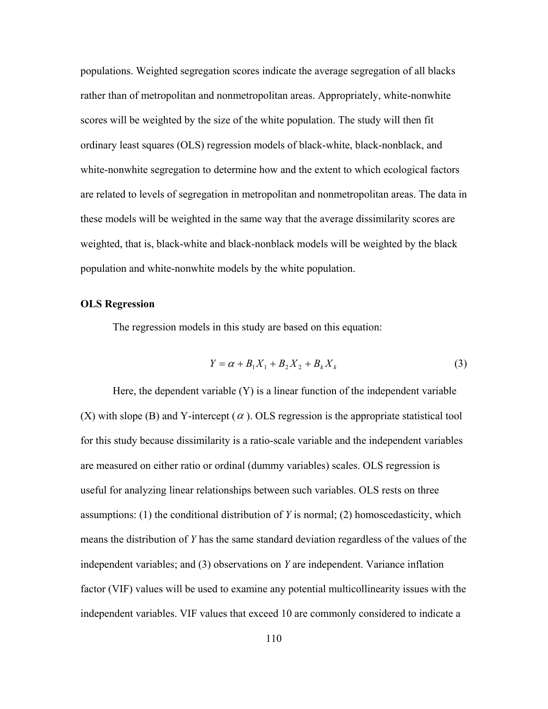populations. Weighted segregation scores indicate the average segregation of all blacks rather than of metropolitan and nonmetropolitan areas. Appropriately, white-nonwhite scores will be weighted by the size of the white population. The study will then fit ordinary least squares (OLS) regression models of black-white, black-nonblack, and white-nonwhite segregation to determine how and the extent to which ecological factors are related to levels of segregation in metropolitan and nonmetropolitan areas. The data in these models will be weighted in the same way that the average dissimilarity scores are weighted, that is, black-white and black-nonblack models will be weighted by the black population and white-nonwhite models by the white population.

#### **OLS Regression**

The regression models in this study are based on this equation:

$$
Y = \alpha + B_1 X_1 + B_2 X_2 + B_k X_k
$$
 (3)

Here, the dependent variable  $(Y)$  is a linear function of the independent variable (X) with slope (B) and Y-intercept ( $\alpha$ ). OLS regression is the appropriate statistical tool for this study because dissimilarity is a ratio-scale variable and the independent variables are measured on either ratio or ordinal (dummy variables) scales. OLS regression is useful for analyzing linear relationships between such variables. OLS rests on three assumptions: (1) the conditional distribution of *Y* is normal; (2) homoscedasticity, which means the distribution of *Y* has the same standard deviation regardless of the values of the independent variables; and (3) observations on *Y* are independent. Variance inflation factor (VIF) values will be used to examine any potential multicollinearity issues with the independent variables. VIF values that exceed 10 are commonly considered to indicate a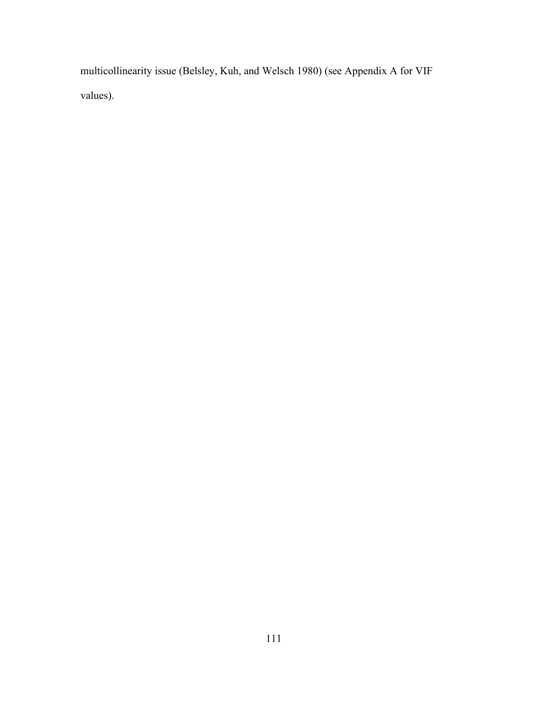multicollinearity issue (Belsley, Kuh, and Welsch 1980) (see Appendix A for VIF values).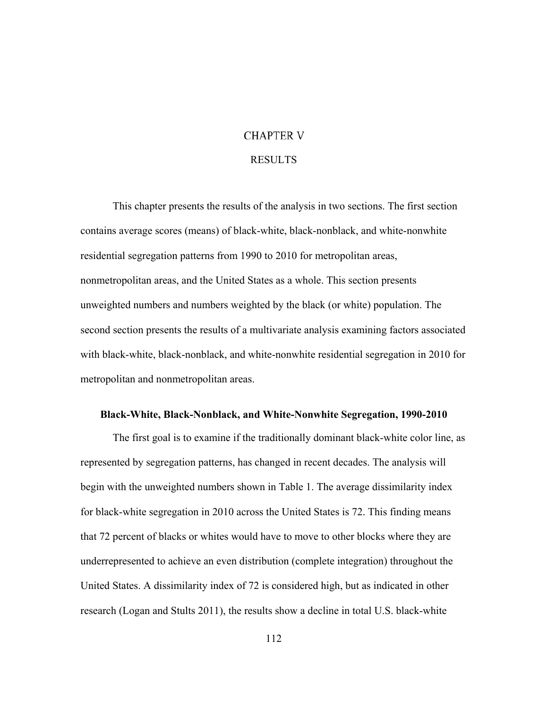# **CHAPTER V**

#### RESULTS

This chapter presents the results of the analysis in two sections. The first section contains average scores (means) of black-white, black-nonblack, and white-nonwhite residential segregation patterns from 1990 to 2010 for metropolitan areas, nonmetropolitan areas, and the United States as a whole. This section presents unweighted numbers and numbers weighted by the black (or white) population. The second section presents the results of a multivariate analysis examining factors associated with black-white, black-nonblack, and white-nonwhite residential segregation in 2010 for metropolitan and nonmetropolitan areas.

### **Black-White, Black-Nonblack, and White-Nonwhite Segregation, 1990-2010**

The first goal is to examine if the traditionally dominant black-white color line, as represented by segregation patterns, has changed in recent decades. The analysis will begin with the unweighted numbers shown in Table 1. The average dissimilarity index for black-white segregation in 2010 across the United States is 72. This finding means that 72 percent of blacks or whites would have to move to other blocks where they are underrepresented to achieve an even distribution (complete integration) throughout the United States. A dissimilarity index of 72 is considered high, but as indicated in other research (Logan and Stults 2011), the results show a decline in total U.S. black-white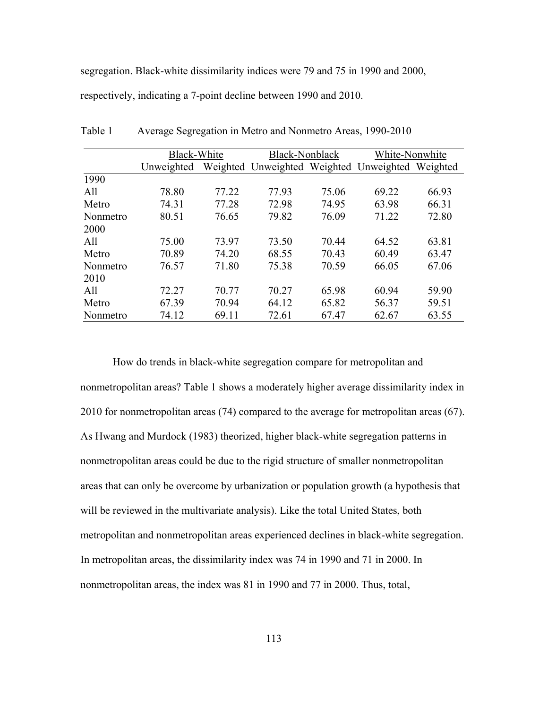segregation. Black-white dissimilarity indices were 79 and 75 in 1990 and 2000,

respectively, indicating a 7-point decline between 1990 and 2010.

|          | Black-White |       |                                         | <b>Black-Nonblack</b> |       | White-Nonwhite |  |
|----------|-------------|-------|-----------------------------------------|-----------------------|-------|----------------|--|
|          | Unweighted  |       | Weighted Unweighted Weighted Unweighted |                       |       | Weighted       |  |
| 1990     |             |       |                                         |                       |       |                |  |
| All      | 78.80       | 77.22 | 77.93                                   | 75.06                 | 69.22 | 66.93          |  |
| Metro    | 74.31       | 77.28 | 72.98                                   | 74.95                 | 63.98 | 66.31          |  |
| Nonmetro | 80.51       | 76.65 | 79.82                                   | 76.09                 | 71.22 | 72.80          |  |
| 2000     |             |       |                                         |                       |       |                |  |
| All      | 75.00       | 73.97 | 73.50                                   | 70.44                 | 64.52 | 63.81          |  |
| Metro    | 70.89       | 74.20 | 68.55                                   | 70.43                 | 60.49 | 63.47          |  |
| Nonmetro | 76.57       | 71.80 | 75.38                                   | 70.59                 | 66.05 | 67.06          |  |
| 2010     |             |       |                                         |                       |       |                |  |
| All      | 72.27       | 70.77 | 70.27                                   | 65.98                 | 60.94 | 59.90          |  |
| Metro    | 67.39       | 70.94 | 64.12                                   | 65.82                 | 56.37 | 59.51          |  |
| Nonmetro | 74.12       | 69.11 | 72.61                                   | 67.47                 | 62.67 | 63.55          |  |

Table 1 Average Segregation in Metro and Nonmetro Areas, 1990-2010

How do trends in black-white segregation compare for metropolitan and nonmetropolitan areas? Table 1 shows a moderately higher average dissimilarity index in 2010 for nonmetropolitan areas (74) compared to the average for metropolitan areas (67). As Hwang and Murdock (1983) theorized, higher black-white segregation patterns in nonmetropolitan areas could be due to the rigid structure of smaller nonmetropolitan areas that can only be overcome by urbanization or population growth (a hypothesis that will be reviewed in the multivariate analysis). Like the total United States, both metropolitan and nonmetropolitan areas experienced declines in black-white segregation. In metropolitan areas, the dissimilarity index was 74 in 1990 and 71 in 2000. In nonmetropolitan areas, the index was 81 in 1990 and 77 in 2000. Thus, total,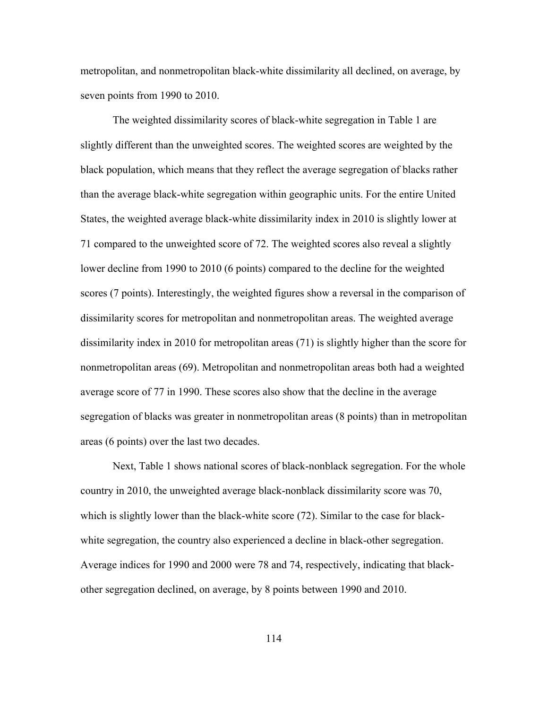metropolitan, and nonmetropolitan black-white dissimilarity all declined, on average, by seven points from 1990 to 2010.

The weighted dissimilarity scores of black-white segregation in Table 1 are slightly different than the unweighted scores. The weighted scores are weighted by the black population, which means that they reflect the average segregation of blacks rather than the average black-white segregation within geographic units. For the entire United States, the weighted average black-white dissimilarity index in 2010 is slightly lower at 71 compared to the unweighted score of 72. The weighted scores also reveal a slightly lower decline from 1990 to 2010 (6 points) compared to the decline for the weighted scores (7 points). Interestingly, the weighted figures show a reversal in the comparison of dissimilarity scores for metropolitan and nonmetropolitan areas. The weighted average dissimilarity index in 2010 for metropolitan areas (71) is slightly higher than the score for nonmetropolitan areas (69). Metropolitan and nonmetropolitan areas both had a weighted average score of 77 in 1990. These scores also show that the decline in the average segregation of blacks was greater in nonmetropolitan areas (8 points) than in metropolitan areas (6 points) over the last two decades.

Next, Table 1 shows national scores of black-nonblack segregation. For the whole country in 2010, the unweighted average black-nonblack dissimilarity score was 70, which is slightly lower than the black-white score (72). Similar to the case for blackwhite segregation, the country also experienced a decline in black-other segregation. Average indices for 1990 and 2000 were 78 and 74, respectively, indicating that blackother segregation declined, on average, by 8 points between 1990 and 2010.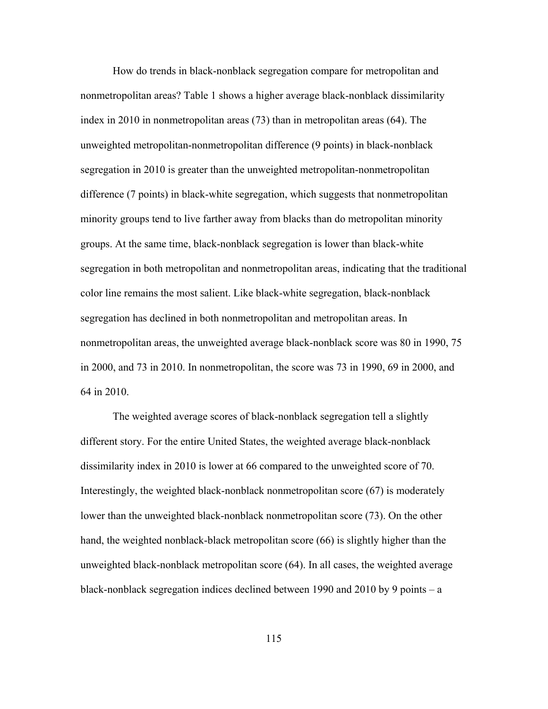How do trends in black-nonblack segregation compare for metropolitan and nonmetropolitan areas? Table 1 shows a higher average black-nonblack dissimilarity index in 2010 in nonmetropolitan areas (73) than in metropolitan areas (64). The unweighted metropolitan-nonmetropolitan difference (9 points) in black-nonblack segregation in 2010 is greater than the unweighted metropolitan-nonmetropolitan difference (7 points) in black-white segregation, which suggests that nonmetropolitan minority groups tend to live farther away from blacks than do metropolitan minority groups. At the same time, black-nonblack segregation is lower than black-white segregation in both metropolitan and nonmetropolitan areas, indicating that the traditional color line remains the most salient. Like black-white segregation, black-nonblack segregation has declined in both nonmetropolitan and metropolitan areas. In nonmetropolitan areas, the unweighted average black-nonblack score was 80 in 1990, 75 in 2000, and 73 in 2010. In nonmetropolitan, the score was 73 in 1990, 69 in 2000, and 64 in 2010.

The weighted average scores of black-nonblack segregation tell a slightly different story. For the entire United States, the weighted average black-nonblack dissimilarity index in 2010 is lower at 66 compared to the unweighted score of 70. Interestingly, the weighted black-nonblack nonmetropolitan score (67) is moderately lower than the unweighted black-nonblack nonmetropolitan score (73). On the other hand, the weighted nonblack-black metropolitan score (66) is slightly higher than the unweighted black-nonblack metropolitan score (64). In all cases, the weighted average black-nonblack segregation indices declined between 1990 and 2010 by 9 points – a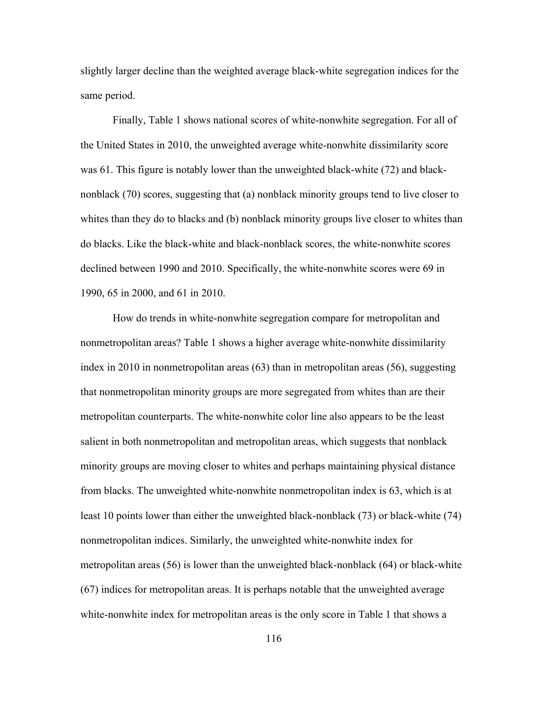slightly larger decline than the weighted average black-white segregation indices for the same period.

Finally, Table 1 shows national scores of white-nonwhite segregation. For all of the United States in 2010, the unweighted average white-nonwhite dissimilarity score was 61. This figure is notably lower than the unweighted black-white (72) and blacknonblack (70) scores, suggesting that (a) nonblack minority groups tend to live closer to whites than they do to blacks and (b) nonblack minority groups live closer to whites than do blacks. Like the black-white and black-nonblack scores, the white-nonwhite scores declined between 1990 and 2010. Specifically, the white-nonwhite scores were 69 in 1990, 65 in 2000, and 61 in 2010.

How do trends in white-nonwhite segregation compare for metropolitan and nonmetropolitan areas? Table 1 shows a higher average white-nonwhite dissimilarity index in 2010 in nonmetropolitan areas (63) than in metropolitan areas (56), suggesting that nonmetropolitan minority groups are more segregated from whites than are their metropolitan counterparts. The white-nonwhite color line also appears to be the least salient in both nonmetropolitan and metropolitan areas, which suggests that nonblack minority groups are moving closer to whites and perhaps maintaining physical distance from blacks. The unweighted white-nonwhite nonmetropolitan index is 63, which is at least 10 points lower than either the unweighted black-nonblack (73) or black-white (74) nonmetropolitan indices. Similarly, the unweighted white-nonwhite index for metropolitan areas (56) is lower than the unweighted black-nonblack (64) or black-white (67) indices for metropolitan areas. It is perhaps notable that the unweighted average white-nonwhite index for metropolitan areas is the only score in Table 1 that shows a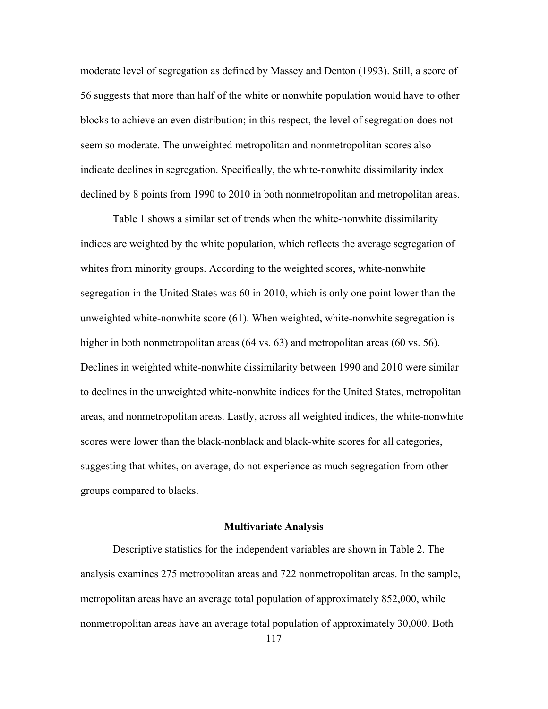moderate level of segregation as defined by Massey and Denton (1993). Still, a score of 56 suggests that more than half of the white or nonwhite population would have to other blocks to achieve an even distribution; in this respect, the level of segregation does not seem so moderate. The unweighted metropolitan and nonmetropolitan scores also indicate declines in segregation. Specifically, the white-nonwhite dissimilarity index declined by 8 points from 1990 to 2010 in both nonmetropolitan and metropolitan areas.

Table 1 shows a similar set of trends when the white-nonwhite dissimilarity indices are weighted by the white population, which reflects the average segregation of whites from minority groups. According to the weighted scores, white-nonwhite segregation in the United States was 60 in 2010, which is only one point lower than the unweighted white-nonwhite score (61). When weighted, white-nonwhite segregation is higher in both nonmetropolitan areas (64 vs. 63) and metropolitan areas (60 vs. 56). Declines in weighted white-nonwhite dissimilarity between 1990 and 2010 were similar to declines in the unweighted white-nonwhite indices for the United States, metropolitan areas, and nonmetropolitan areas. Lastly, across all weighted indices, the white-nonwhite scores were lower than the black-nonblack and black-white scores for all categories, suggesting that whites, on average, do not experience as much segregation from other groups compared to blacks.

#### **Multivariate Analysis**

117 Descriptive statistics for the independent variables are shown in Table 2. The analysis examines 275 metropolitan areas and 722 nonmetropolitan areas. In the sample, metropolitan areas have an average total population of approximately 852,000, while nonmetropolitan areas have an average total population of approximately 30,000. Both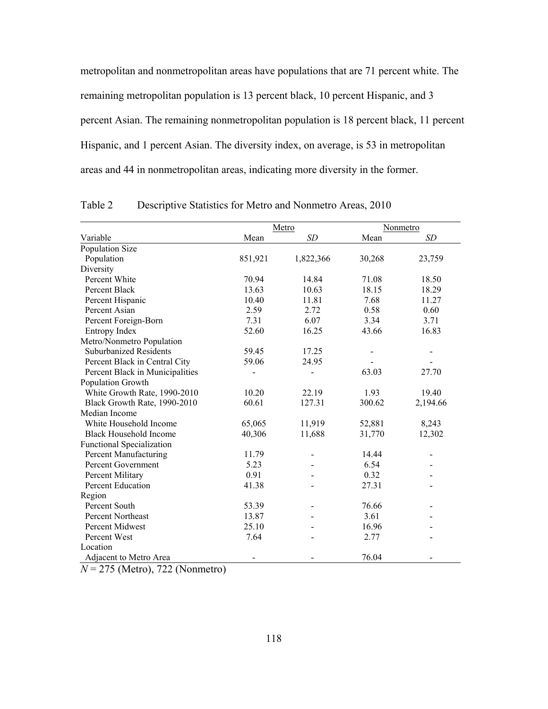metropolitan and nonmetropolitan areas have populations that are 71 percent white. The remaining metropolitan population is 13 percent black, 10 percent Hispanic, and 3 percent Asian. The remaining nonmetropolitan population is 18 percent black, 11 percent Hispanic, and 1 percent Asian. The diversity index, on average, is 53 in metropolitan areas and 44 in nonmetropolitan areas, indicating more diversity in the former.

| Variable<br>Mean<br><b>SD</b><br>Mean<br><b>SD</b><br>Population Size<br>Population<br>851,921<br>1,822,366<br>23,759<br>30,268<br>Diversity<br>Percent White<br>70.94<br>14.84<br>71.08<br>18.50<br>13.63<br>Percent Black<br>10.63<br>18.15<br>18.29<br>Percent Hispanic<br>10.40<br>11.81<br>7.68<br>11.27<br>2.59<br>2.72<br>Percent Asian<br>0.58<br>0.60<br>7.31<br>Percent Foreign-Born<br>6.07<br>3.34<br>3.71<br>52.60<br>16.25<br>43.66<br>16.83<br>Entropy Index<br>Metro/Nonmetro Population<br><b>Suburbanized Residents</b><br>59.45<br>17.25<br>Percent Black in Central City<br>59.06<br>24.95<br>63.03<br>Percent Black in Municipalities<br>27.70<br>Population Growth<br>White Growth Rate, 1990-2010<br>10.20<br>22.19<br>19.40<br>1.93<br>60.61<br>Black Growth Rate, 1990-2010<br>127.31<br>300.62<br>2,194.66<br>Median Income<br>65,065<br>White Household Income<br>11,919<br>52,881<br>8,243<br><b>Black Household Income</b><br>40,306<br>11,688<br>12,302<br>31,770<br><b>Functional Specialization</b><br><b>Percent Manufacturing</b><br>11.79<br>14.44<br>Percent Government<br>5.23<br>6.54<br>0.91<br>Percent Military<br>0.32<br>Percent Education<br>41.38<br>27.31<br>Region<br>Percent South<br>53.39<br>76.66<br>Percent Northeast<br>13.87<br>3.61<br>25.10<br>Percent Midwest<br>16.96<br>7.64<br>Percent West<br>2.77 |          | Metro |  | Nonmetro |  |
|----------------------------------------------------------------------------------------------------------------------------------------------------------------------------------------------------------------------------------------------------------------------------------------------------------------------------------------------------------------------------------------------------------------------------------------------------------------------------------------------------------------------------------------------------------------------------------------------------------------------------------------------------------------------------------------------------------------------------------------------------------------------------------------------------------------------------------------------------------------------------------------------------------------------------------------------------------------------------------------------------------------------------------------------------------------------------------------------------------------------------------------------------------------------------------------------------------------------------------------------------------------------------------------------------------------------------------------------------------------|----------|-------|--|----------|--|
|                                                                                                                                                                                                                                                                                                                                                                                                                                                                                                                                                                                                                                                                                                                                                                                                                                                                                                                                                                                                                                                                                                                                                                                                                                                                                                                                                                |          |       |  |          |  |
|                                                                                                                                                                                                                                                                                                                                                                                                                                                                                                                                                                                                                                                                                                                                                                                                                                                                                                                                                                                                                                                                                                                                                                                                                                                                                                                                                                |          |       |  |          |  |
|                                                                                                                                                                                                                                                                                                                                                                                                                                                                                                                                                                                                                                                                                                                                                                                                                                                                                                                                                                                                                                                                                                                                                                                                                                                                                                                                                                |          |       |  |          |  |
|                                                                                                                                                                                                                                                                                                                                                                                                                                                                                                                                                                                                                                                                                                                                                                                                                                                                                                                                                                                                                                                                                                                                                                                                                                                                                                                                                                |          |       |  |          |  |
|                                                                                                                                                                                                                                                                                                                                                                                                                                                                                                                                                                                                                                                                                                                                                                                                                                                                                                                                                                                                                                                                                                                                                                                                                                                                                                                                                                |          |       |  |          |  |
|                                                                                                                                                                                                                                                                                                                                                                                                                                                                                                                                                                                                                                                                                                                                                                                                                                                                                                                                                                                                                                                                                                                                                                                                                                                                                                                                                                |          |       |  |          |  |
|                                                                                                                                                                                                                                                                                                                                                                                                                                                                                                                                                                                                                                                                                                                                                                                                                                                                                                                                                                                                                                                                                                                                                                                                                                                                                                                                                                |          |       |  |          |  |
|                                                                                                                                                                                                                                                                                                                                                                                                                                                                                                                                                                                                                                                                                                                                                                                                                                                                                                                                                                                                                                                                                                                                                                                                                                                                                                                                                                |          |       |  |          |  |
|                                                                                                                                                                                                                                                                                                                                                                                                                                                                                                                                                                                                                                                                                                                                                                                                                                                                                                                                                                                                                                                                                                                                                                                                                                                                                                                                                                |          |       |  |          |  |
|                                                                                                                                                                                                                                                                                                                                                                                                                                                                                                                                                                                                                                                                                                                                                                                                                                                                                                                                                                                                                                                                                                                                                                                                                                                                                                                                                                |          |       |  |          |  |
|                                                                                                                                                                                                                                                                                                                                                                                                                                                                                                                                                                                                                                                                                                                                                                                                                                                                                                                                                                                                                                                                                                                                                                                                                                                                                                                                                                |          |       |  |          |  |
|                                                                                                                                                                                                                                                                                                                                                                                                                                                                                                                                                                                                                                                                                                                                                                                                                                                                                                                                                                                                                                                                                                                                                                                                                                                                                                                                                                |          |       |  |          |  |
|                                                                                                                                                                                                                                                                                                                                                                                                                                                                                                                                                                                                                                                                                                                                                                                                                                                                                                                                                                                                                                                                                                                                                                                                                                                                                                                                                                |          |       |  |          |  |
|                                                                                                                                                                                                                                                                                                                                                                                                                                                                                                                                                                                                                                                                                                                                                                                                                                                                                                                                                                                                                                                                                                                                                                                                                                                                                                                                                                |          |       |  |          |  |
|                                                                                                                                                                                                                                                                                                                                                                                                                                                                                                                                                                                                                                                                                                                                                                                                                                                                                                                                                                                                                                                                                                                                                                                                                                                                                                                                                                |          |       |  |          |  |
|                                                                                                                                                                                                                                                                                                                                                                                                                                                                                                                                                                                                                                                                                                                                                                                                                                                                                                                                                                                                                                                                                                                                                                                                                                                                                                                                                                |          |       |  |          |  |
|                                                                                                                                                                                                                                                                                                                                                                                                                                                                                                                                                                                                                                                                                                                                                                                                                                                                                                                                                                                                                                                                                                                                                                                                                                                                                                                                                                |          |       |  |          |  |
|                                                                                                                                                                                                                                                                                                                                                                                                                                                                                                                                                                                                                                                                                                                                                                                                                                                                                                                                                                                                                                                                                                                                                                                                                                                                                                                                                                |          |       |  |          |  |
|                                                                                                                                                                                                                                                                                                                                                                                                                                                                                                                                                                                                                                                                                                                                                                                                                                                                                                                                                                                                                                                                                                                                                                                                                                                                                                                                                                |          |       |  |          |  |
|                                                                                                                                                                                                                                                                                                                                                                                                                                                                                                                                                                                                                                                                                                                                                                                                                                                                                                                                                                                                                                                                                                                                                                                                                                                                                                                                                                |          |       |  |          |  |
|                                                                                                                                                                                                                                                                                                                                                                                                                                                                                                                                                                                                                                                                                                                                                                                                                                                                                                                                                                                                                                                                                                                                                                                                                                                                                                                                                                |          |       |  |          |  |
|                                                                                                                                                                                                                                                                                                                                                                                                                                                                                                                                                                                                                                                                                                                                                                                                                                                                                                                                                                                                                                                                                                                                                                                                                                                                                                                                                                |          |       |  |          |  |
|                                                                                                                                                                                                                                                                                                                                                                                                                                                                                                                                                                                                                                                                                                                                                                                                                                                                                                                                                                                                                                                                                                                                                                                                                                                                                                                                                                |          |       |  |          |  |
|                                                                                                                                                                                                                                                                                                                                                                                                                                                                                                                                                                                                                                                                                                                                                                                                                                                                                                                                                                                                                                                                                                                                                                                                                                                                                                                                                                |          |       |  |          |  |
|                                                                                                                                                                                                                                                                                                                                                                                                                                                                                                                                                                                                                                                                                                                                                                                                                                                                                                                                                                                                                                                                                                                                                                                                                                                                                                                                                                |          |       |  |          |  |
|                                                                                                                                                                                                                                                                                                                                                                                                                                                                                                                                                                                                                                                                                                                                                                                                                                                                                                                                                                                                                                                                                                                                                                                                                                                                                                                                                                |          |       |  |          |  |
|                                                                                                                                                                                                                                                                                                                                                                                                                                                                                                                                                                                                                                                                                                                                                                                                                                                                                                                                                                                                                                                                                                                                                                                                                                                                                                                                                                |          |       |  |          |  |
|                                                                                                                                                                                                                                                                                                                                                                                                                                                                                                                                                                                                                                                                                                                                                                                                                                                                                                                                                                                                                                                                                                                                                                                                                                                                                                                                                                |          |       |  |          |  |
|                                                                                                                                                                                                                                                                                                                                                                                                                                                                                                                                                                                                                                                                                                                                                                                                                                                                                                                                                                                                                                                                                                                                                                                                                                                                                                                                                                |          |       |  |          |  |
|                                                                                                                                                                                                                                                                                                                                                                                                                                                                                                                                                                                                                                                                                                                                                                                                                                                                                                                                                                                                                                                                                                                                                                                                                                                                                                                                                                |          |       |  |          |  |
|                                                                                                                                                                                                                                                                                                                                                                                                                                                                                                                                                                                                                                                                                                                                                                                                                                                                                                                                                                                                                                                                                                                                                                                                                                                                                                                                                                | Location |       |  |          |  |
| 76.04<br>Adjacent to Metro Area                                                                                                                                                                                                                                                                                                                                                                                                                                                                                                                                                                                                                                                                                                                                                                                                                                                                                                                                                                                                                                                                                                                                                                                                                                                                                                                                |          |       |  |          |  |

Table 2 Descriptive Statistics for Metro and Nonmetro Areas, 2010

*N* = 275 (Metro), 722 (Nonmetro)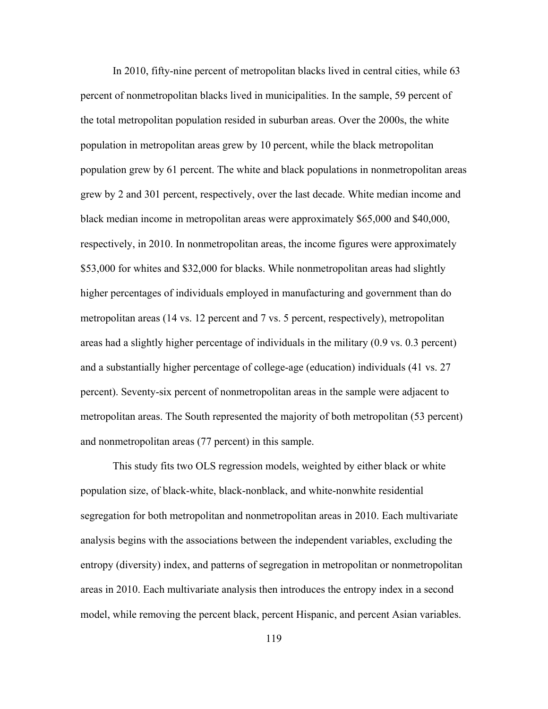In 2010, fifty-nine percent of metropolitan blacks lived in central cities, while 63 percent of nonmetropolitan blacks lived in municipalities. In the sample, 59 percent of the total metropolitan population resided in suburban areas. Over the 2000s, the white population in metropolitan areas grew by 10 percent, while the black metropolitan population grew by 61 percent. The white and black populations in nonmetropolitan areas grew by 2 and 301 percent, respectively, over the last decade. White median income and black median income in metropolitan areas were approximately \$65,000 and \$40,000, respectively, in 2010. In nonmetropolitan areas, the income figures were approximately \$53,000 for whites and \$32,000 for blacks. While nonmetropolitan areas had slightly higher percentages of individuals employed in manufacturing and government than do metropolitan areas (14 vs. 12 percent and 7 vs. 5 percent, respectively), metropolitan areas had a slightly higher percentage of individuals in the military (0.9 vs. 0.3 percent) and a substantially higher percentage of college-age (education) individuals (41 vs. 27 percent). Seventy-six percent of nonmetropolitan areas in the sample were adjacent to metropolitan areas. The South represented the majority of both metropolitan (53 percent) and nonmetropolitan areas (77 percent) in this sample.

This study fits two OLS regression models, weighted by either black or white population size, of black-white, black-nonblack, and white-nonwhite residential segregation for both metropolitan and nonmetropolitan areas in 2010. Each multivariate analysis begins with the associations between the independent variables, excluding the entropy (diversity) index, and patterns of segregation in metropolitan or nonmetropolitan areas in 2010. Each multivariate analysis then introduces the entropy index in a second model, while removing the percent black, percent Hispanic, and percent Asian variables.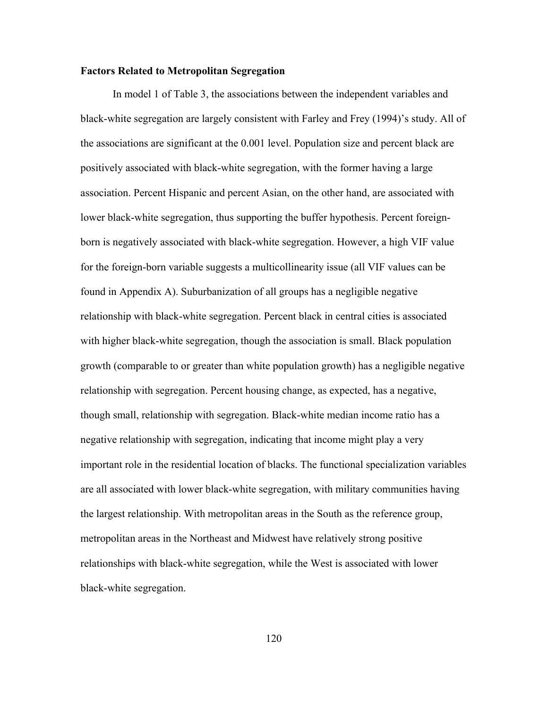### **Factors Related to Metropolitan Segregation**

In model 1 of Table 3, the associations between the independent variables and black-white segregation are largely consistent with Farley and Frey (1994)'s study. All of the associations are significant at the 0.001 level. Population size and percent black are positively associated with black-white segregation, with the former having a large association. Percent Hispanic and percent Asian, on the other hand, are associated with lower black-white segregation, thus supporting the buffer hypothesis. Percent foreignborn is negatively associated with black-white segregation. However, a high VIF value for the foreign-born variable suggests a multicollinearity issue (all VIF values can be found in Appendix A). Suburbanization of all groups has a negligible negative relationship with black-white segregation. Percent black in central cities is associated with higher black-white segregation, though the association is small. Black population growth (comparable to or greater than white population growth) has a negligible negative relationship with segregation. Percent housing change, as expected, has a negative, though small, relationship with segregation. Black-white median income ratio has a negative relationship with segregation, indicating that income might play a very important role in the residential location of blacks. The functional specialization variables are all associated with lower black-white segregation, with military communities having the largest relationship. With metropolitan areas in the South as the reference group, metropolitan areas in the Northeast and Midwest have relatively strong positive relationships with black-white segregation, while the West is associated with lower black-white segregation.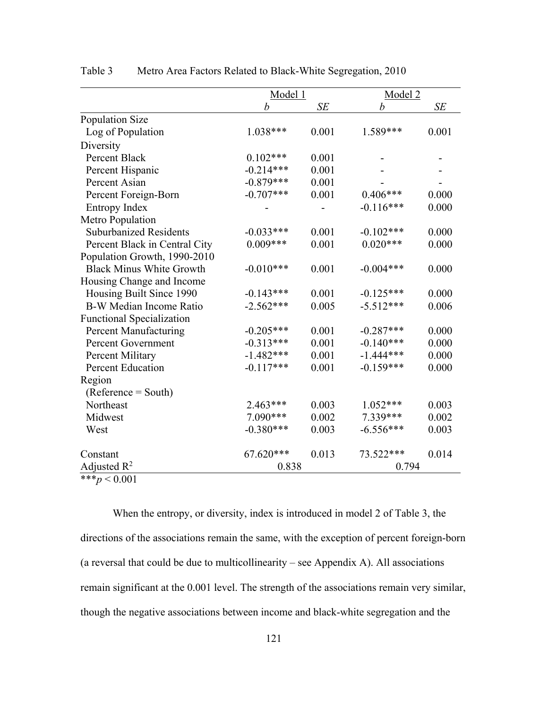|                                  | Model 1          |           | Model 2     |       |
|----------------------------------|------------------|-----------|-------------|-------|
|                                  | $\boldsymbol{b}$ | <b>SE</b> | b           | SE    |
| Population Size                  |                  |           |             |       |
| Log of Population                | 1.038***         | 0.001     | 1.589***    | 0.001 |
| Diversity                        |                  |           |             |       |
| Percent Black                    | $0.102***$       | 0.001     |             |       |
| Percent Hispanic                 | $-0.214***$      | 0.001     |             |       |
| Percent Asian                    | $-0.879***$      | 0.001     |             |       |
| Percent Foreign-Born             | $-0.707***$      | 0.001     | $0.406***$  | 0.000 |
| Entropy Index                    |                  |           | $-0.116***$ | 0.000 |
| Metro Population                 |                  |           |             |       |
| <b>Suburbanized Residents</b>    | $-0.033***$      | 0.001     | $-0.102***$ | 0.000 |
| Percent Black in Central City    | $0.009***$       | 0.001     | $0.020***$  | 0.000 |
| Population Growth, 1990-2010     |                  |           |             |       |
| <b>Black Minus White Growth</b>  | $-0.010***$      | 0.001     | $-0.004***$ | 0.000 |
| Housing Change and Income        |                  |           |             |       |
| Housing Built Since 1990         | $-0.143***$      | 0.001     | $-0.125***$ | 0.000 |
| <b>B-W Median Income Ratio</b>   | $-2.562***$      | 0.005     | $-5.512***$ | 0.006 |
| <b>Functional Specialization</b> |                  |           |             |       |
| <b>Percent Manufacturing</b>     | $-0.205***$      | 0.001     | $-0.287***$ | 0.000 |
| <b>Percent Government</b>        | $-0.313***$      | 0.001     | $-0.140***$ | 0.000 |
| Percent Military                 | $-1.482***$      | 0.001     | $-1.444***$ | 0.000 |
| <b>Percent Education</b>         | $-0.117***$      | 0.001     | $-0.159***$ | 0.000 |
| Region                           |                  |           |             |       |
| $(Reference = South)$            |                  |           |             |       |
| Northeast                        | 2.463***         | 0.003     | $1.052***$  | 0.003 |
| Midwest                          | 7.090***         | 0.002     | 7.339***    | 0.002 |
| West                             | $-0.380***$      | 0.003     | $-6.556***$ | 0.003 |
| Constant                         | 67.620***        | 0.013     | 73.522***   | 0.014 |
| Adjusted $R^2$<br>$***.7001$     | 0.838            |           | 0.794       |       |

Table 3 Metro Area Factors Related to Black-White Segregation, 2010

\*\*\* $p < 0.001$ 

When the entropy, or diversity, index is introduced in model 2 of Table 3, the directions of the associations remain the same, with the exception of percent foreign-born (a reversal that could be due to multicollinearity – see Appendix A). All associations remain significant at the 0.001 level. The strength of the associations remain very similar, though the negative associations between income and black-white segregation and the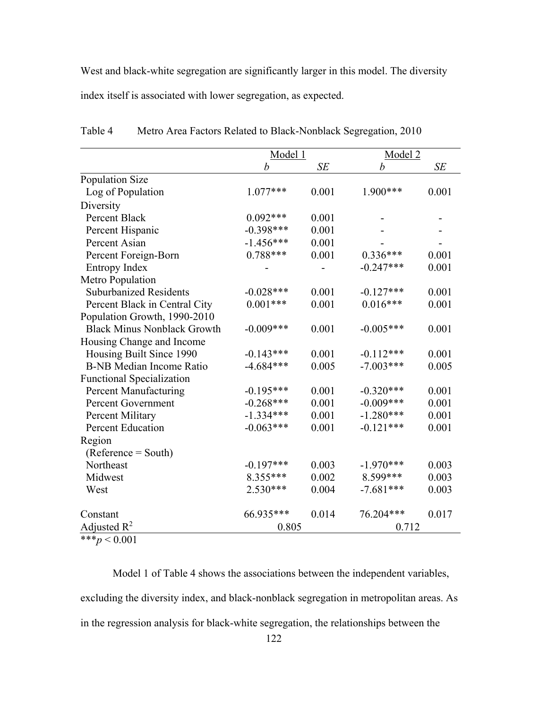West and black-white segregation are significantly larger in this model. The diversity index itself is associated with lower segregation, as expected.

|                                    | Model 1      |           |             | Model 2 |  |
|------------------------------------|--------------|-----------|-------------|---------|--|
|                                    | b            | <b>SE</b> | b           | SE      |  |
| Population Size                    |              |           |             |         |  |
| Log of Population                  | $1.077***$   | 0.001     | $1.900***$  | 0.001   |  |
| Diversity                          |              |           |             |         |  |
| Percent Black                      | $0.092***$   | 0.001     |             |         |  |
| Percent Hispanic                   | $-0.398***$  | 0.001     |             |         |  |
| Percent Asian                      | $-1.456***$  | 0.001     |             |         |  |
| Percent Foreign-Born               | 0.788***     | 0.001     | $0.336***$  | 0.001   |  |
| Entropy Index                      |              |           | $-0.247***$ | 0.001   |  |
| Metro Population                   |              |           |             |         |  |
| <b>Suburbanized Residents</b>      | $-0.028$ *** | 0.001     | $-0.127***$ | 0.001   |  |
| Percent Black in Central City      | $0.001***$   | 0.001     | $0.016***$  | 0.001   |  |
| Population Growth, 1990-2010       |              |           |             |         |  |
| <b>Black Minus Nonblack Growth</b> | $-0.009$ *** | 0.001     | $-0.005***$ | 0.001   |  |
| Housing Change and Income          |              |           |             |         |  |
| Housing Built Since 1990           | $-0.143***$  | 0.001     | $-0.112***$ | 0.001   |  |
| <b>B-NB</b> Median Income Ratio    | $-4.684***$  | 0.005     | $-7.003***$ | 0.005   |  |
| <b>Functional Specialization</b>   |              |           |             |         |  |
| <b>Percent Manufacturing</b>       | $-0.195***$  | 0.001     | $-0.320***$ | 0.001   |  |
| <b>Percent Government</b>          | $-0.268***$  | 0.001     | $-0.009***$ | 0.001   |  |
| Percent Military                   | $-1.334***$  | 0.001     | $-1.280***$ | 0.001   |  |
| Percent Education                  | $-0.063***$  | 0.001     | $-0.121***$ | 0.001   |  |
| Region                             |              |           |             |         |  |
| $(Reference = South)$              |              |           |             |         |  |
| Northeast                          | $-0.197***$  | 0.003     | $-1.970***$ | 0.003   |  |
| Midwest                            | 8.355***     | 0.002     | 8.599***    | 0.003   |  |
| West                               | $2.530***$   | 0.004     | $-7.681***$ | 0.003   |  |
| Constant                           | 66.935***    | 0.014     | 76.204***   | 0.017   |  |
| Adjusted $R^2$                     | 0.805        |           | 0.712       |         |  |

Table 4 Metro Area Factors Related to Black-Nonblack Segregation, 2010

 $**p < 0.001$ 

Model 1 of Table 4 shows the associations between the independent variables, excluding the diversity index, and black-nonblack segregation in metropolitan areas. As in the regression analysis for black-white segregation, the relationships between the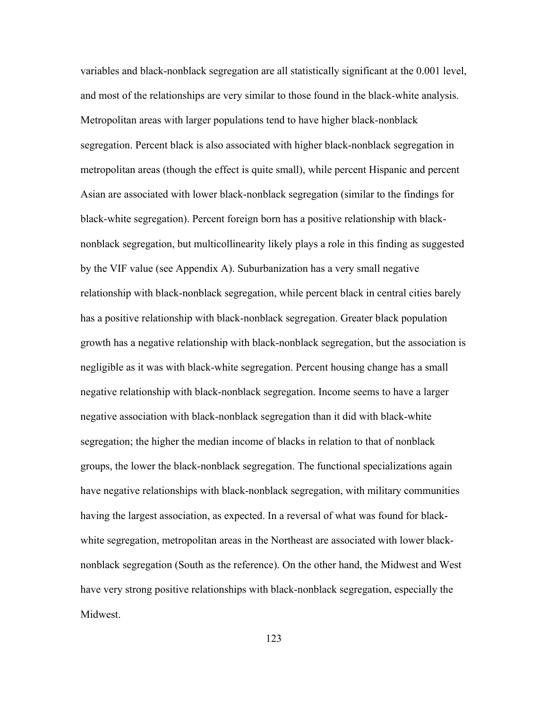variables and black-nonblack segregation are all statistically significant at the 0.001 level, and most of the relationships are very similar to those found in the black-white analysis. Metropolitan areas with larger populations tend to have higher black-nonblack segregation. Percent black is also associated with higher black-nonblack segregation in metropolitan areas (though the effect is quite small), while percent Hispanic and percent Asian are associated with lower black-nonblack segregation (similar to the findings for black-white segregation). Percent foreign born has a positive relationship with blacknonblack segregation, but multicollinearity likely plays a role in this finding as suggested by the VIF value (see Appendix A). Suburbanization has a very small negative relationship with black-nonblack segregation, while percent black in central cities barely has a positive relationship with black-nonblack segregation. Greater black population growth has a negative relationship with black-nonblack segregation, but the association is negligible as it was with black-white segregation. Percent housing change has a small negative relationship with black-nonblack segregation. Income seems to have a larger negative association with black-nonblack segregation than it did with black-white segregation; the higher the median income of blacks in relation to that of nonblack groups, the lower the black-nonblack segregation. The functional specializations again have negative relationships with black-nonblack segregation, with military communities having the largest association, as expected. In a reversal of what was found for blackwhite segregation, metropolitan areas in the Northeast are associated with lower blacknonblack segregation (South as the reference). On the other hand, the Midwest and West have very strong positive relationships with black-nonblack segregation, especially the Midwest.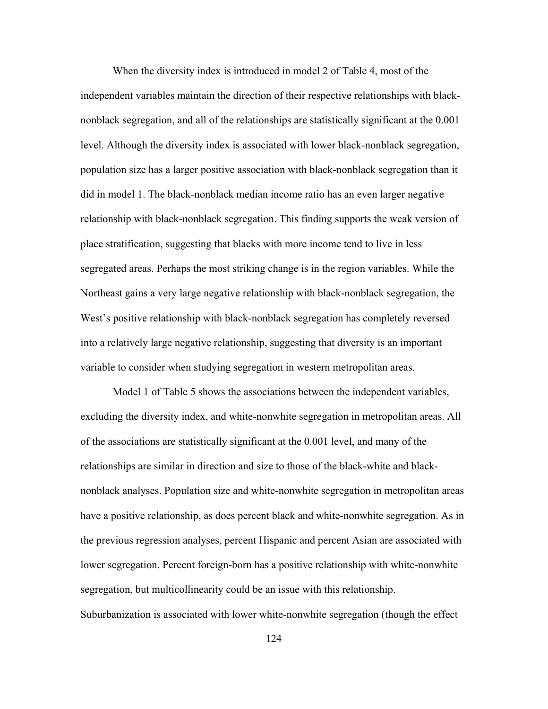When the diversity index is introduced in model 2 of Table 4, most of the independent variables maintain the direction of their respective relationships with blacknonblack segregation, and all of the relationships are statistically significant at the 0.001 level. Although the diversity index is associated with lower black-nonblack segregation, population size has a larger positive association with black-nonblack segregation than it did in model 1. The black-nonblack median income ratio has an even larger negative relationship with black-nonblack segregation. This finding supports the weak version of place stratification, suggesting that blacks with more income tend to live in less segregated areas. Perhaps the most striking change is in the region variables. While the Northeast gains a very large negative relationship with black-nonblack segregation, the West's positive relationship with black-nonblack segregation has completely reversed into a relatively large negative relationship, suggesting that diversity is an important variable to consider when studying segregation in western metropolitan areas.

Model 1 of Table 5 shows the associations between the independent variables, excluding the diversity index, and white-nonwhite segregation in metropolitan areas. All of the associations are statistically significant at the 0.001 level, and many of the relationships are similar in direction and size to those of the black-white and blacknonblack analyses. Population size and white-nonwhite segregation in metropolitan areas have a positive relationship, as does percent black and white-nonwhite segregation. As in the previous regression analyses, percent Hispanic and percent Asian are associated with lower segregation. Percent foreign-born has a positive relationship with white-nonwhite segregation, but multicollinearity could be an issue with this relationship. Suburbanization is associated with lower white-nonwhite segregation (though the effect

124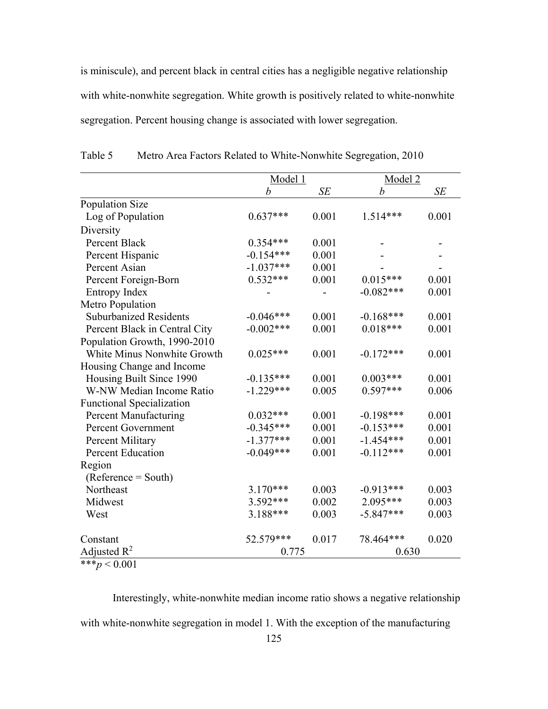is miniscule), and percent black in central cities has a negligible negative relationship with white-nonwhite segregation. White growth is positively related to white-nonwhite segregation. Percent housing change is associated with lower segregation.

|                                  | Model 1      |           | Model 2          |       |
|----------------------------------|--------------|-----------|------------------|-------|
|                                  | b            | <b>SE</b> | $\boldsymbol{b}$ | SE    |
| Population Size                  |              |           |                  |       |
| Log of Population                | $0.637***$   | 0.001     | 1.514***         | 0.001 |
| Diversity                        |              |           |                  |       |
| Percent Black                    | $0.354***$   | 0.001     |                  |       |
| Percent Hispanic                 | $-0.154***$  | 0.001     |                  |       |
| Percent Asian                    | $-1.037***$  | 0.001     |                  |       |
| Percent Foreign-Born             | $0.532***$   | 0.001     | $0.015***$       | 0.001 |
| <b>Entropy Index</b>             |              |           | $-0.082***$      | 0.001 |
| Metro Population                 |              |           |                  |       |
| <b>Suburbanized Residents</b>    | $-0.046***$  | 0.001     | $-0.168***$      | 0.001 |
| Percent Black in Central City    | $-0.002$ *** | 0.001     | $0.018***$       | 0.001 |
| Population Growth, 1990-2010     |              |           |                  |       |
| White Minus Nonwhite Growth      | $0.025***$   | 0.001     | $-0.172***$      | 0.001 |
| Housing Change and Income        |              |           |                  |       |
| Housing Built Since 1990         | $-0.135***$  | 0.001     | $0.003***$       | 0.001 |
| W-NW Median Income Ratio         | $-1.229***$  | 0.005     | $0.597***$       | 0.006 |
| <b>Functional Specialization</b> |              |           |                  |       |
| <b>Percent Manufacturing</b>     | $0.032***$   | 0.001     | $-0.198***$      | 0.001 |
| <b>Percent Government</b>        | $-0.345***$  | 0.001     | $-0.153***$      | 0.001 |
| Percent Military                 | $-1.377***$  | 0.001     | $-1.454***$      | 0.001 |
| <b>Percent Education</b>         | $-0.049***$  | 0.001     | $-0.112***$      | 0.001 |
| Region                           |              |           |                  |       |
| $(Reference = South)$            |              |           |                  |       |
| Northeast                        | $3.170***$   | 0.003     | $-0.913***$      | 0.003 |
| Midwest                          | 3.592***     | 0.002     | 2.095***         | 0.003 |
| West                             | 3.188***     | 0.003     | $-5.847***$      | 0.003 |
| Constant                         | 52.579***    | 0.017     | 78.464***        | 0.020 |
| Adjusted $R^2$<br>ماء ماء ماء    | 0.775        |           | 0.630            |       |

Table 5 Metro Area Factors Related to White-Nonwhite Segregation, 2010

\*\*\* $p < 0.001$ 

Interestingly, white-nonwhite median income ratio shows a negative relationship with white-nonwhite segregation in model 1. With the exception of the manufacturing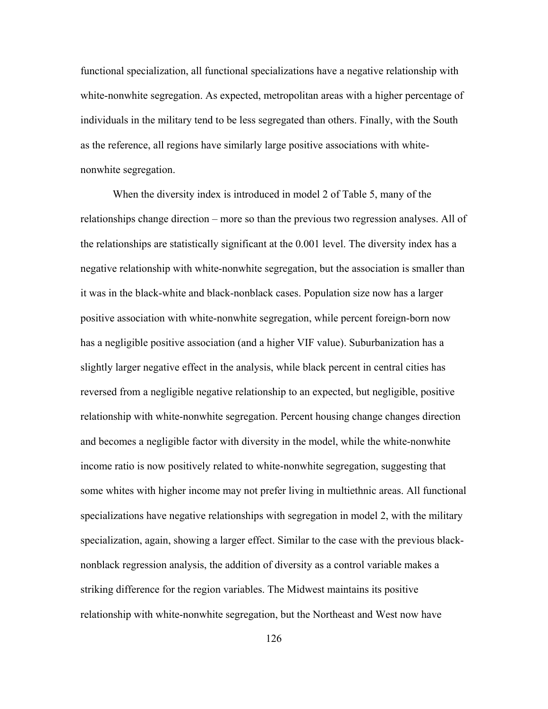functional specialization, all functional specializations have a negative relationship with white-nonwhite segregation. As expected, metropolitan areas with a higher percentage of individuals in the military tend to be less segregated than others. Finally, with the South as the reference, all regions have similarly large positive associations with whitenonwhite segregation.

When the diversity index is introduced in model 2 of Table 5, many of the relationships change direction – more so than the previous two regression analyses. All of the relationships are statistically significant at the 0.001 level. The diversity index has a negative relationship with white-nonwhite segregation, but the association is smaller than it was in the black-white and black-nonblack cases. Population size now has a larger positive association with white-nonwhite segregation, while percent foreign-born now has a negligible positive association (and a higher VIF value). Suburbanization has a slightly larger negative effect in the analysis, while black percent in central cities has reversed from a negligible negative relationship to an expected, but negligible, positive relationship with white-nonwhite segregation. Percent housing change changes direction and becomes a negligible factor with diversity in the model, while the white-nonwhite income ratio is now positively related to white-nonwhite segregation, suggesting that some whites with higher income may not prefer living in multiethnic areas. All functional specializations have negative relationships with segregation in model 2, with the military specialization, again, showing a larger effect. Similar to the case with the previous blacknonblack regression analysis, the addition of diversity as a control variable makes a striking difference for the region variables. The Midwest maintains its positive relationship with white-nonwhite segregation, but the Northeast and West now have

126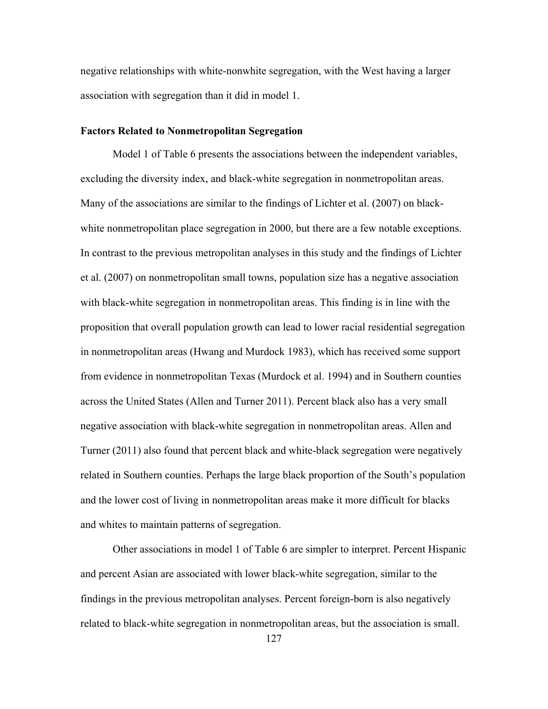negative relationships with white-nonwhite segregation, with the West having a larger association with segregation than it did in model 1.

### **Factors Related to Nonmetropolitan Segregation**

Model 1 of Table 6 presents the associations between the independent variables, excluding the diversity index, and black-white segregation in nonmetropolitan areas. Many of the associations are similar to the findings of Lichter et al. (2007) on blackwhite nonmetropolitan place segregation in 2000, but there are a few notable exceptions. In contrast to the previous metropolitan analyses in this study and the findings of Lichter et al. (2007) on nonmetropolitan small towns, population size has a negative association with black-white segregation in nonmetropolitan areas. This finding is in line with the proposition that overall population growth can lead to lower racial residential segregation in nonmetropolitan areas (Hwang and Murdock 1983), which has received some support from evidence in nonmetropolitan Texas (Murdock et al. 1994) and in Southern counties across the United States (Allen and Turner 2011). Percent black also has a very small negative association with black-white segregation in nonmetropolitan areas. Allen and Turner (2011) also found that percent black and white-black segregation were negatively related in Southern counties. Perhaps the large black proportion of the South's population and the lower cost of living in nonmetropolitan areas make it more difficult for blacks and whites to maintain patterns of segregation.

Other associations in model 1 of Table 6 are simpler to interpret. Percent Hispanic and percent Asian are associated with lower black-white segregation, similar to the findings in the previous metropolitan analyses. Percent foreign-born is also negatively related to black-white segregation in nonmetropolitan areas, but the association is small.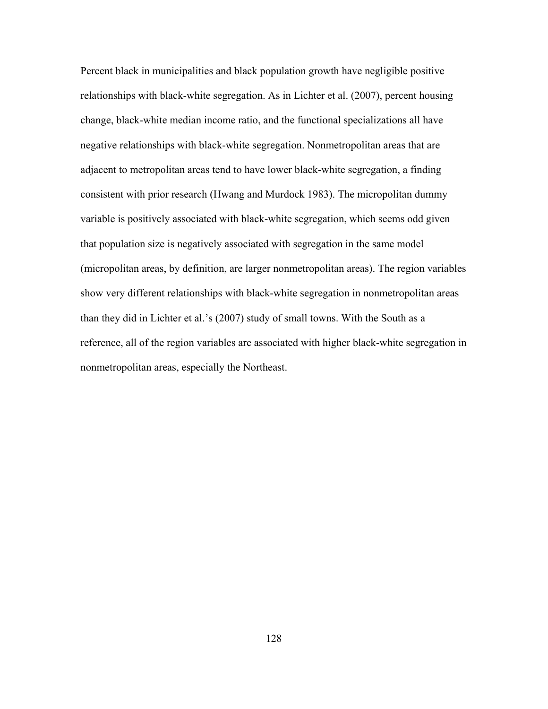Percent black in municipalities and black population growth have negligible positive relationships with black-white segregation. As in Lichter et al. (2007), percent housing change, black-white median income ratio, and the functional specializations all have negative relationships with black-white segregation. Nonmetropolitan areas that are adjacent to metropolitan areas tend to have lower black-white segregation, a finding consistent with prior research (Hwang and Murdock 1983). The micropolitan dummy variable is positively associated with black-white segregation, which seems odd given that population size is negatively associated with segregation in the same model (micropolitan areas, by definition, are larger nonmetropolitan areas). The region variables show very different relationships with black-white segregation in nonmetropolitan areas than they did in Lichter et al.'s (2007) study of small towns. With the South as a reference, all of the region variables are associated with higher black-white segregation in nonmetropolitan areas, especially the Northeast.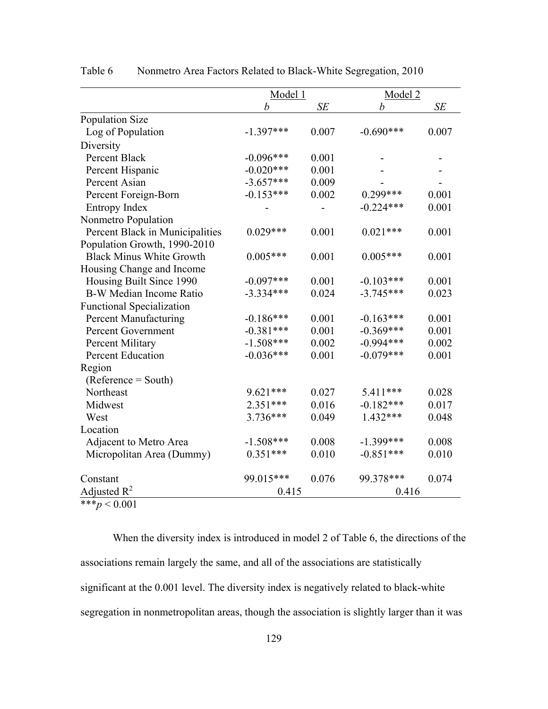|                                  | Model 1     |           | Model 2     |       |
|----------------------------------|-------------|-----------|-------------|-------|
|                                  | b           | <b>SE</b> | b           | SE    |
| Population Size                  |             |           |             |       |
| Log of Population                | $-1.397***$ | 0.007     | $-0.690***$ | 0.007 |
| Diversity                        |             |           |             |       |
| Percent Black                    | $-0.096***$ | 0.001     |             |       |
| Percent Hispanic                 | $-0.020***$ | 0.001     |             |       |
| Percent Asian                    | $-3.657***$ | 0.009     |             |       |
| Percent Foreign-Born             | $-0.153***$ | 0.002     | $0.299***$  | 0.001 |
| Entropy Index                    |             |           | $-0.224***$ | 0.001 |
| Nonmetro Population              |             |           |             |       |
| Percent Black in Municipalities  | $0.029***$  | 0.001     | $0.021***$  | 0.001 |
| Population Growth, 1990-2010     |             |           |             |       |
| <b>Black Minus White Growth</b>  | $0.005***$  | 0.001     | $0.005***$  | 0.001 |
| Housing Change and Income        |             |           |             |       |
| Housing Built Since 1990         | $-0.097***$ | 0.001     | $-0.103***$ | 0.001 |
| <b>B-W Median Income Ratio</b>   | $-3.334***$ | 0.024     | $-3.745***$ | 0.023 |
| <b>Functional Specialization</b> |             |           |             |       |
| <b>Percent Manufacturing</b>     | $-0.186***$ | 0.001     | $-0.163***$ | 0.001 |
| <b>Percent Government</b>        | $-0.381***$ | 0.001     | $-0.369***$ | 0.001 |
| Percent Military                 | $-1.508***$ | 0.002     | $-0.994***$ | 0.002 |
| <b>Percent Education</b>         | $-0.036***$ | 0.001     | $-0.079***$ | 0.001 |
| Region                           |             |           |             |       |
| $(Reference = South)$            |             |           |             |       |
| Northeast                        | $9.621***$  | 0.027     | 5.411 ***   | 0.028 |
| Midwest                          | 2.351***    | 0.016     | $-0.182***$ | 0.017 |
| West                             | 3.736***    | 0.049     | 1.432***    | 0.048 |
| Location                         |             |           |             |       |
| Adjacent to Metro Area           | $-1.508***$ | 0.008     | $-1.399***$ | 0.008 |
| Micropolitan Area (Dummy)        | $0.351***$  | 0.010     | $-0.851***$ | 0.010 |
| Constant                         | 99.015***   | 0.076     | 99.378***   | 0.074 |
| Adjusted $\mathbb{R}^2$          | 0.415       |           | 0.416       |       |
| *** $p < 0.001$                  |             |           |             |       |

| Table 6 | Nonmetro Area Factors Related to Black-White Segregation, 2010 |  |
|---------|----------------------------------------------------------------|--|
|         |                                                                |  |

When the diversity index is introduced in model 2 of Table 6, the directions of the associations remain largely the same, and all of the associations are statistically significant at the 0.001 level. The diversity index is negatively related to black-white segregation in nonmetropolitan areas, though the association is slightly larger than it was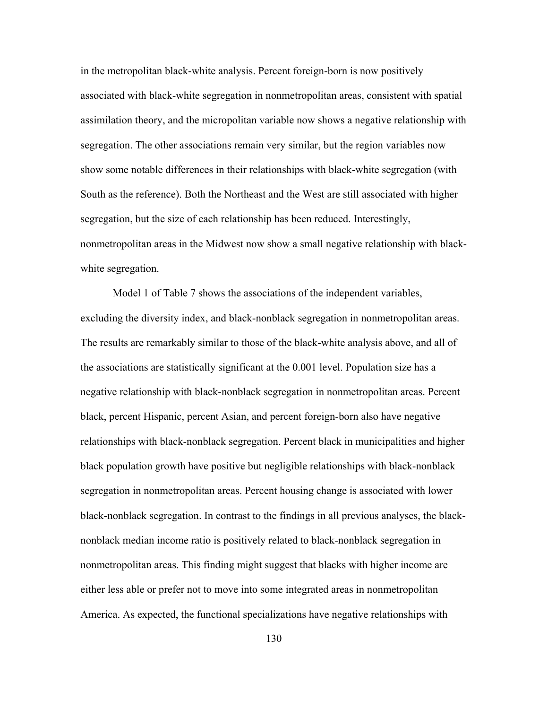in the metropolitan black-white analysis. Percent foreign-born is now positively associated with black-white segregation in nonmetropolitan areas, consistent with spatial assimilation theory, and the micropolitan variable now shows a negative relationship with segregation. The other associations remain very similar, but the region variables now show some notable differences in their relationships with black-white segregation (with South as the reference). Both the Northeast and the West are still associated with higher segregation, but the size of each relationship has been reduced. Interestingly, nonmetropolitan areas in the Midwest now show a small negative relationship with blackwhite segregation.

Model 1 of Table 7 shows the associations of the independent variables, excluding the diversity index, and black-nonblack segregation in nonmetropolitan areas. The results are remarkably similar to those of the black-white analysis above, and all of the associations are statistically significant at the 0.001 level. Population size has a negative relationship with black-nonblack segregation in nonmetropolitan areas. Percent black, percent Hispanic, percent Asian, and percent foreign-born also have negative relationships with black-nonblack segregation. Percent black in municipalities and higher black population growth have positive but negligible relationships with black-nonblack segregation in nonmetropolitan areas. Percent housing change is associated with lower black-nonblack segregation. In contrast to the findings in all previous analyses, the blacknonblack median income ratio is positively related to black-nonblack segregation in nonmetropolitan areas. This finding might suggest that blacks with higher income are either less able or prefer not to move into some integrated areas in nonmetropolitan America. As expected, the functional specializations have negative relationships with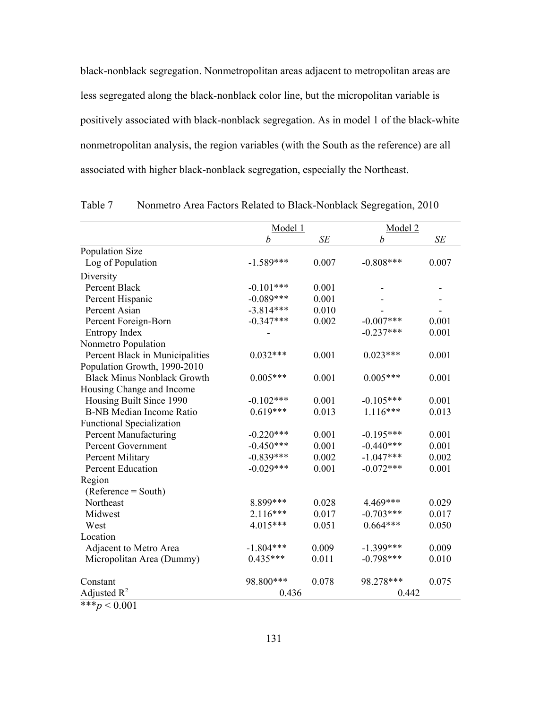black-nonblack segregation. Nonmetropolitan areas adjacent to metropolitan areas are less segregated along the black-nonblack color line, but the micropolitan variable is positively associated with black-nonblack segregation. As in model 1 of the black-white nonmetropolitan analysis, the region variables (with the South as the reference) are all associated with higher black-nonblack segregation, especially the Northeast.

|                                    | Model 1          |       | Model 2          |       |
|------------------------------------|------------------|-------|------------------|-------|
|                                    | $\boldsymbol{b}$ | SE    | $\boldsymbol{b}$ | SE    |
| <b>Population Size</b>             |                  |       |                  |       |
| Log of Population                  | $-1.589***$      | 0.007 | $-0.808***$      | 0.007 |
| Diversity                          |                  |       |                  |       |
| Percent Black                      | $-0.101***$      | 0.001 |                  |       |
| Percent Hispanic                   | $-0.089***$      | 0.001 |                  |       |
| Percent Asian                      | $-3.814***$      | 0.010 |                  |       |
| Percent Foreign-Born               | $-0.347***$      | 0.002 | $-0.007***$      | 0.001 |
| Entropy Index                      |                  |       | $-0.237***$      | 0.001 |
| Nonmetro Population                |                  |       |                  |       |
| Percent Black in Municipalities    | $0.032***$       | 0.001 | $0.023***$       | 0.001 |
| Population Growth, 1990-2010       |                  |       |                  |       |
| <b>Black Minus Nonblack Growth</b> | $0.005***$       | 0.001 | $0.005***$       | 0.001 |
| Housing Change and Income          |                  |       |                  |       |
| Housing Built Since 1990           | $-0.102***$      | 0.001 | $-0.105***$      | 0.001 |
| <b>B-NB Median Income Ratio</b>    | $0.619***$       | 0.013 | $1.116***$       | 0.013 |
| <b>Functional Specialization</b>   |                  |       |                  |       |
| <b>Percent Manufacturing</b>       | $-0.220***$      | 0.001 | $-0.195***$      | 0.001 |
| <b>Percent Government</b>          | $-0.450***$      | 0.001 | $-0.440***$      | 0.001 |
| Percent Military                   | $-0.839***$      | 0.002 | $-1.047***$      | 0.002 |
| <b>Percent Education</b>           | $-0.029***$      | 0.001 | $-0.072***$      | 0.001 |
| Region                             |                  |       |                  |       |
| $(Reference = South)$              |                  |       |                  |       |
| Northeast                          | 8.899***         | 0.028 | 4.469***         | 0.029 |
| Midwest                            | 2.116***         | 0.017 | $-0.703***$      | 0.017 |
| West                               | 4.015***         | 0.051 | $0.664***$       | 0.050 |
| Location                           |                  |       |                  |       |
| Adjacent to Metro Area             | $-1.804***$      | 0.009 | $-1.399***$      | 0.009 |
| Micropolitan Area (Dummy)          | 0.435***         | 0.011 | $-0.798***$      | 0.010 |
| Constant                           | 98.800***        | 0.078 | 98.278***        | 0.075 |
| Adjusted $R^2$                     | 0.436            |       | 0.442            |       |
| *** $p < 0.001$                    |                  |       |                  |       |

Table 7 Nonmetro Area Factors Related to Black-Nonblack Segregation, 2010

131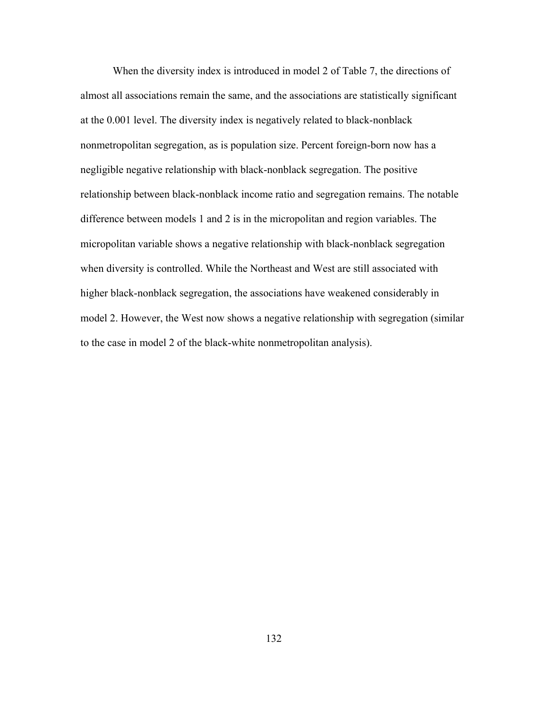When the diversity index is introduced in model 2 of Table 7, the directions of almost all associations remain the same, and the associations are statistically significant at the 0.001 level. The diversity index is negatively related to black-nonblack nonmetropolitan segregation, as is population size. Percent foreign-born now has a negligible negative relationship with black-nonblack segregation. The positive relationship between black-nonblack income ratio and segregation remains. The notable difference between models 1 and 2 is in the micropolitan and region variables. The micropolitan variable shows a negative relationship with black-nonblack segregation when diversity is controlled. While the Northeast and West are still associated with higher black-nonblack segregation, the associations have weakened considerably in model 2. However, the West now shows a negative relationship with segregation (similar to the case in model 2 of the black-white nonmetropolitan analysis).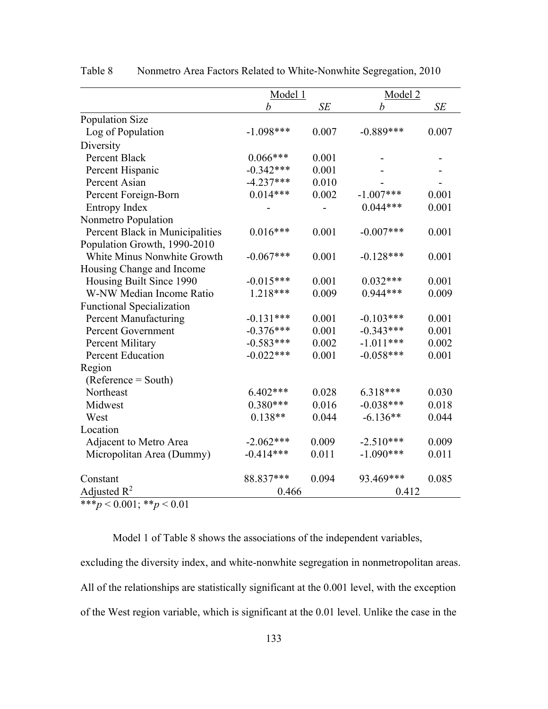|                                  | <u>Model 1</u> |           | Model <sub>2</sub> |           |  |
|----------------------------------|----------------|-----------|--------------------|-----------|--|
|                                  | b              | <b>SE</b> | $\boldsymbol{b}$   | $\cal SE$ |  |
| Population Size                  |                |           |                    |           |  |
| Log of Population                | $-1.098***$    | 0.007     | $-0.889***$        | 0.007     |  |
| Diversity                        |                |           |                    |           |  |
| Percent Black                    | $0.066***$     | 0.001     |                    |           |  |
| Percent Hispanic                 | $-0.342***$    | 0.001     |                    |           |  |
| Percent Asian                    | $-4.237***$    | 0.010     |                    |           |  |
| Percent Foreign-Born             | $0.014***$     | 0.002     | $-1.007***$        | 0.001     |  |
| Entropy Index                    |                |           | $0.044***$         | 0.001     |  |
| Nonmetro Population              |                |           |                    |           |  |
| Percent Black in Municipalities  | $0.016***$     | 0.001     | $-0.007$ ***       | 0.001     |  |
| Population Growth, 1990-2010     |                |           |                    |           |  |
| White Minus Nonwhite Growth      | $-0.067***$    | 0.001     | $-0.128***$        | 0.001     |  |
| Housing Change and Income        |                |           |                    |           |  |
| Housing Built Since 1990         | $-0.015***$    | 0.001     | $0.032***$         | 0.001     |  |
| W-NW Median Income Ratio         | 1.218***       | 0.009     | $0.944***$         | 0.009     |  |
| <b>Functional Specialization</b> |                |           |                    |           |  |
| <b>Percent Manufacturing</b>     | $-0.131***$    | 0.001     | $-0.103***$        | 0.001     |  |
| <b>Percent Government</b>        | $-0.376***$    | 0.001     | $-0.343***$        | 0.001     |  |
| Percent Military                 | $-0.583***$    | 0.002     | $-1.011***$        | 0.002     |  |
| <b>Percent Education</b>         | $-0.022***$    | 0.001     | $-0.058***$        | 0.001     |  |
| Region                           |                |           |                    |           |  |
| $(Reference = South)$            |                |           |                    |           |  |
| Northeast                        | $6.402***$     | 0.028     | 6.318***           | 0.030     |  |
| Midwest                          | $0.380***$     | 0.016     | $-0.038***$        | 0.018     |  |
| West                             | $0.138**$      | 0.044     | $-6.136**$         | 0.044     |  |
| Location                         |                |           |                    |           |  |
| Adjacent to Metro Area           | $-2.062***$    | 0.009     | $-2.510***$        | 0.009     |  |
| Micropolitan Area (Dummy)        | $-0.414***$    | 0.011     | $-1.090***$        | 0.011     |  |
| Constant                         | 88.837***      | 0.094     | 93.469***          | 0.085     |  |
| Adjusted $R^2$                   | 0.466          |           |                    | 0.412     |  |
| $***n<0.001**n<0.01$             |                |           |                    |           |  |

| Table 8 |  | Nonmetro Area Factors Related to White-Nonwhite Segregation, 2010 |  |  |
|---------|--|-------------------------------------------------------------------|--|--|
|---------|--|-------------------------------------------------------------------|--|--|

\*\*\**p* < 0.001; \*\**p* < 0.01

Model 1 of Table 8 shows the associations of the independent variables, excluding the diversity index, and white-nonwhite segregation in nonmetropolitan areas. All of the relationships are statistically significant at the 0.001 level, with the exception of the West region variable, which is significant at the 0.01 level. Unlike the case in the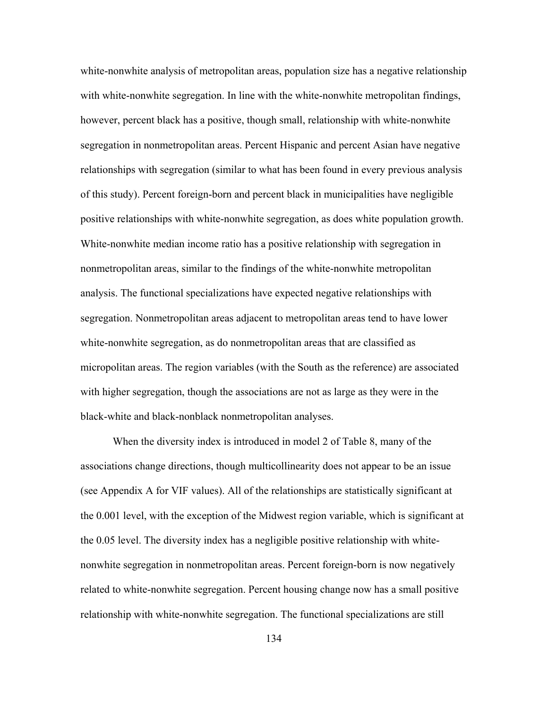white-nonwhite analysis of metropolitan areas, population size has a negative relationship with white-nonwhite segregation. In line with the white-nonwhite metropolitan findings, however, percent black has a positive, though small, relationship with white-nonwhite segregation in nonmetropolitan areas. Percent Hispanic and percent Asian have negative relationships with segregation (similar to what has been found in every previous analysis of this study). Percent foreign-born and percent black in municipalities have negligible positive relationships with white-nonwhite segregation, as does white population growth. White-nonwhite median income ratio has a positive relationship with segregation in nonmetropolitan areas, similar to the findings of the white-nonwhite metropolitan analysis. The functional specializations have expected negative relationships with segregation. Nonmetropolitan areas adjacent to metropolitan areas tend to have lower white-nonwhite segregation, as do nonmetropolitan areas that are classified as micropolitan areas. The region variables (with the South as the reference) are associated with higher segregation, though the associations are not as large as they were in the black-white and black-nonblack nonmetropolitan analyses.

When the diversity index is introduced in model 2 of Table 8, many of the associations change directions, though multicollinearity does not appear to be an issue (see Appendix A for VIF values). All of the relationships are statistically significant at the 0.001 level, with the exception of the Midwest region variable, which is significant at the 0.05 level. The diversity index has a negligible positive relationship with whitenonwhite segregation in nonmetropolitan areas. Percent foreign-born is now negatively related to white-nonwhite segregation. Percent housing change now has a small positive relationship with white-nonwhite segregation. The functional specializations are still

134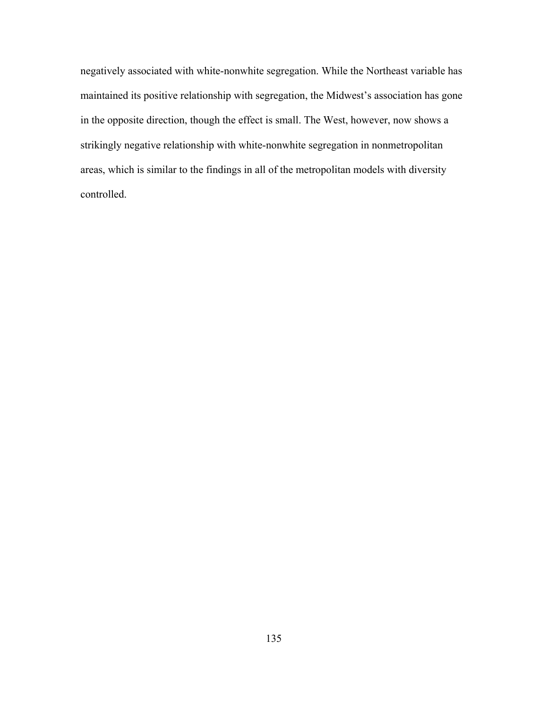negatively associated with white-nonwhite segregation. While the Northeast variable has maintained its positive relationship with segregation, the Midwest's association has gone in the opposite direction, though the effect is small. The West, however, now shows a strikingly negative relationship with white-nonwhite segregation in nonmetropolitan areas, which is similar to the findings in all of the metropolitan models with diversity controlled.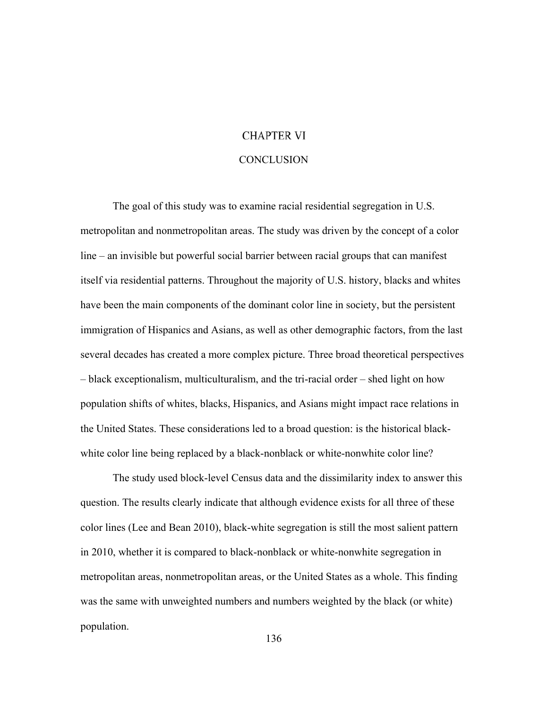## **CHAPTER VI**

## **CONCLUSION**

The goal of this study was to examine racial residential segregation in U.S. metropolitan and nonmetropolitan areas. The study was driven by the concept of a color line – an invisible but powerful social barrier between racial groups that can manifest itself via residential patterns. Throughout the majority of U.S. history, blacks and whites have been the main components of the dominant color line in society, but the persistent immigration of Hispanics and Asians, as well as other demographic factors, from the last several decades has created a more complex picture. Three broad theoretical perspectives – black exceptionalism, multiculturalism, and the tri-racial order – shed light on how population shifts of whites, blacks, Hispanics, and Asians might impact race relations in the United States. These considerations led to a broad question: is the historical blackwhite color line being replaced by a black-nonblack or white-nonwhite color line?

The study used block-level Census data and the dissimilarity index to answer this question. The results clearly indicate that although evidence exists for all three of these color lines (Lee and Bean 2010), black-white segregation is still the most salient pattern in 2010, whether it is compared to black-nonblack or white-nonwhite segregation in metropolitan areas, nonmetropolitan areas, or the United States as a whole. This finding was the same with unweighted numbers and numbers weighted by the black (or white) population.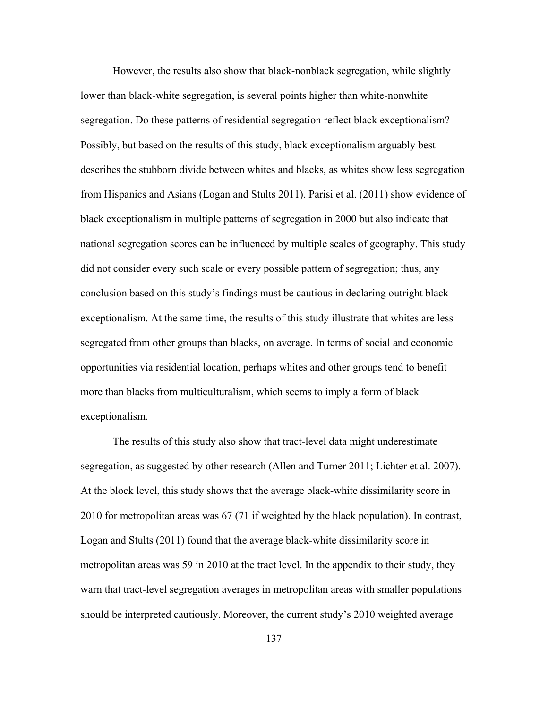However, the results also show that black-nonblack segregation, while slightly lower than black-white segregation, is several points higher than white-nonwhite segregation. Do these patterns of residential segregation reflect black exceptionalism? Possibly, but based on the results of this study, black exceptionalism arguably best describes the stubborn divide between whites and blacks, as whites show less segregation from Hispanics and Asians (Logan and Stults 2011). Parisi et al. (2011) show evidence of black exceptionalism in multiple patterns of segregation in 2000 but also indicate that national segregation scores can be influenced by multiple scales of geography. This study did not consider every such scale or every possible pattern of segregation; thus, any conclusion based on this study's findings must be cautious in declaring outright black exceptionalism. At the same time, the results of this study illustrate that whites are less segregated from other groups than blacks, on average. In terms of social and economic opportunities via residential location, perhaps whites and other groups tend to benefit more than blacks from multiculturalism, which seems to imply a form of black exceptionalism.

The results of this study also show that tract-level data might underestimate segregation, as suggested by other research (Allen and Turner 2011; Lichter et al. 2007). At the block level, this study shows that the average black-white dissimilarity score in 2010 for metropolitan areas was 67 (71 if weighted by the black population). In contrast, Logan and Stults (2011) found that the average black-white dissimilarity score in metropolitan areas was 59 in 2010 at the tract level. In the appendix to their study, they warn that tract-level segregation averages in metropolitan areas with smaller populations should be interpreted cautiously. Moreover, the current study's 2010 weighted average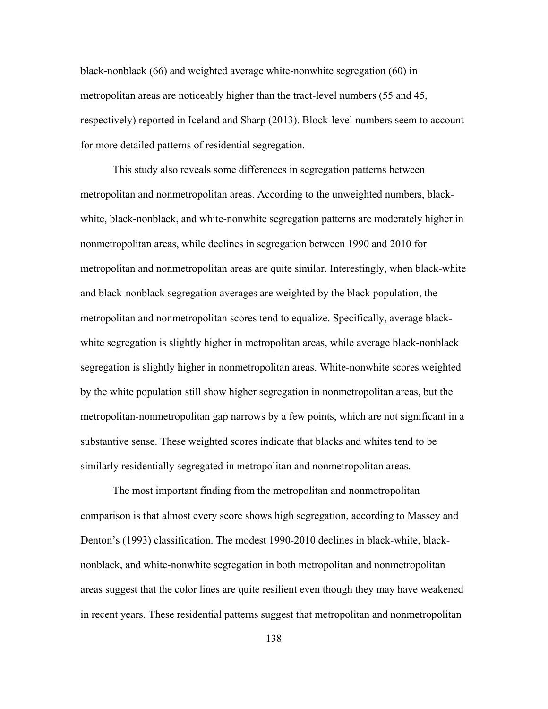black-nonblack (66) and weighted average white-nonwhite segregation (60) in metropolitan areas are noticeably higher than the tract-level numbers (55 and 45, respectively) reported in Iceland and Sharp (2013). Block-level numbers seem to account for more detailed patterns of residential segregation.

This study also reveals some differences in segregation patterns between metropolitan and nonmetropolitan areas. According to the unweighted numbers, blackwhite, black-nonblack, and white-nonwhite segregation patterns are moderately higher in nonmetropolitan areas, while declines in segregation between 1990 and 2010 for metropolitan and nonmetropolitan areas are quite similar. Interestingly, when black-white and black-nonblack segregation averages are weighted by the black population, the metropolitan and nonmetropolitan scores tend to equalize. Specifically, average blackwhite segregation is slightly higher in metropolitan areas, while average black-nonblack segregation is slightly higher in nonmetropolitan areas. White-nonwhite scores weighted by the white population still show higher segregation in nonmetropolitan areas, but the metropolitan-nonmetropolitan gap narrows by a few points, which are not significant in a substantive sense. These weighted scores indicate that blacks and whites tend to be similarly residentially segregated in metropolitan and nonmetropolitan areas.

The most important finding from the metropolitan and nonmetropolitan comparison is that almost every score shows high segregation, according to Massey and Denton's (1993) classification. The modest 1990-2010 declines in black-white, blacknonblack, and white-nonwhite segregation in both metropolitan and nonmetropolitan areas suggest that the color lines are quite resilient even though they may have weakened in recent years. These residential patterns suggest that metropolitan and nonmetropolitan

138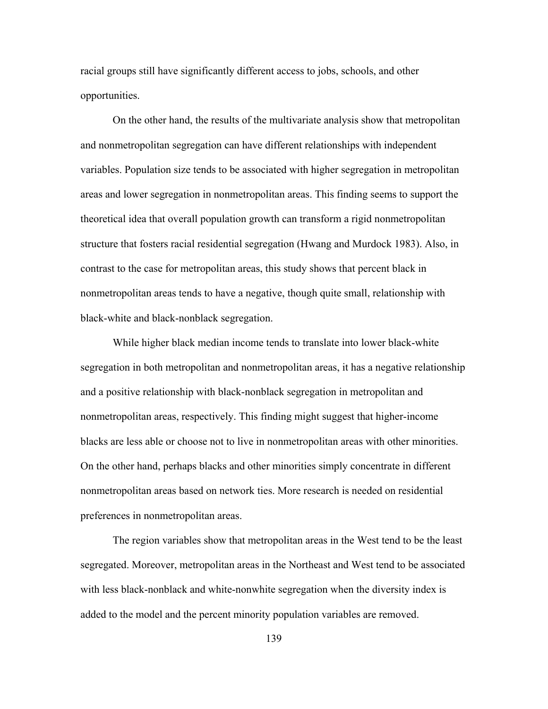racial groups still have significantly different access to jobs, schools, and other opportunities.

On the other hand, the results of the multivariate analysis show that metropolitan and nonmetropolitan segregation can have different relationships with independent variables. Population size tends to be associated with higher segregation in metropolitan areas and lower segregation in nonmetropolitan areas. This finding seems to support the theoretical idea that overall population growth can transform a rigid nonmetropolitan structure that fosters racial residential segregation (Hwang and Murdock 1983). Also, in contrast to the case for metropolitan areas, this study shows that percent black in nonmetropolitan areas tends to have a negative, though quite small, relationship with black-white and black-nonblack segregation.

While higher black median income tends to translate into lower black-white segregation in both metropolitan and nonmetropolitan areas, it has a negative relationship and a positive relationship with black-nonblack segregation in metropolitan and nonmetropolitan areas, respectively. This finding might suggest that higher-income blacks are less able or choose not to live in nonmetropolitan areas with other minorities. On the other hand, perhaps blacks and other minorities simply concentrate in different nonmetropolitan areas based on network ties. More research is needed on residential preferences in nonmetropolitan areas.

The region variables show that metropolitan areas in the West tend to be the least segregated. Moreover, metropolitan areas in the Northeast and West tend to be associated with less black-nonblack and white-nonwhite segregation when the diversity index is added to the model and the percent minority population variables are removed.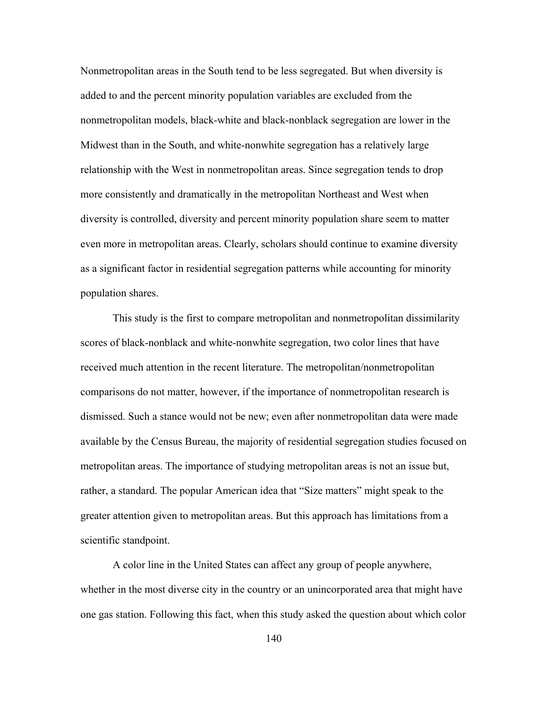Nonmetropolitan areas in the South tend to be less segregated. But when diversity is added to and the percent minority population variables are excluded from the nonmetropolitan models, black-white and black-nonblack segregation are lower in the Midwest than in the South, and white-nonwhite segregation has a relatively large relationship with the West in nonmetropolitan areas. Since segregation tends to drop more consistently and dramatically in the metropolitan Northeast and West when diversity is controlled, diversity and percent minority population share seem to matter even more in metropolitan areas. Clearly, scholars should continue to examine diversity as a significant factor in residential segregation patterns while accounting for minority population shares.

This study is the first to compare metropolitan and nonmetropolitan dissimilarity scores of black-nonblack and white-nonwhite segregation, two color lines that have received much attention in the recent literature. The metropolitan/nonmetropolitan comparisons do not matter, however, if the importance of nonmetropolitan research is dismissed. Such a stance would not be new; even after nonmetropolitan data were made available by the Census Bureau, the majority of residential segregation studies focused on metropolitan areas. The importance of studying metropolitan areas is not an issue but, rather, a standard. The popular American idea that "Size matters" might speak to the greater attention given to metropolitan areas. But this approach has limitations from a scientific standpoint.

A color line in the United States can affect any group of people anywhere, whether in the most diverse city in the country or an unincorporated area that might have one gas station. Following this fact, when this study asked the question about which color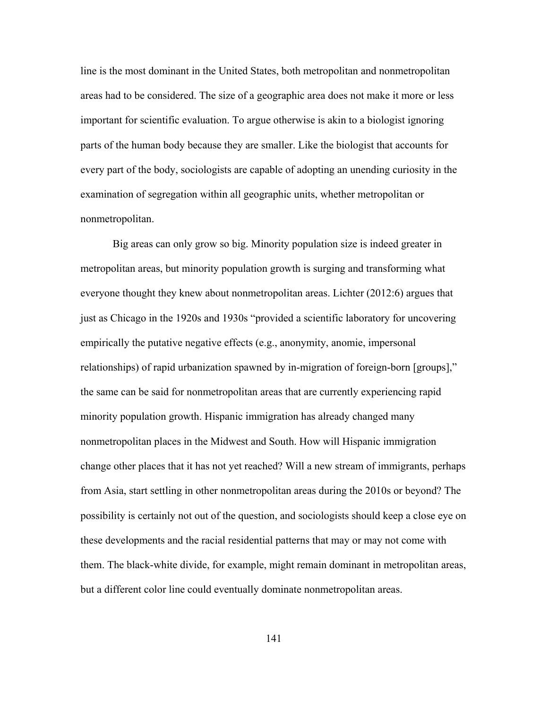line is the most dominant in the United States, both metropolitan and nonmetropolitan areas had to be considered. The size of a geographic area does not make it more or less important for scientific evaluation. To argue otherwise is akin to a biologist ignoring parts of the human body because they are smaller. Like the biologist that accounts for every part of the body, sociologists are capable of adopting an unending curiosity in the examination of segregation within all geographic units, whether metropolitan or nonmetropolitan.

Big areas can only grow so big. Minority population size is indeed greater in metropolitan areas, but minority population growth is surging and transforming what everyone thought they knew about nonmetropolitan areas. Lichter (2012:6) argues that just as Chicago in the 1920s and 1930s "provided a scientific laboratory for uncovering empirically the putative negative effects (e.g., anonymity, anomie, impersonal relationships) of rapid urbanization spawned by in-migration of foreign-born [groups]," the same can be said for nonmetropolitan areas that are currently experiencing rapid minority population growth. Hispanic immigration has already changed many nonmetropolitan places in the Midwest and South. How will Hispanic immigration change other places that it has not yet reached? Will a new stream of immigrants, perhaps from Asia, start settling in other nonmetropolitan areas during the 2010s or beyond? The possibility is certainly not out of the question, and sociologists should keep a close eye on these developments and the racial residential patterns that may or may not come with them. The black-white divide, for example, might remain dominant in metropolitan areas, but a different color line could eventually dominate nonmetropolitan areas.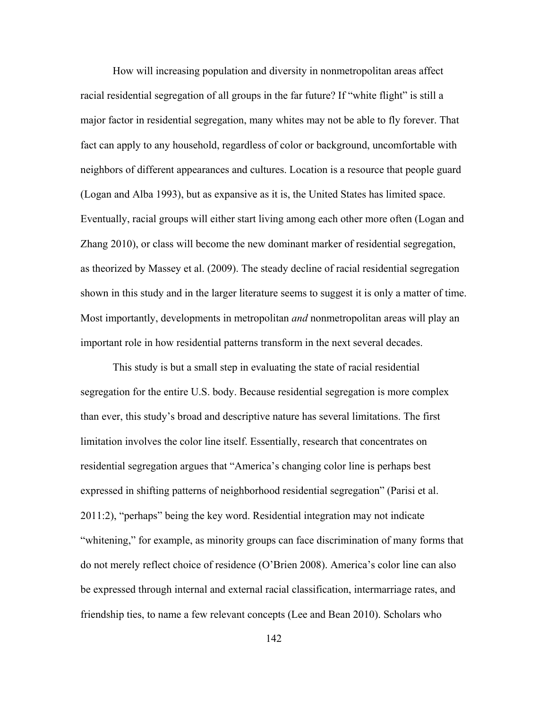How will increasing population and diversity in nonmetropolitan areas affect racial residential segregation of all groups in the far future? If "white flight" is still a major factor in residential segregation, many whites may not be able to fly forever. That fact can apply to any household, regardless of color or background, uncomfortable with neighbors of different appearances and cultures. Location is a resource that people guard (Logan and Alba 1993), but as expansive as it is, the United States has limited space. Eventually, racial groups will either start living among each other more often (Logan and Zhang 2010), or class will become the new dominant marker of residential segregation, as theorized by Massey et al. (2009). The steady decline of racial residential segregation shown in this study and in the larger literature seems to suggest it is only a matter of time. Most importantly, developments in metropolitan *and* nonmetropolitan areas will play an important role in how residential patterns transform in the next several decades.

This study is but a small step in evaluating the state of racial residential segregation for the entire U.S. body. Because residential segregation is more complex than ever, this study's broad and descriptive nature has several limitations. The first limitation involves the color line itself. Essentially, research that concentrates on residential segregation argues that "America's changing color line is perhaps best expressed in shifting patterns of neighborhood residential segregation" (Parisi et al. 2011:2), "perhaps" being the key word. Residential integration may not indicate "whitening," for example, as minority groups can face discrimination of many forms that do not merely reflect choice of residence (O'Brien 2008). America's color line can also be expressed through internal and external racial classification, intermarriage rates, and friendship ties, to name a few relevant concepts (Lee and Bean 2010). Scholars who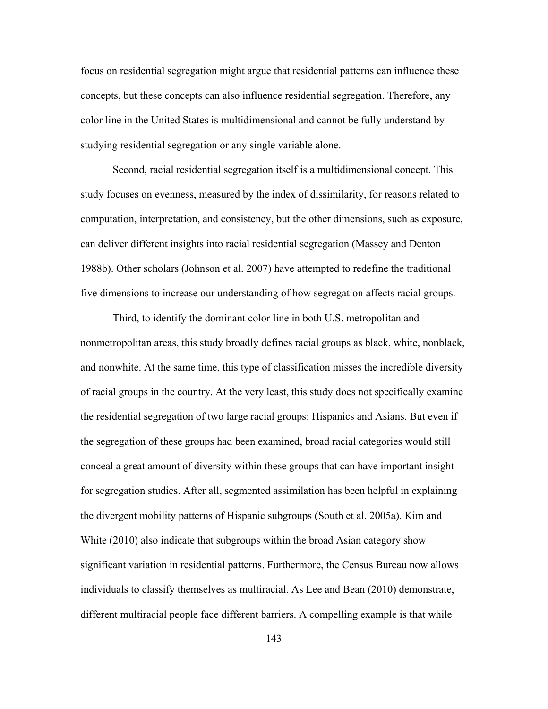focus on residential segregation might argue that residential patterns can influence these concepts, but these concepts can also influence residential segregation. Therefore, any color line in the United States is multidimensional and cannot be fully understand by studying residential segregation or any single variable alone.

Second, racial residential segregation itself is a multidimensional concept. This study focuses on evenness, measured by the index of dissimilarity, for reasons related to computation, interpretation, and consistency, but the other dimensions, such as exposure, can deliver different insights into racial residential segregation (Massey and Denton 1988b). Other scholars (Johnson et al. 2007) have attempted to redefine the traditional five dimensions to increase our understanding of how segregation affects racial groups.

Third, to identify the dominant color line in both U.S. metropolitan and nonmetropolitan areas, this study broadly defines racial groups as black, white, nonblack, and nonwhite. At the same time, this type of classification misses the incredible diversity of racial groups in the country. At the very least, this study does not specifically examine the residential segregation of two large racial groups: Hispanics and Asians. But even if the segregation of these groups had been examined, broad racial categories would still conceal a great amount of diversity within these groups that can have important insight for segregation studies. After all, segmented assimilation has been helpful in explaining the divergent mobility patterns of Hispanic subgroups (South et al. 2005a). Kim and White (2010) also indicate that subgroups within the broad Asian category show significant variation in residential patterns. Furthermore, the Census Bureau now allows individuals to classify themselves as multiracial. As Lee and Bean (2010) demonstrate, different multiracial people face different barriers. A compelling example is that while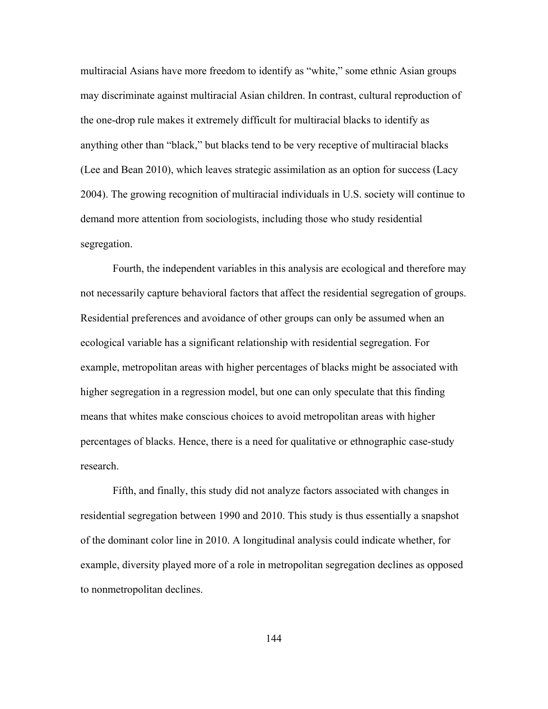multiracial Asians have more freedom to identify as "white," some ethnic Asian groups may discriminate against multiracial Asian children. In contrast, cultural reproduction of the one-drop rule makes it extremely difficult for multiracial blacks to identify as anything other than "black," but blacks tend to be very receptive of multiracial blacks (Lee and Bean 2010), which leaves strategic assimilation as an option for success (Lacy 2004). The growing recognition of multiracial individuals in U.S. society will continue to demand more attention from sociologists, including those who study residential segregation.

Fourth, the independent variables in this analysis are ecological and therefore may not necessarily capture behavioral factors that affect the residential segregation of groups. Residential preferences and avoidance of other groups can only be assumed when an ecological variable has a significant relationship with residential segregation. For example, metropolitan areas with higher percentages of blacks might be associated with higher segregation in a regression model, but one can only speculate that this finding means that whites make conscious choices to avoid metropolitan areas with higher percentages of blacks. Hence, there is a need for qualitative or ethnographic case-study research.

Fifth, and finally, this study did not analyze factors associated with changes in residential segregation between 1990 and 2010. This study is thus essentially a snapshot of the dominant color line in 2010. A longitudinal analysis could indicate whether, for example, diversity played more of a role in metropolitan segregation declines as opposed to nonmetropolitan declines.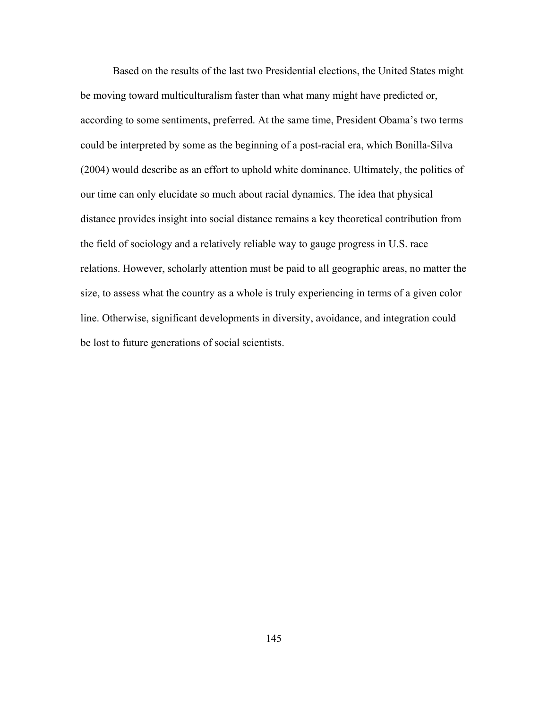Based on the results of the last two Presidential elections, the United States might be moving toward multiculturalism faster than what many might have predicted or, according to some sentiments, preferred. At the same time, President Obama's two terms could be interpreted by some as the beginning of a post-racial era, which Bonilla-Silva (2004) would describe as an effort to uphold white dominance. Ultimately, the politics of our time can only elucidate so much about racial dynamics. The idea that physical distance provides insight into social distance remains a key theoretical contribution from the field of sociology and a relatively reliable way to gauge progress in U.S. race relations. However, scholarly attention must be paid to all geographic areas, no matter the size, to assess what the country as a whole is truly experiencing in terms of a given color line. Otherwise, significant developments in diversity, avoidance, and integration could be lost to future generations of social scientists.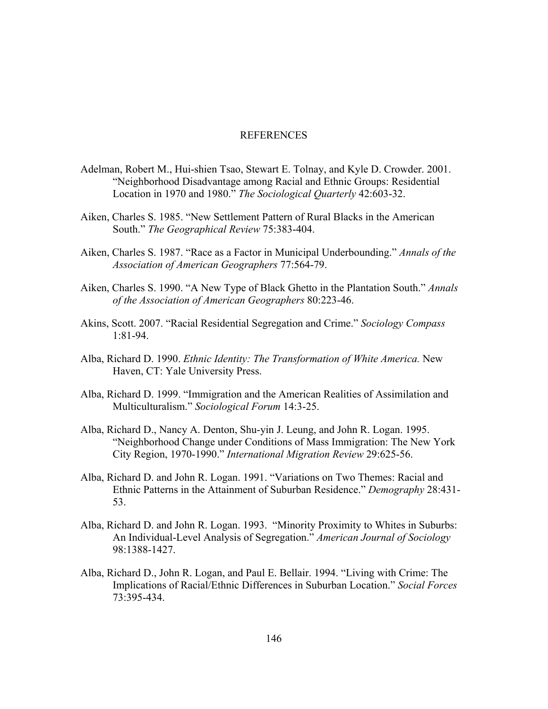## REFERENCES

- Adelman, Robert M., Hui-shien Tsao, Stewart E. Tolnay, and Kyle D. Crowder. 2001. "Neighborhood Disadvantage among Racial and Ethnic Groups: Residential Location in 1970 and 1980." *The Sociological Quarterly* 42:603-32.
- Aiken, Charles S. 1985. "New Settlement Pattern of Rural Blacks in the American South." *The Geographical Review* 75:383-404.
- Aiken, Charles S. 1987. "Race as a Factor in Municipal Underbounding." *Annals of the Association of American Geographers* 77:564-79.
- Aiken, Charles S. 1990. "A New Type of Black Ghetto in the Plantation South." *Annals of the Association of American Geographers* 80:223-46.
- Akins, Scott. 2007. "Racial Residential Segregation and Crime." *Sociology Compass*  1:81-94.
- Alba, Richard D. 1990. *Ethnic Identity: The Transformation of White America.* New Haven, CT: Yale University Press.
- Alba, Richard D. 1999. "Immigration and the American Realities of Assimilation and Multiculturalism." *Sociological Forum* 14:3-25.
- Alba, Richard D., Nancy A. Denton, Shu-yin J. Leung, and John R. Logan. 1995. "Neighborhood Change under Conditions of Mass Immigration: The New York City Region, 1970-1990." *International Migration Review* 29:625-56.
- Alba, Richard D. and John R. Logan. 1991. "Variations on Two Themes: Racial and Ethnic Patterns in the Attainment of Suburban Residence." *Demography* 28:431- 53.
- Alba, Richard D. and John R. Logan. 1993. "Minority Proximity to Whites in Suburbs: An Individual-Level Analysis of Segregation." *American Journal of Sociology*  98:1388-1427.
- Alba, Richard D., John R. Logan, and Paul E. Bellair. 1994. "Living with Crime: The Implications of Racial/Ethnic Differences in Suburban Location." *Social Forces*  73:395-434.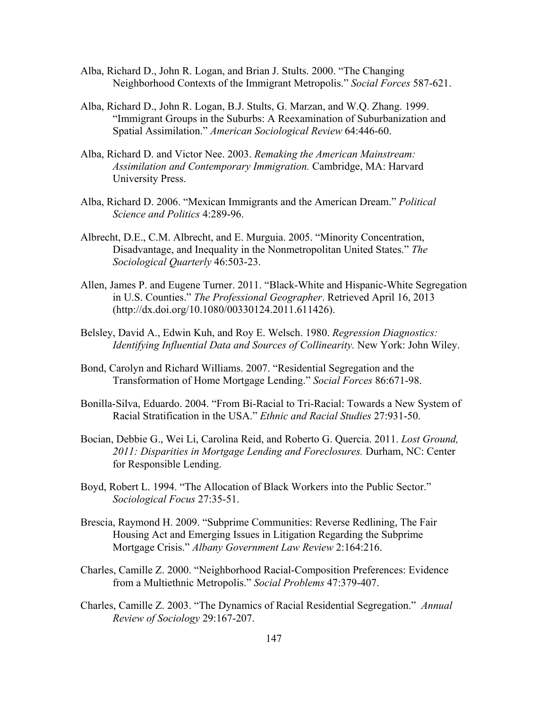- Alba, Richard D., John R. Logan, and Brian J. Stults. 2000. "The Changing Neighborhood Contexts of the Immigrant Metropolis." *Social Forces* 587-621.
- Alba, Richard D., John R. Logan, B.J. Stults, G. Marzan, and W.Q. Zhang. 1999. "Immigrant Groups in the Suburbs: A Reexamination of Suburbanization and Spatial Assimilation." *American Sociological Review* 64:446-60.
- Alba, Richard D. and Victor Nee. 2003. *Remaking the American Mainstream: Assimilation and Contemporary Immigration.* Cambridge, MA: Harvard University Press.
- Alba, Richard D. 2006. "Mexican Immigrants and the American Dream." *Political Science and Politics* 4:289-96.
- Albrecht, D.E., C.M. Albrecht, and E. Murguia. 2005. "Minority Concentration, Disadvantage, and Inequality in the Nonmetropolitan United States." *The Sociological Quarterly* 46:503-23.
- Allen, James P. and Eugene Turner. 2011. "Black-White and Hispanic-White Segregation in U.S. Counties." *The Professional Geographer*. Retrieved April 16, 2013 (http://dx.doi.org/10.1080/00330124.2011.611426).
- Belsley, David A., Edwin Kuh, and Roy E. Welsch. 1980. *Regression Diagnostics: Identifying Influential Data and Sources of Collinearity.* New York: John Wiley.
- Bond, Carolyn and Richard Williams. 2007. "Residential Segregation and the Transformation of Home Mortgage Lending." *Social Forces* 86:671-98.
- Bonilla-Silva, Eduardo. 2004. "From Bi-Racial to Tri-Racial: Towards a New System of Racial Stratification in the USA." *Ethnic and Racial Studies* 27:931-50.
- Bocian, Debbie G., Wei Li, Carolina Reid, and Roberto G. Quercia. 2011. *Lost Ground, 2011: Disparities in Mortgage Lending and Foreclosures.* Durham, NC: Center for Responsible Lending.
- Boyd, Robert L. 1994. "The Allocation of Black Workers into the Public Sector." *Sociological Focus* 27:35-51.
- Brescia, Raymond H. 2009. "Subprime Communities: Reverse Redlining, The Fair Housing Act and Emerging Issues in Litigation Regarding the Subprime Mortgage Crisis." *Albany Government Law Review* 2:164:216.
- Charles, Camille Z. 2000. "Neighborhood Racial-Composition Preferences: Evidence from a Multiethnic Metropolis." *Social Problems* 47:379-407.
- Charles, Camille Z. 2003. "The Dynamics of Racial Residential Segregation." *Annual Review of Sociology* 29:167-207.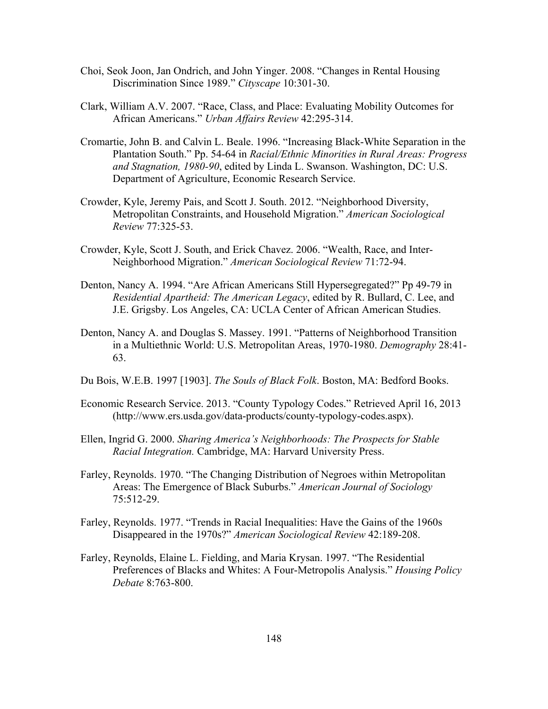- Choi, Seok Joon, Jan Ondrich, and John Yinger. 2008. "Changes in Rental Housing Discrimination Since 1989." *Cityscape* 10:301-30.
- Clark, William A.V. 2007. "Race, Class, and Place: Evaluating Mobility Outcomes for African Americans." *Urban Affairs Review* 42:295-314.
- Cromartie, John B. and Calvin L. Beale. 1996. "Increasing Black-White Separation in the Plantation South." Pp. 54-64 in *Racial/Ethnic Minorities in Rural Areas: Progress and Stagnation, 1980-90*, edited by Linda L. Swanson. Washington, DC: U.S. Department of Agriculture, Economic Research Service.
- Crowder, Kyle, Jeremy Pais, and Scott J. South. 2012. "Neighborhood Diversity, Metropolitan Constraints, and Household Migration." *American Sociological Review* 77:325-53.
- Crowder, Kyle, Scott J. South, and Erick Chavez. 2006. "Wealth, Race, and Inter-Neighborhood Migration." *American Sociological Review* 71:72-94.
- Denton, Nancy A. 1994. "Are African Americans Still Hypersegregated?" Pp 49-79 in *Residential Apartheid: The American Legacy*, edited by R. Bullard, C. Lee, and J.E. Grigsby. Los Angeles, CA: UCLA Center of African American Studies.
- Denton, Nancy A. and Douglas S. Massey. 1991. "Patterns of Neighborhood Transition in a Multiethnic World: U.S. Metropolitan Areas, 1970-1980. *Demography* 28:41- 63.
- Du Bois, W.E.B. 1997 [1903]. *The Souls of Black Folk*. Boston, MA: Bedford Books.
- Economic Research Service. 2013. "County Typology Codes." Retrieved April 16, 2013 (http://www.ers.usda.gov/data-products/county-typology-codes.aspx).
- Ellen, Ingrid G. 2000. *Sharing America's Neighborhoods: The Prospects for Stable Racial Integration.* Cambridge, MA: Harvard University Press.
- Farley, Reynolds. 1970. "The Changing Distribution of Negroes within Metropolitan Areas: The Emergence of Black Suburbs." *American Journal of Sociology* 75:512-29.
- Farley, Reynolds. 1977. "Trends in Racial Inequalities: Have the Gains of the 1960s Disappeared in the 1970s?" *American Sociological Review* 42:189-208.
- Farley, Reynolds, Elaine L. Fielding, and Maria Krysan. 1997. "The Residential Preferences of Blacks and Whites: A Four-Metropolis Analysis." *Housing Policy Debate* 8:763-800.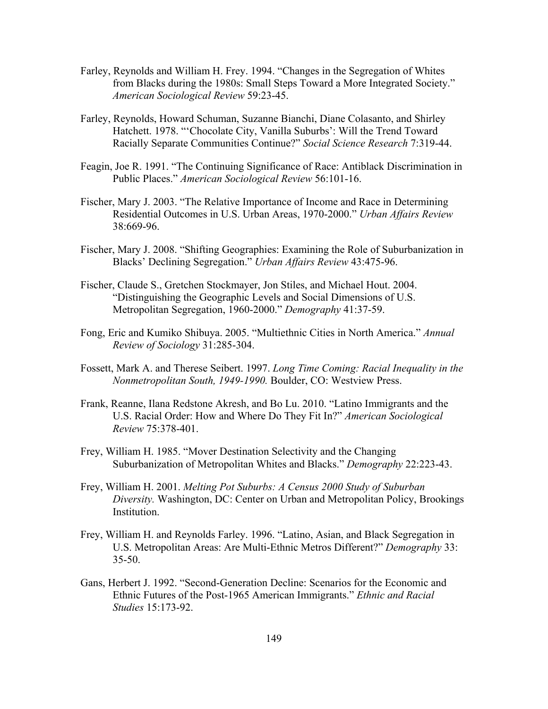- Farley, Reynolds and William H. Frey. 1994. "Changes in the Segregation of Whites from Blacks during the 1980s: Small Steps Toward a More Integrated Society." *American Sociological Review* 59:23-45.
- Farley, Reynolds, Howard Schuman, Suzanne Bianchi, Diane Colasanto, and Shirley Hatchett. 1978. "'Chocolate City, Vanilla Suburbs': Will the Trend Toward Racially Separate Communities Continue?" *Social Science Research* 7:319-44.
- Feagin, Joe R. 1991. "The Continuing Significance of Race: Antiblack Discrimination in Public Places." *American Sociological Review* 56:101-16.
- Fischer, Mary J. 2003. "The Relative Importance of Income and Race in Determining Residential Outcomes in U.S. Urban Areas, 1970-2000." *Urban Affairs Review* 38:669-96.
- Fischer, Mary J. 2008. "Shifting Geographies: Examining the Role of Suburbanization in Blacks' Declining Segregation." *Urban Affairs Review* 43:475-96.
- Fischer, Claude S., Gretchen Stockmayer, Jon Stiles, and Michael Hout. 2004. "Distinguishing the Geographic Levels and Social Dimensions of U.S. Metropolitan Segregation, 1960-2000." *Demography* 41:37-59.
- Fong, Eric and Kumiko Shibuya. 2005. "Multiethnic Cities in North America." *Annual Review of Sociology* 31:285-304.
- Fossett, Mark A. and Therese Seibert. 1997. *Long Time Coming: Racial Inequality in the Nonmetropolitan South, 1949-1990.* Boulder, CO: Westview Press.
- Frank, Reanne, Ilana Redstone Akresh, and Bo Lu. 2010. "Latino Immigrants and the U.S. Racial Order: How and Where Do They Fit In?" *American Sociological Review* 75:378-401.
- Frey, William H. 1985. "Mover Destination Selectivity and the Changing Suburbanization of Metropolitan Whites and Blacks." *Demography* 22:223-43.
- Frey, William H. 2001. *Melting Pot Suburbs: A Census 2000 Study of Suburban Diversity.* Washington, DC: Center on Urban and Metropolitan Policy, Brookings Institution.
- Frey, William H. and Reynolds Farley. 1996. "Latino, Asian, and Black Segregation in U.S. Metropolitan Areas: Are Multi-Ethnic Metros Different?" *Demography* 33: 35-50.
- Gans, Herbert J. 1992. "Second-Generation Decline: Scenarios for the Economic and Ethnic Futures of the Post-1965 American Immigrants." *Ethnic and Racial Studies* 15:173-92.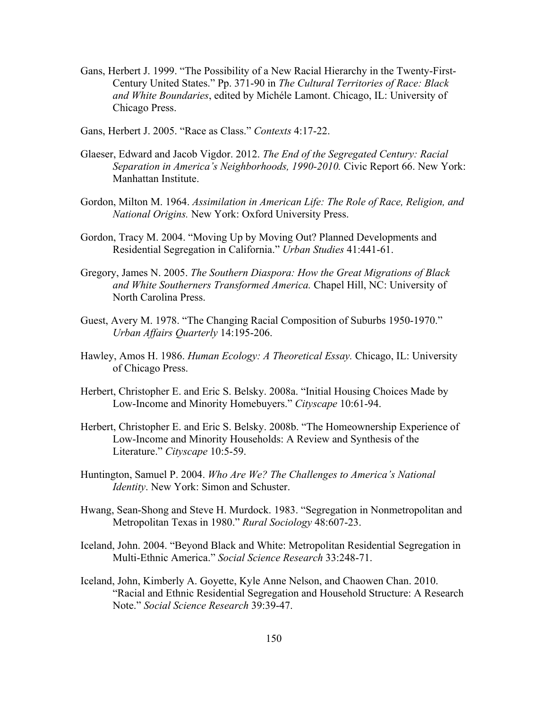- Gans, Herbert J. 1999. "The Possibility of a New Racial Hierarchy in the Twenty-First-Century United States." Pp. 371-90 in *The Cultural Territories of Race: Black and White Boundaries*, edited by Michéle Lamont. Chicago, IL: University of Chicago Press.
- Gans, Herbert J. 2005. "Race as Class." *Contexts* 4:17-22.
- Glaeser, Edward and Jacob Vigdor. 2012. *The End of the Segregated Century: Racial Separation in America's Neighborhoods, 1990-2010.* Civic Report 66. New York: Manhattan Institute.
- Gordon, Milton M. 1964. *Assimilation in American Life: The Role of Race, Religion, and National Origins.* New York: Oxford University Press.
- Gordon, Tracy M. 2004. "Moving Up by Moving Out? Planned Developments and Residential Segregation in California." *Urban Studies* 41:441-61.
- Gregory, James N. 2005. *The Southern Diaspora: How the Great Migrations of Black and White Southerners Transformed America.* Chapel Hill, NC: University of North Carolina Press.
- Guest, Avery M. 1978. "The Changing Racial Composition of Suburbs 1950-1970." *Urban Affairs Quarterly* 14:195-206.
- Hawley, Amos H. 1986. *Human Ecology: A Theoretical Essay.* Chicago, IL: University of Chicago Press.
- Herbert, Christopher E. and Eric S. Belsky. 2008a. "Initial Housing Choices Made by Low-Income and Minority Homebuyers." *Cityscape* 10:61-94.
- Herbert, Christopher E. and Eric S. Belsky. 2008b. "The Homeownership Experience of Low-Income and Minority Households: A Review and Synthesis of the Literature." *Cityscape* 10:5-59.
- Huntington, Samuel P. 2004. *Who Are We? The Challenges to America's National Identity*. New York: Simon and Schuster.
- Hwang, Sean-Shong and Steve H. Murdock. 1983. "Segregation in Nonmetropolitan and Metropolitan Texas in 1980." *Rural Sociology* 48:607-23.
- Iceland, John. 2004. "Beyond Black and White: Metropolitan Residential Segregation in Multi-Ethnic America." *Social Science Research* 33:248-71.
- Iceland, John, Kimberly A. Goyette, Kyle Anne Nelson, and Chaowen Chan. 2010. "Racial and Ethnic Residential Segregation and Household Structure: A Research Note." *Social Science Research* 39:39-47.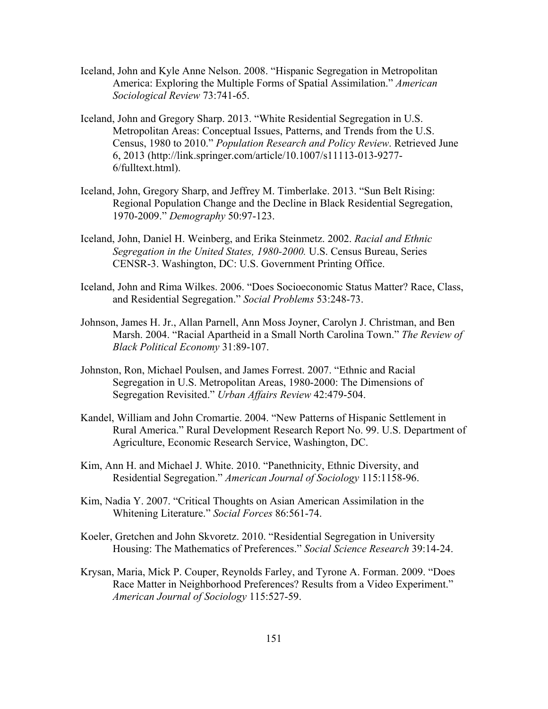- Iceland, John and Kyle Anne Nelson. 2008. "Hispanic Segregation in Metropolitan America: Exploring the Multiple Forms of Spatial Assimilation." *American Sociological Review* 73:741-65.
- Iceland, John and Gregory Sharp. 2013. "White Residential Segregation in U.S. Metropolitan Areas: Conceptual Issues, Patterns, and Trends from the U.S. Census, 1980 to 2010." *Population Research and Policy Review*. Retrieved June 6, 2013 (http://link.springer.com/article/10.1007/s11113-013-9277- 6/fulltext.html).
- Iceland, John, Gregory Sharp, and Jeffrey M. Timberlake. 2013. "Sun Belt Rising: Regional Population Change and the Decline in Black Residential Segregation, 1970-2009." *Demography* 50:97-123.
- Iceland, John, Daniel H. Weinberg, and Erika Steinmetz. 2002. *Racial and Ethnic Segregation in the United States, 1980-2000.* U.S. Census Bureau, Series CENSR-3. Washington, DC: U.S. Government Printing Office.
- Iceland, John and Rima Wilkes. 2006. "Does Socioeconomic Status Matter? Race, Class, and Residential Segregation." *Social Problems* 53:248-73.
- Johnson, James H. Jr., Allan Parnell, Ann Moss Joyner, Carolyn J. Christman, and Ben Marsh. 2004. "Racial Apartheid in a Small North Carolina Town." *The Review of Black Political Economy* 31:89-107.
- Johnston, Ron, Michael Poulsen, and James Forrest. 2007. "Ethnic and Racial Segregation in U.S. Metropolitan Areas, 1980-2000: The Dimensions of Segregation Revisited." *Urban Affairs Review* 42:479-504.
- Kandel, William and John Cromartie. 2004. "New Patterns of Hispanic Settlement in Rural America." Rural Development Research Report No. 99. U.S. Department of Agriculture, Economic Research Service, Washington, DC.
- Kim, Ann H. and Michael J. White. 2010. "Panethnicity, Ethnic Diversity, and Residential Segregation." *American Journal of Sociology* 115:1158-96.
- Kim, Nadia Y. 2007. "Critical Thoughts on Asian American Assimilation in the Whitening Literature." *Social Forces* 86:561-74.
- Koeler, Gretchen and John Skvoretz. 2010. "Residential Segregation in University Housing: The Mathematics of Preferences." *Social Science Research* 39:14-24.
- Krysan, Maria, Mick P. Couper, Reynolds Farley, and Tyrone A. Forman. 2009. "Does Race Matter in Neighborhood Preferences? Results from a Video Experiment." *American Journal of Sociology* 115:527-59.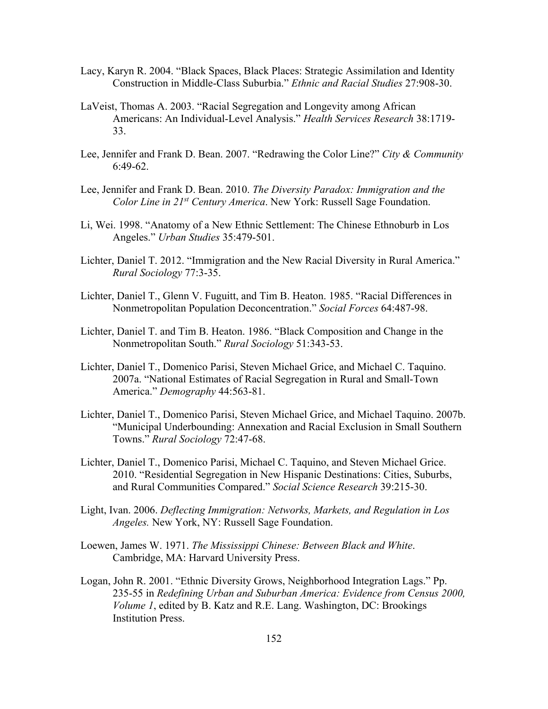- Lacy, Karyn R. 2004. "Black Spaces, Black Places: Strategic Assimilation and Identity Construction in Middle-Class Suburbia." *Ethnic and Racial Studies* 27:908-30.
- LaVeist, Thomas A. 2003. "Racial Segregation and Longevity among African Americans: An Individual-Level Analysis." *Health Services Research* 38:1719- 33.
- Lee, Jennifer and Frank D. Bean. 2007. "Redrawing the Color Line?" *City & Community*  6:49-62.
- Lee, Jennifer and Frank D. Bean. 2010. *The Diversity Paradox: Immigration and the Color Line in 21st Century America*. New York: Russell Sage Foundation.
- Li, Wei. 1998. "Anatomy of a New Ethnic Settlement: The Chinese Ethnoburb in Los Angeles." *Urban Studies* 35:479-501.
- Lichter, Daniel T. 2012. "Immigration and the New Racial Diversity in Rural America." *Rural Sociology* 77:3-35.
- Lichter, Daniel T., Glenn V. Fuguitt, and Tim B. Heaton. 1985. "Racial Differences in Nonmetropolitan Population Deconcentration." *Social Forces* 64:487-98.
- Lichter, Daniel T. and Tim B. Heaton. 1986. "Black Composition and Change in the Nonmetropolitan South." *Rural Sociology* 51:343-53.
- Lichter, Daniel T., Domenico Parisi, Steven Michael Grice, and Michael C. Taquino. 2007a. "National Estimates of Racial Segregation in Rural and Small-Town America." *Demography* 44:563-81.
- Lichter, Daniel T., Domenico Parisi, Steven Michael Grice, and Michael Taquino. 2007b. "Municipal Underbounding: Annexation and Racial Exclusion in Small Southern Towns." *Rural Sociology* 72:47-68.
- Lichter, Daniel T., Domenico Parisi, Michael C. Taquino, and Steven Michael Grice. 2010. "Residential Segregation in New Hispanic Destinations: Cities, Suburbs, and Rural Communities Compared." *Social Science Research* 39:215-30.
- Light, Ivan. 2006. *Deflecting Immigration: Networks, Markets, and Regulation in Los Angeles.* New York, NY: Russell Sage Foundation.
- Loewen, James W. 1971. *The Mississippi Chinese: Between Black and White*. Cambridge, MA: Harvard University Press.
- Logan, John R. 2001. "Ethnic Diversity Grows, Neighborhood Integration Lags." Pp. 235-55 in *Redefining Urban and Suburban America: Evidence from Census 2000, Volume 1*, edited by B. Katz and R.E. Lang. Washington, DC: Brookings Institution Press.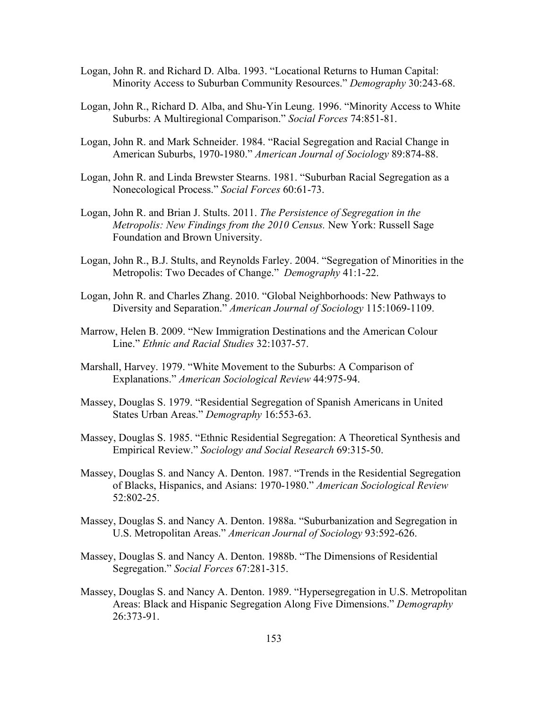- Logan, John R. and Richard D. Alba. 1993. "Locational Returns to Human Capital: Minority Access to Suburban Community Resources." *Demography* 30:243-68.
- Logan, John R., Richard D. Alba, and Shu-Yin Leung. 1996. "Minority Access to White Suburbs: A Multiregional Comparison." *Social Forces* 74:851-81.
- Logan, John R. and Mark Schneider. 1984. "Racial Segregation and Racial Change in American Suburbs, 1970-1980." *American Journal of Sociology* 89:874-88.
- Logan, John R. and Linda Brewster Stearns. 1981. "Suburban Racial Segregation as a Nonecological Process." *Social Forces* 60:61-73.
- Logan, John R. and Brian J. Stults. 2011. *The Persistence of Segregation in the Metropolis: New Findings from the 2010 Census.* New York: Russell Sage Foundation and Brown University.
- Logan, John R., B.J. Stults, and Reynolds Farley. 2004. "Segregation of Minorities in the Metropolis: Two Decades of Change." *Demography* 41:1-22.
- Logan, John R. and Charles Zhang. 2010. "Global Neighborhoods: New Pathways to Diversity and Separation." *American Journal of Sociology* 115:1069-1109.
- Marrow, Helen B. 2009. "New Immigration Destinations and the American Colour Line." *Ethnic and Racial Studies* 32:1037-57.
- Marshall, Harvey. 1979. "White Movement to the Suburbs: A Comparison of Explanations." *American Sociological Review* 44:975-94.
- Massey, Douglas S. 1979. "Residential Segregation of Spanish Americans in United States Urban Areas." *Demography* 16:553-63.
- Massey, Douglas S. 1985. "Ethnic Residential Segregation: A Theoretical Synthesis and Empirical Review." *Sociology and Social Research* 69:315-50.
- Massey, Douglas S. and Nancy A. Denton. 1987. "Trends in the Residential Segregation of Blacks, Hispanics, and Asians: 1970-1980." *American Sociological Review*  52:802-25.
- Massey, Douglas S. and Nancy A. Denton. 1988a. "Suburbanization and Segregation in U.S. Metropolitan Areas." *American Journal of Sociology* 93:592-626.
- Massey, Douglas S. and Nancy A. Denton. 1988b. "The Dimensions of Residential Segregation." *Social Forces* 67:281-315.
- Massey, Douglas S. and Nancy A. Denton. 1989. "Hypersegregation in U.S. Metropolitan Areas: Black and Hispanic Segregation Along Five Dimensions." *Demography*  26:373-91.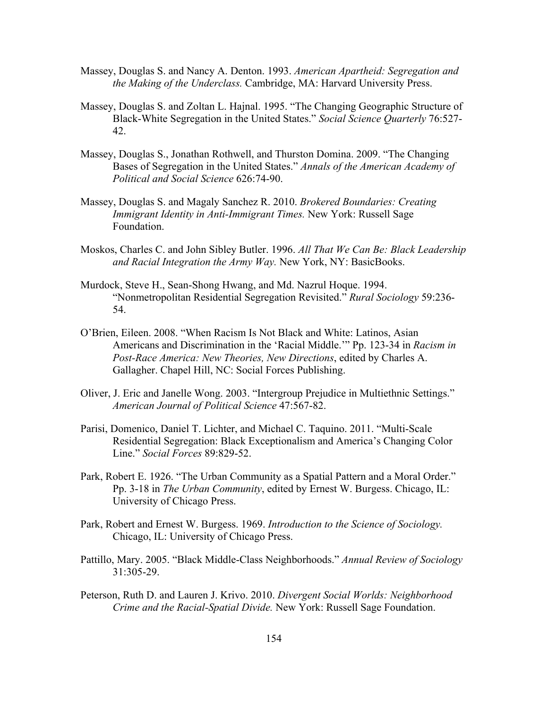- Massey, Douglas S. and Nancy A. Denton. 1993. *American Apartheid: Segregation and the Making of the Underclass.* Cambridge, MA: Harvard University Press.
- Massey, Douglas S. and Zoltan L. Hajnal. 1995. "The Changing Geographic Structure of Black-White Segregation in the United States." *Social Science Quarterly* 76:527- 42.
- Massey, Douglas S., Jonathan Rothwell, and Thurston Domina. 2009. "The Changing Bases of Segregation in the United States." *Annals of the American Academy of Political and Social Science* 626:74-90.
- Massey, Douglas S. and Magaly Sanchez R. 2010. *Brokered Boundaries: Creating Immigrant Identity in Anti-Immigrant Times.* New York: Russell Sage Foundation.
- Moskos, Charles C. and John Sibley Butler. 1996. *All That We Can Be: Black Leadership and Racial Integration the Army Way.* New York, NY: BasicBooks.
- Murdock, Steve H., Sean-Shong Hwang, and Md. Nazrul Hoque. 1994. "Nonmetropolitan Residential Segregation Revisited." *Rural Sociology* 59:236- 54.
- O'Brien, Eileen. 2008. "When Racism Is Not Black and White: Latinos, Asian Americans and Discrimination in the 'Racial Middle.'" Pp. 123-34 in *Racism in Post-Race America: New Theories, New Directions*, edited by Charles A. Gallagher. Chapel Hill, NC: Social Forces Publishing.
- Oliver, J. Eric and Janelle Wong. 2003. "Intergroup Prejudice in Multiethnic Settings." *American Journal of Political Science* 47:567-82.
- Parisi, Domenico, Daniel T. Lichter, and Michael C. Taquino. 2011. "Multi-Scale Residential Segregation: Black Exceptionalism and America's Changing Color Line." *Social Forces* 89:829-52.
- Park, Robert E. 1926. "The Urban Community as a Spatial Pattern and a Moral Order." Pp. 3-18 in *The Urban Community*, edited by Ernest W. Burgess. Chicago, IL: University of Chicago Press.
- Park, Robert and Ernest W. Burgess. 1969. *Introduction to the Science of Sociology.*  Chicago, IL: University of Chicago Press.
- Pattillo, Mary. 2005. "Black Middle-Class Neighborhoods." *Annual Review of Sociology*  31:305-29.
- Peterson, Ruth D. and Lauren J. Krivo. 2010. *Divergent Social Worlds: Neighborhood Crime and the Racial-Spatial Divide.* New York: Russell Sage Foundation.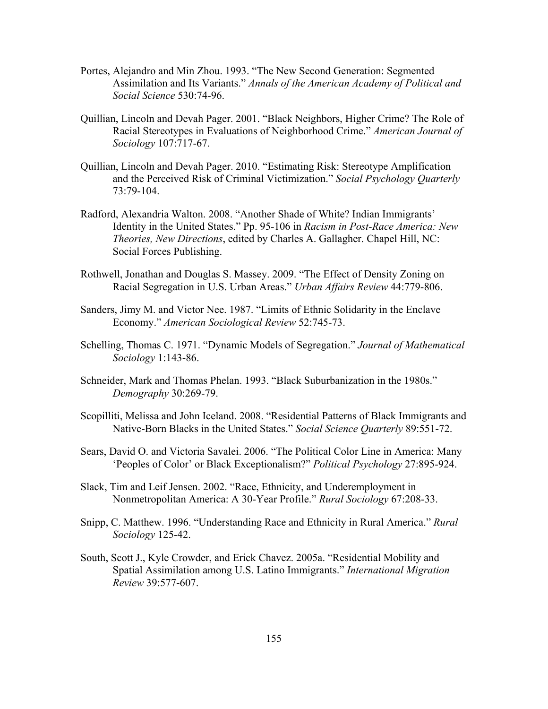- Portes, Alejandro and Min Zhou. 1993. "The New Second Generation: Segmented Assimilation and Its Variants." *Annals of the American Academy of Political and Social Science* 530:74-96.
- Quillian, Lincoln and Devah Pager. 2001. "Black Neighbors, Higher Crime? The Role of Racial Stereotypes in Evaluations of Neighborhood Crime." *American Journal of Sociology* 107:717-67.
- Quillian, Lincoln and Devah Pager. 2010. "Estimating Risk: Stereotype Amplification and the Perceived Risk of Criminal Victimization." *Social Psychology Quarterly*  73:79-104.
- Radford, Alexandria Walton. 2008. "Another Shade of White? Indian Immigrants' Identity in the United States." Pp. 95-106 in *Racism in Post-Race America: New Theories, New Directions*, edited by Charles A. Gallagher. Chapel Hill, NC: Social Forces Publishing.
- Rothwell, Jonathan and Douglas S. Massey. 2009. "The Effect of Density Zoning on Racial Segregation in U.S. Urban Areas." *Urban Affairs Review* 44:779-806.
- Sanders, Jimy M. and Victor Nee. 1987. "Limits of Ethnic Solidarity in the Enclave Economy." *American Sociological Review* 52:745-73.
- Schelling, Thomas C. 1971. "Dynamic Models of Segregation." *Journal of Mathematical Sociology* 1:143-86.
- Schneider, Mark and Thomas Phelan. 1993. "Black Suburbanization in the 1980s." *Demography* 30:269-79.
- Scopilliti, Melissa and John Iceland. 2008. "Residential Patterns of Black Immigrants and Native-Born Blacks in the United States." *Social Science Quarterly* 89:551-72.
- Sears, David O. and Victoria Savalei. 2006. "The Political Color Line in America: Many 'Peoples of Color' or Black Exceptionalism?" *Political Psychology* 27:895-924.
- Slack, Tim and Leif Jensen. 2002. "Race, Ethnicity, and Underemployment in Nonmetropolitan America: A 30-Year Profile." *Rural Sociology* 67:208-33.
- Snipp, C. Matthew. 1996. "Understanding Race and Ethnicity in Rural America." *Rural Sociology* 125-42.
- South, Scott J., Kyle Crowder, and Erick Chavez. 2005a. "Residential Mobility and Spatial Assimilation among U.S. Latino Immigrants." *International Migration Review* 39:577-607.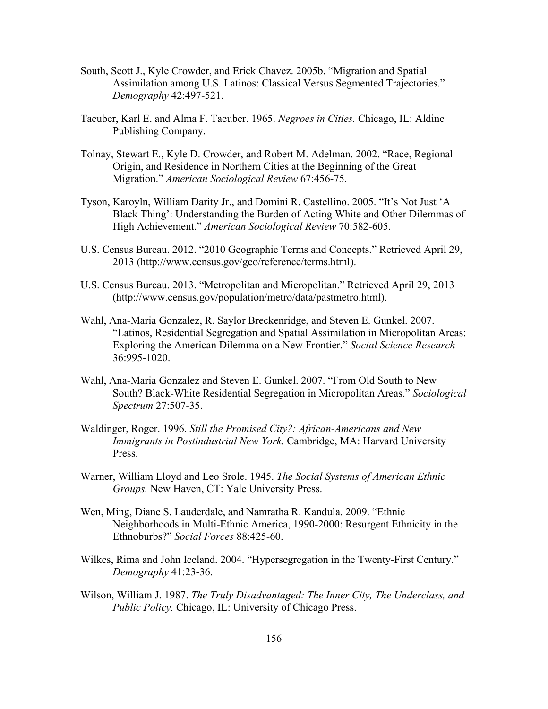- South, Scott J., Kyle Crowder, and Erick Chavez. 2005b. "Migration and Spatial Assimilation among U.S. Latinos: Classical Versus Segmented Trajectories." *Demography* 42:497-521.
- Taeuber, Karl E. and Alma F. Taeuber. 1965. *Negroes in Cities.* Chicago, IL: Aldine Publishing Company.
- Tolnay, Stewart E., Kyle D. Crowder, and Robert M. Adelman. 2002. "Race, Regional Origin, and Residence in Northern Cities at the Beginning of the Great Migration." *American Sociological Review* 67:456-75.
- Tyson, Karoyln, William Darity Jr., and Domini R. Castellino. 2005. "It's Not Just 'A Black Thing': Understanding the Burden of Acting White and Other Dilemmas of High Achievement." *American Sociological Review* 70:582-605.
- U.S. Census Bureau. 2012. "2010 Geographic Terms and Concepts." Retrieved April 29, 2013 (http://www.census.gov/geo/reference/terms.html).
- U.S. Census Bureau. 2013. "Metropolitan and Micropolitan." Retrieved April 29, 2013 (http://www.census.gov/population/metro/data/pastmetro.html).
- Wahl, Ana-Maria Gonzalez, R. Saylor Breckenridge, and Steven E. Gunkel. 2007. "Latinos, Residential Segregation and Spatial Assimilation in Micropolitan Areas: Exploring the American Dilemma on a New Frontier." *Social Science Research*  36:995-1020.
- Wahl, Ana-Maria Gonzalez and Steven E. Gunkel. 2007. "From Old South to New South? Black-White Residential Segregation in Micropolitan Areas." *Sociological Spectrum* 27:507-35.
- Waldinger, Roger. 1996. *Still the Promised City?: African-Americans and New Immigrants in Postindustrial New York.* Cambridge, MA: Harvard University Press.
- Warner, William Lloyd and Leo Srole. 1945. *The Social Systems of American Ethnic Groups.* New Haven, CT: Yale University Press.
- Wen, Ming, Diane S. Lauderdale, and Namratha R. Kandula. 2009. "Ethnic Neighborhoods in Multi-Ethnic America, 1990-2000: Resurgent Ethnicity in the Ethnoburbs?" *Social Forces* 88:425-60.
- Wilkes, Rima and John Iceland. 2004. "Hypersegregation in the Twenty-First Century." *Demography* 41:23-36.
- Wilson, William J. 1987. *The Truly Disadvantaged: The Inner City, The Underclass, and Public Policy.* Chicago, IL: University of Chicago Press.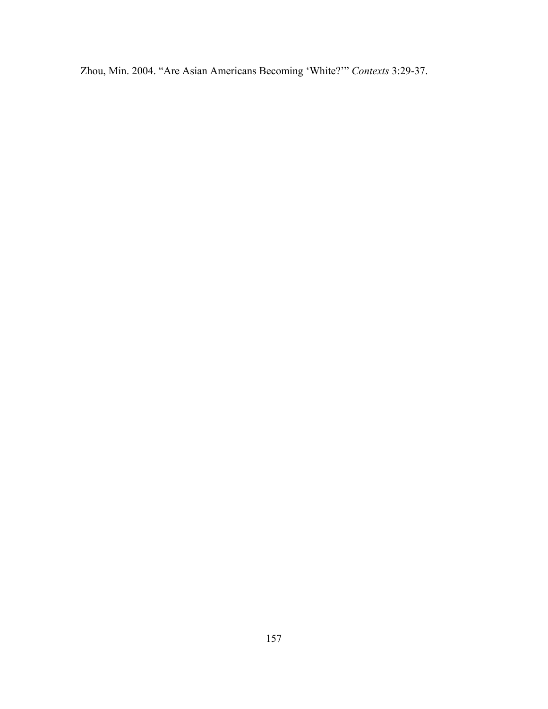Zhou, Min. 2004. "Are Asian Americans Becoming 'White?'" *Contexts* 3:29-37.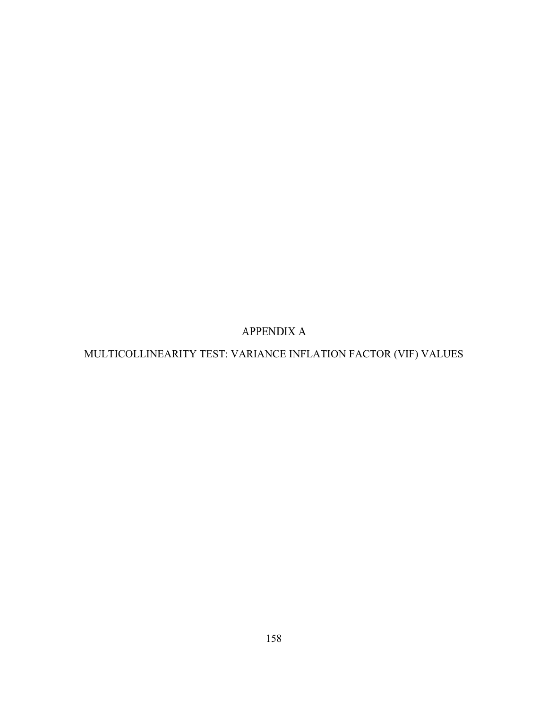**APPENDIX A** 

MULTICOLLINEARITY TEST: VARIANCE INFLATION FACTOR (VIF) VALUES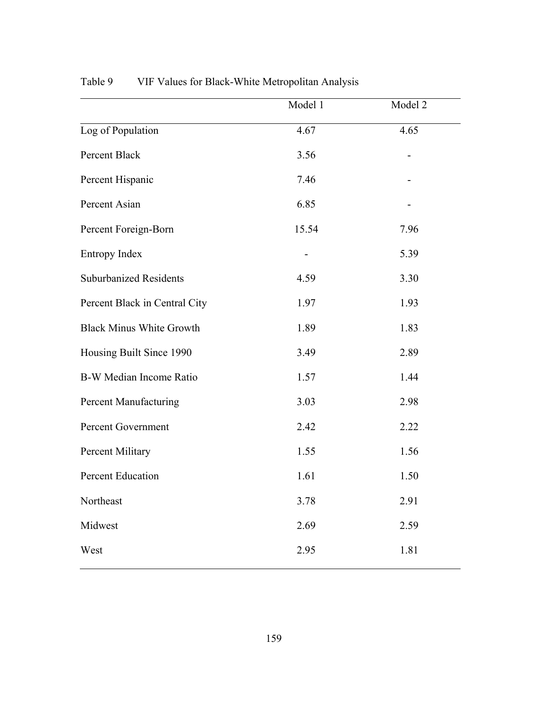|                                 | Model 1 | Model 2 |
|---------------------------------|---------|---------|
| Log of Population               | 4.67    | 4.65    |
| Percent Black                   | 3.56    |         |
| Percent Hispanic                | 7.46    |         |
| Percent Asian                   | 6.85    |         |
| Percent Foreign-Born            | 15.54   | 7.96    |
| Entropy Index                   |         | 5.39    |
| <b>Suburbanized Residents</b>   | 4.59    | 3.30    |
| Percent Black in Central City   | 1.97    | 1.93    |
| <b>Black Minus White Growth</b> | 1.89    | 1.83    |
| Housing Built Since 1990        | 3.49    | 2.89    |
| <b>B-W Median Income Ratio</b>  | 1.57    | 1.44    |
| <b>Percent Manufacturing</b>    | 3.03    | 2.98    |
| Percent Government              | 2.42    | 2.22    |
| Percent Military                | 1.55    | 1.56    |
| Percent Education               | 1.61    | 1.50    |
| Northeast                       | 3.78    | 2.91    |
| Midwest                         | 2.69    | 2.59    |
| West                            | 2.95    | 1.81    |
|                                 |         |         |

Table 9 VIF Values for Black-White Metropolitan Analysis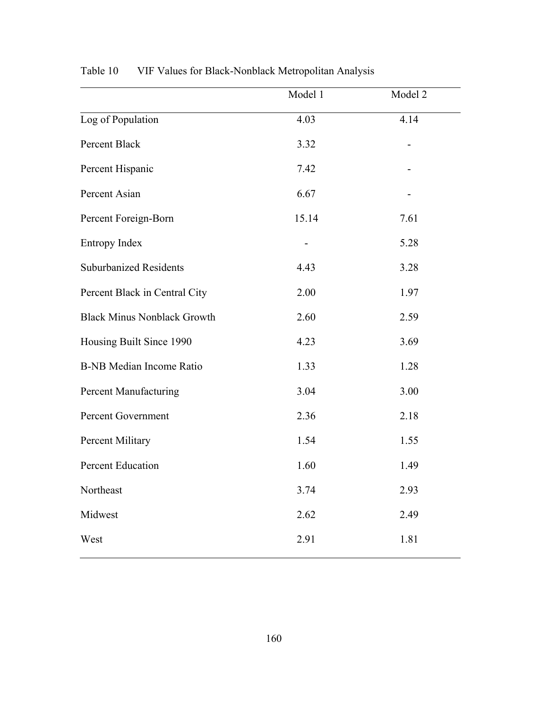|                                    | Model 1 | Model 2 |
|------------------------------------|---------|---------|
| Log of Population                  | 4.03    | 4.14    |
| Percent Black                      | 3.32    |         |
| Percent Hispanic                   | 7.42    |         |
| Percent Asian                      | 6.67    |         |
| Percent Foreign-Born               | 15.14   | 7.61    |
| Entropy Index                      |         | 5.28    |
| <b>Suburbanized Residents</b>      | 4.43    | 3.28    |
| Percent Black in Central City      | 2.00    | 1.97    |
| <b>Black Minus Nonblack Growth</b> | 2.60    | 2.59    |
| Housing Built Since 1990           | 4.23    | 3.69    |
| <b>B-NB Median Income Ratio</b>    | 1.33    | 1.28    |
| <b>Percent Manufacturing</b>       | 3.04    | 3.00    |
| Percent Government                 | 2.36    | 2.18    |
| Percent Military                   | 1.54    | 1.55    |
| Percent Education                  | 1.60    | 1.49    |
| Northeast                          | 3.74    | 2.93    |
| Midwest                            | 2.62    | 2.49    |
| West                               | 2.91    | 1.81    |

Table 10 VIF Values for Black-Nonblack Metropolitan Analysis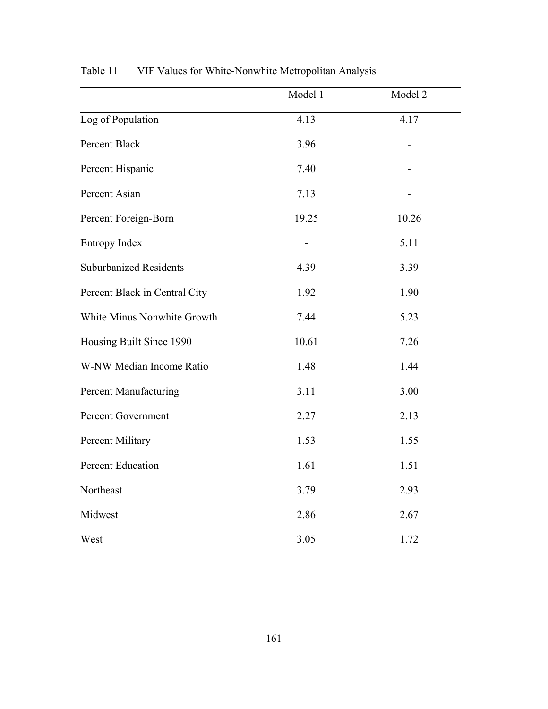|                               | Model 1 | Model 2 |
|-------------------------------|---------|---------|
| Log of Population             | 4.13    | 4.17    |
| Percent Black                 | 3.96    |         |
| Percent Hispanic              | 7.40    |         |
| Percent Asian                 | 7.13    |         |
| Percent Foreign-Born          | 19.25   | 10.26   |
| <b>Entropy Index</b>          |         | 5.11    |
| <b>Suburbanized Residents</b> | 4.39    | 3.39    |
| Percent Black in Central City | 1.92    | 1.90    |
| White Minus Nonwhite Growth   | 7.44    | 5.23    |
| Housing Built Since 1990      | 10.61   | 7.26    |
| W-NW Median Income Ratio      | 1.48    | 1.44    |
| <b>Percent Manufacturing</b>  | 3.11    | 3.00    |
| Percent Government            | 2.27    | 2.13    |
| Percent Military              | 1.53    | 1.55    |
| Percent Education             | 1.61    | 1.51    |
| Northeast                     | 3.79    | 2.93    |
| Midwest                       | 2.86    | 2.67    |
| West                          | 3.05    | 1.72    |

Table 11 VIF Values for White-Nonwhite Metropolitan Analysis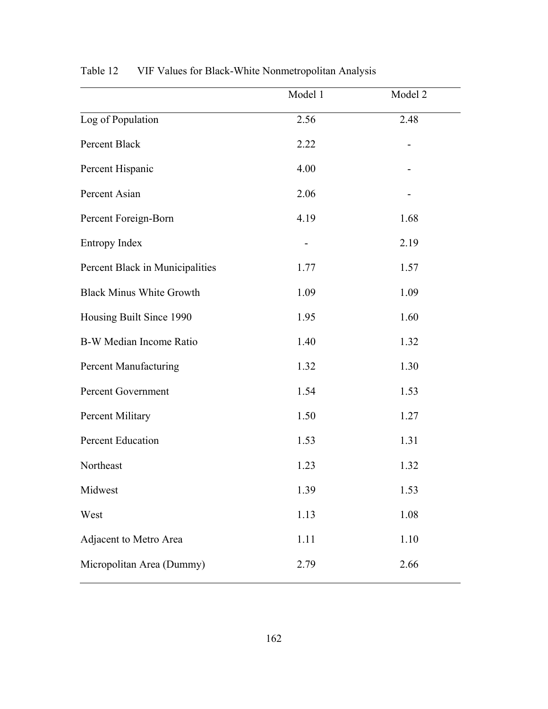|                                 | Model 1 | Model 2 |
|---------------------------------|---------|---------|
| Log of Population               | 2.56    | 2.48    |
| Percent Black                   | 2.22    |         |
| Percent Hispanic                | 4.00    |         |
| Percent Asian                   | 2.06    |         |
| Percent Foreign-Born            | 4.19    | 1.68    |
| Entropy Index                   |         | 2.19    |
| Percent Black in Municipalities | 1.77    | 1.57    |
| <b>Black Minus White Growth</b> | 1.09    | 1.09    |
| Housing Built Since 1990        | 1.95    | 1.60    |
| B-W Median Income Ratio         | 1.40    | 1.32    |
| <b>Percent Manufacturing</b>    | 1.32    | 1.30    |
| Percent Government              | 1.54    | 1.53    |
| Percent Military                | 1.50    | 1.27    |
| Percent Education               | 1.53    | 1.31    |
| Northeast                       | 1.23    | 1.32    |
| Midwest                         | 1.39    | 1.53    |
| West                            | 1.13    | 1.08    |
| Adjacent to Metro Area          | 1.11    | 1.10    |
| Micropolitan Area (Dummy)       | 2.79    | 2.66    |
|                                 |         |         |

Table 12 VIF Values for Black-White Nonmetropolitan Analysis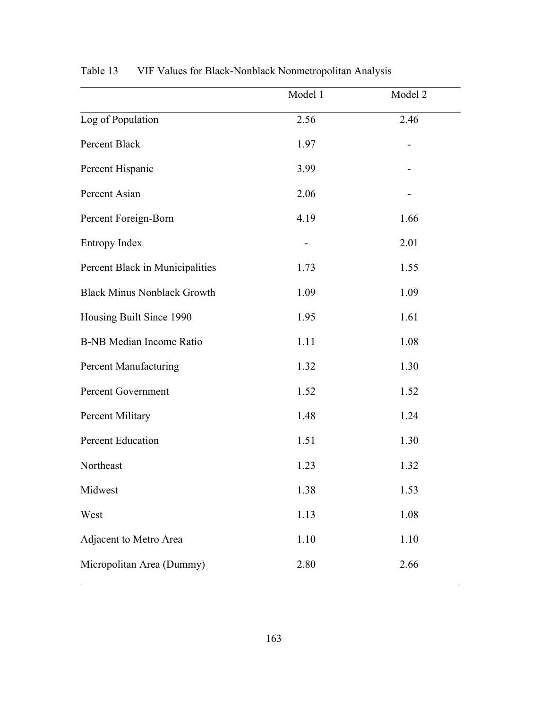|                                    | Model 1 | Model 2 |
|------------------------------------|---------|---------|
| Log of Population                  | 2.56    | 2.46    |
| Percent Black                      | 1.97    |         |
| Percent Hispanic                   | 3.99    |         |
| Percent Asian                      | 2.06    |         |
| Percent Foreign-Born               | 4.19    | 1.66    |
| Entropy Index                      |         | 2.01    |
| Percent Black in Municipalities    | 1.73    | 1.55    |
| <b>Black Minus Nonblack Growth</b> | 1.09    | 1.09    |
| Housing Built Since 1990           | 1.95    | 1.61    |
| <b>B-NB Median Income Ratio</b>    | 1.11    | 1.08    |
| <b>Percent Manufacturing</b>       | 1.32    | 1.30    |
| Percent Government                 | 1.52    | 1.52    |
| Percent Military                   | 1.48    | 1.24    |
| Percent Education                  | 1.51    | 1.30    |
| Northeast                          | 1.23    | 1.32    |
| Midwest                            | 1.38    | 1.53    |
| West                               | 1.13    | 1.08    |
| Adjacent to Metro Area             | 1.10    | 1.10    |
| Micropolitan Area (Dummy)          | 2.80    | 2.66    |
|                                    |         |         |

Table 13 VIF Values for Black-Nonblack Nonmetropolitan Analysis